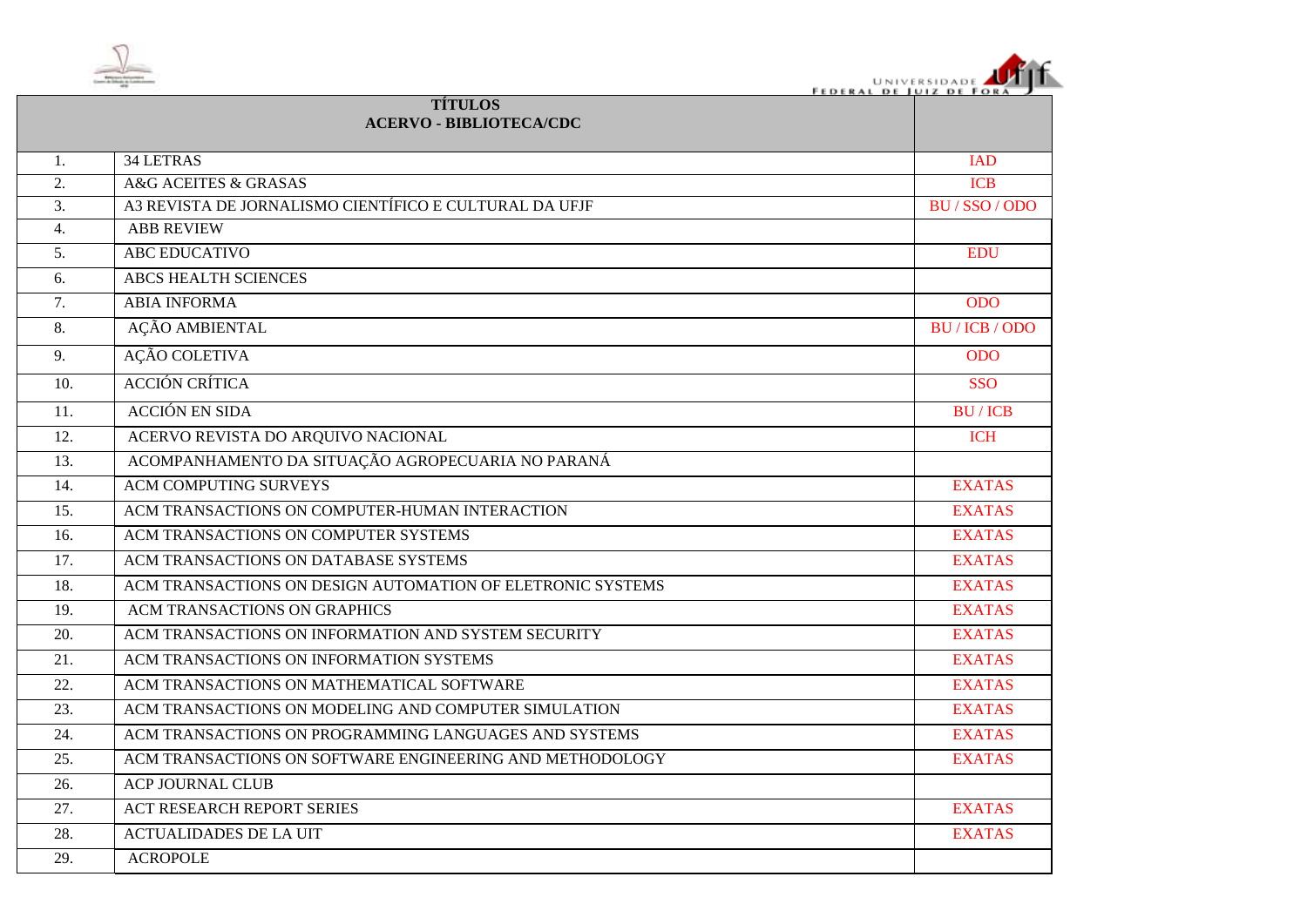

| UNIVERSIDADE <b>JULIA</b>      |  |
|--------------------------------|--|
| <b>FEDERAL DE JUIZ DE FORA</b> |  |

|                  | <b>TÍTULOS</b><br><b>ACERVO - BIBLIOTECA/CDC</b>           |                |
|------------------|------------------------------------------------------------|----------------|
| 1.               | 34 LETRAS                                                  | <b>IAD</b>     |
| $\overline{2}$ . | A&G ACEITES & GRASAS                                       | <b>ICB</b>     |
| 3.               | A3 REVISTA DE JORNALISMO CIENTÍFICO E CULTURAL DA UFJF     | BU/SSO/ODO     |
| 4.               | <b>ABB REVIEW</b>                                          |                |
| 5.               | <b>ABC EDUCATIVO</b>                                       | <b>EDU</b>     |
| 6.               | <b>ABCS HEALTH SCIENCES</b>                                |                |
| 7.               | <b>ABIA INFORMA</b>                                        | <b>ODO</b>     |
| 8.               | AÇÃO AMBIENTAL                                             | BU / ICB / ODO |
| 9.               | <b>AÇÃO COLETIVA</b>                                       | <b>ODO</b>     |
| 10.              | <b>ACCIÓN CRÍTICA</b>                                      | <b>SSO</b>     |
| 11.              | <b>ACCIÓN EN SIDA</b>                                      | <b>BU/ICB</b>  |
| 12.              | ACERVO REVISTA DO ARQUIVO NACIONAL                         | <b>ICH</b>     |
| 13.              | ACOMPANHAMENTO DA SITUAÇÃO AGROPECUARIA NO PARANÁ          |                |
| 14.              | <b>ACM COMPUTING SURVEYS</b>                               | <b>EXATAS</b>  |
| 15.              | ACM TRANSACTIONS ON COMPUTER-HUMAN INTERACTION             | <b>EXATAS</b>  |
| 16.              | ACM TRANSACTIONS ON COMPUTER SYSTEMS                       | <b>EXATAS</b>  |
| 17.              | ACM TRANSACTIONS ON DATABASE SYSTEMS                       | <b>EXATAS</b>  |
| 18.              | ACM TRANSACTIONS ON DESIGN AUTOMATION OF ELETRONIC SYSTEMS | <b>EXATAS</b>  |
| 19.              | ACM TRANSACTIONS ON GRAPHICS                               | <b>EXATAS</b>  |
| 20.              | ACM TRANSACTIONS ON INFORMATION AND SYSTEM SECURITY        | <b>EXATAS</b>  |
| 21.              | ACM TRANSACTIONS ON INFORMATION SYSTEMS                    | <b>EXATAS</b>  |
| 22.              | ACM TRANSACTIONS ON MATHEMATICAL SOFTWARE                  | <b>EXATAS</b>  |
| 23.              | ACM TRANSACTIONS ON MODELING AND COMPUTER SIMULATION       | <b>EXATAS</b>  |
| 24.              | ACM TRANSACTIONS ON PROGRAMMING LANGUAGES AND SYSTEMS      | <b>EXATAS</b>  |
| 25.              | ACM TRANSACTIONS ON SOFTWARE ENGINEERING AND METHODOLOGY   | <b>EXATAS</b>  |
| 26.              | <b>ACP JOURNAL CLUB</b>                                    |                |
| 27.              | <b>ACT RESEARCH REPORT SERIES</b>                          | <b>EXATAS</b>  |
| 28.              | <b>ACTUALIDADES DE LA UIT</b>                              | <b>EXATAS</b>  |
| 29.              | <b>ACROPOLE</b>                                            |                |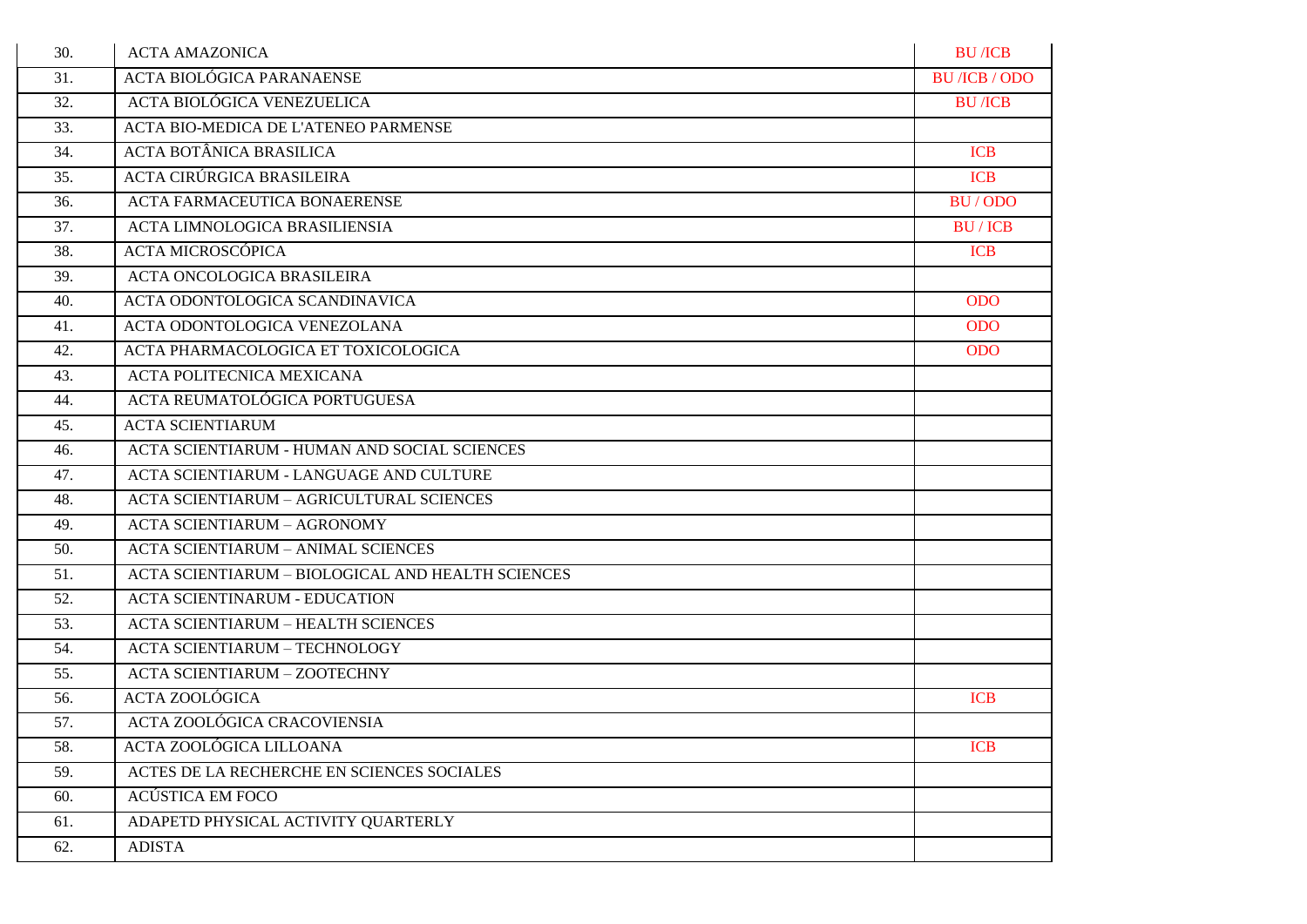| 30. | <b>ACTA AMAZONICA</b>                               | <b>BU</b> /ICB                      |
|-----|-----------------------------------------------------|-------------------------------------|
| 31. | <b>ACTA BIOLÓGICA PARANAENSE</b>                    | <b>BU</b> / <b>ICB</b> / <b>ODO</b> |
| 32. | ACTA BIOLÓGICA VENEZUELICA                          | <b>BU</b> /ICB                      |
| 33. | ACTA BIO-MEDICA DE L'ATENEO PARMENSE                |                                     |
| 34. | <b>ACTA BOTÂNICA BRASILICA</b>                      | <b>ICB</b>                          |
| 35. | ACTA CIRÚRGICA BRASILEIRA                           | <b>ICB</b>                          |
| 36. | <b>ACTA FARMACEUTICA BONAERENSE</b>                 | BU/ODO                              |
| 37. | ACTA LIMNOLOGICA BRASILIENSIA                       | <b>BU/ICB</b>                       |
| 38. | ACTA MICROSCÓPICA                                   | <b>ICB</b>                          |
| 39. | ACTA ONCOLOGICA BRASILEIRA                          |                                     |
| 40. | ACTA ODONTOLOGICA SCANDINAVICA                      | <b>ODO</b>                          |
| 41. | ACTA ODONTOLOGICA VENEZOLANA                        | <b>ODO</b>                          |
| 42. | ACTA PHARMACOLOGICA ET TOXICOLOGICA                 | <b>ODO</b>                          |
| 43. | ACTA POLITECNICA MEXICANA                           |                                     |
| 44. | ACTA REUMATOLÓGICA PORTUGUESA                       |                                     |
| 45. | <b>ACTA SCIENTIARUM</b>                             |                                     |
| 46. | <b>ACTA SCIENTIARUM - HUMAN AND SOCIAL SCIENCES</b> |                                     |
| 47. | ACTA SCIENTIARUM - LANGUAGE AND CULTURE             |                                     |
| 48. | <b>ACTA SCIENTIARUM - AGRICULTURAL SCIENCES</b>     |                                     |
| 49. | <b>ACTA SCIENTIARUM - AGRONOMY</b>                  |                                     |
| 50. | <b>ACTA SCIENTIARUM - ANIMAL SCIENCES</b>           |                                     |
| 51. | ACTA SCIENTIARUM - BIOLOGICAL AND HEALTH SCIENCES   |                                     |
| 52. | <b>ACTA SCIENTINARUM - EDUCATION</b>                |                                     |
| 53. | <b>ACTA SCIENTIARUM - HEALTH SCIENCES</b>           |                                     |
| 54. | <b>ACTA SCIENTIARUM - TECHNOLOGY</b>                |                                     |
| 55. | <b>ACTA SCIENTIARUM - ZOOTECHNY</b>                 |                                     |
| 56. | <b>ACTA ZOOLÓGICA</b>                               | <b>ICB</b>                          |
| 57. | ACTA ZOOLÓGICA CRACOVIENSIA                         |                                     |
| 58. | ACTA ZOOLÓGICA LILLOANA                             | <b>ICB</b>                          |
| 59. | ACTES DE LA RECHERCHE EN SCIENCES SOCIALES          |                                     |
| 60. | ACÚSTICA EM FOCO                                    |                                     |
| 61. | ADAPETD PHYSICAL ACTIVITY QUARTERLY                 |                                     |
| 62. | <b>ADISTA</b>                                       |                                     |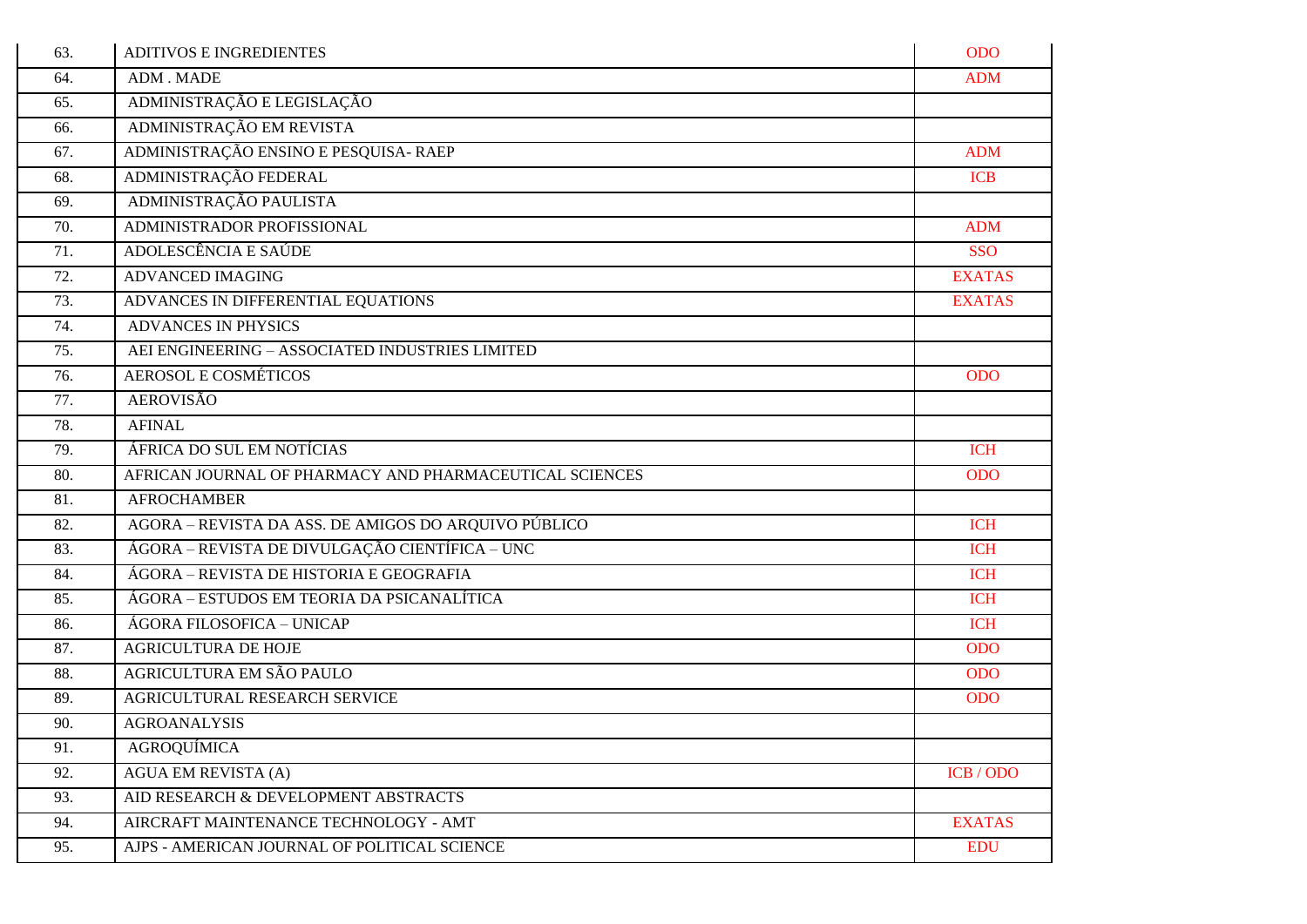| 63. | <b>ADITIVOS E INGREDIENTES</b>                          | <b>ODO</b>    |
|-----|---------------------------------------------------------|---------------|
| 64. | ADM. MADE                                               | <b>ADM</b>    |
| 65. | ADMINISTRAÇÃO E LEGISLAÇÃO                              |               |
| 66. | ADMINISTRAÇÃO EM REVISTA                                |               |
| 67. | ADMINISTRAÇÃO ENSINO E PESQUISA- RAEP                   | <b>ADM</b>    |
| 68. | ADMINISTRAÇÃO FEDERAL                                   | <b>ICB</b>    |
| 69. | ADMINISTRAÇÃO PAULISTA                                  |               |
| 70. | ADMINISTRADOR PROFISSIONAL                              | <b>ADM</b>    |
| 71. | ADOLESCÊNCIA E SAÚDE                                    | <b>SSO</b>    |
| 72. | <b>ADVANCED IMAGING</b>                                 | <b>EXATAS</b> |
| 73. | ADVANCES IN DIFFERENTIAL EQUATIONS                      | <b>EXATAS</b> |
| 74. | <b>ADVANCES IN PHYSICS</b>                              |               |
| 75. | AEI ENGINEERING - ASSOCIATED INDUSTRIES LIMITED         |               |
| 76. | <b>AEROSOL E COSMÉTICOS</b>                             | <b>ODO</b>    |
| 77. | <b>AEROVISÃO</b>                                        |               |
| 78. | <b>AFINAL</b>                                           |               |
| 79. | ÁFRICA DO SUL EM NOTÍCIAS                               | <b>ICH</b>    |
| 80. | AFRICAN JOURNAL OF PHARMACY AND PHARMACEUTICAL SCIENCES | <b>ODO</b>    |
| 81. | <b>AFROCHAMBER</b>                                      |               |
| 82. | AGORA - REVISTA DA ASS. DE AMIGOS DO ARQUIVO PÚBLICO    | <b>ICH</b>    |
| 83. | ÁGORA – REVISTA DE DIVULGAÇÃO CIENTÍFICA – UNC          | <b>ICH</b>    |
| 84. | ÁGORA – REVISTA DE HISTORIA E GEOGRAFIA                 | <b>ICH</b>    |
| 85. | ÁGORA – ESTUDOS EM TEORIA DA PSICANALÍTICA              | <b>ICH</b>    |
| 86. | ÁGORA FILOSOFICA - UNICAP                               | <b>ICH</b>    |
| 87. | <b>AGRICULTURA DE HOJE</b>                              | <b>ODO</b>    |
| 88. | AGRICULTURA EM SÃO PAULO                                | <b>ODO</b>    |
| 89. | AGRICULTURAL RESEARCH SERVICE                           | <b>ODO</b>    |
| 90. | <b>AGROANALYSIS</b>                                     |               |
| 91. | AGROQUÍMICA                                             |               |
| 92. | <b>AGUA EM REVISTA (A)</b>                              | ICB / ODO     |
| 93. | AID RESEARCH & DEVELOPMENT ABSTRACTS                    |               |
| 94. | AIRCRAFT MAINTENANCE TECHNOLOGY - AMT                   | <b>EXATAS</b> |
| 95. | AJPS - AMERICAN JOURNAL OF POLITICAL SCIENCE            | <b>EDU</b>    |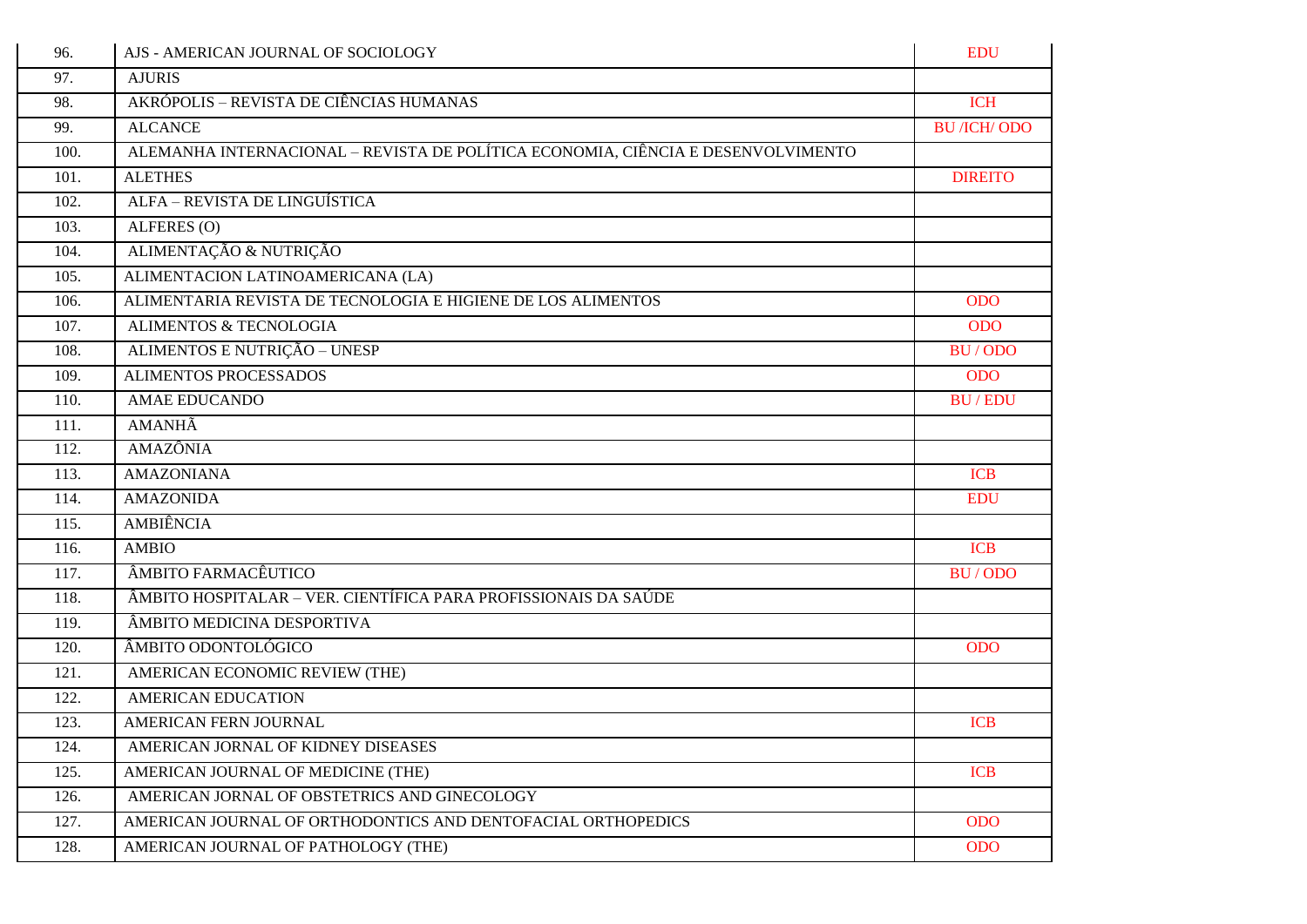| 96.  | AJS - AMERICAN JOURNAL OF SOCIOLOGY                                              | <b>EDU</b>          |
|------|----------------------------------------------------------------------------------|---------------------|
| 97.  | <b>AJURIS</b>                                                                    |                     |
| 98.  | AKRÓPOLIS - REVISTA DE CIÊNCIAS HUMANAS                                          | <b>ICH</b>          |
| 99.  | <b>ALCANCE</b>                                                                   | <b>BU</b> /ICH/ ODO |
| 100. | ALEMANHA INTERNACIONAL - REVISTA DE POLÍTICA ECONOMIA, CIÊNCIA E DESENVOLVIMENTO |                     |
| 101. | <b>ALETHES</b>                                                                   | <b>DIREITO</b>      |
| 102. | ALFA - REVISTA DE LINGUÍSTICA                                                    |                     |
| 103. | ALFERES (O)                                                                      |                     |
| 104. | ALIMENTAÇÃO & NUTRIÇÃO                                                           |                     |
| 105. | ALIMENTACION LATINOAMERICANA (LA)                                                |                     |
| 106. | ALIMENTARIA REVISTA DE TECNOLOGIA E HIGIENE DE LOS ALIMENTOS                     | <b>ODO</b>          |
| 107. | <b>ALIMENTOS &amp; TECNOLOGIA</b>                                                | <b>ODO</b>          |
| 108. | ALIMENTOS E NUTRIÇÃO - UNESP                                                     | <b>BU/ODO</b>       |
| 109. | <b>ALIMENTOS PROCESSADOS</b>                                                     | <b>ODO</b>          |
| 110. | <b>AMAE EDUCANDO</b>                                                             | <b>BU/EDU</b>       |
| 111. | <b>AMANHÃ</b>                                                                    |                     |
| 112. | <b>AMAZÔNIA</b>                                                                  |                     |
| 113. | <b>AMAZONIANA</b>                                                                | <b>ICB</b>          |
| 114. | <b>AMAZONIDA</b>                                                                 | <b>EDU</b>          |
| 115. | AMBIÊNCIA                                                                        |                     |
| 116. | <b>AMBIO</b>                                                                     | <b>ICB</b>          |
| 117. | ÂMBITO FARMACÊUTICO                                                              | BU/ODO              |
| 118. | ÂMBITO HOSPITALAR – VER. CIENTÍFICA PARA PROFISSIONAIS DA SAÚDE                  |                     |
| 119. | ÂMBITO MEDICINA DESPORTIVA                                                       |                     |
| 120. | ÂMBITO ODONTOLÓGICO                                                              | <b>ODO</b>          |
| 121. | AMERICAN ECONOMIC REVIEW (THE)                                                   |                     |
| 122. | <b>AMERICAN EDUCATION</b>                                                        |                     |
| 123. | AMERICAN FERN JOURNAL                                                            | <b>ICB</b>          |
| 124. | AMERICAN JORNAL OF KIDNEY DISEASES                                               |                     |
| 125. | AMERICAN JOURNAL OF MEDICINE (THE)                                               | <b>ICB</b>          |
| 126. | AMERICAN JORNAL OF OBSTETRICS AND GINECOLOGY                                     |                     |
| 127. | AMERICAN JOURNAL OF ORTHODONTICS AND DENTOFACIAL ORTHOPEDICS                     | <b>ODO</b>          |
| 128. | AMERICAN JOURNAL OF PATHOLOGY (THE)                                              | <b>ODO</b>          |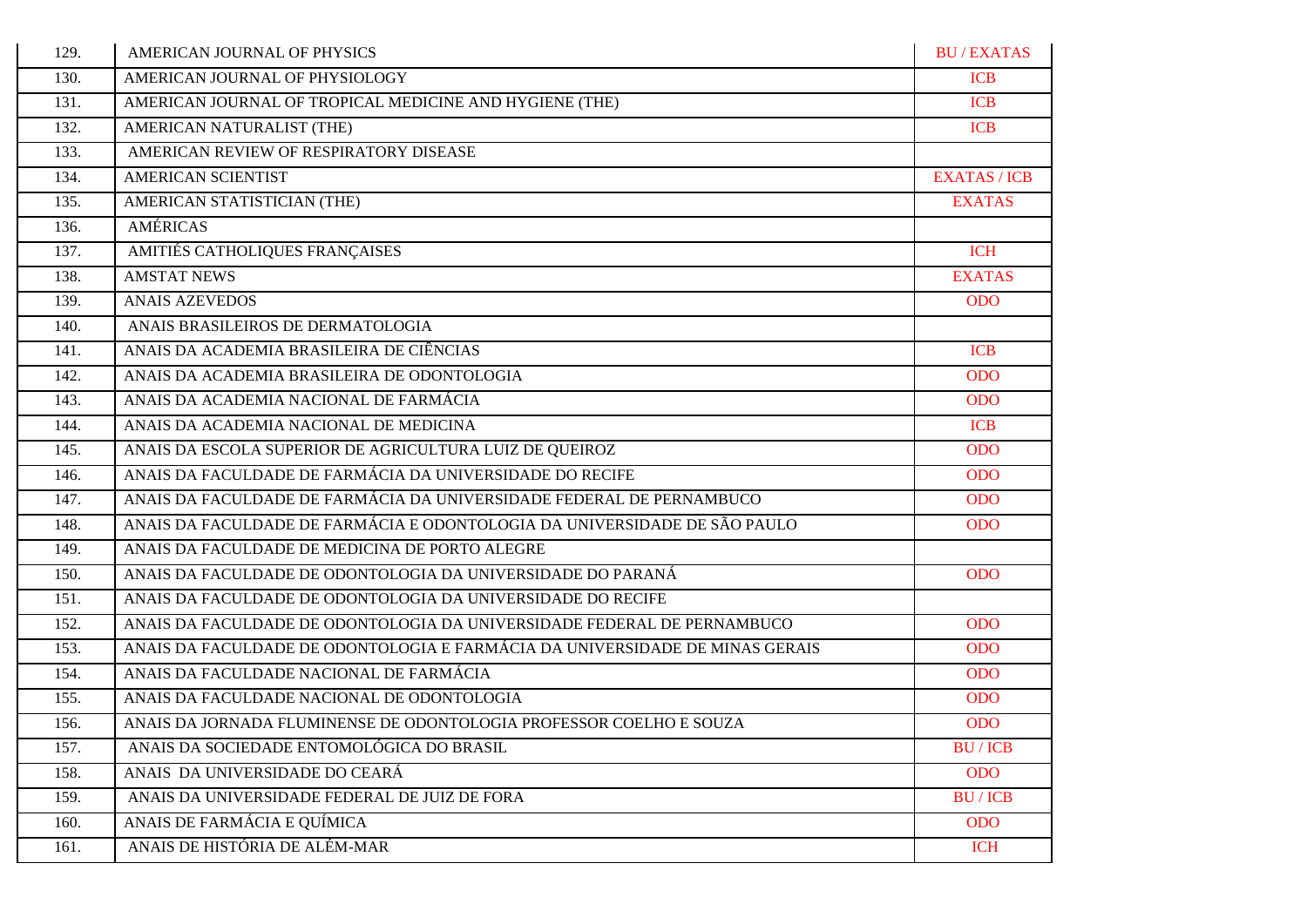| 129. | AMERICAN JOURNAL OF PHYSICS                                                  | <b>BU/EXATAS</b>    |
|------|------------------------------------------------------------------------------|---------------------|
| 130. | AMERICAN JOURNAL OF PHYSIOLOGY                                               | <b>ICB</b>          |
| 131. | AMERICAN JOURNAL OF TROPICAL MEDICINE AND HYGIENE (THE)                      | <b>ICB</b>          |
| 132. | AMERICAN NATURALIST (THE)                                                    | <b>ICB</b>          |
| 133. | AMERICAN REVIEW OF RESPIRATORY DISEASE                                       |                     |
| 134. | <b>AMERICAN SCIENTIST</b>                                                    | <b>EXATAS / ICB</b> |
| 135. | AMERICAN STATISTICIAN (THE)                                                  | <b>EXATAS</b>       |
| 136. | <b>AMÉRICAS</b>                                                              |                     |
| 137. | AMITIÉS CATHOLIQUES FRANÇAISES                                               | <b>ICH</b>          |
| 138. | <b>AMSTAT NEWS</b>                                                           | <b>EXATAS</b>       |
| 139. | <b>ANAIS AZEVEDOS</b>                                                        | <b>ODO</b>          |
| 140. | ANAIS BRASILEIROS DE DERMATOLOGIA                                            |                     |
| 141. | ANAIS DA ACADEMIA BRASILEIRA DE CIÊNCIAS                                     | <b>ICB</b>          |
| 142. | ANAIS DA ACADEMIA BRASILEIRA DE ODONTOLOGIA                                  | <b>ODO</b>          |
| 143. | ANAIS DA ACADEMIA NACIONAL DE FARMÁCIA                                       | <b>ODO</b>          |
| 144. | ANAIS DA ACADEMIA NACIONAL DE MEDICINA                                       | <b>ICB</b>          |
| 145. | ANAIS DA ESCOLA SUPERIOR DE AGRICULTURA LUIZ DE QUEIROZ                      | <b>ODO</b>          |
| 146. | ANAIS DA FACULDADE DE FARMÁCIA DA UNIVERSIDADE DO RECIFE                     | <b>ODO</b>          |
| 147. | ANAIS DA FACULDADE DE FARMÁCIA DA UNIVERSIDADE FEDERAL DE PERNAMBUCO         | <b>ODO</b>          |
| 148. | ANAIS DA FACULDADE DE FARMÁCIA E ODONTOLOGIA DA UNIVERSIDADE DE SÃO PAULO    | <b>ODO</b>          |
| 149. | ANAIS DA FACULDADE DE MEDICINA DE PORTO ALEGRE                               |                     |
| 150. | ANAIS DA FACULDADE DE ODONTOLOGIA DA UNIVERSIDADE DO PARANÁ                  | <b>ODO</b>          |
| 151. | ANAIS DA FACULDADE DE ODONTOLOGIA DA UNIVERSIDADE DO RECIFE                  |                     |
| 152. | ANAIS DA FACULDADE DE ODONTOLOGIA DA UNIVERSIDADE FEDERAL DE PERNAMBUCO      | <b>ODO</b>          |
| 153. | ANAIS DA FACULDADE DE ODONTOLOGIA E FARMÁCIA DA UNIVERSIDADE DE MINAS GERAIS | <b>ODO</b>          |
| 154. | ANAIS DA FACULDADE NACIONAL DE FARMÁCIA                                      | <b>ODO</b>          |
| 155. | ANAIS DA FACULDADE NACIONAL DE ODONTOLOGIA                                   | <b>ODO</b>          |
| 156. | ANAIS DA JORNADA FLUMINENSE DE ODONTOLOGIA PROFESSOR COELHO E SOUZA          | <b>ODO</b>          |
| 157. | ANAIS DA SOCIEDADE ENTOMOLÓGICA DO BRASIL                                    | <b>BU/ICB</b>       |
| 158. | ANAIS DA UNIVERSIDADE DO CEARÁ                                               | <b>ODO</b>          |
| 159. | ANAIS DA UNIVERSIDADE FEDERAL DE JUIZ DE FORA                                | <b>BU/ICB</b>       |
| 160. | ANAIS DE FARMÁCIA E QUÍMICA                                                  | <b>ODO</b>          |
| 161. | ANAIS DE HISTÓRIA DE ALÉM-MAR                                                | <b>ICH</b>          |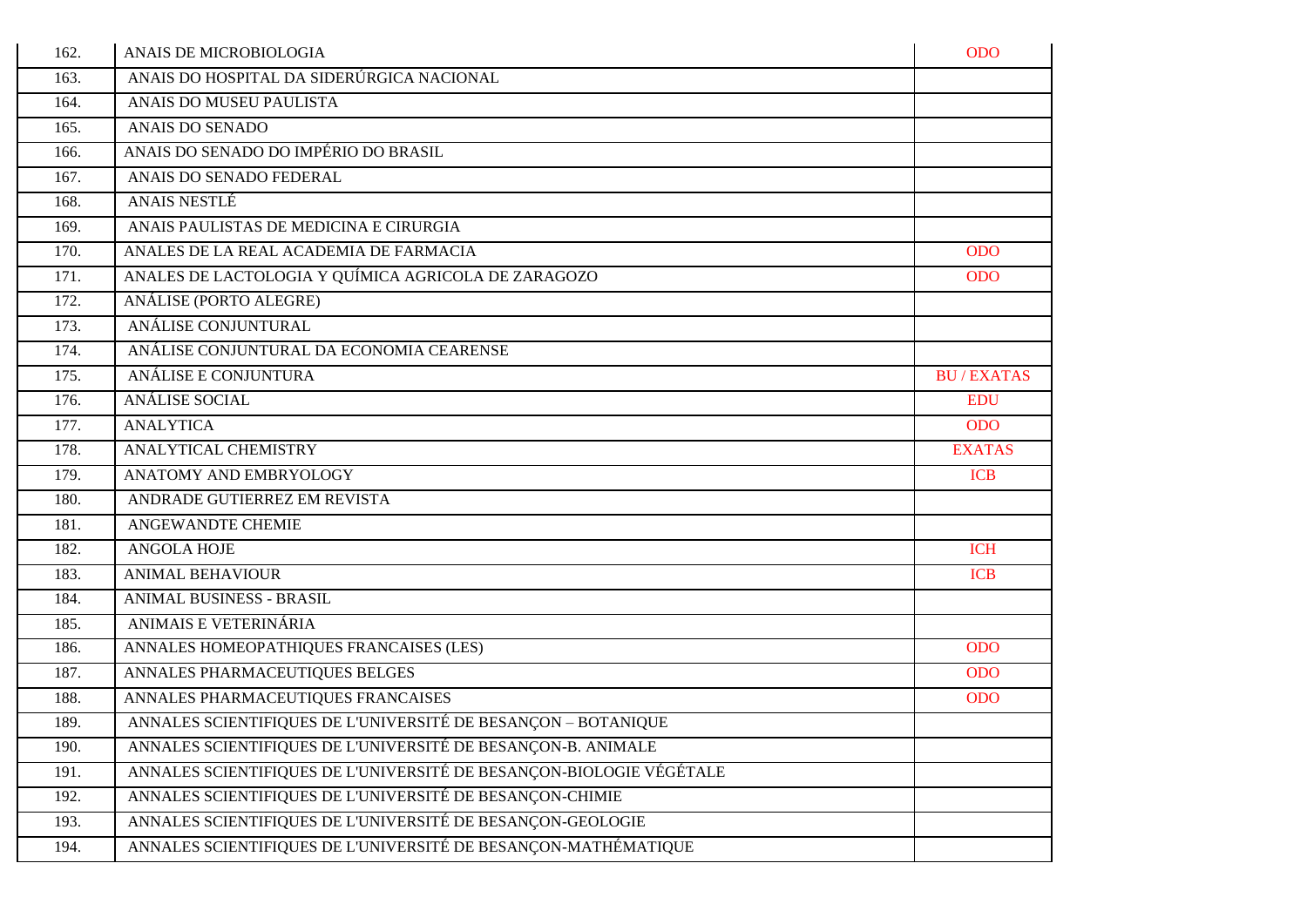| 162. | ANAIS DE MICROBIOLOGIA                                              | <b>ODO</b>       |
|------|---------------------------------------------------------------------|------------------|
| 163. | ANAIS DO HOSPITAL DA SIDERÚRGICA NACIONAL                           |                  |
| 164. | ANAIS DO MUSEU PAULISTA                                             |                  |
| 165. | <b>ANAIS DO SENADO</b>                                              |                  |
| 166. | ANAIS DO SENADO DO IMPÉRIO DO BRASIL                                |                  |
| 167. | ANAIS DO SENADO FEDERAL                                             |                  |
| 168. | <b>ANAIS NESTLÉ</b>                                                 |                  |
| 169. | ANAIS PAULISTAS DE MEDICINA E CIRURGIA                              |                  |
| 170. | ANALES DE LA REAL ACADEMIA DE FARMACIA                              | <b>ODO</b>       |
| 171. | ANALES DE LACTOLOGIA Y QUÍMICA AGRICOLA DE ZARAGOZO                 | <b>ODO</b>       |
| 172. | ANÁLISE (PORTO ALEGRE)                                              |                  |
| 173. | ANÁLISE CONJUNTURAL                                                 |                  |
| 174. | ANÁLISE CONJUNTURAL DA ECONOMIA CEARENSE                            |                  |
| 175. | ANÁLISE E CONJUNTURA                                                | <b>BU/EXATAS</b> |
| 176. | <b>ANÁLISE SOCIAL</b>                                               | <b>EDU</b>       |
| 177. | <b>ANALYTICA</b>                                                    | <b>ODO</b>       |
| 178. | ANALYTICAL CHEMISTRY                                                | <b>EXATAS</b>    |
| 179. | ANATOMY AND EMBRYOLOGY                                              | <b>ICB</b>       |
| 180. | ANDRADE GUTIERREZ EM REVISTA                                        |                  |
| 181. | <b>ANGEWANDTE CHEMIE</b>                                            |                  |
| 182. | <b>ANGOLA HOJE</b>                                                  | <b>ICH</b>       |
| 183. | <b>ANIMAL BEHAVIOUR</b>                                             | <b>ICB</b>       |
| 184. | <b>ANIMAL BUSINESS - BRASIL</b>                                     |                  |
| 185. | ANIMAIS E VETERINÁRIA                                               |                  |
| 186. | ANNALES HOMEOPATHIQUES FRANCAISES (LES)                             | <b>ODO</b>       |
| 187. | ANNALES PHARMACEUTIQUES BELGES                                      | <b>ODO</b>       |
| 188. | ANNALES PHARMACEUTIQUES FRANCAISES                                  | <b>ODO</b>       |
| 189. | ANNALES SCIENTIFIQUES DE L'UNIVERSITÉ DE BESANÇON - BOTANIQUE       |                  |
| 190. | ANNALES SCIENTIFIQUES DE L'UNIVERSITÉ DE BESANÇON-B. ANIMALE        |                  |
| 191. | ANNALES SCIENTIFIQUES DE L'UNIVERSITÉ DE BESANÇON-BIOLOGIE VÉGÉTALE |                  |
| 192. | ANNALES SCIENTIFIQUES DE L'UNIVERSITÉ DE BESANÇON-CHIMIE            |                  |
| 193. | ANNALES SCIENTIFIQUES DE L'UNIVERSITÉ DE BESANÇON-GEOLOGIE          |                  |
| 194. | ANNALES SCIENTIFIQUES DE L'UNIVERSITÉ DE BESANÇON-MATHÉMATIQUE      |                  |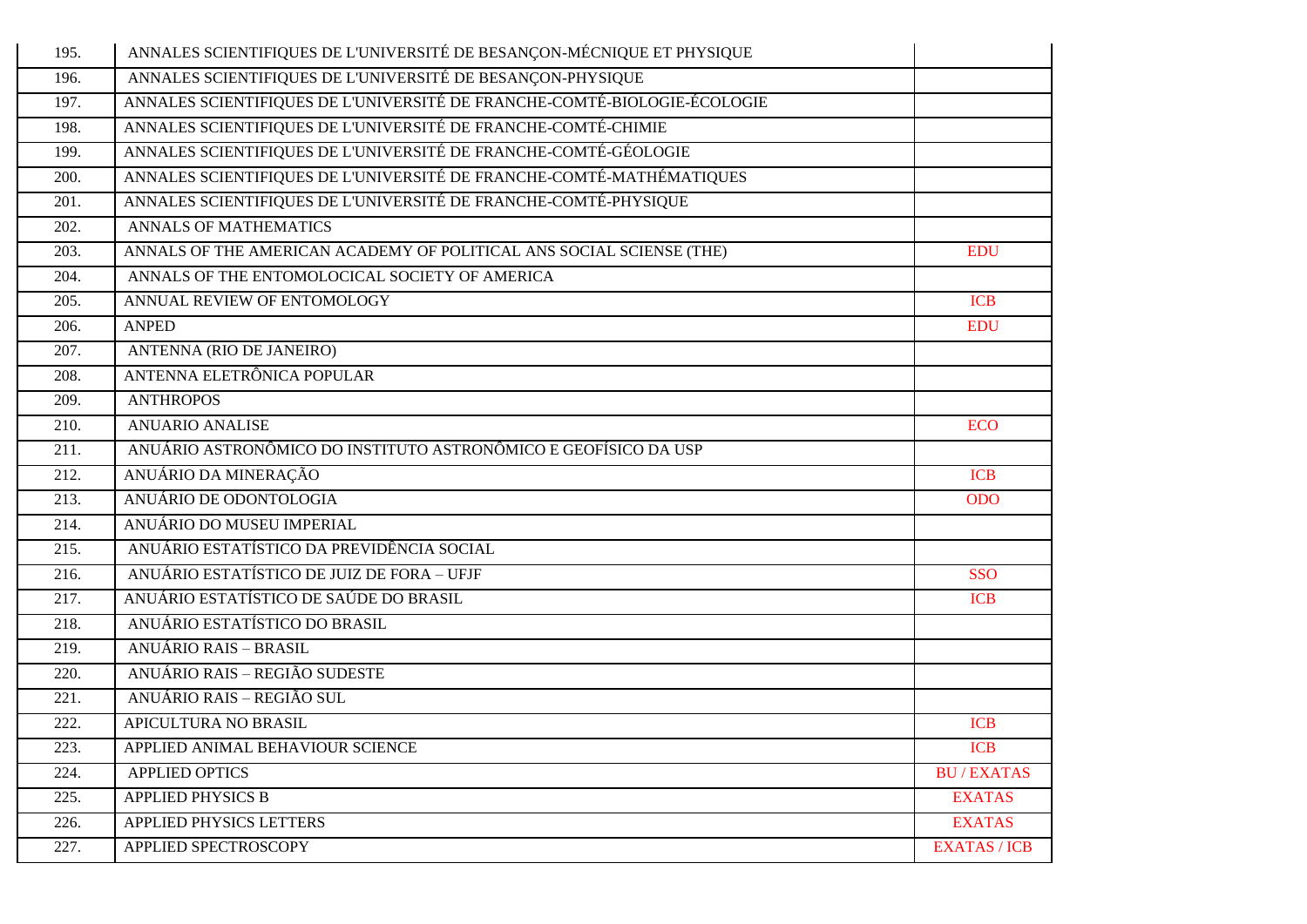| 195.               | ANNALES SCIENTIFIQUES DE L'UNIVERSITÉ DE BESANÇON-MÉCNIQUE ET PHYSIQUE   |                     |
|--------------------|--------------------------------------------------------------------------|---------------------|
| 196.               | ANNALES SCIENTIFIQUES DE L'UNIVERSITÉ DE BESANÇON-PHYSIQUE               |                     |
| 197.               | ANNALES SCIENTIFIQUES DE L'UNIVERSITÉ DE FRANCHE-COMTÉ-BIOLOGIE-ÉCOLOGIE |                     |
| 198.               | ANNALES SCIENTIFIQUES DE L'UNIVERSITÉ DE FRANCHE-COMTÉ-CHIMIE            |                     |
| 199.               | ANNALES SCIENTIFIQUES DE L'UNIVERSITÉ DE FRANCHE-COMTÉ-GÉOLOGIE          |                     |
| 200.               | ANNALES SCIENTIFIQUES DE L'UNIVERSITÉ DE FRANCHE-COMTÉ-MATHÉMATIQUES     |                     |
| 201.               | ANNALES SCIENTIFIQUES DE L'UNIVERSITÉ DE FRANCHE-COMTÉ-PHYSIQUE          |                     |
| 202.               | <b>ANNALS OF MATHEMATICS</b>                                             |                     |
| 203.               | ANNALS OF THE AMERICAN ACADEMY OF POLITICAL ANS SOCIAL SCIENSE (THE)     | <b>EDU</b>          |
| 204.               | ANNALS OF THE ENTOMOLOCICAL SOCIETY OF AMERICA                           |                     |
| 205.               | ANNUAL REVIEW OF ENTOMOLOGY                                              | <b>ICB</b>          |
| 206.               | <b>ANPED</b>                                                             | <b>EDU</b>          |
| 207.               | ANTENNA (RIO DE JANEIRO)                                                 |                     |
| 208.               | ANTENNA ELETRÔNICA POPULAR                                               |                     |
| 209.               | <b>ANTHROPOS</b>                                                         |                     |
| 210.               | <b>ANUARIO ANALISE</b>                                                   | <b>ECO</b>          |
| 211.               | ANUÁRIO ASTRONÔMICO DO INSTITUTO ASTRONÔMICO E GEOFÍSICO DA USP          |                     |
| $\overline{212}$ . | ANUÁRIO DA MINERAÇÃO                                                     | <b>ICB</b>          |
| 213.               | ANUÁRIO DE ODONTOLOGIA                                                   | <b>ODO</b>          |
| 214.               | ANUÁRIO DO MUSEU IMPERIAL                                                |                     |
| 215.               | ANUÁRIO ESTATÍSTICO DA PREVIDÊNCIA SOCIAL                                |                     |
| 216.               | ANUÁRIO ESTATÍSTICO DE JUIZ DE FORA - UFJF                               | <b>SSO</b>          |
| 217.               | ANUÁRIO ESTATÍSTICO DE SAÚDE DO BRASIL                                   | <b>ICB</b>          |
| 218.               | ANUÁRIO ESTATÍSTICO DO BRASIL                                            |                     |
| 219.               | <b>ANUÁRIO RAIS - BRASIL</b>                                             |                     |
| 220.               | ANUÁRIO RAIS - REGIÃO SUDESTE                                            |                     |
| 221.               | ANUÁRIO RAIS - REGIÃO SUL                                                |                     |
| 222.               | APICULTURA NO BRASIL                                                     | <b>ICB</b>          |
| 223.               | APPLIED ANIMAL BEHAVIOUR SCIENCE                                         | <b>ICB</b>          |
| 224.               | <b>APPLIED OPTICS</b>                                                    | <b>BU/EXATAS</b>    |
| 225.               | <b>APPLIED PHYSICS B</b>                                                 | <b>EXATAS</b>       |
| 226.               | APPLIED PHYSICS LETTERS                                                  | <b>EXATAS</b>       |
| 227.               | APPLIED SPECTROSCOPY                                                     | <b>EXATAS / ICB</b> |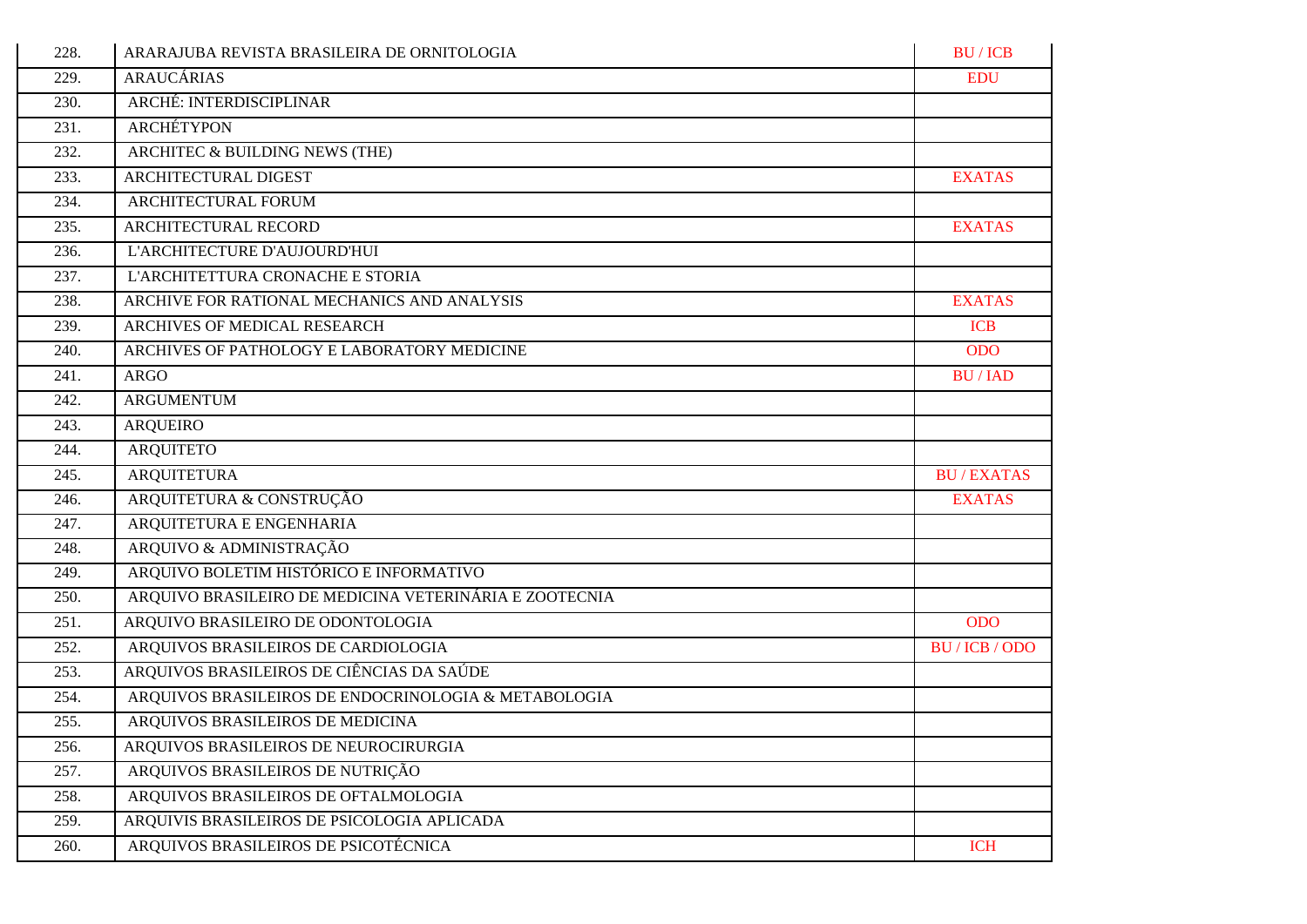| 228. | ARARAJUBA REVISTA BRASILEIRA DE ORNITOLOGIA            | <b>BU/ICB</b>    |
|------|--------------------------------------------------------|------------------|
| 229. | <b>ARAUCÁRIAS</b>                                      | <b>EDU</b>       |
| 230. | ARCHÉ: INTERDISCIPLINAR                                |                  |
| 231. | <b>ARCHÉTYPON</b>                                      |                  |
| 232. | ARCHITEC & BUILDING NEWS (THE)                         |                  |
| 233. | ARCHITECTURAL DIGEST                                   | <b>EXATAS</b>    |
| 234. | ARCHITECTURAL FORUM                                    |                  |
| 235. | ARCHITECTURAL RECORD                                   | <b>EXATAS</b>    |
| 236. | L'ARCHITECTURE D'AUJOURD'HUI                           |                  |
| 237. | L'ARCHITETTURA CRONACHE E STORIA                       |                  |
| 238. | ARCHIVE FOR RATIONAL MECHANICS AND ANALYSIS            | <b>EXATAS</b>    |
| 239. | ARCHIVES OF MEDICAL RESEARCH                           | <b>ICB</b>       |
| 240. | ARCHIVES OF PATHOLOGY E LABORATORY MEDICINE            | <b>ODO</b>       |
| 241. | <b>ARGO</b>                                            | <b>BU/IAD</b>    |
| 242. | <b>ARGUMENTUM</b>                                      |                  |
| 243. | <b>ARQUEIRO</b>                                        |                  |
| 244. | <b>ARQUITETO</b>                                       |                  |
| 245. | <b>ARQUITETURA</b>                                     | <b>BU/EXATAS</b> |
| 246. | ARQUITETURA & CONSTRUÇÃO                               | <b>EXATAS</b>    |
| 247. | ARQUITETURA E ENGENHARIA                               |                  |
| 248. | ARQUIVO & ADMINISTRAÇÃO                                |                  |
| 249. | ARQUIVO BOLETIM HISTÓRICO E INFORMATIVO                |                  |
| 250. | ARQUIVO BRASILEIRO DE MEDICINA VETERINÁRIA E ZOOTECNIA |                  |
| 251. | ARQUIVO BRASILEIRO DE ODONTOLOGIA                      | <b>ODO</b>       |
| 252. | ARQUIVOS BRASILEIROS DE CARDIOLOGIA                    | BU/ICB/ODO       |
| 253. | ARQUIVOS BRASILEIROS DE CIÊNCIAS DA SAÚDE              |                  |
| 254. | ARQUIVOS BRASILEIROS DE ENDOCRINOLOGIA & METABOLOGIA   |                  |
| 255. | ARQUIVOS BRASILEIROS DE MEDICINA                       |                  |
| 256. | ARQUIVOS BRASILEIROS DE NEUROCIRURGIA                  |                  |
| 257. | ARQUIVOS BRASILEIROS DE NUTRIÇÃO                       |                  |
| 258. | ARQUIVOS BRASILEIROS DE OFTALMOLOGIA                   |                  |
| 259. | ARQUIVIS BRASILEIROS DE PSICOLOGIA APLICADA            |                  |
| 260. | ARQUIVOS BRASILEIROS DE PSICOTÉCNICA                   | <b>ICH</b>       |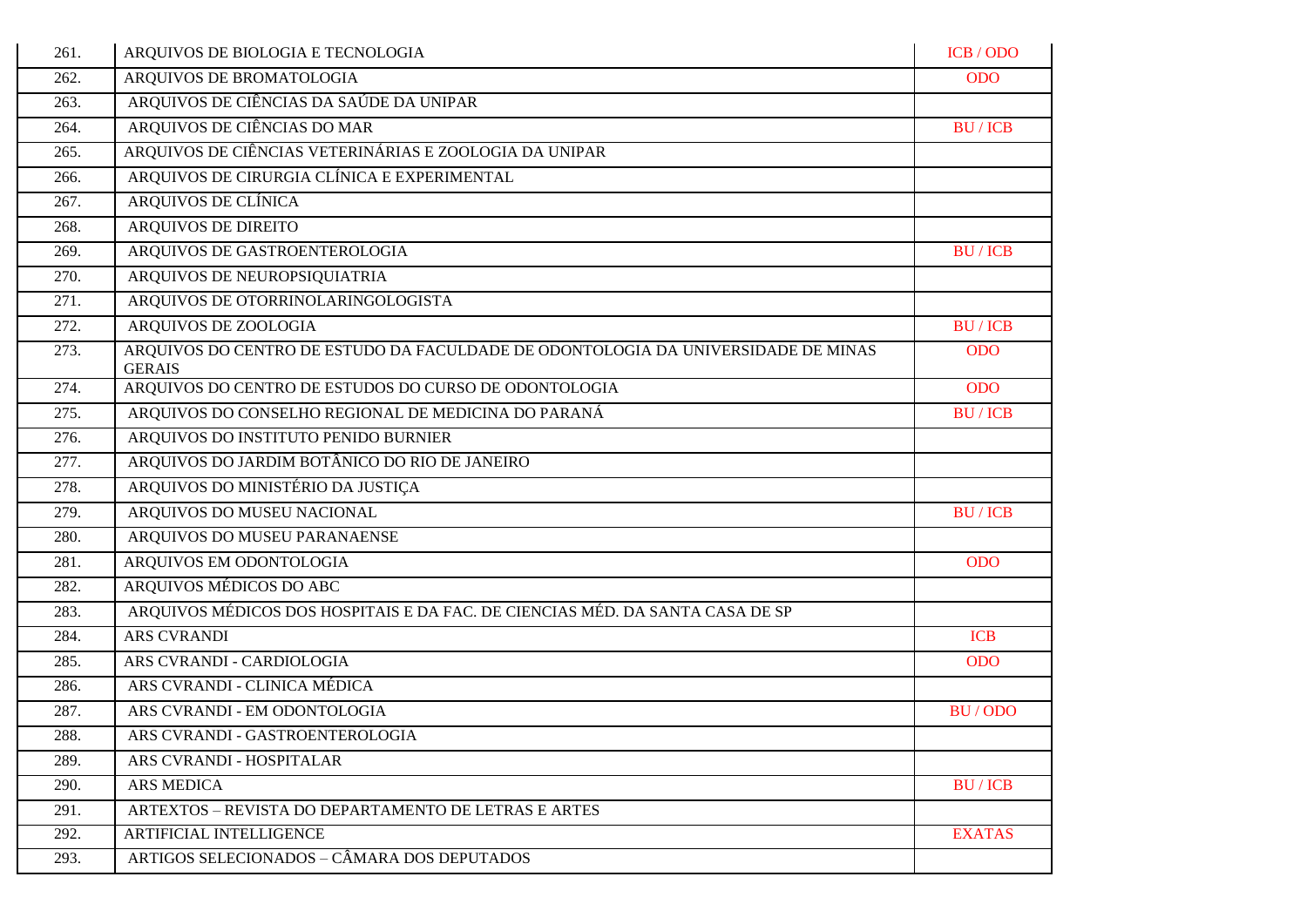| 261. | ARQUIVOS DE BIOLOGIA E TECNOLOGIA                                                                  | ICB / ODO     |
|------|----------------------------------------------------------------------------------------------------|---------------|
| 262. | ARQUIVOS DE BROMATOLOGIA                                                                           | <b>ODO</b>    |
| 263. | ARQUIVOS DE CIÊNCIAS DA SAÚDE DA UNIPAR                                                            |               |
| 264. | ARQUIVOS DE CIÊNCIAS DO MAR                                                                        | <b>BU/ICB</b> |
| 265. | ARQUIVOS DE CIÊNCIAS VETERINÁRIAS E ZOOLOGIA DA UNIPAR                                             |               |
| 266. | ARQUIVOS DE CIRURGIA CLÍNICA E EXPERIMENTAL                                                        |               |
| 267. | ARQUIVOS DE CLÍNICA                                                                                |               |
| 268. | <b>ARQUIVOS DE DIREITO</b>                                                                         |               |
| 269. | ARQUIVOS DE GASTROENTEROLOGIA                                                                      | <b>BU/ICB</b> |
| 270. | ARQUIVOS DE NEUROPSIQUIATRIA                                                                       |               |
| 271. | ARQUIVOS DE OTORRINOLARINGOLOGISTA                                                                 |               |
| 272. | ARQUIVOS DE ZOOLOGIA                                                                               | <b>BU/ICB</b> |
| 273. | ARQUIVOS DO CENTRO DE ESTUDO DA FACULDADE DE ODONTOLOGIA DA UNIVERSIDADE DE MINAS<br><b>GERAIS</b> | <b>ODO</b>    |
| 274. | ARQUIVOS DO CENTRO DE ESTUDOS DO CURSO DE ODONTOLOGIA                                              | <b>ODO</b>    |
| 275. | ARQUIVOS DO CONSELHO REGIONAL DE MEDICINA DO PARANÁ                                                | <b>BU/ICB</b> |
| 276. | ARQUIVOS DO INSTITUTO PENIDO BURNIER                                                               |               |
| 277. | ARQUIVOS DO JARDIM BOTÂNICO DO RIO DE JANEIRO                                                      |               |
| 278. | ARQUIVOS DO MINISTÉRIO DA JUSTIÇA                                                                  |               |
| 279. | ARQUIVOS DO MUSEU NACIONAL                                                                         | <b>BU/ICB</b> |
| 280. | ARQUIVOS DO MUSEU PARANAENSE                                                                       |               |
| 281. | ARQUIVOS EM ODONTOLOGIA                                                                            | <b>ODO</b>    |
| 282. | ARQUIVOS MÉDICOS DO ABC                                                                            |               |
| 283. | ARQUIVOS MÉDICOS DOS HOSPITAIS E DA FAC. DE CIENCIAS MÉD. DA SANTA CASA DE SP                      |               |
| 284. | <b>ARS CVRANDI</b>                                                                                 | <b>ICB</b>    |
| 285. | ARS CVRANDI - CARDIOLOGIA                                                                          | ODO           |
| 286. | ARS CVRANDI - CLINICA MÉDICA                                                                       |               |
| 287. | ARS CVRANDI - EM ODONTOLOGIA                                                                       | BU/ODO        |
| 288. | ARS CVRANDI - GASTROENTEROLOGIA                                                                    |               |
| 289. | ARS CVRANDI - HOSPITALAR                                                                           |               |
| 290. | <b>ARS MEDICA</b>                                                                                  | <b>BU/ICB</b> |
| 291. | ARTEXTOS - REVISTA DO DEPARTAMENTO DE LETRAS E ARTES                                               |               |
| 292. | ARTIFICIAL INTELLIGENCE                                                                            | <b>EXATAS</b> |
| 293. | ARTIGOS SELECIONADOS - CÂMARA DOS DEPUTADOS                                                        |               |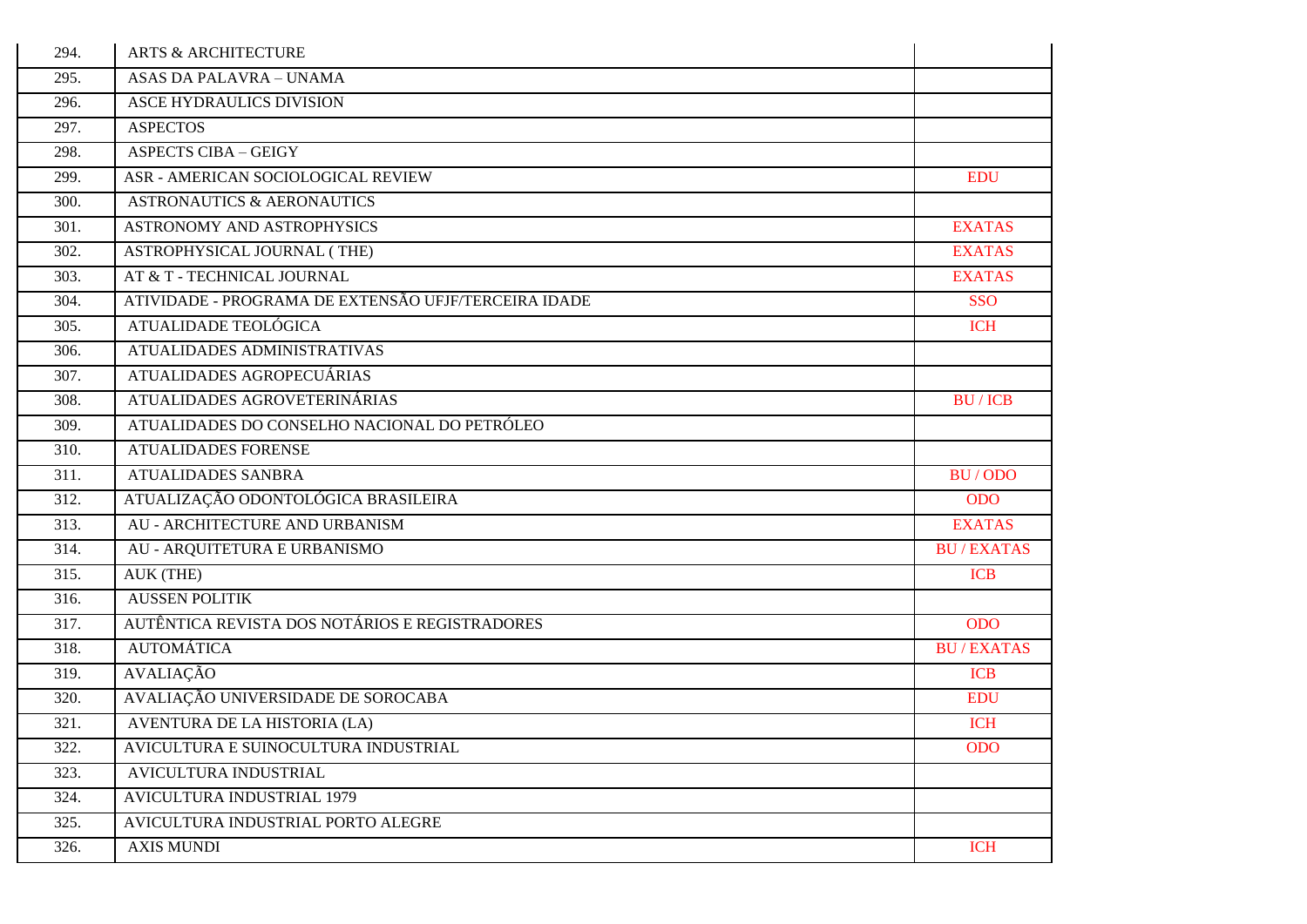| 294. | <b>ARTS &amp; ARCHITECTURE</b>                       |                  |
|------|------------------------------------------------------|------------------|
| 295. | <b>ASAS DA PALAVRA - UNAMA</b>                       |                  |
| 296. | ASCE HYDRAULICS DIVISION                             |                  |
| 297. | <b>ASPECTOS</b>                                      |                  |
| 298. | <b>ASPECTS CIBA - GEIGY</b>                          |                  |
| 299. | ASR - AMERICAN SOCIOLOGICAL REVIEW                   | <b>EDU</b>       |
| 300. | <b>ASTRONAUTICS &amp; AERONAUTICS</b>                |                  |
| 301. | ASTRONOMY AND ASTROPHYSICS                           | <b>EXATAS</b>    |
| 302. | ASTROPHYSICAL JOURNAL (THE)                          | <b>EXATAS</b>    |
| 303. | AT & T - TECHNICAL JOURNAL                           | <b>EXATAS</b>    |
| 304. | ATIVIDADE - PROGRAMA DE EXTENSÃO UFJF/TERCEIRA IDADE | <b>SSO</b>       |
| 305. | ATUALIDADE TEOLÓGICA                                 | <b>ICH</b>       |
| 306. | ATUALIDADES ADMINISTRATIVAS                          |                  |
| 307. | ATUALIDADES AGROPECUÁRIAS                            |                  |
| 308. | ATUALIDADES AGROVETERINÁRIAS                         | <b>BU/ICB</b>    |
| 309. | ATUALIDADES DO CONSELHO NACIONAL DO PETRÓLEO         |                  |
| 310. | <b>ATUALIDADES FORENSE</b>                           |                  |
| 311. | <b>ATUALIDADES SANBRA</b>                            | BU/ODO           |
| 312. | ATUALIZAÇÃO ODONTOLÓGICA BRASILEIRA                  | <b>ODO</b>       |
| 313. | AU - ARCHITECTURE AND URBANISM                       | <b>EXATAS</b>    |
| 314. | AU - ARQUITETURA E URBANISMO                         | <b>BU/EXATAS</b> |
| 315. | AUK (THE)                                            | <b>ICB</b>       |
| 316. | <b>AUSSEN POLITIK</b>                                |                  |
| 317. | AUTÊNTICA REVISTA DOS NOTÁRIOS E REGISTRADORES       | <b>ODO</b>       |
| 318. | <b>AUTOMÁTICA</b>                                    | <b>BU/EXATAS</b> |
| 319. | <b>AVALIAÇÃO</b>                                     | <b>ICB</b>       |
| 320. | AVALIAÇÃO UNIVERSIDADE DE SOROCABA                   | <b>EDU</b>       |
| 321. | AVENTURA DE LA HISTORIA (LA)                         | <b>ICH</b>       |
| 322. | AVICULTURA E SUINOCULTURA INDUSTRIAL                 | <b>ODO</b>       |
| 323. | AVICULTURA INDUSTRIAL                                |                  |
| 324. | <b>AVICULTURA INDUSTRIAL 1979</b>                    |                  |
| 325. | AVICULTURA INDUSTRIAL PORTO ALEGRE                   |                  |
| 326. | <b>AXIS MUNDI</b>                                    | <b>ICH</b>       |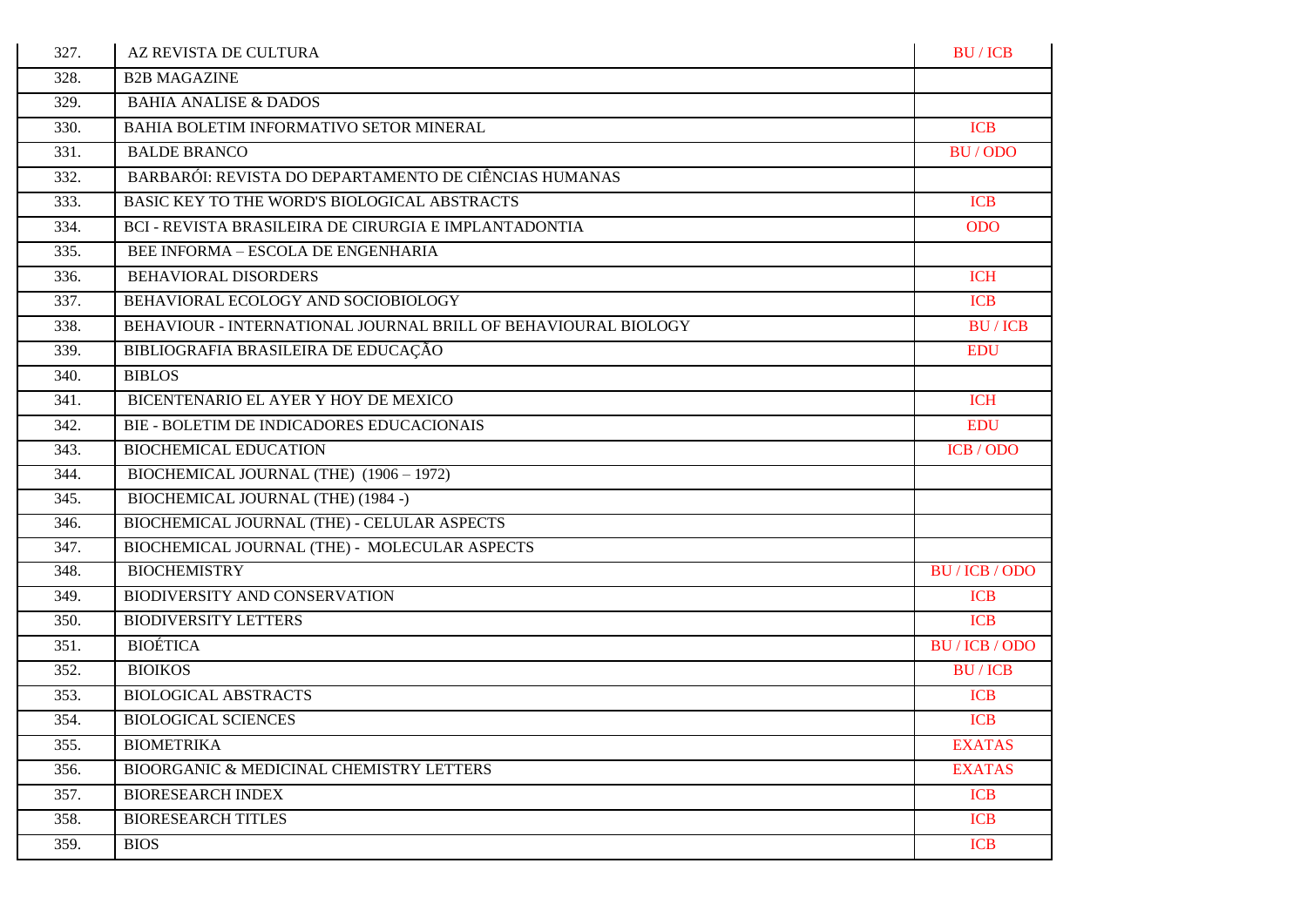| 327. | AZ REVISTA DE CULTURA                                          | <b>BU/ICB</b>  |
|------|----------------------------------------------------------------|----------------|
| 328. | <b>B2B MAGAZINE</b>                                            |                |
| 329. | <b>BAHIA ANALISE &amp; DADOS</b>                               |                |
| 330. | BAHIA BOLETIM INFORMATIVO SETOR MINERAL                        | <b>ICB</b>     |
| 331. | <b>BALDE BRANCO</b>                                            | BU/ODO         |
| 332. | BARBARÓI: REVISTA DO DEPARTAMENTO DE CIÊNCIAS HUMANAS          |                |
| 333. | BASIC KEY TO THE WORD'S BIOLOGICAL ABSTRACTS                   | <b>ICB</b>     |
| 334. | BCI - REVISTA BRASILEIRA DE CIRURGIA E IMPLANTADONTIA          | <b>ODO</b>     |
| 335. | BEE INFORMA - ESCOLA DE ENGENHARIA                             |                |
| 336. | <b>BEHAVIORAL DISORDERS</b>                                    | <b>ICH</b>     |
| 337. | BEHAVIORAL ECOLOGY AND SOCIOBIOLOGY                            | <b>ICB</b>     |
| 338. | BEHAVIOUR - INTERNATIONAL JOURNAL BRILL OF BEHAVIOURAL BIOLOGY | <b>BU/ICB</b>  |
| 339. | BIBLIOGRAFIA BRASILEIRA DE EDUCAÇÃO                            | <b>EDU</b>     |
| 340. | <b>BIBLOS</b>                                                  |                |
| 341. | BICENTENARIO EL AYER Y HOY DE MEXICO                           | <b>ICH</b>     |
| 342. | BIE - BOLETIM DE INDICADORES EDUCACIONAIS                      | <b>EDU</b>     |
| 343. | <b>BIOCHEMICAL EDUCATION</b>                                   | ICB / ODO      |
| 344. | BIOCHEMICAL JOURNAL (THE) (1906 - 1972)                        |                |
| 345. | BIOCHEMICAL JOURNAL (THE) (1984 -)                             |                |
| 346. | BIOCHEMICAL JOURNAL (THE) - CELULAR ASPECTS                    |                |
| 347. | BIOCHEMICAL JOURNAL (THE) - MOLECULAR ASPECTS                  |                |
| 348. | <b>BIOCHEMISTRY</b>                                            | BU / ICB / ODO |
| 349. | BIODIVERSITY AND CONSERVATION                                  | <b>ICB</b>     |
| 350. | <b>BIODIVERSITY LETTERS</b>                                    | <b>ICB</b>     |
| 351. | <b>BIOÉTICA</b>                                                | BU / ICB / ODO |
| 352. | <b>BIOIKOS</b>                                                 | <b>BU/ICB</b>  |
| 353. | <b>BIOLOGICAL ABSTRACTS</b>                                    | <b>ICB</b>     |
| 354. | <b>BIOLOGICAL SCIENCES</b>                                     | <b>ICB</b>     |
| 355. | <b>BIOMETRIKA</b>                                              | <b>EXATAS</b>  |
| 356. | BIOORGANIC & MEDICINAL CHEMISTRY LETTERS                       | <b>EXATAS</b>  |
| 357. | <b>BIORESEARCH INDEX</b>                                       | <b>ICB</b>     |
| 358. | <b>BIORESEARCH TITLES</b>                                      | <b>ICB</b>     |
| 359. | <b>BIOS</b>                                                    | <b>ICB</b>     |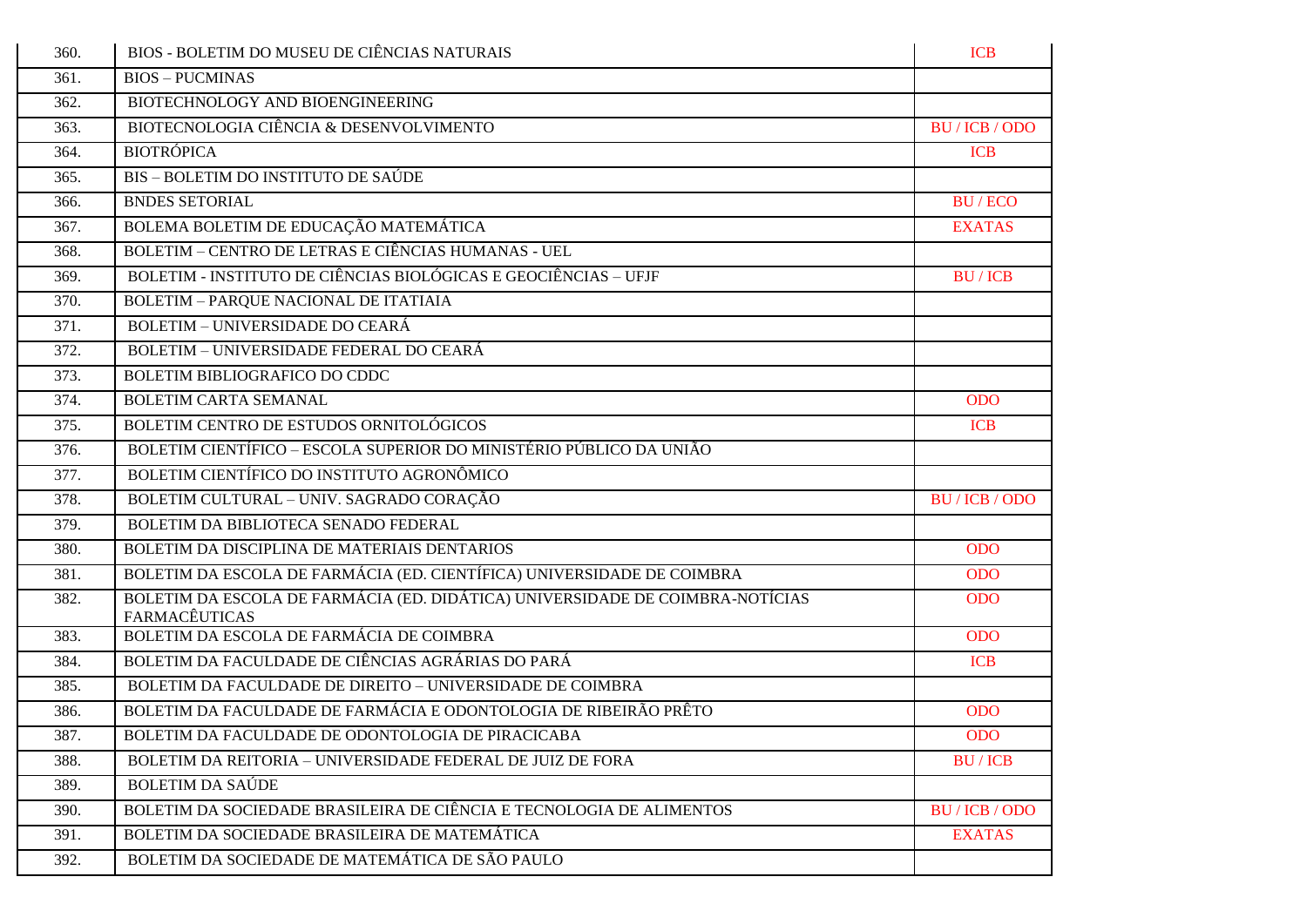| 360. | BIOS - BOLETIM DO MUSEU DE CIÊNCIAS NATURAIS                                                          | <b>ICB</b>     |
|------|-------------------------------------------------------------------------------------------------------|----------------|
| 361. | <b>BIOS - PUCMINAS</b>                                                                                |                |
| 362. | BIOTECHNOLOGY AND BIOENGINEERING                                                                      |                |
| 363. | BIOTECNOLOGIA CIÊNCIA & DESENVOLVIMENTO                                                               | BU / ICB / ODO |
| 364. | <b>BIOTRÓPICA</b>                                                                                     | <b>ICB</b>     |
| 365. | BIS - BOLETIM DO INSTITUTO DE SAÚDE                                                                   |                |
| 366. | <b>BNDES SETORIAL</b>                                                                                 | <b>BU/ECO</b>  |
| 367. | BOLEMA BOLETIM DE EDUCAÇÃO MATEMÁTICA                                                                 | <b>EXATAS</b>  |
| 368. | <b>BOLETIM - CENTRO DE LETRAS E CIÊNCIAS HUMANAS - UEL</b>                                            |                |
| 369. | BOLETIM - INSTITUTO DE CIÊNCIAS BIOLÓGICAS E GEOCIÊNCIAS - UFJF                                       | <b>BU/ICB</b>  |
| 370. | <b>BOLETIM - PARQUE NACIONAL DE ITATIAIA</b>                                                          |                |
| 371. | <b>BOLETIM - UNIVERSIDADE DO CEARÁ</b>                                                                |                |
| 372. | BOLETIM - UNIVERSIDADE FEDERAL DO CEARÁ                                                               |                |
| 373. | BOLETIM BIBLIOGRAFICO DO CDDC                                                                         |                |
| 374. | <b>BOLETIM CARTA SEMANAL</b>                                                                          | <b>ODO</b>     |
| 375. | BOLETIM CENTRO DE ESTUDOS ORNITOLÓGICOS                                                               | <b>ICB</b>     |
| 376. | BOLETIM CIENTÍFICO - ESCOLA SUPERIOR DO MINISTÉRIO PÚBLICO DA UNIÃO                                   |                |
| 377. | BOLETIM CIENTÍFICO DO INSTITUTO AGRONÔMICO                                                            |                |
| 378. | BOLETIM CULTURAL - UNIV. SAGRADO CORAÇÃO                                                              | BU / ICB / ODO |
| 379. | BOLETIM DA BIBLIOTECA SENADO FEDERAL                                                                  |                |
| 380. | BOLETIM DA DISCIPLINA DE MATERIAIS DENTARIOS                                                          | <b>ODO</b>     |
| 381. | BOLETIM DA ESCOLA DE FARMÁCIA (ED. CIENTÍFICA) UNIVERSIDADE DE COIMBRA                                | <b>ODO</b>     |
| 382. | BOLETIM DA ESCOLA DE FARMÁCIA (ED. DIDÁTICA) UNIVERSIDADE DE COIMBRA-NOTÍCIAS<br><b>FARMACÊUTICAS</b> | <b>ODO</b>     |
| 383. | BOLETIM DA ESCOLA DE FARMÁCIA DE COIMBRA                                                              | <b>ODO</b>     |
| 384. | BOLETIM DA FACULDADE DE CIÊNCIAS AGRÁRIAS DO PARÁ                                                     | <b>ICB</b>     |
| 385. | BOLETIM DA FACULDADE DE DIREITO - UNIVERSIDADE DE COIMBRA                                             |                |
| 386. | BOLETIM DA FACULDADE DE FARMÁCIA E ODONTOLOGIA DE RIBEIRÃO PRÊTO                                      | <b>ODO</b>     |
| 387. | BOLETIM DA FACULDADE DE ODONTOLOGIA DE PIRACICABA                                                     | <b>ODO</b>     |
| 388. | BOLETIM DA REITORIA - UNIVERSIDADE FEDERAL DE JUIZ DE FORA                                            | <b>BU/ICB</b>  |
| 389. | <b>BOLETIM DA SAÚDE</b>                                                                               |                |
| 390. | BOLETIM DA SOCIEDADE BRASILEIRA DE CIÊNCIA E TECNOLOGIA DE ALIMENTOS                                  | BU / ICB / ODO |
| 391. | BOLETIM DA SOCIEDADE BRASILEIRA DE MATEMÁTICA                                                         | <b>EXATAS</b>  |
| 392. | BOLETIM DA SOCIEDADE DE MATEMÁTICA DE SÃO PAULO                                                       |                |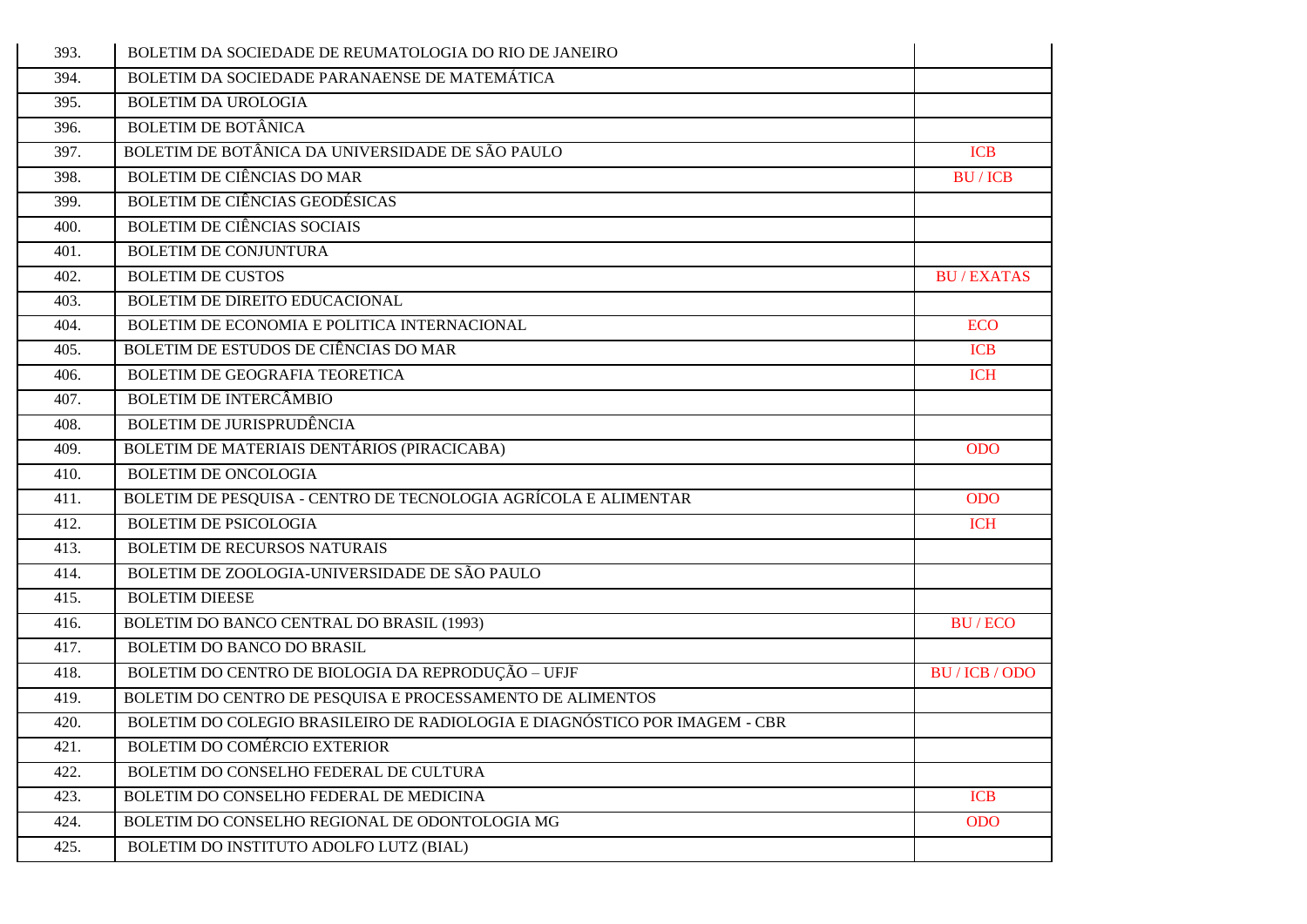| 393. | BOLETIM DA SOCIEDADE DE REUMATOLOGIA DO RIO DE JANEIRO                     |                  |
|------|----------------------------------------------------------------------------|------------------|
| 394. | BOLETIM DA SOCIEDADE PARANAENSE DE MATEMÁTICA                              |                  |
| 395. | <b>BOLETIM DA UROLOGIA</b>                                                 |                  |
| 396. | <b>BOLETIM DE BOTÂNICA</b>                                                 |                  |
| 397. | BOLETIM DE BOTÂNICA DA UNIVERSIDADE DE SÃO PAULO                           | <b>ICB</b>       |
| 398. | <b>BOLETIM DE CIÊNCIAS DO MAR</b>                                          | <b>BU/ICB</b>    |
| 399. | BOLETIM DE CIÊNCIAS GEODÉSICAS                                             |                  |
| 400. | <b>BOLETIM DE CIÊNCIAS SOCIAIS</b>                                         |                  |
| 401. | <b>BOLETIM DE CONJUNTURA</b>                                               |                  |
| 402. | <b>BOLETIM DE CUSTOS</b>                                                   | <b>BU/EXATAS</b> |
| 403. | BOLETIM DE DIREITO EDUCACIONAL                                             |                  |
| 404. | BOLETIM DE ECONOMIA E POLITICA INTERNACIONAL                               | <b>ECO</b>       |
| 405. | BOLETIM DE ESTUDOS DE CIÊNCIAS DO MAR                                      | <b>ICB</b>       |
| 406. | BOLETIM DE GEOGRAFIA TEORETICA                                             | <b>ICH</b>       |
| 407. | <b>BOLETIM DE INTERCÂMBIO</b>                                              |                  |
| 408. | <b>BOLETIM DE JURISPRUDÊNCIA</b>                                           |                  |
| 409. | BOLETIM DE MATERIAIS DENTÁRIOS (PIRACICABA)                                | <b>ODO</b>       |
| 410. | <b>BOLETIM DE ONCOLOGIA</b>                                                |                  |
| 411. | BOLETIM DE PESQUISA - CENTRO DE TECNOLOGIA AGRÍCOLA E ALIMENTAR            | <b>ODO</b>       |
| 412. | <b>BOLETIM DE PSICOLOGIA</b>                                               | <b>ICH</b>       |
| 413. | <b>BOLETIM DE RECURSOS NATURAIS</b>                                        |                  |
| 414. | BOLETIM DE ZOOLOGIA-UNIVERSIDADE DE SÃO PAULO                              |                  |
| 415. | <b>BOLETIM DIEESE</b>                                                      |                  |
| 416. | BOLETIM DO BANCO CENTRAL DO BRASIL (1993)                                  | BU/ECO           |
| 417. | <b>BOLETIM DO BANCO DO BRASIL</b>                                          |                  |
| 418. | BOLETIM DO CENTRO DE BIOLOGIA DA REPRODUÇÃO - UFJF                         | BU/ICB/ODO       |
| 419. | BOLETIM DO CENTRO DE PESQUISA E PROCESSAMENTO DE ALIMENTOS                 |                  |
| 420. | BOLETIM DO COLEGIO BRASILEIRO DE RADIOLOGIA E DIAGNÓSTICO POR IMAGEM - CBR |                  |
| 421. | <b>BOLETIM DO COMÉRCIO EXTERIOR</b>                                        |                  |
| 422. | BOLETIM DO CONSELHO FEDERAL DE CULTURA                                     |                  |
| 423. | BOLETIM DO CONSELHO FEDERAL DE MEDICINA                                    | <b>ICB</b>       |
| 424. | BOLETIM DO CONSELHO REGIONAL DE ODONTOLOGIA MG                             | <b>ODO</b>       |
| 425. | BOLETIM DO INSTITUTO ADOLFO LUTZ (BIAL)                                    |                  |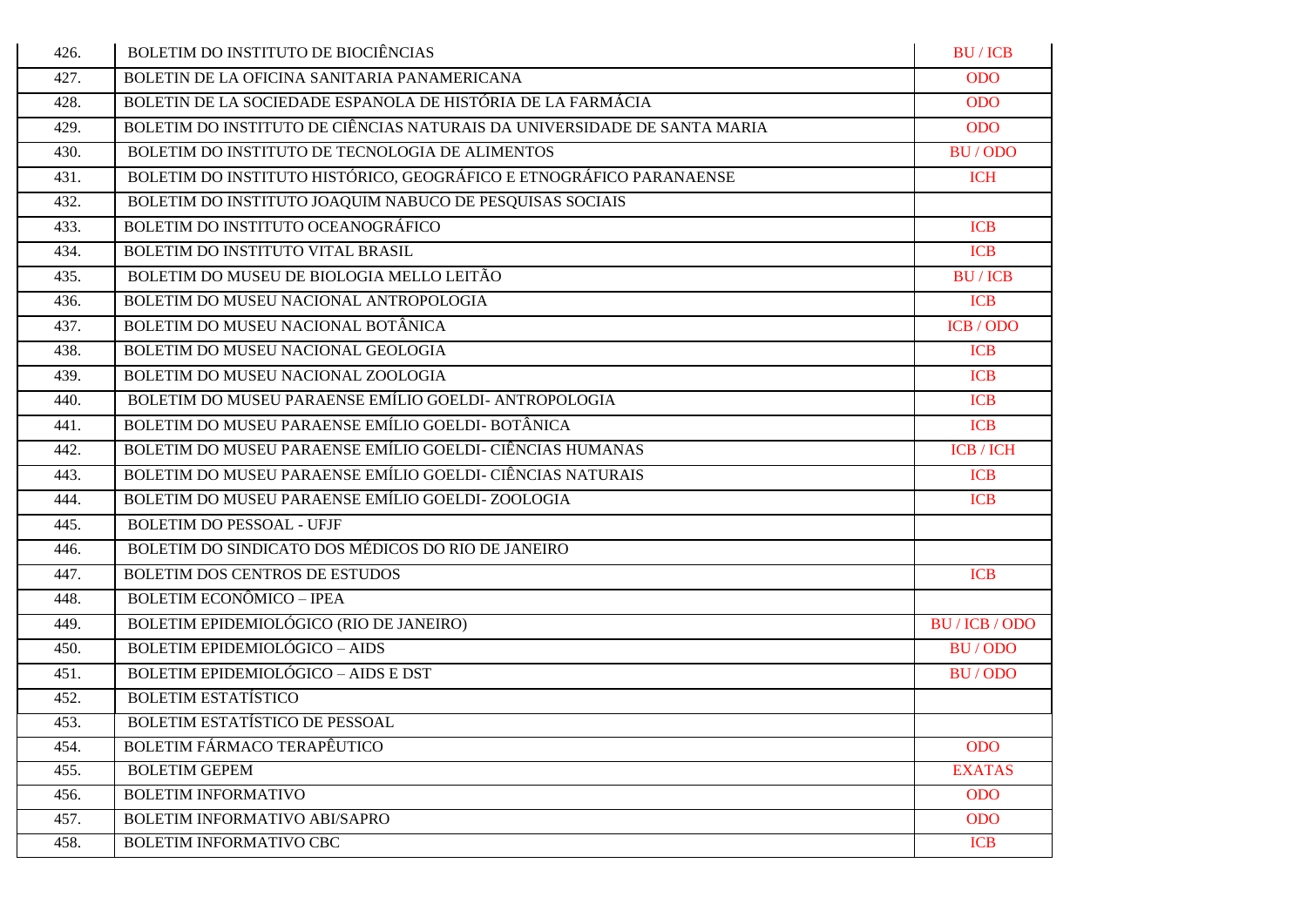| 426. | <b>BOLETIM DO INSTITUTO DE BIOCIÊNCIAS</b>                               | <b>BU/ICB</b>    |
|------|--------------------------------------------------------------------------|------------------|
| 427. | BOLETIN DE LA OFICINA SANITARIA PANAMERICANA                             | <b>ODO</b>       |
| 428. | BOLETIN DE LA SOCIEDADE ESPANOLA DE HISTÓRIA DE LA FARMÁCIA              | <b>ODO</b>       |
| 429. | BOLETIM DO INSTITUTO DE CIÊNCIAS NATURAIS DA UNIVERSIDADE DE SANTA MARIA | <b>ODO</b>       |
| 430. | BOLETIM DO INSTITUTO DE TECNOLOGIA DE ALIMENTOS                          | BU/ODO           |
| 431. | BOLETIM DO INSTITUTO HISTÓRICO, GEOGRÁFICO E ETNOGRÁFICO PARANAENSE      | <b>ICH</b>       |
| 432. | BOLETIM DO INSTITUTO JOAQUIM NABUCO DE PESQUISAS SOCIAIS                 |                  |
| 433. | BOLETIM DO INSTITUTO OCEANOGRÁFICO                                       | <b>ICB</b>       |
| 434. | BOLETIM DO INSTITUTO VITAL BRASIL                                        | <b>ICB</b>       |
| 435. | BOLETIM DO MUSEU DE BIOLOGIA MELLO LEITÃO                                | <b>BU/ICB</b>    |
| 436. | BOLETIM DO MUSEU NACIONAL ANTROPOLOGIA                                   | <b>ICB</b>       |
| 437. | BOLETIM DO MUSEU NACIONAL BOTÂNICA                                       | ICB / ODO        |
| 438. | BOLETIM DO MUSEU NACIONAL GEOLOGIA                                       | <b>ICB</b>       |
| 439. | BOLETIM DO MUSEU NACIONAL ZOOLOGIA                                       | <b>ICB</b>       |
| 440. | BOLETIM DO MUSEU PARAENSE EMÍLIO GOELDI- ANTROPOLOGIA                    | <b>ICB</b>       |
| 441. | BOLETIM DO MUSEU PARAENSE EMÍLIO GOELDI- BOTÂNICA                        | <b>ICB</b>       |
| 442. | BOLETIM DO MUSEU PARAENSE EMÍLIO GOELDI- CIÊNCIAS HUMANAS                | <b>ICB</b> / ICH |
| 443. | BOLETIM DO MUSEU PARAENSE EMÍLIO GOELDI- CIÊNCIAS NATURAIS               | <b>ICB</b>       |
| 444. | BOLETIM DO MUSEU PARAENSE EMÍLIO GOELDI-ZOOLOGIA                         | <b>ICB</b>       |
| 445. | <b>BOLETIM DO PESSOAL - UFJF</b>                                         |                  |
| 446. | BOLETIM DO SINDICATO DOS MÉDICOS DO RIO DE JANEIRO                       |                  |
| 447. | BOLETIM DOS CENTROS DE ESTUDOS                                           | <b>ICB</b>       |
| 448. | <b>BOLETIM ECONÔMICO - IPEA</b>                                          |                  |
| 449. | BOLETIM EPIDEMIOLÓGICO (RIO DE JANEIRO)                                  | BU / ICB / ODO   |
| 450. | <b>BOLETIM EPIDEMIOLÓGICO - AIDS</b>                                     | BU/ODO           |
| 451. | <b>BOLETIM EPIDEMIOLÓGICO - AIDS E DST</b>                               | BU/ODO           |
| 452. | <b>BOLETIM ESTATÍSTICO</b>                                               |                  |
| 453. | BOLETIM ESTATÍSTICO DE PESSOAL                                           |                  |
| 454. | <b>BOLETIM FÁRMACO TERAPÊUTICO</b>                                       | <b>ODO</b>       |
| 455. | <b>BOLETIM GEPEM</b>                                                     | <b>EXATAS</b>    |
| 456. | <b>BOLETIM INFORMATIVO</b>                                               | <b>ODO</b>       |
| 457. | <b>BOLETIM INFORMATIVO ABI/SAPRO</b>                                     | ODO              |
| 458. | <b>BOLETIM INFORMATIVO CBC</b>                                           | <b>ICB</b>       |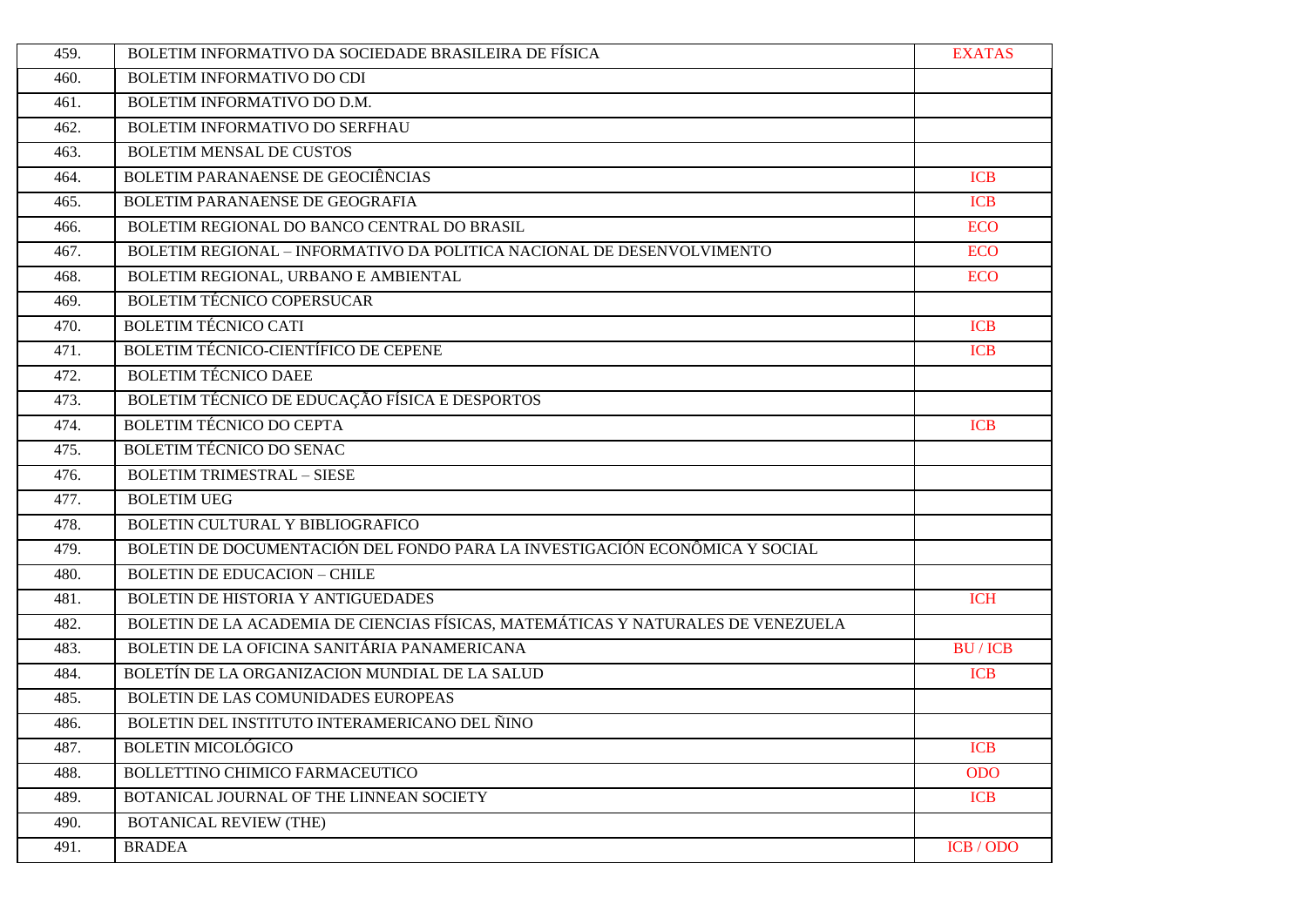| 459. | BOLETIM INFORMATIVO DA SOCIEDADE BRASILEIRA DE FÍSICA                            | <b>EXATAS</b> |
|------|----------------------------------------------------------------------------------|---------------|
| 460. | BOLETIM INFORMATIVO DO CDI                                                       |               |
| 461. | BOLETIM INFORMATIVO DO D.M.                                                      |               |
| 462. | BOLETIM INFORMATIVO DO SERFHAU                                                   |               |
| 463. | <b>BOLETIM MENSAL DE CUSTOS</b>                                                  |               |
| 464. | BOLETIM PARANAENSE DE GEOCIÊNCIAS                                                | <b>ICB</b>    |
| 465. | BOLETIM PARANAENSE DE GEOGRAFIA                                                  | <b>ICB</b>    |
| 466. | BOLETIM REGIONAL DO BANCO CENTRAL DO BRASIL                                      | <b>ECO</b>    |
| 467. | BOLETIM REGIONAL - INFORMATIVO DA POLITICA NACIONAL DE DESENVOLVIMENTO           | <b>ECO</b>    |
| 468. | BOLETIM REGIONAL, URBANO E AMBIENTAL                                             | <b>ECO</b>    |
| 469. | <b>BOLETIM TÉCNICO COPERSUCAR</b>                                                |               |
| 470. | <b>BOLETIM TÉCNICO CATI</b>                                                      | <b>ICB</b>    |
| 471. | BOLETIM TÉCNICO-CIENTÍFICO DE CEPENE                                             | <b>ICB</b>    |
| 472. | <b>BOLETIM TÉCNICO DAEE</b>                                                      |               |
| 473. | BOLETIM TÉCNICO DE EDUCAÇÃO FÍSICA E DESPORTOS                                   |               |
| 474. | <b>BOLETIM TÉCNICO DO CEPTA</b>                                                  | <b>ICB</b>    |
| 475. | <b>BOLETIM TÉCNICO DO SENAC</b>                                                  |               |
| 476. | <b>BOLETIM TRIMESTRAL - SIESE</b>                                                |               |
| 477. | <b>BOLETIM UEG</b>                                                               |               |
| 478. | BOLETIN CULTURAL Y BIBLIOGRAFICO                                                 |               |
| 479. | BOLETIN DE DOCUMENTACIÓN DEL FONDO PARA LA INVESTIGACIÓN ECONÔMICA Y SOCIAL      |               |
| 480. | <b>BOLETIN DE EDUCACION - CHILE</b>                                              |               |
| 481. | BOLETIN DE HISTORIA Y ANTIGUEDADES                                               | <b>ICH</b>    |
| 482. | BOLETIN DE LA ACADEMIA DE CIENCIAS FÍSICAS, MATEMÁTICAS Y NATURALES DE VENEZUELA |               |
| 483. | BOLETIN DE LA OFICINA SANITÁRIA PANAMERICANA                                     | <b>BU/ICB</b> |
| 484. | BOLETÍN DE LA ORGANIZACION MUNDIAL DE LA SALUD                                   | <b>ICB</b>    |
| 485. | BOLETIN DE LAS COMUNIDADES EUROPEAS                                              |               |
| 486. | BOLETIN DEL INSTITUTO INTERAMERICANO DEL ÑINO                                    |               |
| 487. | <b>BOLETIN MICOLÓGICO</b>                                                        | <b>ICB</b>    |
| 488. | BOLLETTINO CHIMICO FARMACEUTICO                                                  | <b>ODO</b>    |
| 489. | BOTANICAL JOURNAL OF THE LINNEAN SOCIETY                                         | <b>ICB</b>    |
| 490. | <b>BOTANICAL REVIEW (THE)</b>                                                    |               |
| 491. | <b>BRADEA</b>                                                                    | ICB / ODO     |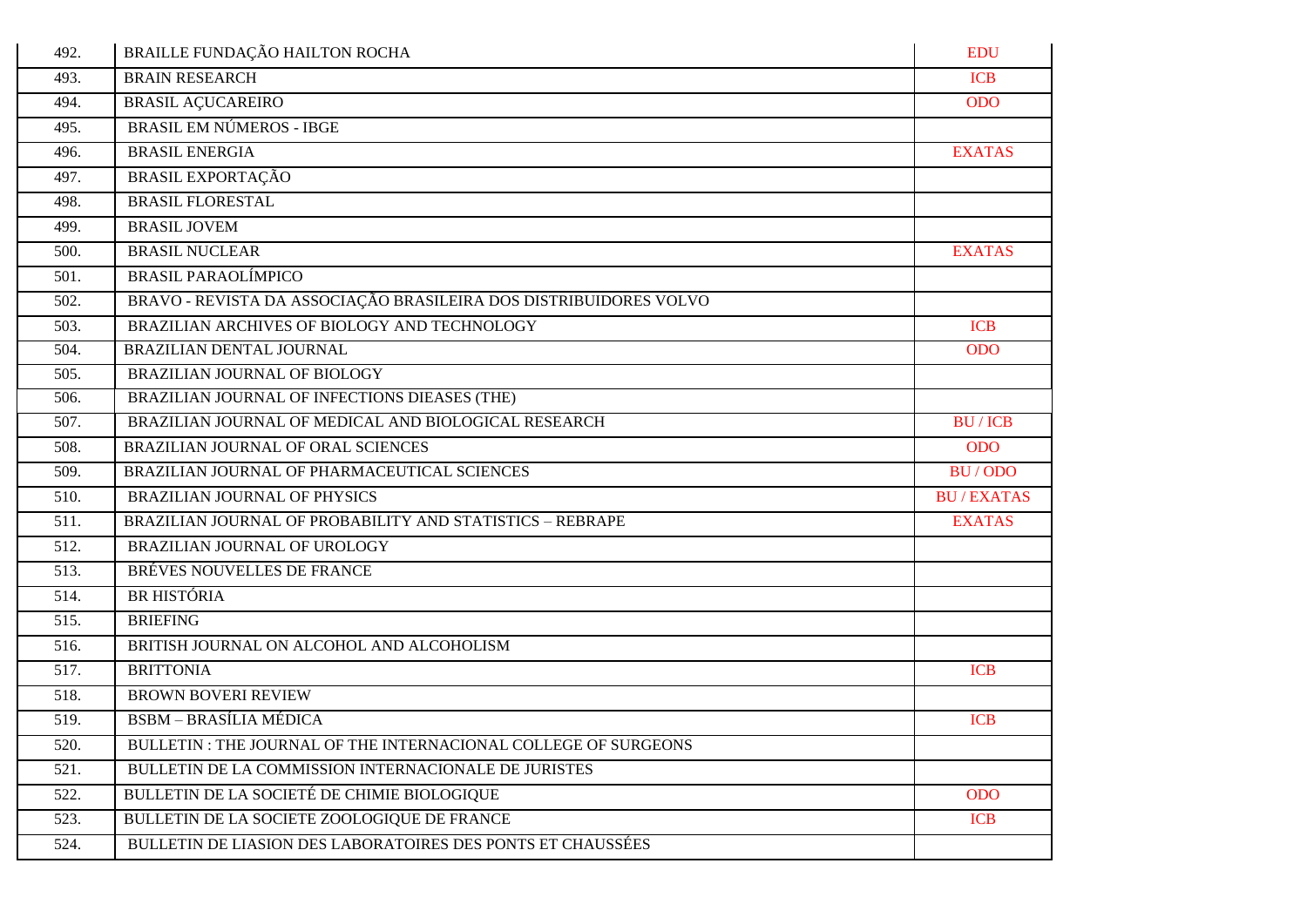| 492. | BRAILLE FUNDAÇÃO HAILTON ROCHA                                    | <b>EDU</b>       |
|------|-------------------------------------------------------------------|------------------|
| 493. | <b>BRAIN RESEARCH</b>                                             | <b>ICB</b>       |
| 494. | <b>BRASIL AÇUCAREIRO</b>                                          | <b>ODO</b>       |
| 495. | <b>BRASIL EM NÚMEROS - IBGE</b>                                   |                  |
| 496. | <b>BRASIL ENERGIA</b>                                             | <b>EXATAS</b>    |
| 497. | <b>BRASIL EXPORTAÇÃO</b>                                          |                  |
| 498. | <b>BRASIL FLORESTAL</b>                                           |                  |
| 499. | <b>BRASIL JOVEM</b>                                               |                  |
| 500. | <b>BRASIL NUCLEAR</b>                                             | <b>EXATAS</b>    |
| 501. | <b>BRASIL PARAOLÍMPICO</b>                                        |                  |
| 502. | BRAVO - REVISTA DA ASSOCIAÇÃO BRASILEIRA DOS DISTRIBUIDORES VOLVO |                  |
| 503. | BRAZILIAN ARCHIVES OF BIOLOGY AND TECHNOLOGY                      | <b>ICB</b>       |
| 504. | BRAZILIAN DENTAL JOURNAL                                          | <b>ODO</b>       |
| 505. | BRAZILIAN JOURNAL OF BIOLOGY                                      |                  |
| 506. | BRAZILIAN JOURNAL OF INFECTIONS DIEASES (THE)                     |                  |
| 507. | BRAZILIAN JOURNAL OF MEDICAL AND BIOLOGICAL RESEARCH              | <b>BU/ICB</b>    |
| 508. | BRAZILIAN JOURNAL OF ORAL SCIENCES                                | <b>ODO</b>       |
| 509. | BRAZILIAN JOURNAL OF PHARMACEUTICAL SCIENCES                      | BU/ODO           |
| 510. | <b>BRAZILIAN JOURNAL OF PHYSICS</b>                               | <b>BU/EXATAS</b> |
| 511. | BRAZILIAN JOURNAL OF PROBABILITY AND STATISTICS - REBRAPE         | <b>EXATAS</b>    |
| 512. | BRAZILIAN JOURNAL OF UROLOGY                                      |                  |
| 513. | BRÉVES NOUVELLES DE FRANCE                                        |                  |
| 514. | <b>BR HISTÓRIA</b>                                                |                  |
| 515. | <b>BRIEFING</b>                                                   |                  |
| 516. | BRITISH JOURNAL ON ALCOHOL AND ALCOHOLISM                         |                  |
| 517. | <b>BRITTONIA</b>                                                  | <b>ICB</b>       |
| 518. | <b>BROWN BOVERI REVIEW</b>                                        |                  |
| 519. | <b>BSBM - BRASÍLIA MÉDICA</b>                                     | <b>ICB</b>       |
| 520. | BULLETIN : THE JOURNAL OF THE INTERNACIONAL COLLEGE OF SURGEONS   |                  |
| 521. | BULLETIN DE LA COMMISSION INTERNACIONALE DE JURISTES              |                  |
| 522. | BULLETIN DE LA SOCIETÉ DE CHIMIE BIOLOGIQUE                       | <b>ODO</b>       |
| 523. | BULLETIN DE LA SOCIETE ZOOLOGIQUE DE FRANCE                       | <b>ICB</b>       |
| 524. | BULLETIN DE LIASION DES LABORATOIRES DES PONTS ET CHAUSSÉES       |                  |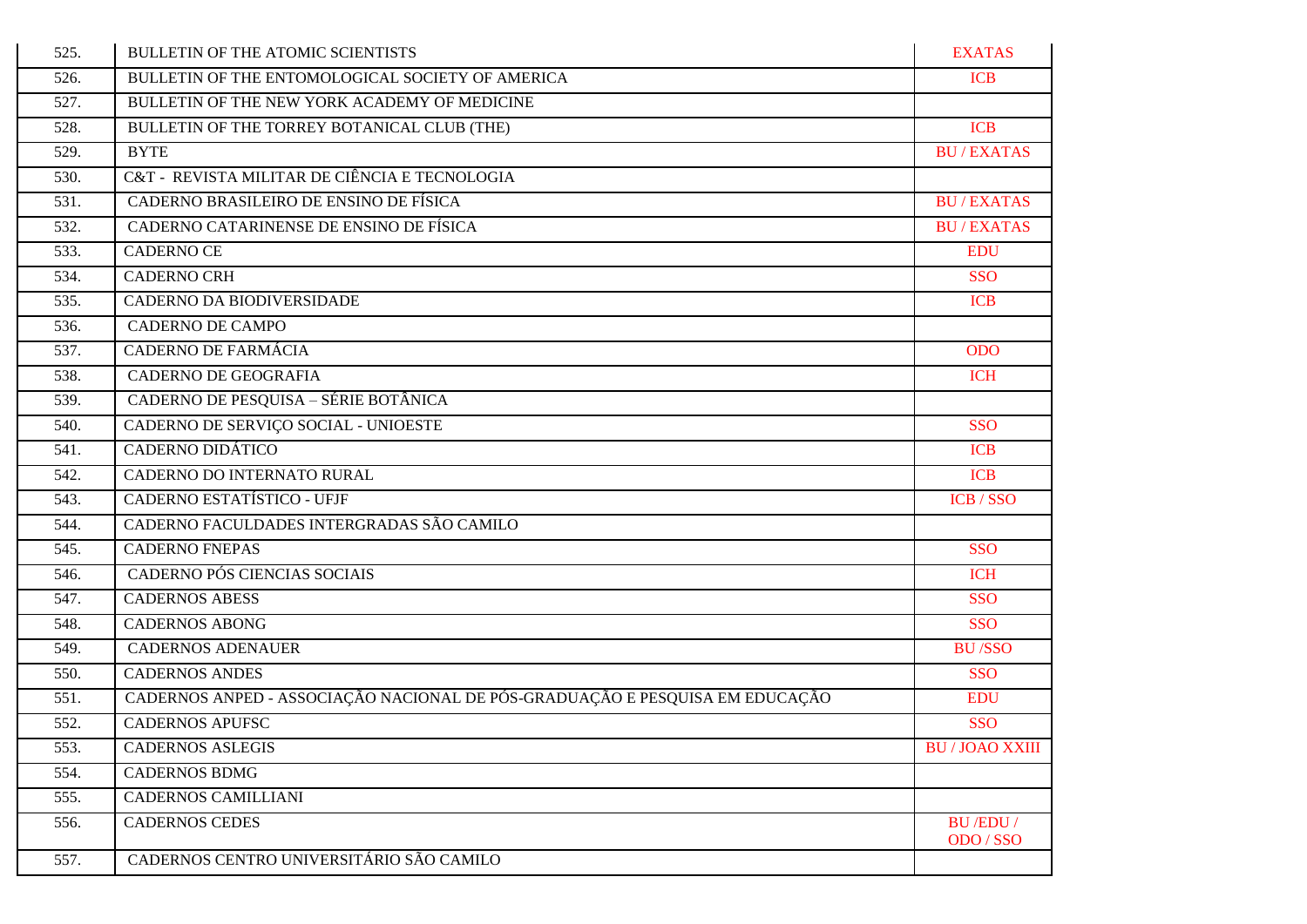| 525. | BULLETIN OF THE ATOMIC SCIENTISTS                                            | <b>EXATAS</b>               |
|------|------------------------------------------------------------------------------|-----------------------------|
| 526. | BULLETIN OF THE ENTOMOLOGICAL SOCIETY OF AMERICA                             | <b>ICB</b>                  |
| 527. | BULLETIN OF THE NEW YORK ACADEMY OF MEDICINE                                 |                             |
| 528. | BULLETIN OF THE TORREY BOTANICAL CLUB (THE)                                  | <b>ICB</b>                  |
| 529. | <b>BYTE</b>                                                                  | <b>BU/EXATAS</b>            |
| 530. | C&T - REVISTA MILITAR DE CIÊNCIA E TECNOLOGIA                                |                             |
| 531. | CADERNO BRASILEIRO DE ENSINO DE FÍSICA                                       | <b>BU/EXATAS</b>            |
| 532. | CADERNO CATARINENSE DE ENSINO DE FÍSICA                                      | <b>BU/EXATAS</b>            |
| 533. | <b>CADERNO CE</b>                                                            | <b>EDU</b>                  |
| 534. | <b>CADERNO CRH</b>                                                           | <b>SSO</b>                  |
| 535. | CADERNO DA BIODIVERSIDADE                                                    | <b>ICB</b>                  |
| 536. | <b>CADERNO DE CAMPO</b>                                                      |                             |
| 537. | <b>CADERNO DE FARMÁCIA</b>                                                   | <b>ODO</b>                  |
| 538. | <b>CADERNO DE GEOGRAFIA</b>                                                  | <b>ICH</b>                  |
| 539. | CADERNO DE PESQUISA - SÉRIE BOTÂNICA                                         |                             |
| 540. | CADERNO DE SERVIÇO SOCIAL - UNIOESTE                                         | <b>SSO</b>                  |
| 541. | CADERNO DIDÁTICO                                                             | <b>ICB</b>                  |
| 542. | CADERNO DO INTERNATO RURAL                                                   | <b>ICB</b>                  |
| 543. | CADERNO ESTATÍSTICO - UFJF                                                   | ICB / SSO                   |
| 544. | CADERNO FACULDADES INTERGRADAS SÃO CAMILO                                    |                             |
| 545. | <b>CADERNO FNEPAS</b>                                                        | <b>SSO</b>                  |
| 546. | CADERNO PÓS CIENCIAS SOCIAIS                                                 | <b>ICH</b>                  |
| 547. | <b>CADERNOS ABESS</b>                                                        | <b>SSO</b>                  |
| 548. | <b>CADERNOS ABONG</b>                                                        | <b>SSO</b>                  |
| 549. | <b>CADERNOS ADENAUER</b>                                                     | <b>BU/SSO</b>               |
| 550. | <b>CADERNOS ANDES</b>                                                        | <b>SSO</b>                  |
| 551. | CADERNOS ANPED - ASSOCIAÇÃO NACIONAL DE PÓS-GRADUAÇÃO E PESQUISA EM EDUCAÇÃO | <b>EDU</b>                  |
| 552. | <b>CADERNOS APUFSC</b>                                                       | <b>SSO</b>                  |
| 553. | <b>CADERNOS ASLEGIS</b>                                                      | <b>BU/JOAO XXIII</b>        |
| 554. | <b>CADERNOS BDMG</b>                                                         |                             |
| 555. | CADERNOS CAMILLIANI                                                          |                             |
| 556. | <b>CADERNOS CEDES</b>                                                        | <b>BU/EDU/</b><br>ODO / SSO |
| 557. | CADERNOS CENTRO UNIVERSITÁRIO SÃO CAMILO                                     |                             |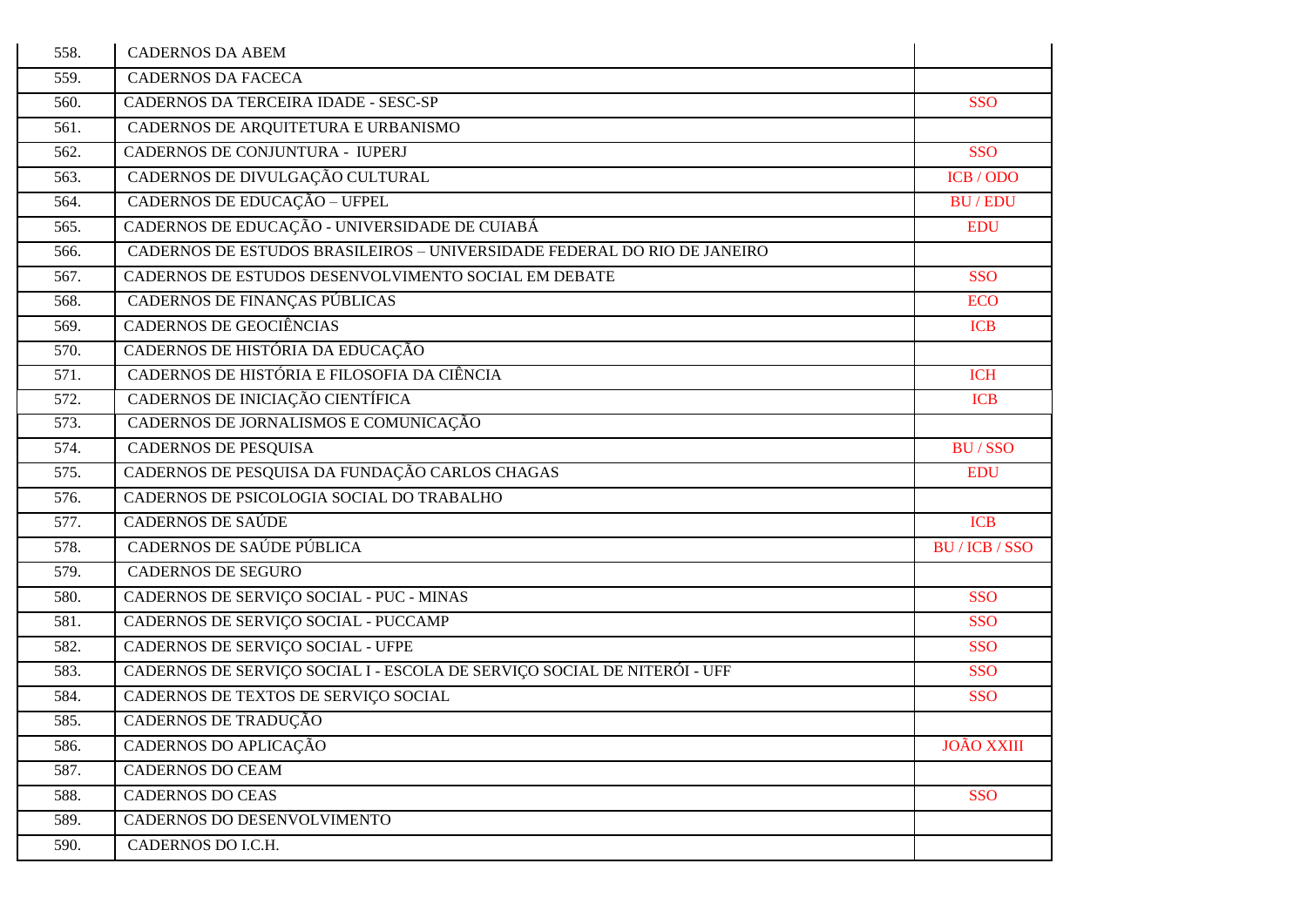| 558. | <b>CADERNOS DA ABEM</b>                                                  |                   |
|------|--------------------------------------------------------------------------|-------------------|
| 559. | <b>CADERNOS DA FACECA</b>                                                |                   |
| 560. | CADERNOS DA TERCEIRA IDADE - SESC-SP                                     | <b>SSO</b>        |
| 561. | CADERNOS DE ARQUITETURA E URBANISMO                                      |                   |
| 562. | CADERNOS DE CONJUNTURA - IUPERJ                                          | <b>SSO</b>        |
| 563. | CADERNOS DE DIVULGAÇÃO CULTURAL                                          | ICB / ODO         |
| 564. | CADERNOS DE EDUCAÇÃO - UFPEL                                             | <b>BU/EDU</b>     |
| 565. | CADERNOS DE EDUCAÇÃO - UNIVERSIDADE DE CUIABÁ                            | <b>EDU</b>        |
| 566. | CADERNOS DE ESTUDOS BRASILEIROS - UNIVERSIDADE FEDERAL DO RÍO DE JANEIRO |                   |
| 567. | CADERNOS DE ESTUDOS DESENVOLVIMENTO SOCIAL EM DEBATE                     | <b>SSO</b>        |
| 568. | CADERNOS DE FINANÇAS PÚBLICAS                                            | <b>ECO</b>        |
| 569. | <b>CADERNOS DE GEOCIÊNCIAS</b>                                           | <b>ICB</b>        |
| 570. | CADERNOS DE HISTÓRIA DA EDUCAÇÃO                                         |                   |
| 571. | CADERNOS DE HISTÓRIA E FILOSOFIA DA CIÊNCIA                              | <b>ICH</b>        |
| 572. | CADERNOS DE INICIAÇÃO CIENTÍFICA                                         | <b>ICB</b>        |
| 573. | CADERNOS DE JORNALISMOS E COMUNICAÇÃO                                    |                   |
| 574. | CADERNOS DE PESQUISA                                                     | <b>BU/SSO</b>     |
| 575. | CADERNOS DE PESQUISA DA FUNDAÇÃO CARLOS CHAGAS                           | <b>EDU</b>        |
| 576. | CADERNOS DE PSICOLOGIA SOCIAL DO TRABALHO                                |                   |
| 577. | <b>CADERNOS DE SAÚDE</b>                                                 | <b>ICB</b>        |
| 578. | CADERNOS DE SAÚDE PÚBLICA                                                | BU / ICB / SSO    |
| 579. | <b>CADERNOS DE SEGURO</b>                                                |                   |
| 580. | CADERNOS DE SERVIÇO SOCIAL - PUC - MINAS                                 | <b>SSO</b>        |
| 581. | CADERNOS DE SERVIÇO SOCIAL - PUCCAMP                                     | <b>SSO</b>        |
| 582. | CADERNOS DE SERVIÇO SOCIAL - UFPE                                        | <b>SSO</b>        |
| 583. | CADERNOS DE SERVIÇO SOCIAL I - ESCOLA DE SERVIÇO SOCIAL DE NITERÓI - UFF | <b>SSO</b>        |
| 584. | CADERNOS DE TEXTOS DE SERVIÇO SOCIAL                                     | <b>SSO</b>        |
| 585. | CADERNOS DE TRADUÇÃO                                                     |                   |
| 586. | CADERNOS DO APLICAÇÃO                                                    | <b>JOÃO XXIII</b> |
| 587. | <b>CADERNOS DO CEAM</b>                                                  |                   |
| 588. | <b>CADERNOS DO CEAS</b>                                                  | <b>SSO</b>        |
| 589. | CADERNOS DO DESENVOLVIMENTO                                              |                   |
| 590. | CADERNOS DO I.C.H.                                                       |                   |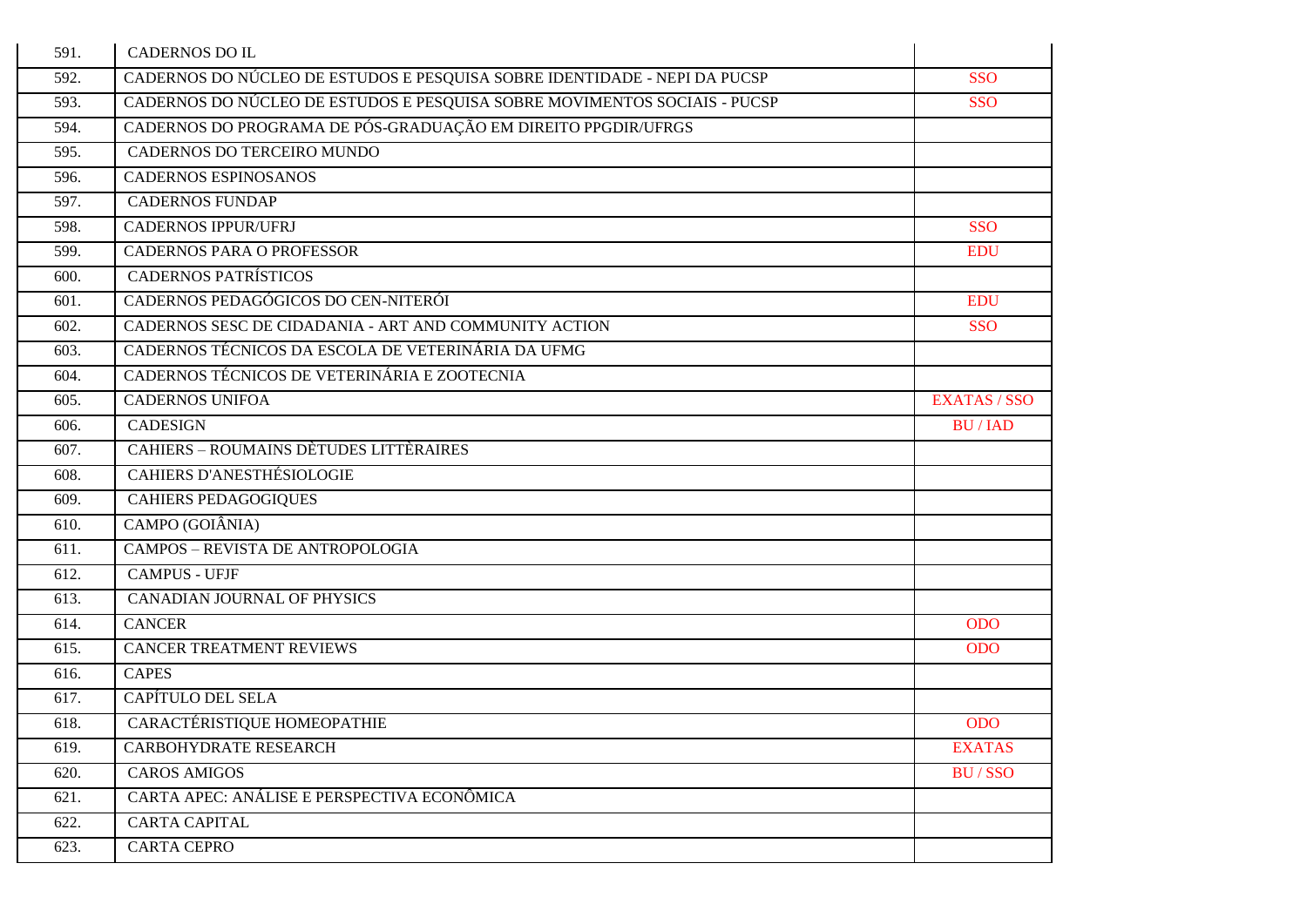| 591. | <b>CADERNOS DO IL</b>                                                     |                     |
|------|---------------------------------------------------------------------------|---------------------|
| 592. | CADERNOS DO NÚCLEO DE ESTUDOS E PESQUISA SOBRE IDENTIDADE - NEPI DA PUCSP | <b>SSO</b>          |
| 593. | CADERNOS DO NÚCLEO DE ESTUDOS E PESQUISA SOBRE MOVIMENTOS SOCIAIS - PUCSP | <b>SSO</b>          |
| 594. | CADERNOS DO PROGRAMA DE PÓS-GRADUAÇÃO EM DIREITO PPGDIR/UFRGS             |                     |
| 595. | CADERNOS DO TERCEIRO MUNDO                                                |                     |
| 596. | <b>CADERNOS ESPINOSANOS</b>                                               |                     |
| 597. | <b>CADERNOS FUNDAP</b>                                                    |                     |
| 598. | <b>CADERNOS IPPUR/UFRJ</b>                                                | <b>SSO</b>          |
| 599. | <b>CADERNOS PARA O PROFESSOR</b>                                          | <b>EDU</b>          |
| 600. | <b>CADERNOS PATRÍSTICOS</b>                                               |                     |
| 601. | CADERNOS PEDAGÓGICOS DO CEN-NITERÓI                                       | <b>EDU</b>          |
| 602. | CADERNOS SESC DE CIDADANIA - ART AND COMMUNITY ACTION                     | <b>SSO</b>          |
| 603. | CADERNOS TÉCNICOS DA ESCOLA DE VETERINÁRIA DA UFMG                        |                     |
| 604. | CADERNOS TÉCNICOS DE VETERINÁRIA E ZOOTECNIA                              |                     |
| 605. | <b>CADERNOS UNIFOA</b>                                                    | <b>EXATAS / SSO</b> |
| 606. | <b>CADESIGN</b>                                                           | <b>BU/IAD</b>       |
| 607. | <b>CAHIERS - ROUMAINS DÈTUDES LITTÈRAIRES</b>                             |                     |
| 608. | <b>CAHIERS D'ANESTHÉSIOLOGIE</b>                                          |                     |
| 609. | <b>CAHIERS PEDAGOGIQUES</b>                                               |                     |
| 610. | CAMPO (GOIÂNIA)                                                           |                     |
| 611. | <b>CAMPOS - REVISTA DE ANTROPOLOGIA</b>                                   |                     |
| 612. | <b>CAMPUS - UFJF</b>                                                      |                     |
| 613. | CANADIAN JOURNAL OF PHYSICS                                               |                     |
| 614. | <b>CANCER</b>                                                             | <b>ODO</b>          |
| 615. | <b>CANCER TREATMENT REVIEWS</b>                                           | <b>ODO</b>          |
| 616. | <b>CAPES</b>                                                              |                     |
| 617. | CAPÍTULO DEL SELA                                                         |                     |
| 618. | CARACTÉRISTIQUE HOMEOPATHIE                                               | <b>ODO</b>          |
| 619. | CARBOHYDRATE RESEARCH                                                     | <b>EXATAS</b>       |
| 620. | <b>CAROS AMIGOS</b>                                                       | <b>BU/SSO</b>       |
| 621. | CARTA APEC: ANÁLISE E PERSPECTIVA ECONÔMICA                               |                     |
| 622. | <b>CARTA CAPITAL</b>                                                      |                     |
| 623. | <b>CARTA CEPRO</b>                                                        |                     |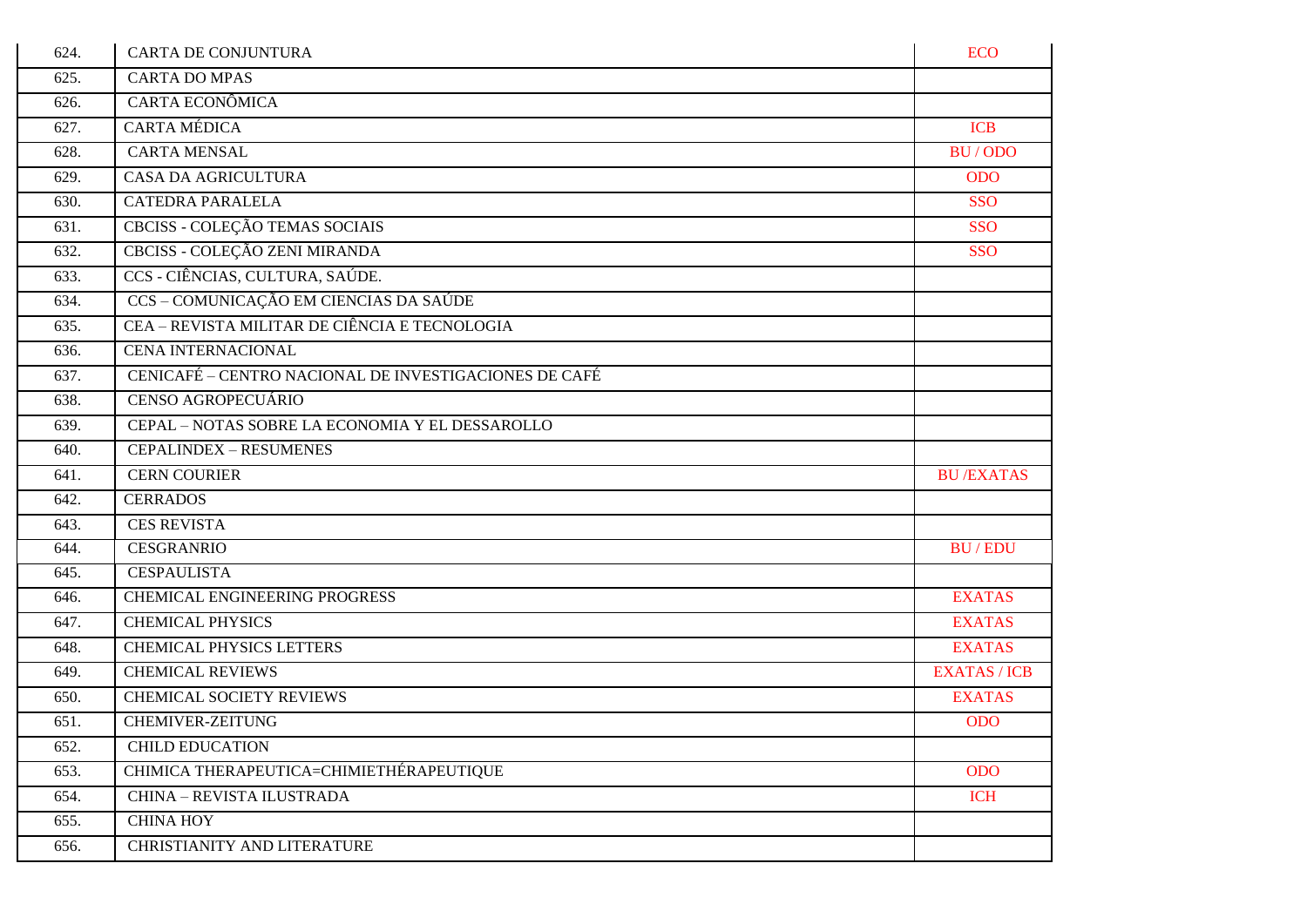| 624. | <b>CARTA DE CONJUNTURA</b>                            | <b>ECO</b>          |
|------|-------------------------------------------------------|---------------------|
| 625. | <b>CARTA DO MPAS</b>                                  |                     |
| 626. | CARTA ECONÔMICA                                       |                     |
| 627. | <b>CARTA MÉDICA</b>                                   | <b>ICB</b>          |
| 628. | <b>CARTA MENSAL</b>                                   | BU/ODO              |
| 629. | CASA DA AGRICULTURA                                   | <b>ODO</b>          |
| 630. | <b>CATEDRA PARALELA</b>                               | <b>SSO</b>          |
| 631. | CBCISS - COLEÇÃO TEMAS SOCIAIS                        | <b>SSO</b>          |
| 632. | CBCISS - COLEÇÃO ZENI MIRANDA                         | <b>SSO</b>          |
| 633. | CCS - CIÊNCIAS, CULTURA, SAÚDE.                       |                     |
| 634. | CCS - COMUNICAÇÃO EM CIENCIAS DA SAÚDE                |                     |
| 635. | CEA - REVISTA MILITAR DE CIÊNCIA E TECNOLOGIA         |                     |
| 636. | <b>CENA INTERNACIONAL</b>                             |                     |
| 637. | CENICAFÉ - CENTRO NACIONAL DE INVESTIGACIONES DE CAFÉ |                     |
| 638. | <b>CENSO AGROPECUÁRIO</b>                             |                     |
| 639. | CEPAL - NOTAS SOBRE LA ECONOMIA Y EL DESSAROLLO       |                     |
| 640. | <b>CEPALINDEX - RESUMENES</b>                         |                     |
| 641. | <b>CERN COURIER</b>                                   | <b>BU/EXATAS</b>    |
| 642. | <b>CERRADOS</b>                                       |                     |
| 643. | <b>CES REVISTA</b>                                    |                     |
| 644. | <b>CESGRANRIO</b>                                     | <b>BU/EDU</b>       |
| 645. | <b>CESPAULISTA</b>                                    |                     |
| 646. | <b>CHEMICAL ENGINEERING PROGRESS</b>                  | <b>EXATAS</b>       |
| 647. | <b>CHEMICAL PHYSICS</b>                               | <b>EXATAS</b>       |
| 648. | <b>CHEMICAL PHYSICS LETTERS</b>                       | <b>EXATAS</b>       |
| 649. | <b>CHEMICAL REVIEWS</b>                               | <b>EXATAS / ICB</b> |
| 650. | <b>CHEMICAL SOCIETY REVIEWS</b>                       | <b>EXATAS</b>       |
| 651. | <b>CHEMIVER-ZEITUNG</b>                               | <b>ODO</b>          |
| 652. | <b>CHILD EDUCATION</b>                                |                     |
| 653. | CHIMICA THERAPEUTICA=CHIMIETHÉRAPEUTIQUE              | <b>ODO</b>          |
| 654. | CHINA - REVISTA ILUSTRADA                             | <b>ICH</b>          |
| 655. | <b>CHINA HOY</b>                                      |                     |
| 656. | CHRISTIANITY AND LITERATURE                           |                     |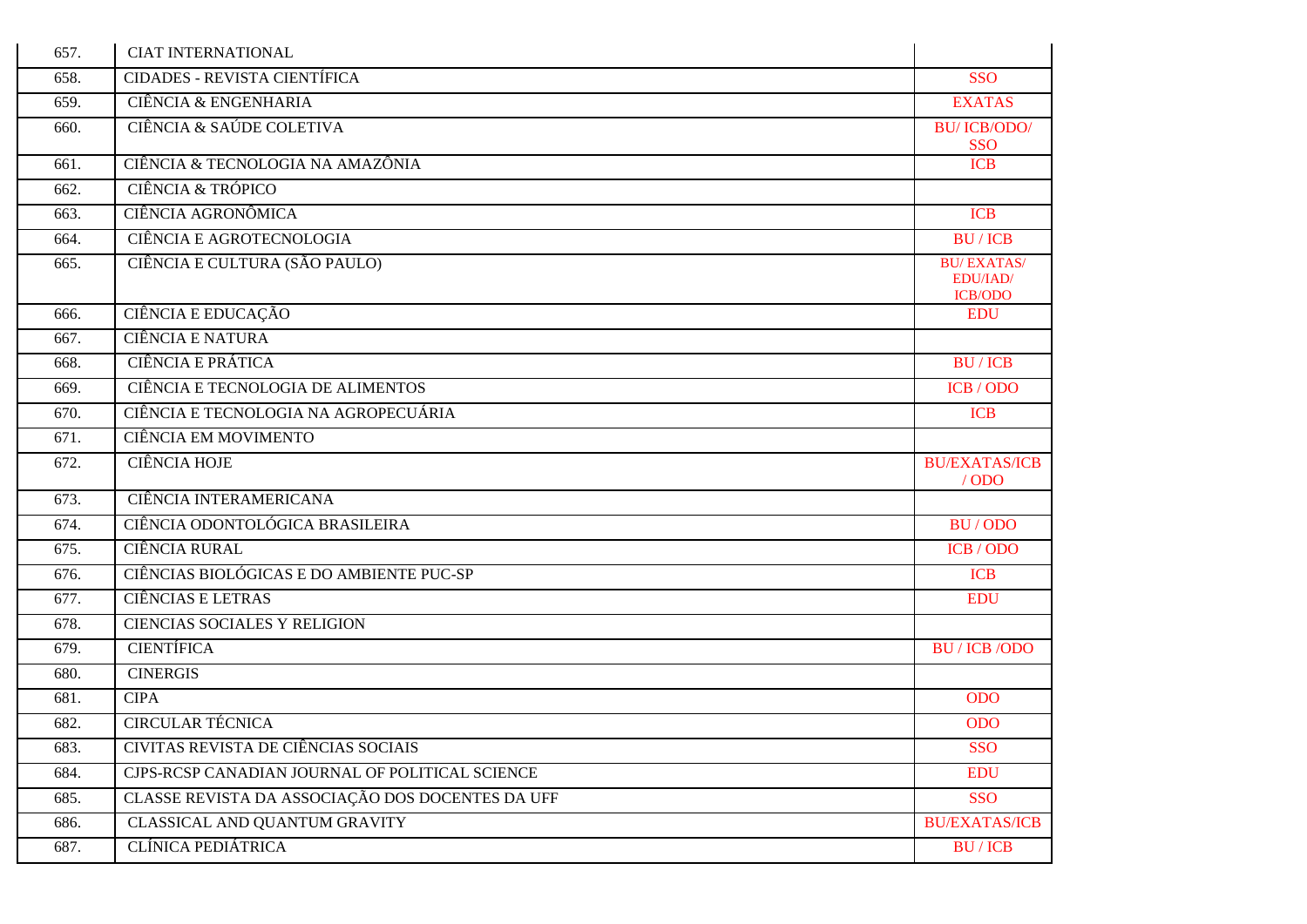| 657. | <b>CIAT INTERNATIONAL</b>                                  |                                                 |
|------|------------------------------------------------------------|-------------------------------------------------|
| 658. | <b>CIDADES - REVISTA CIENTÍFICA</b>                        | <b>SSO</b>                                      |
| 659. | CIÊNCIA & ENGENHARIA                                       | <b>EXATAS</b>                                   |
| 660. | CIÊNCIA & SAÚDE COLETIVA                                   | <b>BU/ICB/ODO/</b><br><b>SSO</b>                |
| 661. | CIÊNCIA & TECNOLOGIA NA AMAZÔNIA                           | <b>ICB</b>                                      |
| 662. | CIÊNCIA & TRÓPICO                                          |                                                 |
| 663. | CIÊNCIA AGRONÔMICA                                         | <b>ICB</b>                                      |
| 664. | <b>CIÊNCIA E AGROTECNOLOGIA</b>                            | <b>BU/ICB</b>                                   |
| 665. | CIÊNCIA E CULTURA (SÃO PAULO)                              | <b>BU/EXATAS/</b><br>EDU/IAD/<br><b>ICB/ODO</b> |
| 666. | CIÊNCIA E EDUCAÇÃO                                         | <b>EDU</b>                                      |
| 667. | <b>CIÊNCIA E NATURA</b>                                    |                                                 |
| 668. | <b>CIÊNCIA E PRÁTICA</b>                                   | <b>BU/ICB</b>                                   |
| 669. | CIÊNCIA E TECNOLOGIA DE ALIMENTOS                          | ICB / ODO                                       |
| 670. | CIÊNCIA E TECNOLOGIA NA AGROPECUÁRIA                       | <b>ICB</b>                                      |
| 671. | <b>CIÊNCIA EM MOVIMENTO</b>                                |                                                 |
| 672. | <b>CIÊNCIA HOJE</b>                                        | <b>BU/EXATAS/ICB</b><br>$/$ ODO                 |
| 673. | CIÊNCIA INTERAMERICANA                                     |                                                 |
|      |                                                            |                                                 |
| 674. | CIÊNCIA ODONTOLÓGICA BRASILEIRA                            | BU/ODO                                          |
| 675. | <b>CIÊNCIA RURAL</b>                                       | ICB/ODO                                         |
| 676. | CIÊNCIAS BIOLÓGICAS E DO AMBIENTE PUC-SP                   | <b>ICB</b>                                      |
| 677. | <b>CIÊNCIAS E LETRAS</b>                                   | <b>EDU</b>                                      |
| 678. | <b>CIENCIAS SOCIALES Y RELIGION</b>                        |                                                 |
| 679. | <b>CIENTÍFICA</b>                                          | <b>BU</b> / ICB / ODO                           |
| 680. | <b>CINERGIS</b>                                            |                                                 |
| 681. | <b>CIPA</b>                                                | <b>ODO</b>                                      |
| 682. | <b>CIRCULAR TÉCNICA</b>                                    | <b>ODO</b>                                      |
| 683. | CIVITAS REVISTA DE CIÊNCIAS SOCIAIS                        | <b>SSO</b>                                      |
| 684. | CJPS-RCSP CANADIAN JOURNAL OF POLITICAL SCIENCE            | <b>EDU</b>                                      |
| 685. | CLASSE REVISTA DA ASSOCIAÇÃO DOS DOCENTES DA UFF           | <b>SSO</b>                                      |
| 686. | CLASSICAL AND QUANTUM GRAVITY<br><b>CLÍNICA PEDIÁTRICA</b> | <b>BU/EXATAS/ICB</b>                            |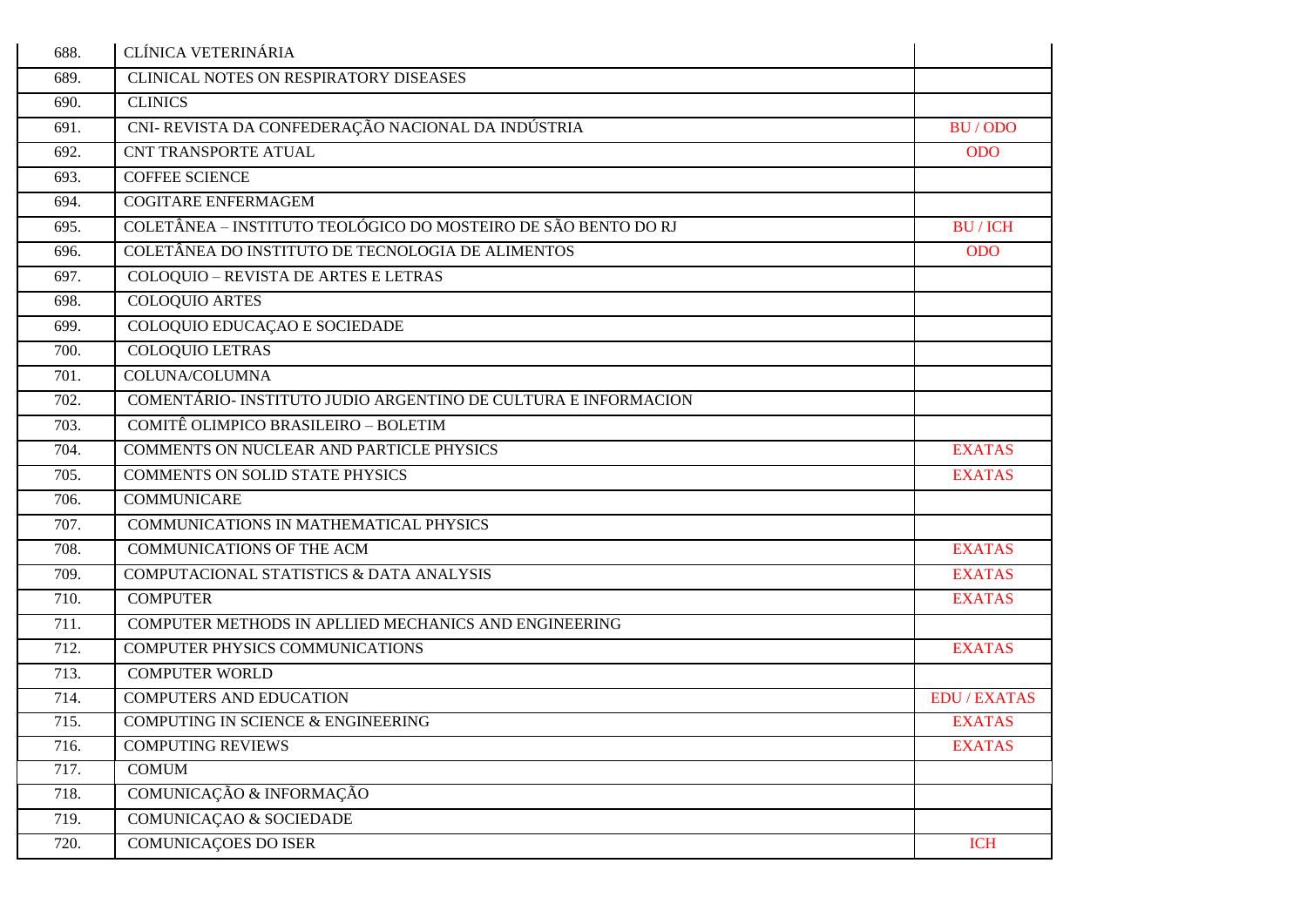| 688. | CLÍNICA VETERINÁRIA                                            |                     |
|------|----------------------------------------------------------------|---------------------|
| 689. | <b>CLINICAL NOTES ON RESPIRATORY DISEASES</b>                  |                     |
| 690. | <b>CLINICS</b>                                                 |                     |
| 691. | CNI- REVISTA DA CONFEDERAÇÃO NACIONAL DA INDÚSTRIA             | BU/ODO              |
| 692. | <b>CNT TRANSPORTE ATUAL</b>                                    | <b>ODO</b>          |
| 693. | <b>COFFEE SCIENCE</b>                                          |                     |
| 694. | <b>COGITARE ENFERMAGEM</b>                                     |                     |
| 695. | COLETÂNEA - INSTITUTO TEOLÓGICO DO MOSTEIRO DE SÃO BENTO DO RJ | <b>BU/ICH</b>       |
| 696. | COLETÂNEA DO INSTITUTO DE TECNOLOGIA DE ALIMENTOS              | <b>ODO</b>          |
| 697. | COLOQUIO - REVISTA DE ARTES E LETRAS                           |                     |
| 698. | <b>COLOQUIO ARTES</b>                                          |                     |
| 699. | COLOQUIO EDUCAÇÃO E SOCIEDADE                                  |                     |
| 700. | <b>COLOQUIO LETRAS</b>                                         |                     |
| 701. | COLUNA/COLUMNA                                                 |                     |
| 702. | COMENTÁRIO- INSTITUTO JUDIO ARGENTINO DE CULTURA E INFORMACION |                     |
| 703. | COMITÊ OLIMPICO BRASILEIRO - BOLETIM                           |                     |
| 704. | <b>COMMENTS ON NUCLEAR AND PARTICLE PHYSICS</b>                | <b>EXATAS</b>       |
| 705. | <b>COMMENTS ON SOLID STATE PHYSICS</b>                         | <b>EXATAS</b>       |
| 706. | <b>COMMUNICARE</b>                                             |                     |
| 707. | COMMUNICATIONS IN MATHEMATICAL PHYSICS                         |                     |
| 708. | <b>COMMUNICATIONS OF THE ACM</b>                               | <b>EXATAS</b>       |
| 709. | COMPUTACIONAL STATISTICS & DATA ANALYSIS                       | <b>EXATAS</b>       |
| 710. | <b>COMPUTER</b>                                                | <b>EXATAS</b>       |
| 711. | COMPUTER METHODS IN APLLIED MECHANICS AND ENGINEERING          |                     |
| 712. | COMPUTER PHYSICS COMMUNICATIONS                                | <b>EXATAS</b>       |
| 713. | <b>COMPUTER WORLD</b>                                          |                     |
| 714. | <b>COMPUTERS AND EDUCATION</b>                                 | <b>EDU / EXATAS</b> |
| 715. | COMPUTING IN SCIENCE & ENGINEERING                             | <b>EXATAS</b>       |
| 716. | <b>COMPUTING REVIEWS</b>                                       | <b>EXATAS</b>       |
| 717. | <b>COMUM</b>                                                   |                     |
| 718. | COMUNICAÇÃO & INFORMAÇÃO                                       |                     |
| 719. | COMUNICAÇÃO & SOCIEDADE                                        |                     |
| 720. | <b>COMUNICAÇOES DO ISER</b>                                    | <b>ICH</b>          |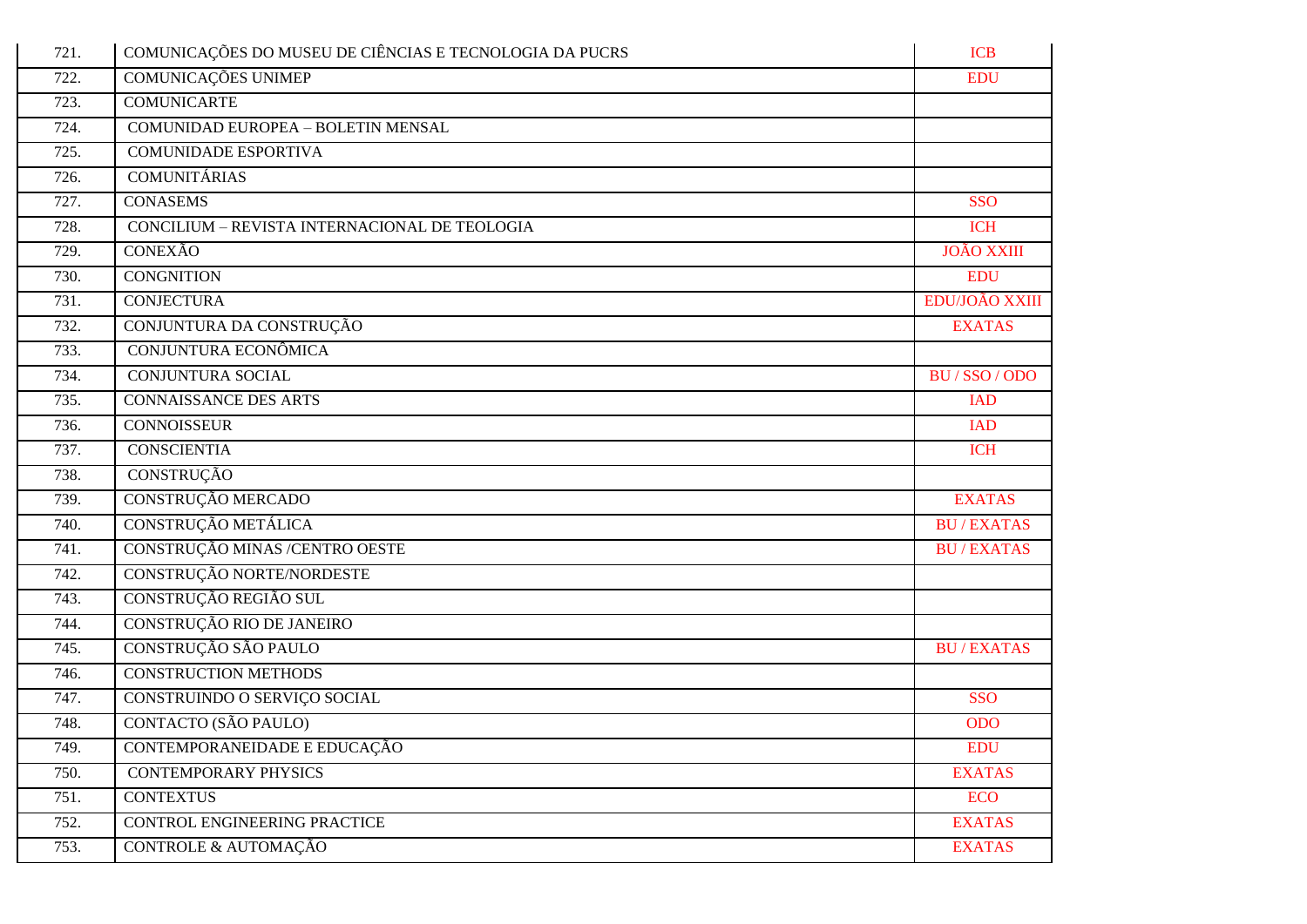| 721. | COMUNICAÇÕES DO MUSEU DE CIÊNCIAS E TECNOLOGIA DA PUCRS | <b>ICB</b>        |
|------|---------------------------------------------------------|-------------------|
| 722. | COMUNICAÇÕES UNIMEP                                     | <b>EDU</b>        |
| 723. | <b>COMUNICARTE</b>                                      |                   |
| 724. | COMUNIDAD EUROPEA - BOLETIN MENSAL                      |                   |
| 725. | <b>COMUNIDADE ESPORTIVA</b>                             |                   |
| 726. | <b>COMUNITÁRIAS</b>                                     |                   |
| 727. | <b>CONASEMS</b>                                         | <b>SSO</b>        |
| 728. | CONCILIUM - REVISTA INTERNACIONAL DE TEOLOGIA           | <b>ICH</b>        |
| 729. | <b>CONEXÃO</b>                                          | <b>JOÃO XXIII</b> |
| 730. | <b>CONGNITION</b>                                       | <b>EDU</b>        |
| 731. | <b>CONJECTURA</b>                                       | EDU/JOÃO XXIII    |
| 732. | CONJUNTURA DA CONSTRUÇÃO                                | <b>EXATAS</b>     |
| 733. | CONJUNTURA ECONÔMICA                                    |                   |
| 734. | <b>CONJUNTURA SOCIAL</b>                                | BU/SSO/ODO        |
| 735. | <b>CONNAISSANCE DES ARTS</b>                            | <b>IAD</b>        |
| 736. | <b>CONNOISSEUR</b>                                      | <b>IAD</b>        |
| 737. | <b>CONSCIENTIA</b>                                      | <b>ICH</b>        |
| 738. | <b>CONSTRUÇÃO</b>                                       |                   |
| 739. | CONSTRUÇÃO MERCADO                                      | <b>EXATAS</b>     |
| 740. | CONSTRUÇÃO METÁLICA                                     | <b>BU/EXATAS</b>  |
| 741. | CONSTRUÇÃO MINAS /CENTRO OESTE                          | <b>BU/EXATAS</b>  |
| 742. | CONSTRUÇÃO NORTE/NORDESTE                               |                   |
| 743. | CONSTRUÇÃO REGIÃO SUL                                   |                   |
| 744. | CONSTRUÇÃO RIO DE JANEIRO                               |                   |
| 745. | CONSTRUÇÃO SÃO PAULO                                    | <b>BU/EXATAS</b>  |
| 746. | <b>CONSTRUCTION METHODS</b>                             |                   |
| 747. | CONSTRUINDO O SERVIÇO SOCIAL                            | <b>SSO</b>        |
| 748. | CONTACTO (SÃO PAULO)                                    | <b>ODO</b>        |
| 749. | CONTEMPORANEIDADE E EDUCAÇÃO                            | <b>EDU</b>        |
| 750. | <b>CONTEMPORARY PHYSICS</b>                             | <b>EXATAS</b>     |
| 751. | <b>CONTEXTUS</b>                                        | <b>ECO</b>        |
| 752. | CONTROL ENGINEERING PRACTICE                            | <b>EXATAS</b>     |
| 753. | CONTROLE & AUTOMAÇÃO                                    | <b>EXATAS</b>     |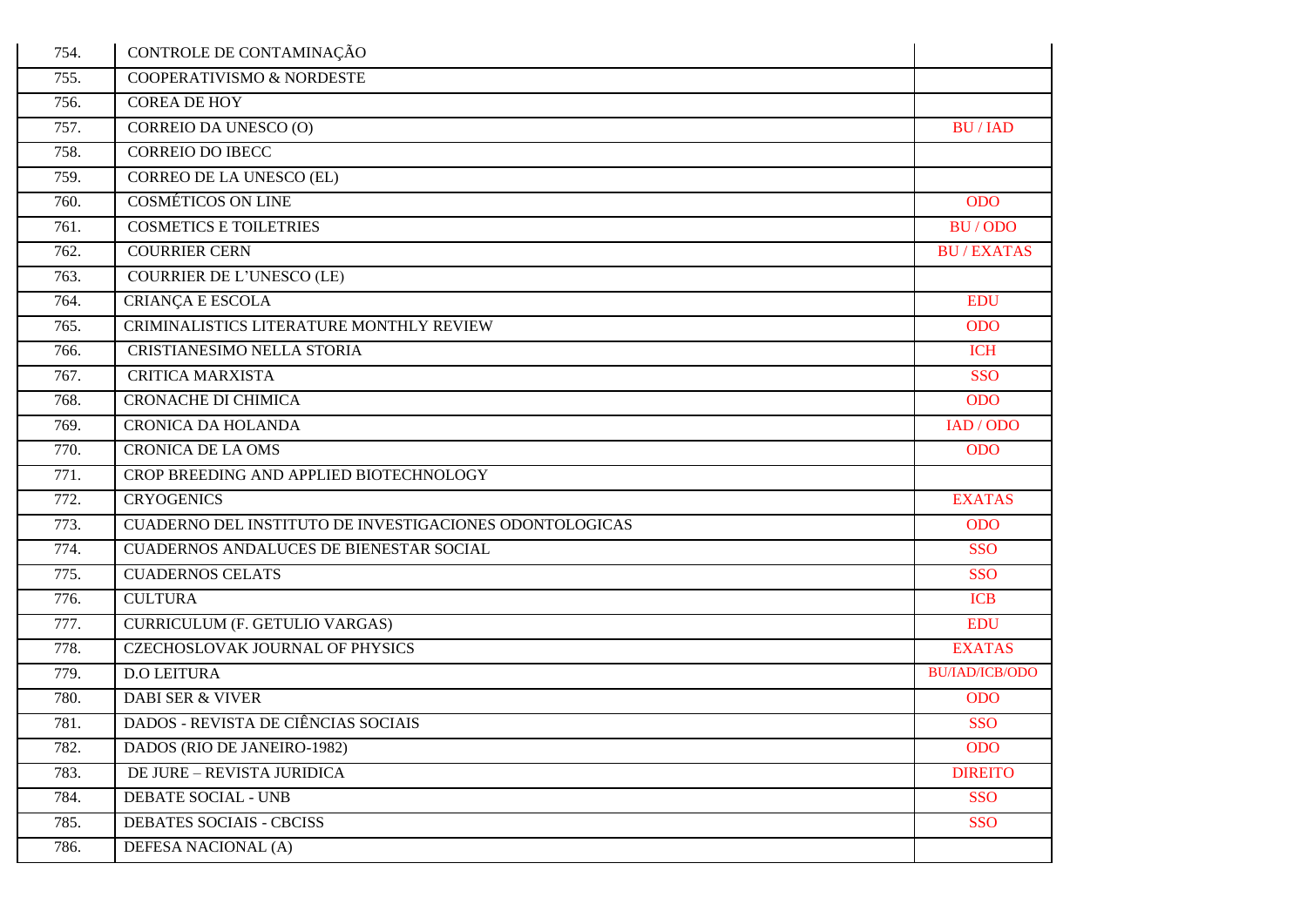| 754. | CONTROLE DE CONTAMINAÇÃO                                |                       |
|------|---------------------------------------------------------|-----------------------|
| 755. | COOPERATIVISMO & NORDESTE                               |                       |
| 756. | <b>COREA DE HOY</b>                                     |                       |
| 757. | CORREIO DA UNESCO (O)                                   | <b>BU/IAD</b>         |
| 758. | <b>CORREIO DO IBECC</b>                                 |                       |
| 759. | <b>CORREO DE LA UNESCO (EL)</b>                         |                       |
| 760. | <b>COSMÉTICOS ON LINE</b>                               | <b>ODO</b>            |
| 761. | <b>COSMETICS E TOILETRIES</b>                           | BU/ODO                |
| 762. | <b>COURRIER CERN</b>                                    | <b>BU/EXATAS</b>      |
| 763. | <b>COURRIER DE L'UNESCO (LE)</b>                        |                       |
| 764. | <b>CRIANÇA E ESCOLA</b>                                 | <b>EDU</b>            |
| 765. | CRIMINALISTICS LITERATURE MONTHLY REVIEW                | <b>ODO</b>            |
| 766. | CRISTIANESIMO NELLA STORIA                              | <b>ICH</b>            |
| 767. | <b>CRITICA MARXISTA</b>                                 | <b>SSO</b>            |
| 768. | <b>CRONACHE DI CHIMICA</b>                              | <b>ODO</b>            |
| 769. | <b>CRONICA DA HOLANDA</b>                               | IAD / ODO             |
| 770. | <b>CRONICA DE LA OMS</b>                                | <b>ODO</b>            |
| 771. | CROP BREEDING AND APPLIED BIOTECHNOLOGY                 |                       |
| 772. | <b>CRYOGENICS</b>                                       | <b>EXATAS</b>         |
| 773. | CUADERNO DEL INSTITUTO DE INVESTIGACIONES ODONTOLOGICAS | <b>ODO</b>            |
| 774. | CUADERNOS ANDALUCES DE BIENESTAR SOCIAL                 | <b>SSO</b>            |
| 775. | <b>CUADERNOS CELATS</b>                                 | <b>SSO</b>            |
| 776. | <b>CULTURA</b>                                          | <b>ICB</b>            |
| 777. | <b>CURRICULUM (F. GETULIO VARGAS)</b>                   | <b>EDU</b>            |
| 778. | CZECHOSLOVAK JOURNAL OF PHYSICS                         | <b>EXATAS</b>         |
| 779. | <b>D.O LEITURA</b>                                      | <b>BU/IAD/ICB/ODO</b> |
| 780. | <b>DABI SER &amp; VIVER</b>                             | <b>ODO</b>            |
| 781. | DADOS - REVISTA DE CIÊNCIAS SOCIAIS                     | <b>SSO</b>            |
| 782. | DADOS (RIO DE JANEIRO-1982)                             | <b>ODO</b>            |
| 783. | <b>DE JURE - REVISTA JURIDICA</b>                       | <b>DIREITO</b>        |
| 784. | DEBATE SOCIAL - UNB                                     | <b>SSO</b>            |
| 785. | DEBATES SOCIAIS - CBCISS                                | <b>SSO</b>            |
| 786. | DEFESA NACIONAL (A)                                     |                       |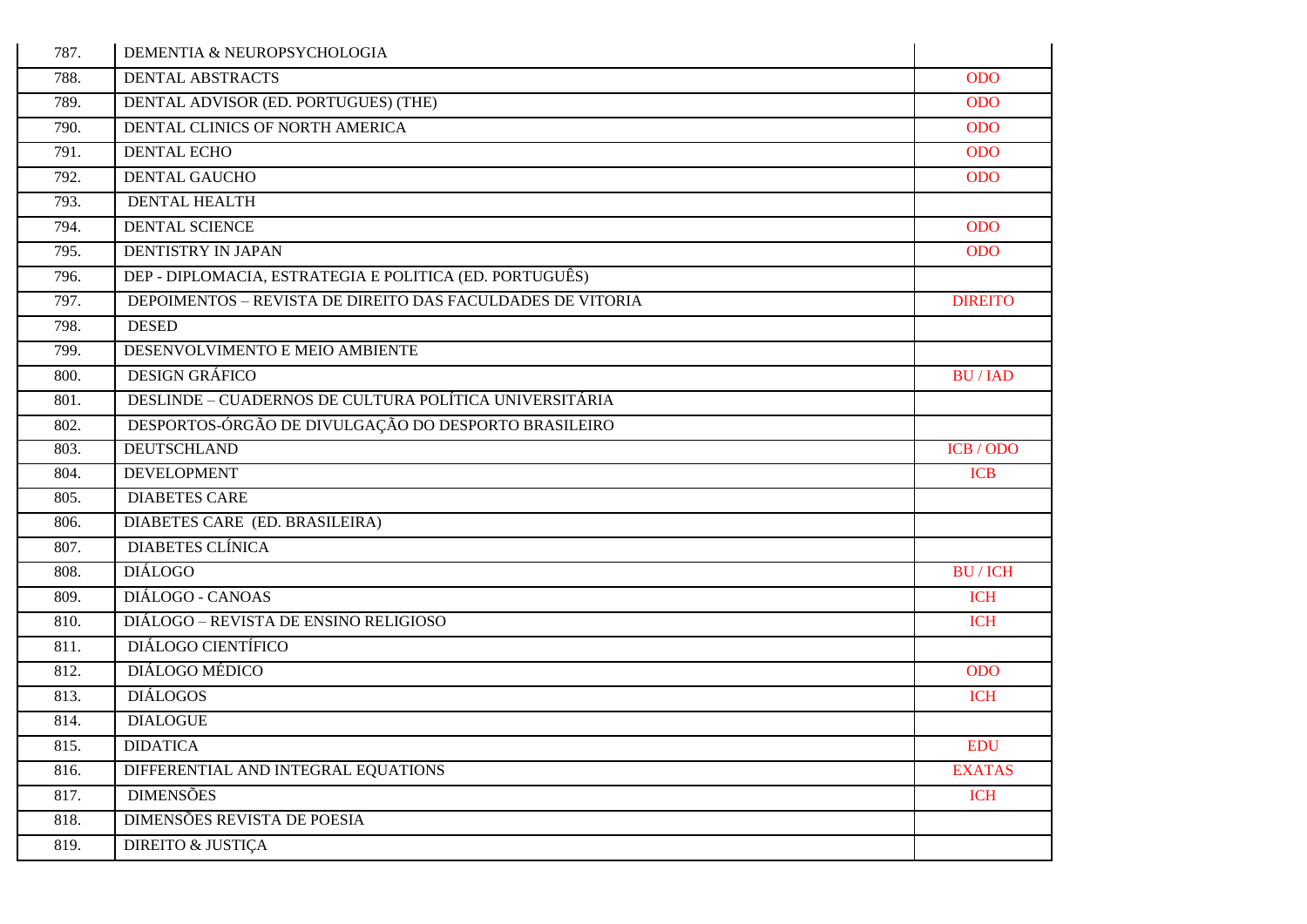| 787. | DEMENTIA & NEUROPSYCHOLOGIA                                |                |
|------|------------------------------------------------------------|----------------|
| 788. | <b>DENTAL ABSTRACTS</b>                                    | <b>ODO</b>     |
| 789. | DENTAL ADVISOR (ED. PORTUGUES) (THE)                       | <b>ODO</b>     |
| 790. | DENTAL CLINICS OF NORTH AMERICA                            | <b>ODO</b>     |
| 791. | <b>DENTAL ECHO</b>                                         | <b>ODO</b>     |
| 792. | <b>DENTAL GAUCHO</b>                                       | <b>ODO</b>     |
| 793. | <b>DENTAL HEALTH</b>                                       |                |
| 794. | <b>DENTAL SCIENCE</b>                                      | <b>ODO</b>     |
| 795. | DENTISTRY IN JAPAN                                         | <b>ODO</b>     |
| 796. | DEP - DIPLOMACIA, ESTRATEGIA E POLITICA (ED. PORTUGUÊS)    |                |
| 797. | DEPOIMENTOS - REVISTA DE DIREITO DAS FACULDADES DE VITORIA | <b>DIREITO</b> |
| 798. | <b>DESED</b>                                               |                |
| 799. | DESENVOLVIMENTO E MEIO AMBIENTE                            |                |
| 800. | <b>DESIGN GRÁFICO</b>                                      | <b>BU/IAD</b>  |
| 801. | DESLINDE – CUADERNOS DE CULTURA POLÍTICA UNIVERSITÁRIA     |                |
| 802. | DESPORTOS-ÓRGÃO DE DIVULGAÇÃO DO DESPORTO BRASILEIRO       |                |
| 803. | <b>DEUTSCHLAND</b>                                         | ICB/ODO        |
| 804. | <b>DEVELOPMENT</b>                                         | <b>ICB</b>     |
| 805. | <b>DIABETES CARE</b>                                       |                |
| 806. | DIABETES CARE (ED. BRASILEIRA)                             |                |
| 807. | <b>DIABETES CLÍNICA</b>                                    |                |
| 808. | <b>DIÁLOGO</b>                                             | <b>BU/ICH</b>  |
| 809. | DIÁLOGO - CANOAS                                           | <b>ICH</b>     |
| 810. | DIÁLOGO – REVISTA DE ENSINO RELIGIOSO                      | <b>ICH</b>     |
| 811. | DIÁLOGO CIENTÍFICO                                         |                |
| 812. | DIÁLOGO MÉDICO                                             | <b>ODO</b>     |
| 813. | <b>DIÁLOGOS</b>                                            | <b>ICH</b>     |
| 814. | <b>DIALOGUE</b>                                            |                |
| 815. | <b>DIDATICA</b>                                            | <b>EDU</b>     |
| 816. | DIFFERENTIAL AND INTEGRAL EQUATIONS                        | <b>EXATAS</b>  |
| 817. | <b>DIMENSÕES</b>                                           | <b>ICH</b>     |
| 818. | DIMENSÕES REVISTA DE POESIA                                |                |
| 819. | <b>DIREITO &amp; JUSTIÇA</b>                               |                |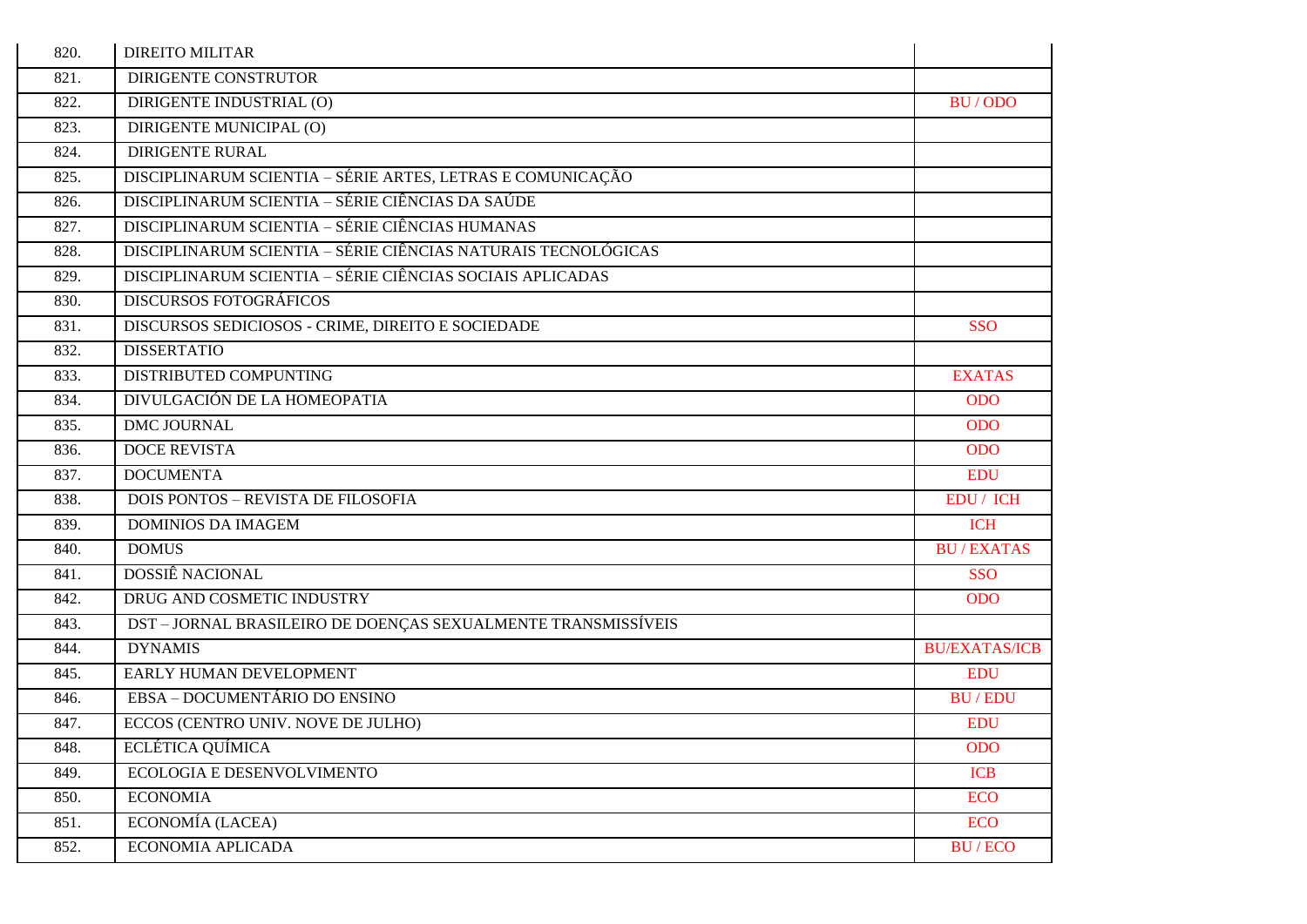| 820. | <b>DIREITO MILITAR</b>                                        |                      |
|------|---------------------------------------------------------------|----------------------|
| 821. | <b>DIRIGENTE CONSTRUTOR</b>                                   |                      |
| 822. | DIRIGENTE INDUSTRIAL (O)                                      | BU/ODO               |
| 823. | DIRIGENTE MUNICIPAL (O)                                       |                      |
| 824. | <b>DIRIGENTE RURAL</b>                                        |                      |
| 825. | DISCIPLINARUM SCIENTIA - SÉRIE ARTES, LETRAS E COMUNICAÇÃO    |                      |
| 826. | DISCIPLINARUM SCIENTIA – SÉRIE CIÊNCIAS DA SAÚDE              |                      |
| 827. | DISCIPLINARUM SCIENTIA - SÉRIE CIÊNCIAS HUMANAS               |                      |
| 828. | DISCIPLINARUM SCIENTIA - SÉRIE CIÊNCIAS NATURAIS TECNOLÓGICAS |                      |
| 829. | DISCIPLINARUM SCIENTIA – SÉRIE CIÊNCIAS SOCIAIS APLICADAS     |                      |
| 830. | <b>DISCURSOS FOTOGRÁFICOS</b>                                 |                      |
| 831. | DISCURSOS SEDICIOSOS - CRIME, DIREITO E SOCIEDADE             | <b>SSO</b>           |
| 832. | <b>DISSERTATIO</b>                                            |                      |
| 833. | DISTRIBUTED COMPUNTING                                        | <b>EXATAS</b>        |
| 834. | DIVULGACIÓN DE LA HOMEOPATIA                                  | <b>ODO</b>           |
| 835. | <b>DMC JOURNAL</b>                                            | <b>ODO</b>           |
| 836. | <b>DOCE REVISTA</b>                                           | <b>ODO</b>           |
| 837. | <b>DOCUMENTA</b>                                              | <b>EDU</b>           |
| 838. | <b>DOIS PONTOS - REVISTA DE FILOSOFIA</b>                     | EDU / ICH            |
| 839. | <b>DOMINIOS DA IMAGEM</b>                                     | <b>ICH</b>           |
| 840. | <b>DOMUS</b>                                                  | <b>BU/EXATAS</b>     |
| 841. | <b>DOSSIÊ NACIONAL</b>                                        | <b>SSO</b>           |
| 842. | DRUG AND COSMETIC INDUSTRY                                    | <b>ODO</b>           |
| 843. | DST - JORNAL BRASILEIRO DE DOENÇAS SEXUALMENTE TRANSMISSÍVEIS |                      |
| 844. | <b>DYNAMIS</b>                                                | <b>BU/EXATAS/ICB</b> |
| 845. | EARLY HUMAN DEVELOPMENT                                       | <b>EDU</b>           |
| 846. | EBSA – DOCUMENTÁRIO DO ENSINO                                 | <b>BU/EDU</b>        |
| 847. | ECCOS (CENTRO UNIV. NOVE DE JULHO)                            | <b>EDU</b>           |
| 848. | ECLÉTICA QUÍMICA                                              | <b>ODO</b>           |
| 849. | ECOLOGIA E DESENVOLVIMENTO                                    | <b>ICB</b>           |
| 850. | <b>ECONOMIA</b>                                               | <b>ECO</b>           |
| 851. | ECONOMÍA (LACEA)                                              | <b>ECO</b>           |
| 852. | ECONOMIA APLICADA                                             | <b>BU/ECO</b>        |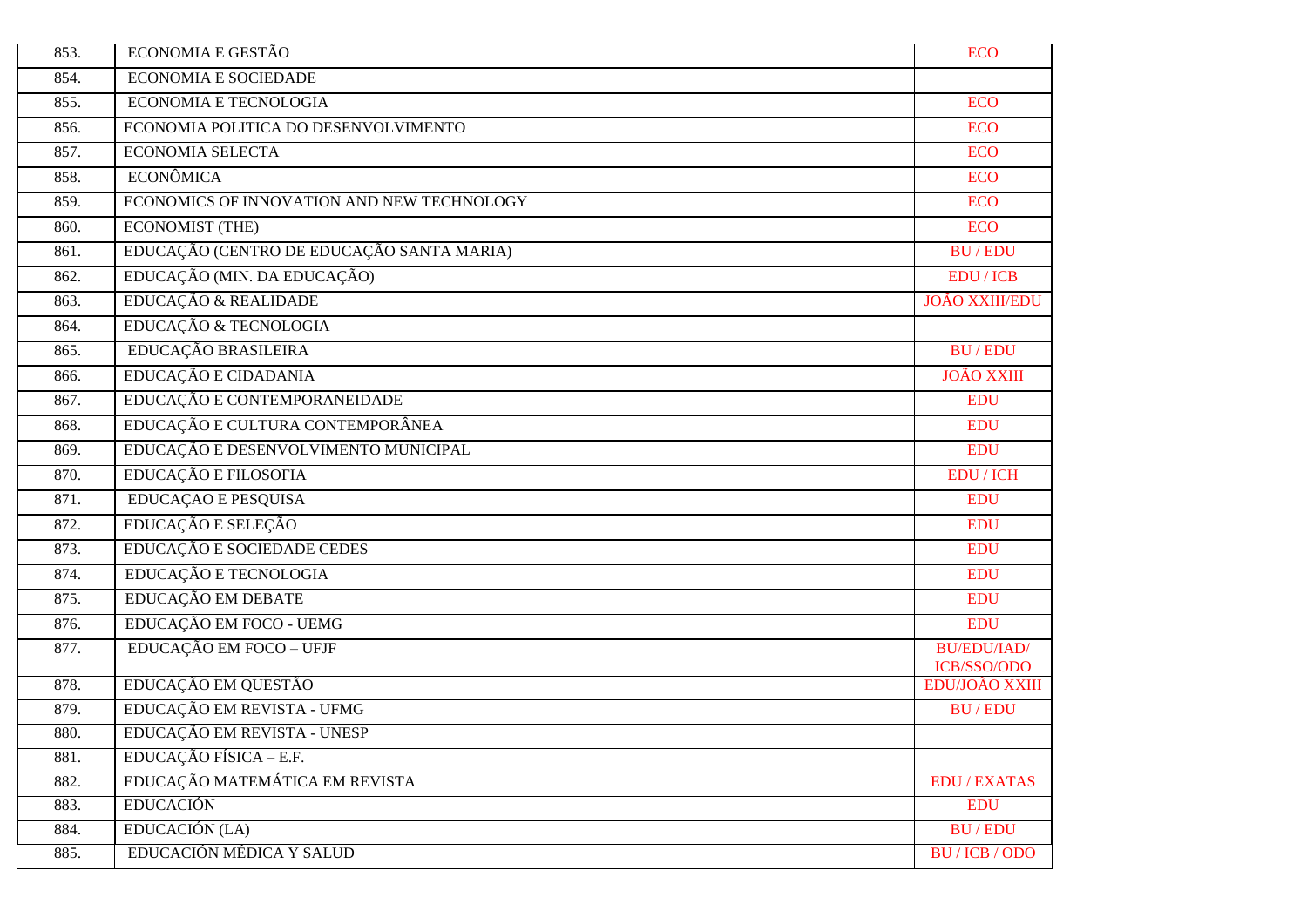| 853. | <b>ECONOMIA E GESTÃO</b>                   | <b>ECO</b>                        |
|------|--------------------------------------------|-----------------------------------|
| 854. | ECONOMIA E SOCIEDADE                       |                                   |
| 855. | <b>ECONOMIA E TECNOLOGIA</b>               | <b>ECO</b>                        |
| 856. | ECONOMIA POLITICA DO DESENVOLVIMENTO       | <b>ECO</b>                        |
| 857. | <b>ECONOMIA SELECTA</b>                    | <b>ECO</b>                        |
| 858. | <b>ECONÔMICA</b>                           | <b>ECO</b>                        |
| 859. | ECONOMICS OF INNOVATION AND NEW TECHNOLOGY | <b>ECO</b>                        |
| 860. | <b>ECONOMIST (THE)</b>                     | <b>ECO</b>                        |
| 861. | EDUCAÇÃO (CENTRO DE EDUCAÇÃO SANTA MARIA)  | <b>BU/EDU</b>                     |
| 862. | EDUCAÇÃO (MIN. DA EDUCAÇÃO)                | <b>EDU</b> / <b>ICB</b>           |
| 863. | EDUCAÇÃO & REALIDADE                       | <b>JOÃO XXIII/EDU</b>             |
| 864. | EDUCAÇÃO & TECNOLOGIA                      |                                   |
| 865. | EDUCAÇÃO BRASILEIRA                        | <b>BU/EDU</b>                     |
| 866. | EDUCAÇÃO E CIDADANIA                       | <b>JOÃO XXIII</b>                 |
| 867. | EDUCAÇÃO E CONTEMPORANEIDADE               | <b>EDU</b>                        |
| 868. | EDUCAÇÃO E CULTURA CONTEMPORÂNEA           | <b>EDU</b>                        |
| 869. | EDUCAÇÃO E DESENVOLVIMENTO MUNICIPAL       | <b>EDU</b>                        |
| 870. | EDUCAÇÃO E FILOSOFIA                       | <b>EDU</b> / ICH                  |
| 871. | <b>EDUCAÇÃO E PESQUISA</b>                 | <b>EDU</b>                        |
| 872. | EDUCAÇÃO E SELEÇÃO                         | <b>EDU</b>                        |
| 873. | EDUCAÇÃO E SOCIEDADE CEDES                 | <b>EDU</b>                        |
| 874. | EDUCAÇÃO E TECNOLOGIA                      | <b>EDU</b>                        |
| 875. | EDUCAÇÃO EM DEBATE                         | <b>EDU</b>                        |
| 876. | EDUCAÇÃO EM FOCO - UEMG                    | <b>EDU</b>                        |
| 877. | EDUCAÇÃO EM FOCO - UFJF                    | <b>BU/EDU/IAD/</b><br>ICB/SSO/ODO |
| 878. | EDUCAÇÃO EM QUESTÃO                        | EDU/JOÃO XXIII                    |
| 879. | EDUCAÇÃO EM REVISTA - UFMG                 | <b>BU/EDU</b>                     |
| 880. | EDUCAÇÃO EM REVISTA - UNESP                |                                   |
| 881. | EDUCAÇÃO FÍSICA - E.F.                     |                                   |
| 882. | EDUCAÇÃO MATEMÁTICA EM REVISTA             | <b>EDU/EXATAS</b>                 |
| 883. | <b>EDUCACIÓN</b>                           | <b>EDU</b>                        |
| 884. | EDUCACIÓN (LA)                             | <b>BU/EDU</b>                     |
| 885. | EDUCACIÓN MÉDICA Y SALUD                   | <b>BU/ICB/ODO</b>                 |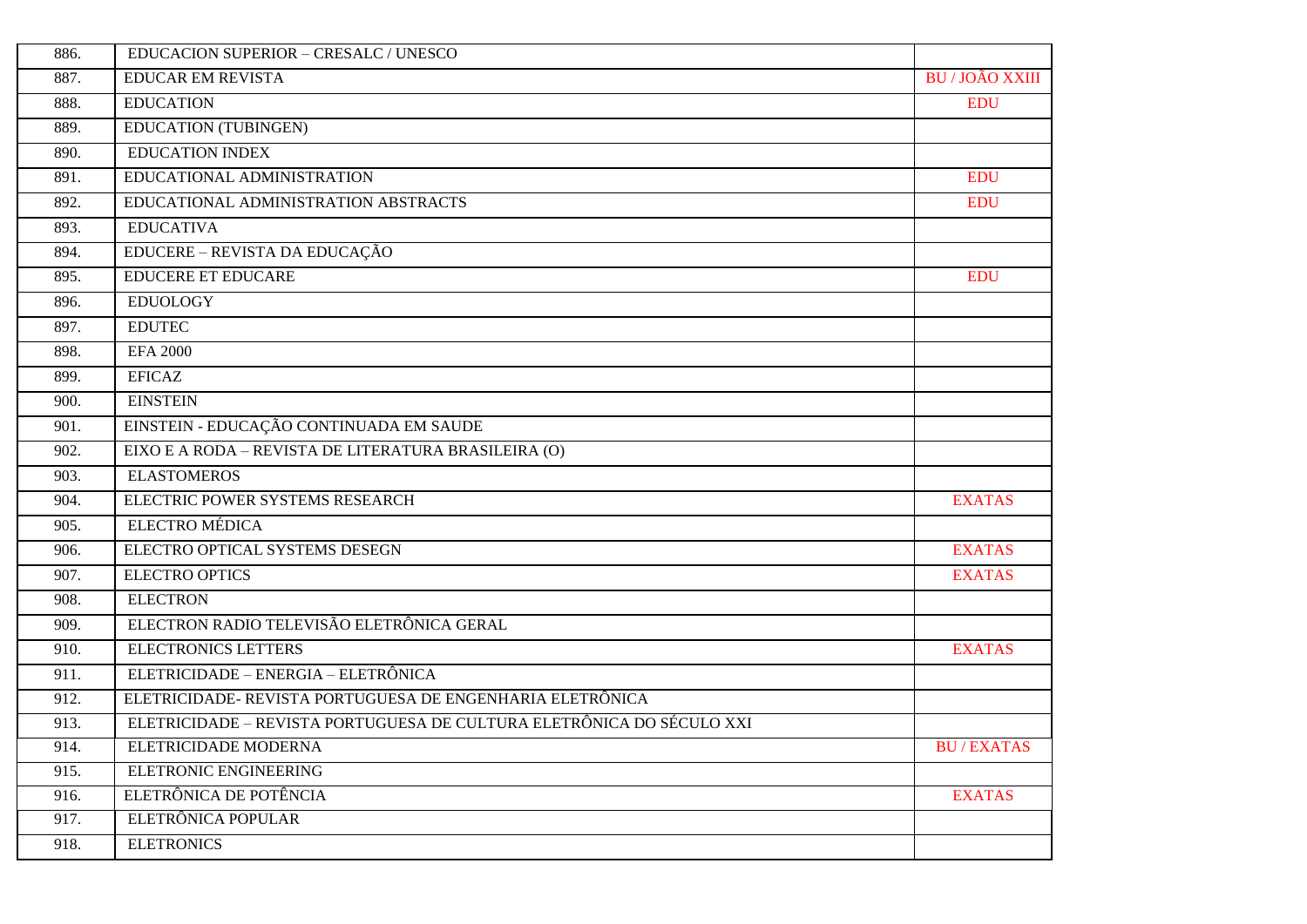| 886. | EDUCACION SUPERIOR - CRESALC / UNESCO                                 |                      |
|------|-----------------------------------------------------------------------|----------------------|
| 887. | <b>EDUCAR EM REVISTA</b>                                              | <b>BU/JOÃO XXIII</b> |
| 888. | <b>EDUCATION</b>                                                      | <b>EDU</b>           |
| 889. | <b>EDUCATION (TUBINGEN)</b>                                           |                      |
| 890. | <b>EDUCATION INDEX</b>                                                |                      |
| 891. | EDUCATIONAL ADMINISTRATION                                            | <b>EDU</b>           |
| 892. | EDUCATIONAL ADMINISTRATION ABSTRACTS                                  | <b>EDU</b>           |
| 893. | <b>EDUCATIVA</b>                                                      |                      |
| 894. | EDUCERE – REVISTA DA EDUCAÇÃO                                         |                      |
| 895. | <b>EDUCERE ET EDUCARE</b>                                             | <b>EDU</b>           |
| 896. | <b>EDUOLOGY</b>                                                       |                      |
| 897. | <b>EDUTEC</b>                                                         |                      |
| 898. | <b>EFA 2000</b>                                                       |                      |
| 899. | <b>EFICAZ</b>                                                         |                      |
| 900. | <b>EINSTEIN</b>                                                       |                      |
| 901. | EINSTEIN - EDUCAÇÃO CONTINUADA EM SAUDE                               |                      |
| 902. | EIXO E A RODA – REVISTA DE LITERATURA BRASILEIRA (O)                  |                      |
| 903. | <b>ELASTOMEROS</b>                                                    |                      |
| 904. | ELECTRIC POWER SYSTEMS RESEARCH                                       | <b>EXATAS</b>        |
| 905. | <b>ELECTRO MÉDICA</b>                                                 |                      |
| 906. | ELECTRO OPTICAL SYSTEMS DESEGN                                        | <b>EXATAS</b>        |
| 907. | <b>ELECTRO OPTICS</b>                                                 | <b>EXATAS</b>        |
| 908. | <b>ELECTRON</b>                                                       |                      |
| 909. | ELECTRON RADIO TELEVISÃO ELETRÔNICA GERAL                             |                      |
| 910. | <b>ELECTRONICS LETTERS</b>                                            | <b>EXATAS</b>        |
| 911. | ELETRICIDADE - ENERGIA - ELETRÔNICA                                   |                      |
| 912. | ELETRICIDADE- REVISTA PORTUGUESA DE ENGENHARIA ELETRÔNICA             |                      |
| 913. | ELETRICIDADE – REVISTA PORTUGUESA DE CULTURA ELETRÔNICA DO SÉCULO XXI |                      |
| 914. | ELETRICIDADE MODERNA                                                  | <b>BU/EXATAS</b>     |
| 915. | ELETRONIC ENGINEERING                                                 |                      |
| 916. | ELETRÔNICA DE POTÊNCIA                                                | <b>EXATAS</b>        |
| 917. | ELETRÔNICA POPULAR                                                    |                      |
| 918. | <b>ELETRONICS</b>                                                     |                      |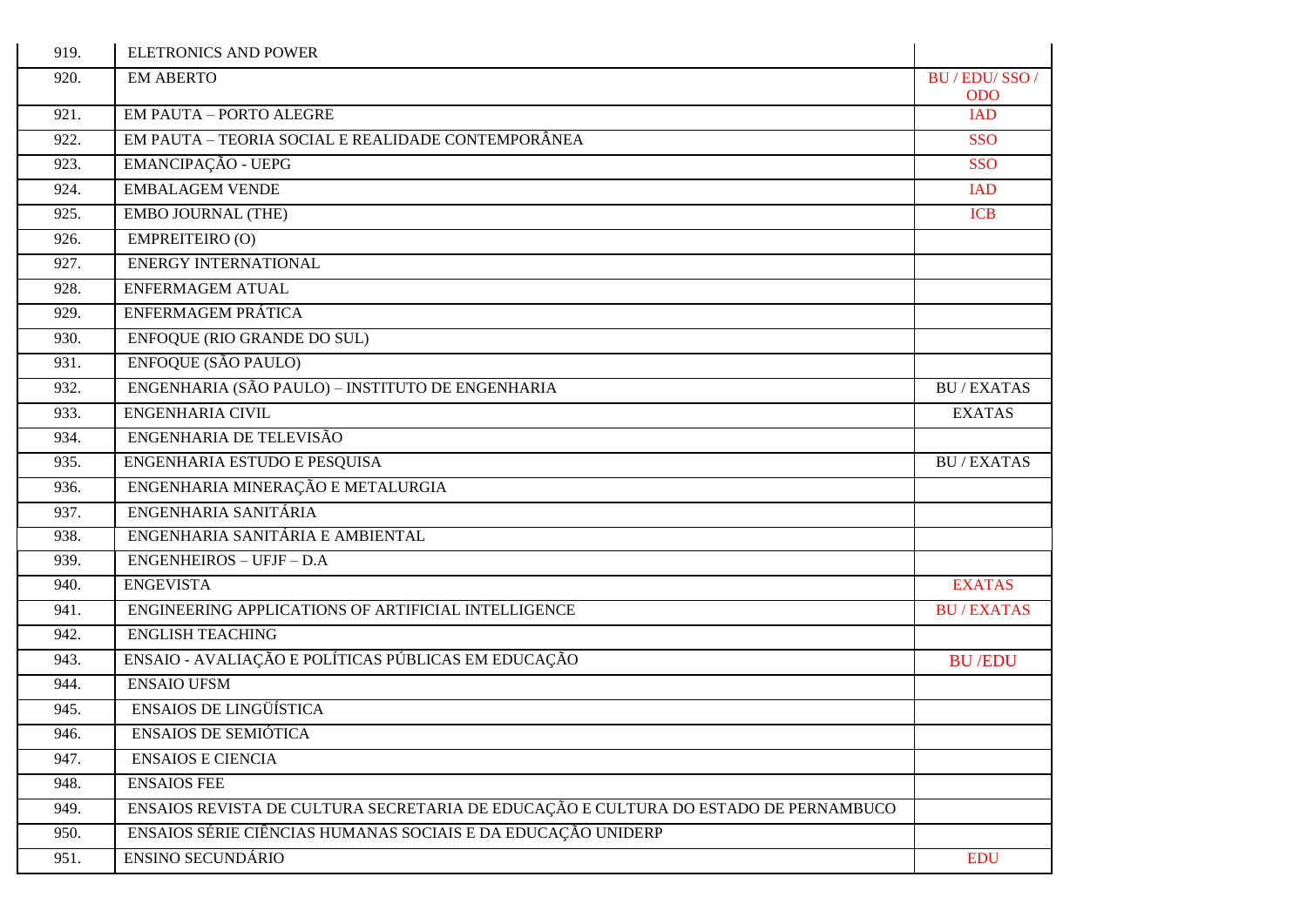| 919. | <b>ELETRONICS AND POWER</b>                                                         |                          |
|------|-------------------------------------------------------------------------------------|--------------------------|
| 920. | <b>EM ABERTO</b>                                                                    | BU / EDU/ SSO /          |
| 921. | <b>EM PAUTA - PORTO ALEGRE</b>                                                      | <b>ODO</b><br><b>IAD</b> |
| 922. | EM PAUTA - TEORIA SOCIAL E REALIDADE CONTEMPORÂNEA                                  | <b>SSO</b>               |
| 923. | EMANCIPAÇÃO - UEPG                                                                  | <b>SSO</b>               |
| 924. | <b>EMBALAGEM VENDE</b>                                                              | <b>IAD</b>               |
| 925. | EMBO JOURNAL (THE)                                                                  | <b>ICB</b>               |
| 926. | EMPREITEIRO (O)                                                                     |                          |
| 927. | <b>ENERGY INTERNATIONAL</b>                                                         |                          |
| 928. | <b>ENFERMAGEM ATUAL</b>                                                             |                          |
| 929. | ENFERMAGEM PRÁTICA                                                                  |                          |
| 930. | ENFOQUE (RIO GRANDE DO SUL)                                                         |                          |
| 931. | <b>ENFOQUE (SÃO PAULO)</b>                                                          |                          |
| 932. | ENGENHARIA (SÃO PAULO) - INSTITUTO DE ENGENHARIA                                    | <b>BU/EXATAS</b>         |
| 933. | ENGENHARIA CIVIL                                                                    | <b>EXATAS</b>            |
| 934. | ENGENHARIA DE TELEVISÃO                                                             |                          |
| 935. | ENGENHARIA ESTUDO E PESQUISA                                                        | <b>BU/EXATAS</b>         |
| 936. | ENGENHARIA MINERAÇÃO E METALURGIA                                                   |                          |
| 937. | ENGENHARIA SANITÁRIA                                                                |                          |
| 938. | ENGENHARIA SANITÁRIA E AMBIENTAL                                                    |                          |
| 939. | <b>ENGENHEIROS - UFJF - D.A</b>                                                     |                          |
| 940. | <b>ENGEVISTA</b>                                                                    | <b>EXATAS</b>            |
| 941. | ENGINEERING APPLICATIONS OF ARTIFICIAL INTELLIGENCE                                 | <b>BU/EXATAS</b>         |
| 942. | <b>ENGLISH TEACHING</b>                                                             |                          |
| 943. | ENSAIO - AVALIAÇÃO E POLÍTICAS PÚBLICAS EM EDUCAÇÃO                                 | <b>BU/EDU</b>            |
| 944. | <b>ENSAIO UFSM</b>                                                                  |                          |
| 945. | <b>ENSAIOS DE LINGÜÍSTICA</b>                                                       |                          |
| 946. | <b>ENSAIOS DE SEMIÓTICA</b>                                                         |                          |
| 947. | <b>ENSAIOS E CIENCIA</b>                                                            |                          |
| 948. | <b>ENSAIOS FEE</b>                                                                  |                          |
| 949. | ENSAIOS REVISTA DE CULTURA SECRETARIA DE EDUCAÇÃO E CULTURA DO ESTADO DE PERNAMBUCO |                          |
| 950. | ENSAIOS SÉRIE CIÊNCIAS HUMANAS SOCIAIS E DA EDUCAÇÃO UNIDERP                        |                          |
| 951. | ENSINO SECUNDÁRIO                                                                   | <b>EDU</b>               |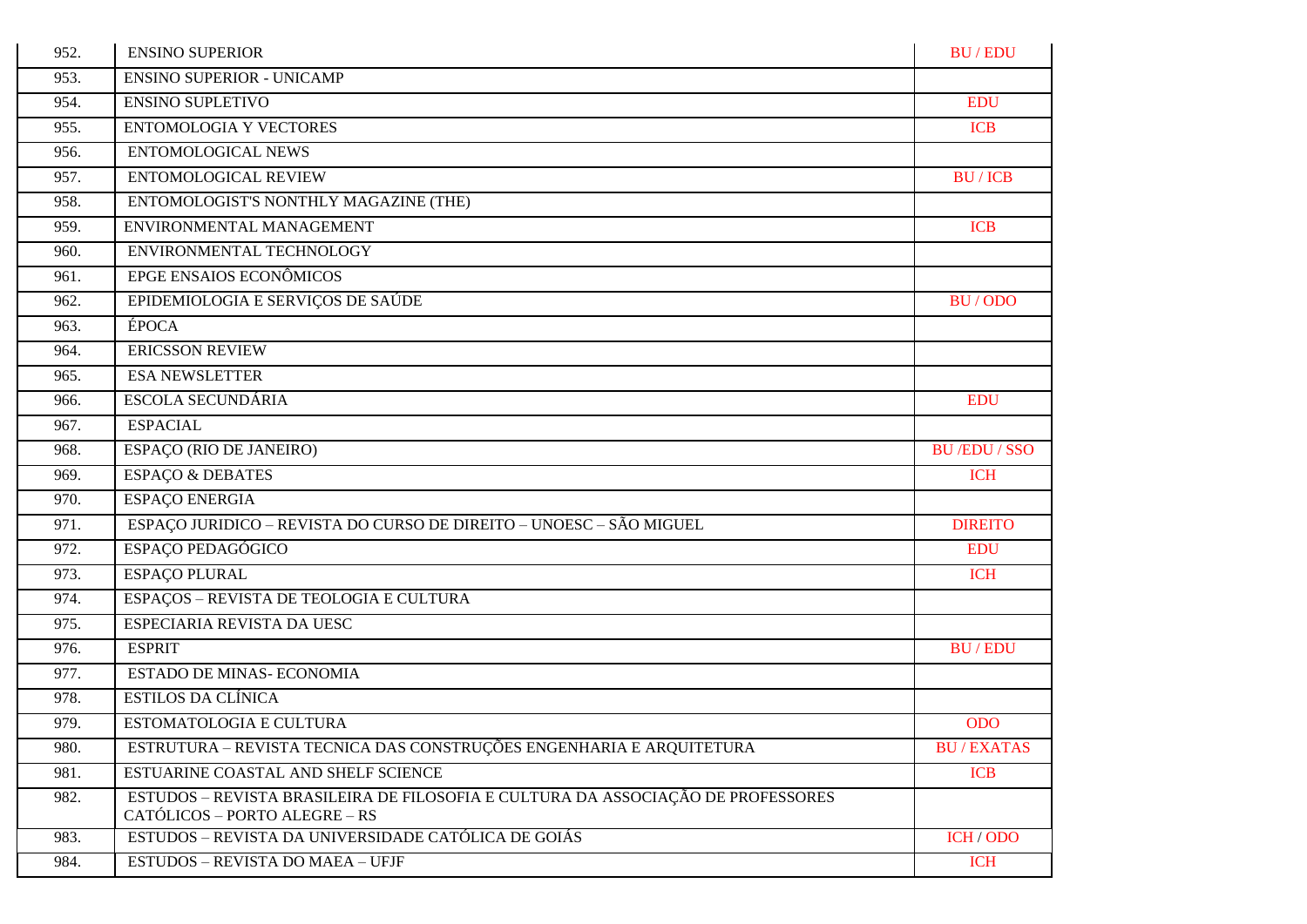| 952. | <b>ENSINO SUPERIOR</b>                                                                                            | <b>BU/EDU</b>     |
|------|-------------------------------------------------------------------------------------------------------------------|-------------------|
| 953. | <b>ENSINO SUPERIOR - UNICAMP</b>                                                                                  |                   |
| 954. | <b>ENSINO SUPLETIVO</b>                                                                                           | <b>EDU</b>        |
| 955. | <b>ENTOMOLOGIA Y VECTORES</b>                                                                                     | <b>ICB</b>        |
| 956. | <b>ENTOMOLOGICAL NEWS</b>                                                                                         |                   |
| 957. | ENTOMOLOGICAL REVIEW                                                                                              | <b>BU/ICB</b>     |
| 958. | ENTOMOLOGIST'S NONTHLY MAGAZINE (THE)                                                                             |                   |
| 959. | ENVIRONMENTAL MANAGEMENT                                                                                          | <b>ICB</b>        |
| 960. | ENVIRONMENTAL TECHNOLOGY                                                                                          |                   |
| 961. | EPGE ENSAIOS ECONÔMICOS                                                                                           |                   |
| 962. | EPIDEMIOLOGIA E SERVIÇOS DE SAÚDE                                                                                 | BU/ODO            |
| 963. | ÉPOCA                                                                                                             |                   |
| 964. | <b>ERICSSON REVIEW</b>                                                                                            |                   |
| 965. | <b>ESA NEWSLETTER</b>                                                                                             |                   |
| 966. | <b>ESCOLA SECUNDÁRIA</b>                                                                                          | <b>EDU</b>        |
| 967. | <b>ESPACIAL</b>                                                                                                   |                   |
| 968. | ESPAÇO (RIO DE JANEIRO)                                                                                           | <b>BU/EDU/SSO</b> |
| 969. | <b>ESPAÇO &amp; DEBATES</b>                                                                                       | <b>ICH</b>        |
| 970. | <b>ESPAÇO ENERGIA</b>                                                                                             |                   |
| 971. | ESPAÇO JURIDICO - REVISTA DO CURSO DE DIREITO - UNOESC - SÃO MIGUEL                                               | <b>DIREITO</b>    |
| 972. | ESPAÇO PEDAGÓGICO                                                                                                 | <b>EDU</b>        |
| 973. | <b>ESPAÇO PLURAL</b>                                                                                              | <b>ICH</b>        |
| 974. | ESPAÇOS - REVISTA DE TEOLOGIA E CULTURA                                                                           |                   |
| 975. | ESPECIARIA REVISTA DA UESC                                                                                        |                   |
| 976. | <b>ESPRIT</b>                                                                                                     | <b>BU/EDU</b>     |
| 977. | <b>ESTADO DE MINAS- ECONOMIA</b>                                                                                  |                   |
| 978. | <b>ESTILOS DA CLÍNICA</b>                                                                                         |                   |
| 979. | ESTOMATOLOGIA E CULTURA                                                                                           | <b>ODO</b>        |
| 980. | ESTRUTURA – REVISTA TECNICA DAS CONSTRUÇÕES ENGENHARIA E ARQUITETURA                                              | <b>BU/EXATAS</b>  |
| 981. | ESTUARINE COASTAL AND SHELF SCIENCE                                                                               | <b>ICB</b>        |
| 982. | ESTUDOS – REVISTA BRASILEIRA DE FILOSOFIA E CULTURA DA ASSOCIAÇÃO DE PROFESSORES<br>CATÓLICOS – PORTO ALEGRE – RS |                   |
| 983. | ESTUDOS - REVISTA DA UNIVERSIDADE CATÓLICA DE GOIÁS                                                               | ICH / ODO         |
| 984. | ESTUDOS - REVISTA DO MAEA - UFJF                                                                                  | <b>ICH</b>        |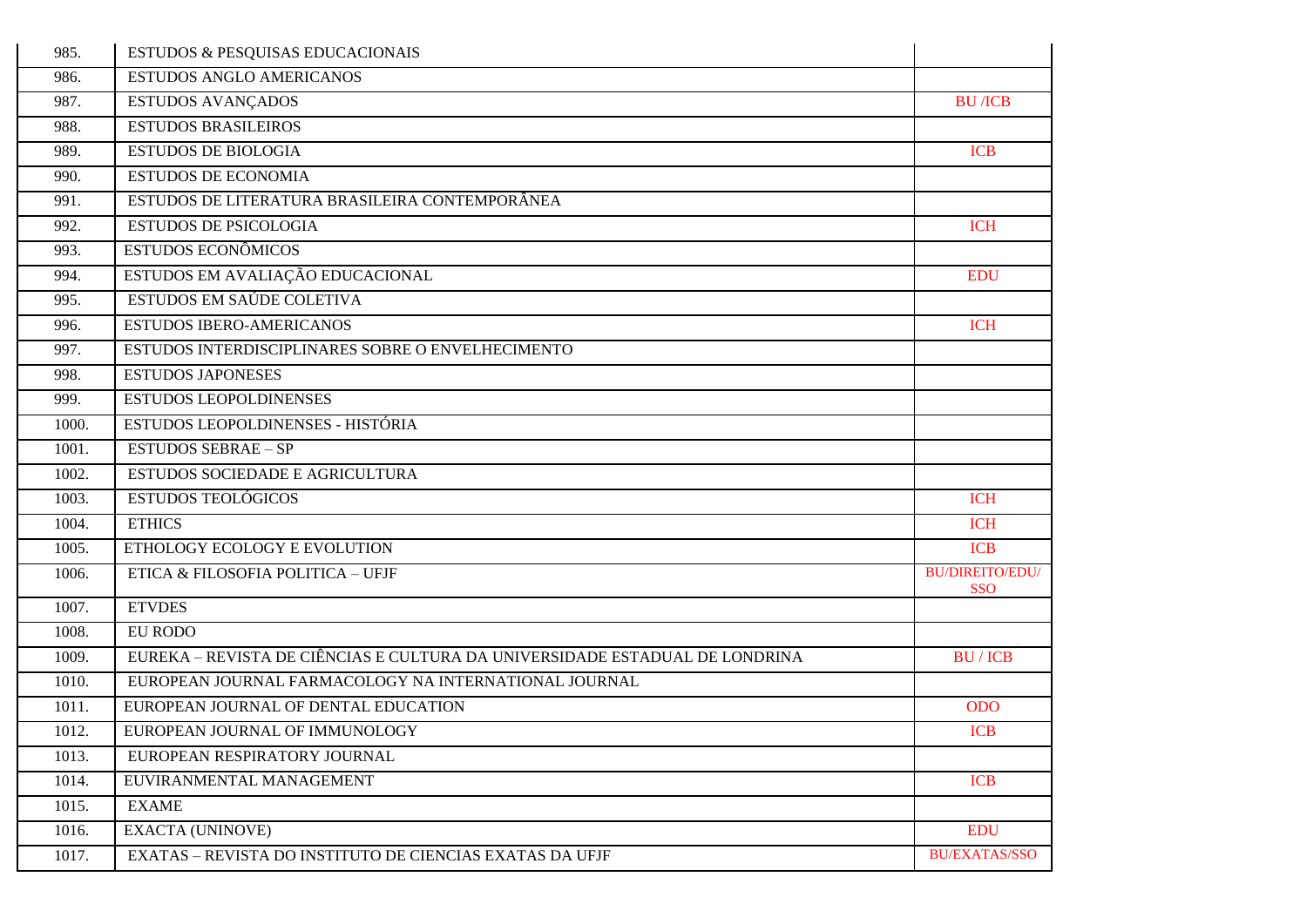| 985.  | ESTUDOS & PESQUISAS EDUCACIONAIS                                            |                                      |
|-------|-----------------------------------------------------------------------------|--------------------------------------|
| 986.  | <b>ESTUDOS ANGLO AMERICANOS</b>                                             |                                      |
| 987.  | <b>ESTUDOS AVANÇADOS</b>                                                    | <b>BU</b> /ICB                       |
| 988.  | <b>ESTUDOS BRASILEIROS</b>                                                  |                                      |
| 989.  | <b>ESTUDOS DE BIOLOGIA</b>                                                  | <b>ICB</b>                           |
| 990.  | <b>ESTUDOS DE ECONOMIA</b>                                                  |                                      |
| 991.  | ESTUDOS DE LITERATURA BRASILEIRA CONTEMPORÂNEA                              |                                      |
| 992.  | <b>ESTUDOS DE PSICOLOGIA</b>                                                | <b>ICH</b>                           |
| 993.  | <b>ESTUDOS ECONÔMICOS</b>                                                   |                                      |
| 994.  | ESTUDOS EM AVALIAÇÃO EDUCACIONAL                                            | <b>EDU</b>                           |
| 995.  | ESTUDOS EM SAÚDE COLETIVA                                                   |                                      |
| 996.  | <b>ESTUDOS IBERO-AMERICANOS</b>                                             | <b>ICH</b>                           |
| 997.  | ESTUDOS INTERDISCIPLINARES SOBRE O ENVELHECIMENTO                           |                                      |
| 998.  | <b>ESTUDOS JAPONESES</b>                                                    |                                      |
| 999.  | <b>ESTUDOS LEOPOLDINENSES</b>                                               |                                      |
| 1000. | ESTUDOS LEOPOLDINENSES - HISTÓRIA                                           |                                      |
| 1001. | <b>ESTUDOS SEBRAE - SP</b>                                                  |                                      |
| 1002. | ESTUDOS SOCIEDADE E AGRICULTURA                                             |                                      |
| 1003. | <b>ESTUDOS TEOLÓGICOS</b>                                                   | <b>ICH</b>                           |
| 1004. | <b>ETHICS</b>                                                               | <b>ICH</b>                           |
| 1005. | ETHOLOGY ECOLOGY E EVOLUTION                                                | <b>ICB</b>                           |
| 1006. | ETICA & FILOSOFIA POLITICA - UFJF                                           | <b>BU/DIREITO/EDU/</b><br><b>SSO</b> |
| 1007. | <b>ETVDES</b>                                                               |                                      |
| 1008. | EU RODO                                                                     |                                      |
| 1009. | EUREKA – REVISTA DE CIÊNCIAS E CULTURA DA UNIVERSIDADE ESTADUAL DE LONDRINA | <b>BU/ICB</b>                        |
| 1010. | EUROPEAN JOURNAL FARMACOLOGY NA INTERNATIONAL JOURNAL                       |                                      |
| 1011. | EUROPEAN JOURNAL OF DENTAL EDUCATION                                        | <b>ODO</b>                           |
| 1012. | EUROPEAN JOURNAL OF IMMUNOLOGY                                              | <b>ICB</b>                           |
| 1013. | EUROPEAN RESPIRATORY JOURNAL                                                |                                      |
| 1014. | EUVIRANMENTAL MANAGEMENT                                                    | <b>ICB</b>                           |
| 1015. | <b>EXAME</b>                                                                |                                      |
| 1016. | <b>EXACTA (UNINOVE)</b>                                                     | <b>EDU</b>                           |
| 1017. | EXATAS - REVISTA DO INSTITUTO DE CIENCIAS EXATAS DA UFJF                    | <b>BU/EXATAS/SSO</b>                 |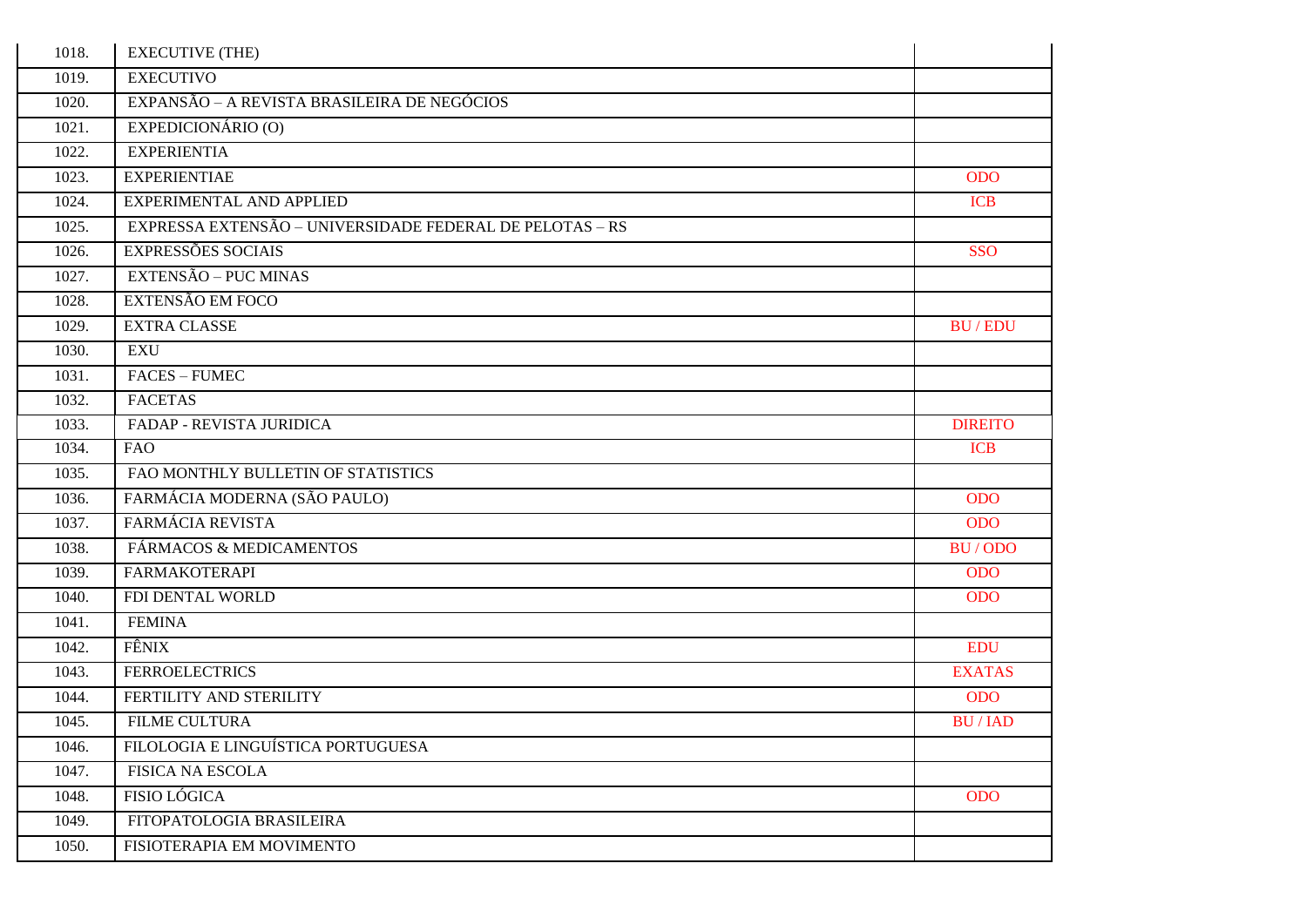| 1018. | <b>EXECUTIVE (THE)</b>                                   |                |
|-------|----------------------------------------------------------|----------------|
| 1019. | <b>EXECUTIVO</b>                                         |                |
| 1020. | EXPANSÃO - A REVISTA BRASILEIRA DE NEGÓCIOS              |                |
| 1021. | EXPEDICIONÁRIO (O)                                       |                |
| 1022. | <b>EXPERIENTIA</b>                                       |                |
| 1023. | <b>EXPERIENTIAE</b>                                      | <b>ODO</b>     |
| 1024. | EXPERIMENTAL AND APPLIED                                 | <b>ICB</b>     |
| 1025. | EXPRESSA EXTENSÃO - UNIVERSIDADE FEDERAL DE PELOTAS - RS |                |
| 1026. | <b>EXPRESSÕES SOCIAIS</b>                                | <b>SSO</b>     |
| 1027. | EXTENSÃO – PUC MINAS                                     |                |
| 1028. | EXTENSÃO EM FOCO                                         |                |
| 1029. | <b>EXTRA CLASSE</b>                                      | <b>BU/EDU</b>  |
| 1030. | EXU                                                      |                |
| 1031. | <b>FACES - FUMEC</b>                                     |                |
| 1032. | <b>FACETAS</b>                                           |                |
| 1033. | FADAP - REVISTA JURIDICA                                 | <b>DIREITO</b> |
| 1034. | <b>FAO</b>                                               | <b>ICB</b>     |
| 1035. | FAO MONTHLY BULLETIN OF STATISTICS                       |                |
| 1036. | FARMÁCIA MODERNA (SÃO PAULO)                             | <b>ODO</b>     |
| 1037. | FARMÁCIA REVISTA                                         | <b>ODO</b>     |
| 1038. | FÁRMACOS & MEDICAMENTOS                                  | BU/ODO         |
| 1039. | <b>FARMAKOTERAPI</b>                                     | <b>ODO</b>     |
| 1040. | FDI DENTAL WORLD                                         | <b>ODO</b>     |
| 1041. | <b>FEMINA</b>                                            |                |
| 1042. | FÊNIX                                                    | <b>EDU</b>     |
| 1043. | <b>FERROELECTRICS</b>                                    | <b>EXATAS</b>  |
| 1044. | FERTILITY AND STERILITY                                  | <b>ODO</b>     |
| 1045. | <b>FILME CULTURA</b>                                     | <b>BU/IAD</b>  |
| 1046. | FILOLOGIA E LINGUÍSTICA PORTUGUESA                       |                |
| 1047. | <b>FISICA NA ESCOLA</b>                                  |                |
| 1048. | <b>FISIO LÓGICA</b>                                      | <b>ODO</b>     |
| 1049. | FITOPATOLOGIA BRASILEIRA                                 |                |
| 1050. | FISIOTERAPIA EM MOVIMENTO                                |                |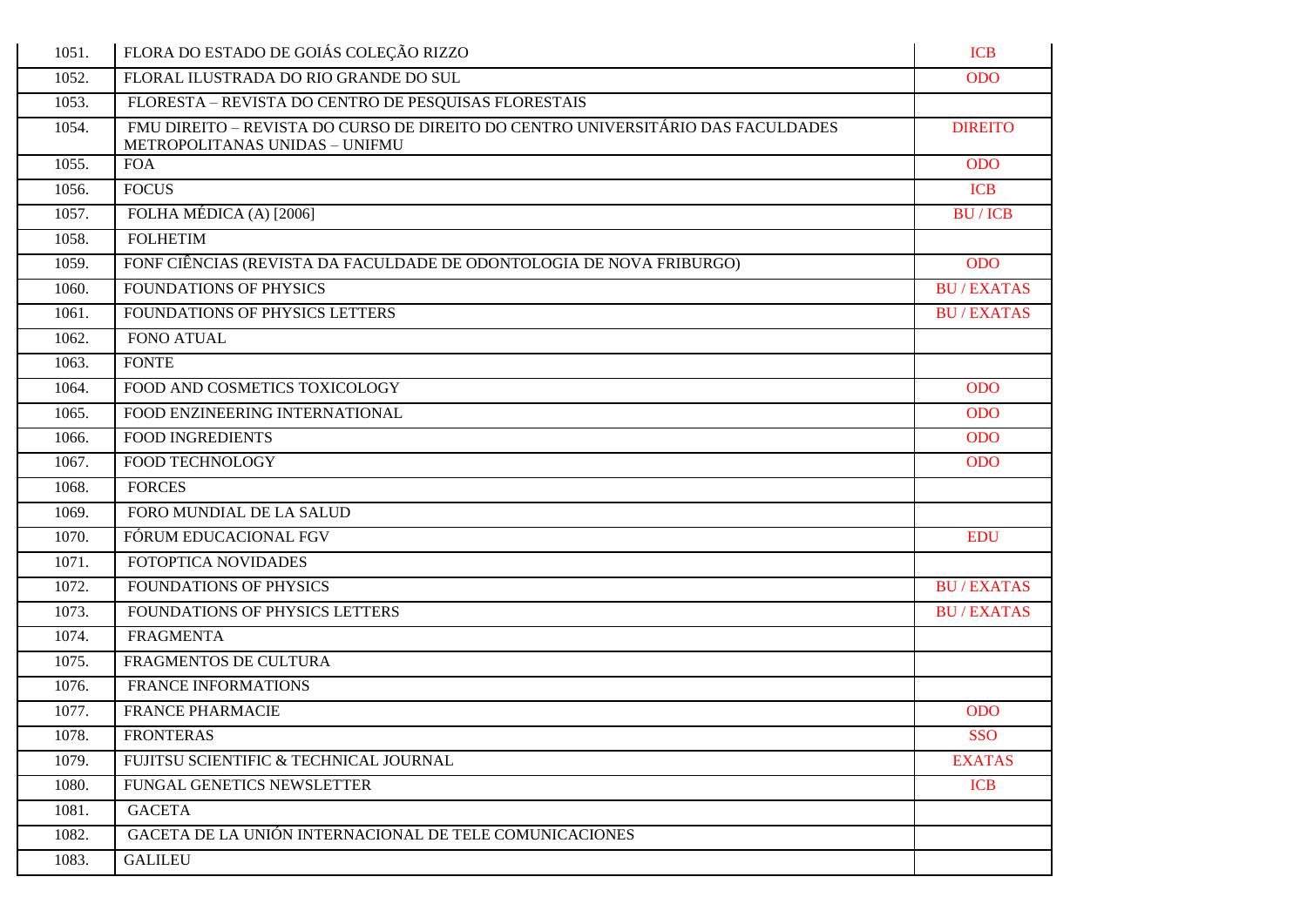| 1051. | FLORA DO ESTADO DE GOIÁS COLEÇÃO RIZZO                                                                             | <b>ICB</b>       |
|-------|--------------------------------------------------------------------------------------------------------------------|------------------|
| 1052. | FLORAL ILUSTRADA DO RIO GRANDE DO SUL                                                                              | <b>ODO</b>       |
| 1053. | FLORESTA - REVISTA DO CENTRO DE PESQUISAS FLORESTAIS                                                               |                  |
| 1054. | FMU DIREITO – REVISTA DO CURSO DE DIREITO DO CENTRO UNIVERSITÁRIO DAS FACULDADES<br>METROPOLITANAS UNIDAS - UNIFMU | <b>DIREITO</b>   |
| 1055. | <b>FOA</b>                                                                                                         | <b>ODO</b>       |
| 1056. | <b>FOCUS</b>                                                                                                       | <b>ICB</b>       |
| 1057. | FOLHA MÉDICA (A) [2006]                                                                                            | <b>BU/ICB</b>    |
| 1058. | <b>FOLHETIM</b>                                                                                                    |                  |
| 1059. | FONF CIÊNCIAS (REVISTA DA FACULDADE DE ODONTOLOGIA DE NOVA FRIBURGO)                                               | <b>ODO</b>       |
| 1060. | FOUNDATIONS OF PHYSICS                                                                                             | <b>BU/EXATAS</b> |
| 1061. | FOUNDATIONS OF PHYSICS LETTERS                                                                                     | <b>BU/EXATAS</b> |
| 1062. | <b>FONO ATUAL</b>                                                                                                  |                  |
| 1063. | <b>FONTE</b>                                                                                                       |                  |
| 1064. | FOOD AND COSMETICS TOXICOLOGY                                                                                      | <b>ODO</b>       |
| 1065. | FOOD ENZINEERING INTERNATIONAL                                                                                     | <b>ODO</b>       |
| 1066. | <b>FOOD INGREDIENTS</b>                                                                                            | <b>ODO</b>       |
| 1067. | FOOD TECHNOLOGY                                                                                                    | <b>ODO</b>       |
| 1068. | <b>FORCES</b>                                                                                                      |                  |
| 1069. | FORO MUNDIAL DE LA SALUD                                                                                           |                  |
| 1070. | FÓRUM EDUCACIONAL FGV                                                                                              | <b>EDU</b>       |
| 1071. | FOTOPTICA NOVIDADES                                                                                                |                  |
| 1072. | <b>FOUNDATIONS OF PHYSICS</b>                                                                                      | <b>BU/EXATAS</b> |
| 1073. | FOUNDATIONS OF PHYSICS LETTERS                                                                                     | <b>BU/EXATAS</b> |
| 1074. | <b>FRAGMENTA</b>                                                                                                   |                  |
| 1075. | FRAGMENTOS DE CULTURA                                                                                              |                  |
| 1076. | <b>FRANCE INFORMATIONS</b>                                                                                         |                  |
| 1077. | <b>FRANCE PHARMACIE</b>                                                                                            | <b>ODO</b>       |
| 1078. | <b>FRONTERAS</b>                                                                                                   | SSO              |
| 1079. | FUJITSU SCIENTIFIC & TECHNICAL JOURNAL                                                                             | <b>EXATAS</b>    |
| 1080. | FUNGAL GENETICS NEWSLETTER                                                                                         | <b>ICB</b>       |
| 1081. | <b>GACETA</b>                                                                                                      |                  |
| 1082. | GACETA DE LA UNIÓN INTERNACIONAL DE TELE COMUNICACIONES                                                            |                  |
| 1083. | <b>GALILEU</b>                                                                                                     |                  |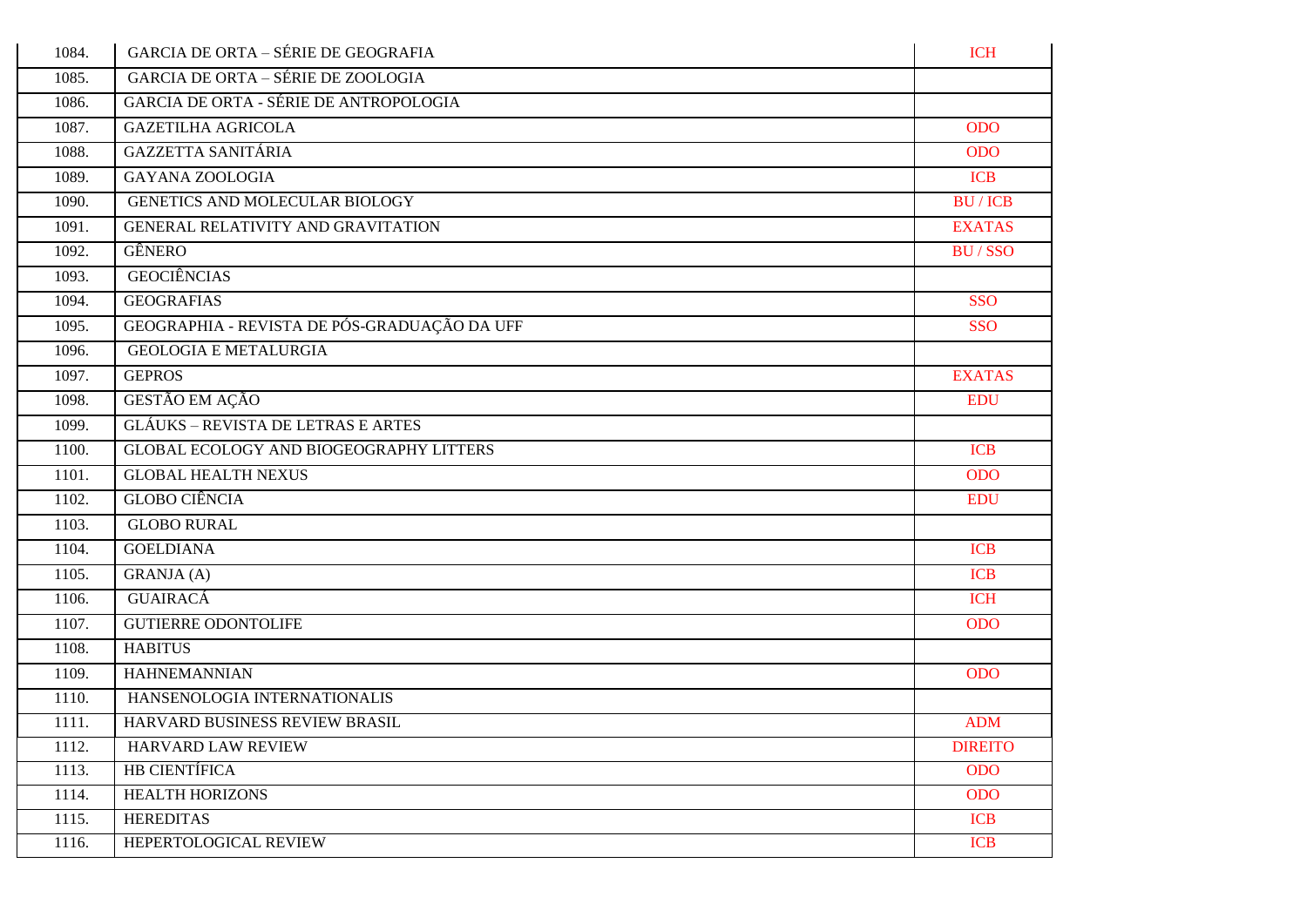| 1084. | <b>GARCIA DE ORTA - SÉRIE DE GEOGRAFIA</b>    | <b>ICH</b>     |
|-------|-----------------------------------------------|----------------|
| 1085. | <b>GARCIA DE ORTA – SÉRIE DE ZOOLOGIA</b>     |                |
| 1086. | <b>GARCIA DE ORTA - SÉRIE DE ANTROPOLOGIA</b> |                |
| 1087. | <b>GAZETILHA AGRICOLA</b>                     | <b>ODO</b>     |
| 1088. | <b>GAZZETTA SANITÁRIA</b>                     | <b>ODO</b>     |
| 1089. | <b>GAYANA ZOOLOGIA</b>                        | <b>ICB</b>     |
| 1090. | GENETICS AND MOLECULAR BIOLOGY                | <b>BU/ICB</b>  |
| 1091. | GENERAL RELATIVITY AND GRAVITATION            | <b>EXATAS</b>  |
| 1092. | GÊNERO                                        | <b>BU/SSO</b>  |
| 1093. | <b>GEOCIÊNCIAS</b>                            |                |
| 1094. | <b>GEOGRAFIAS</b>                             | <b>SSO</b>     |
| 1095. | GEOGRAPHIA - REVISTA DE PÓS-GRADUAÇÃO DA UFF  | <b>SSO</b>     |
| 1096. | <b>GEOLOGIA E METALURGIA</b>                  |                |
| 1097. | <b>GEPROS</b>                                 | <b>EXATAS</b>  |
| 1098. | GESTÃO EM AÇÃO                                | <b>EDU</b>     |
| 1099. | <b>GLÁUKS – REVISTA DE LETRAS E ARTES</b>     |                |
| 1100. | GLOBAL ECOLOGY AND BIOGEOGRAPHY LITTERS       | <b>ICB</b>     |
| 1101. | <b>GLOBAL HEALTH NEXUS</b>                    | <b>ODO</b>     |
| 1102. | <b>GLOBO CIÊNCIA</b>                          | <b>EDU</b>     |
| 1103. | <b>GLOBO RURAL</b>                            |                |
| 1104. | <b>GOELDIANA</b>                              | <b>ICB</b>     |
| 1105. | <b>GRANJA</b> (A)                             | <b>ICB</b>     |
| 1106. | <b>GUAIRACÁ</b>                               | <b>ICH</b>     |
| 1107. | <b>GUTIERRE ODONTOLIFE</b>                    | <b>ODO</b>     |
| 1108. | <b>HABITUS</b>                                |                |
| 1109. | <b>HAHNEMANNIAN</b>                           | <b>ODO</b>     |
| 1110. | HANSENOLOGIA INTERNATIONALIS                  |                |
| 1111. | HARVARD BUSINESS REVIEW BRASIL                | <b>ADM</b>     |
| 1112. | HARVARD LAW REVIEW                            | <b>DIREITO</b> |
| 1113. | <b>HB CIENTÍFICA</b>                          | <b>ODO</b>     |
| 1114. | <b>HEALTH HORIZONS</b>                        | <b>ODO</b>     |
| 1115. | <b>HEREDITAS</b>                              | <b>ICB</b>     |
| 1116. | HEPERTOLOGICAL REVIEW                         | <b>ICB</b>     |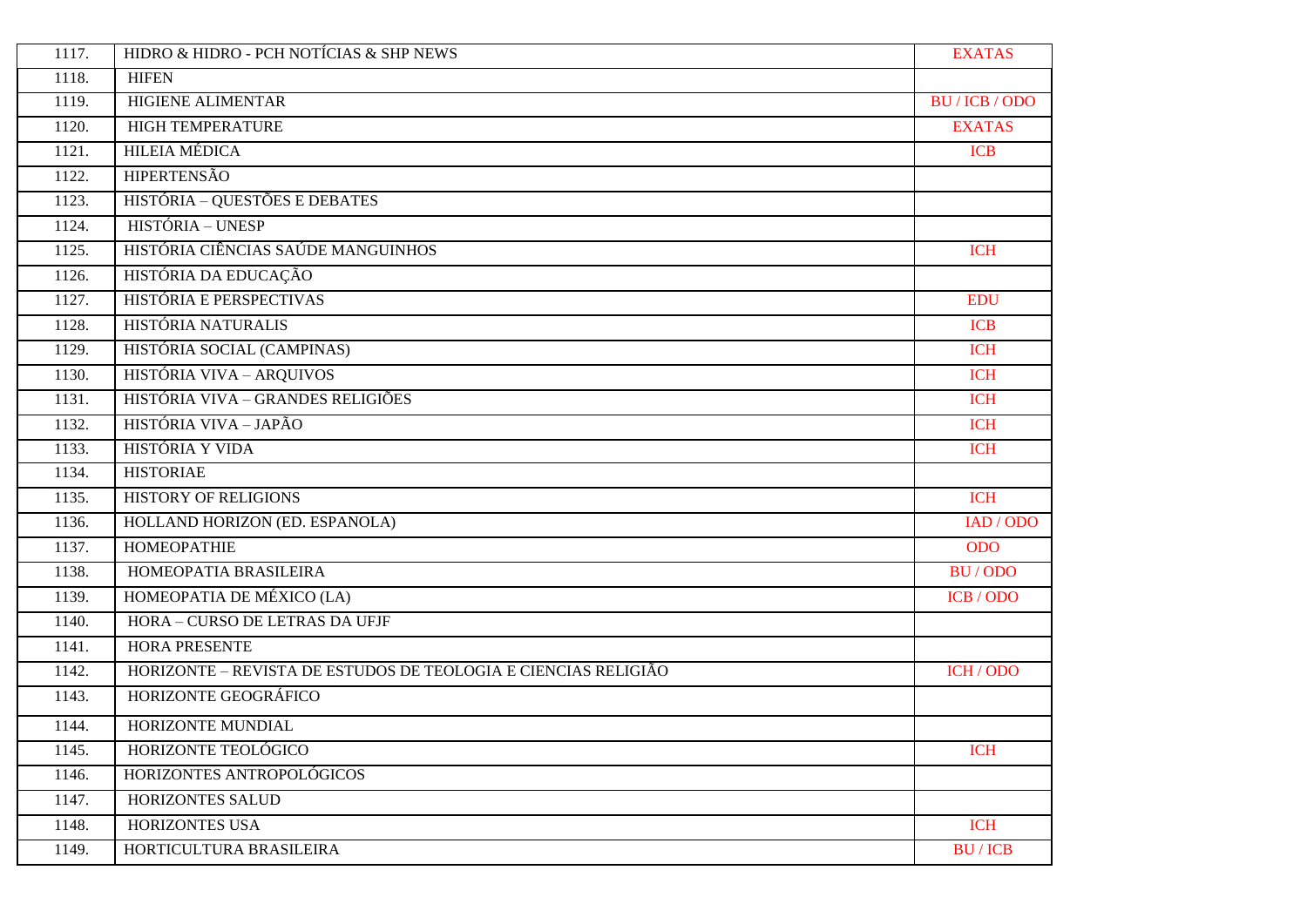| 1117. | HIDRO & HIDRO - PCH NOTÍCIAS & SHP NEWS                        | <b>EXATAS</b>  |
|-------|----------------------------------------------------------------|----------------|
| 1118. | <b>HIFEN</b>                                                   |                |
| 1119. | <b>HIGIENE ALIMENTAR</b>                                       | BU / ICB / ODO |
| 1120. | <b>HIGH TEMPERATURE</b>                                        | <b>EXATAS</b>  |
| 1121. | <b>HILEIA MÉDICA</b>                                           | <b>ICB</b>     |
| 1122. | <b>HIPERTENSÃO</b>                                             |                |
| 1123. | HISTÓRIA - QUESTÕES E DEBATES                                  |                |
| 1124. | HISTÓRIA - UNESP                                               |                |
| 1125. | HISTÓRIA CIÊNCIAS SAÚDE MANGUINHOS                             | <b>ICH</b>     |
| 1126. | HISTÓRIA DA EDUCAÇÃO                                           |                |
| 1127. | HISTÓRIA E PERSPECTIVAS                                        | <b>EDU</b>     |
| 1128. | HISTÓRIA NATURALIS                                             | <b>ICB</b>     |
| 1129. | HISTÓRIA SOCIAL (CAMPINAS)                                     | <b>ICH</b>     |
| 1130. | HISTÓRIA VIVA - ARQUIVOS                                       | <b>ICH</b>     |
| 1131. | HISTÓRIA VIVA - GRANDES RELIGIÕES                              | <b>ICH</b>     |
| 1132. | HISTÓRIA VIVA - JAPÃO                                          | <b>ICH</b>     |
| 1133. | HISTÓRIA Y VIDA                                                | <b>ICH</b>     |
| 1134. | <b>HISTORIAE</b>                                               |                |
| 1135. | <b>HISTORY OF RELIGIONS</b>                                    | <b>ICH</b>     |
| 1136. | HOLLAND HORIZON (ED. ESPANOLA)                                 | IAD / ODO      |
| 1137. | <b>HOMEOPATHIE</b>                                             | <b>ODO</b>     |
| 1138. | HOMEOPATIA BRASILEIRA                                          | BU/ODO         |
| 1139. | HOMEOPATIA DE MÉXICO (LA)                                      | ICB / ODO      |
| 1140. | HORA - CURSO DE LETRAS DA UFJF                                 |                |
| 1141. | <b>HORA PRESENTE</b>                                           |                |
| 1142. | HORIZONTE - REVISTA DE ESTUDOS DE TEOLOGIA E CIENCIAS RELIGIÃO | ICH / ODO      |
| 1143. | HORIZONTE GEOGRÁFICO                                           |                |
| 1144. | HORIZONTE MUNDIAL                                              |                |
| 1145. | HORIZONTE TEOLÓGICO                                            | <b>ICH</b>     |
| 1146. | HORIZONTES ANTROPOLÓGICOS                                      |                |
| 1147. | HORIZONTES SALUD                                               |                |
| 1148. | HORIZONTES USA                                                 | <b>ICH</b>     |
| 1149. | HORTICULTURA BRASILEIRA                                        | <b>BU/ICB</b>  |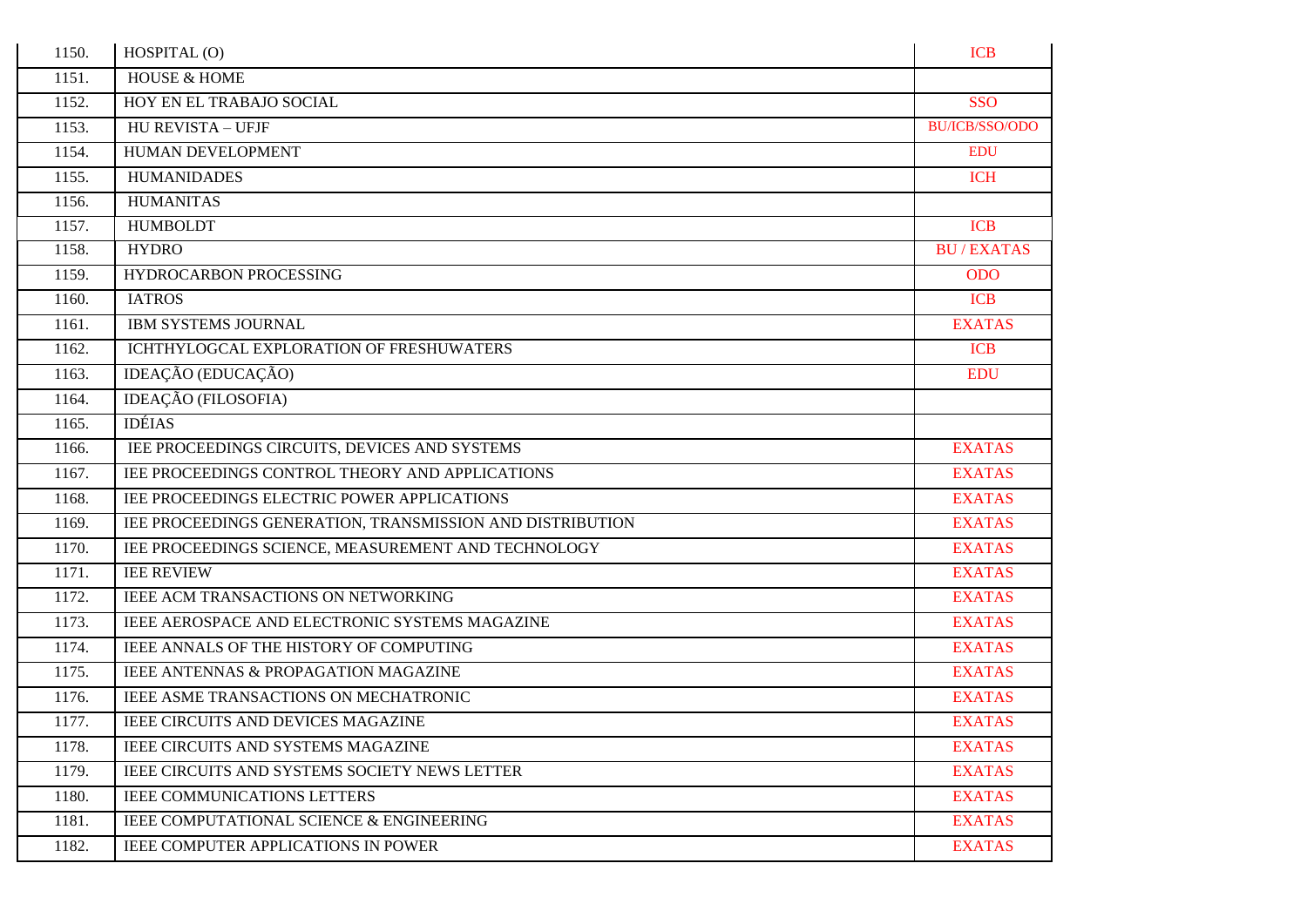| 1150. | HOSPITAL (O)                                              | <b>ICB</b>       |
|-------|-----------------------------------------------------------|------------------|
| 1151. | <b>HOUSE &amp; HOME</b>                                   |                  |
| 1152. | HOY EN EL TRABAJO SOCIAL                                  | <b>SSO</b>       |
| 1153. | <b>HU REVISTA - UFJF</b>                                  | BU/ICB/SSO/ODO   |
| 1154. | HUMAN DEVELOPMENT                                         | <b>EDU</b>       |
| 1155. | <b>HUMANIDADES</b>                                        | <b>ICH</b>       |
| 1156. | <b>HUMANITAS</b>                                          |                  |
| 1157. | <b>HUMBOLDT</b>                                           | <b>ICB</b>       |
| 1158. | <b>HYDRO</b>                                              | <b>BU/EXATAS</b> |
| 1159. | HYDROCARBON PROCESSING                                    | <b>ODO</b>       |
| 1160. | <b>IATROS</b>                                             | <b>ICB</b>       |
| 1161. | <b>IBM SYSTEMS JOURNAL</b>                                | <b>EXATAS</b>    |
| 1162. | ICHTHYLOGCAL EXPLORATION OF FRESHUWATERS                  | <b>ICB</b>       |
| 1163. | IDEAÇÃO (EDUCAÇÃO)                                        | <b>EDU</b>       |
| 1164. | <b>IDEAÇÃO</b> (FILOSOFIA)                                |                  |
| 1165. | <b>IDÉIAS</b>                                             |                  |
| 1166. | IEE PROCEEDINGS CIRCUITS, DEVICES AND SYSTEMS             | <b>EXATAS</b>    |
| 1167. | IEE PROCEEDINGS CONTROL THEORY AND APPLICATIONS           | <b>EXATAS</b>    |
| 1168. | IEE PROCEEDINGS ELECTRIC POWER APPLICATIONS               | <b>EXATAS</b>    |
| 1169. | IEE PROCEEDINGS GENERATION, TRANSMISSION AND DISTRIBUTION | <b>EXATAS</b>    |
| 1170. | IEE PROCEEDINGS SCIENCE, MEASUREMENT AND TECHNOLOGY       | <b>EXATAS</b>    |
| 1171. | <b>IEE REVIEW</b>                                         | <b>EXATAS</b>    |
| 1172. | IEEE ACM TRANSACTIONS ON NETWORKING                       | <b>EXATAS</b>    |
| 1173. | IEEE AEROSPACE AND ELECTRONIC SYSTEMS MAGAZINE            | <b>EXATAS</b>    |
| 1174. | IEEE ANNALS OF THE HISTORY OF COMPUTING                   | <b>EXATAS</b>    |
| 1175. | IEEE ANTENNAS & PROPAGATION MAGAZINE                      | <b>EXATAS</b>    |
| 1176. | IEEE ASME TRANSACTIONS ON MECHATRONIC                     | <b>EXATAS</b>    |
| 1177. | <b>IEEE CIRCUITS AND DEVICES MAGAZINE</b>                 | <b>EXATAS</b>    |
| 1178. | IEEE CIRCUITS AND SYSTEMS MAGAZINE                        | <b>EXATAS</b>    |
| 1179. | <b>IEEE CIRCUITS AND SYSTEMS SOCIETY NEWS LETTER</b>      | <b>EXATAS</b>    |
| 1180. | <b>IEEE COMMUNICATIONS LETTERS</b>                        | <b>EXATAS</b>    |
| 1181. | IEEE COMPUTATIONAL SCIENCE & ENGINEERING                  | <b>EXATAS</b>    |
| 1182. | <b>IEEE COMPUTER APPLICATIONS IN POWER</b>                | <b>EXATAS</b>    |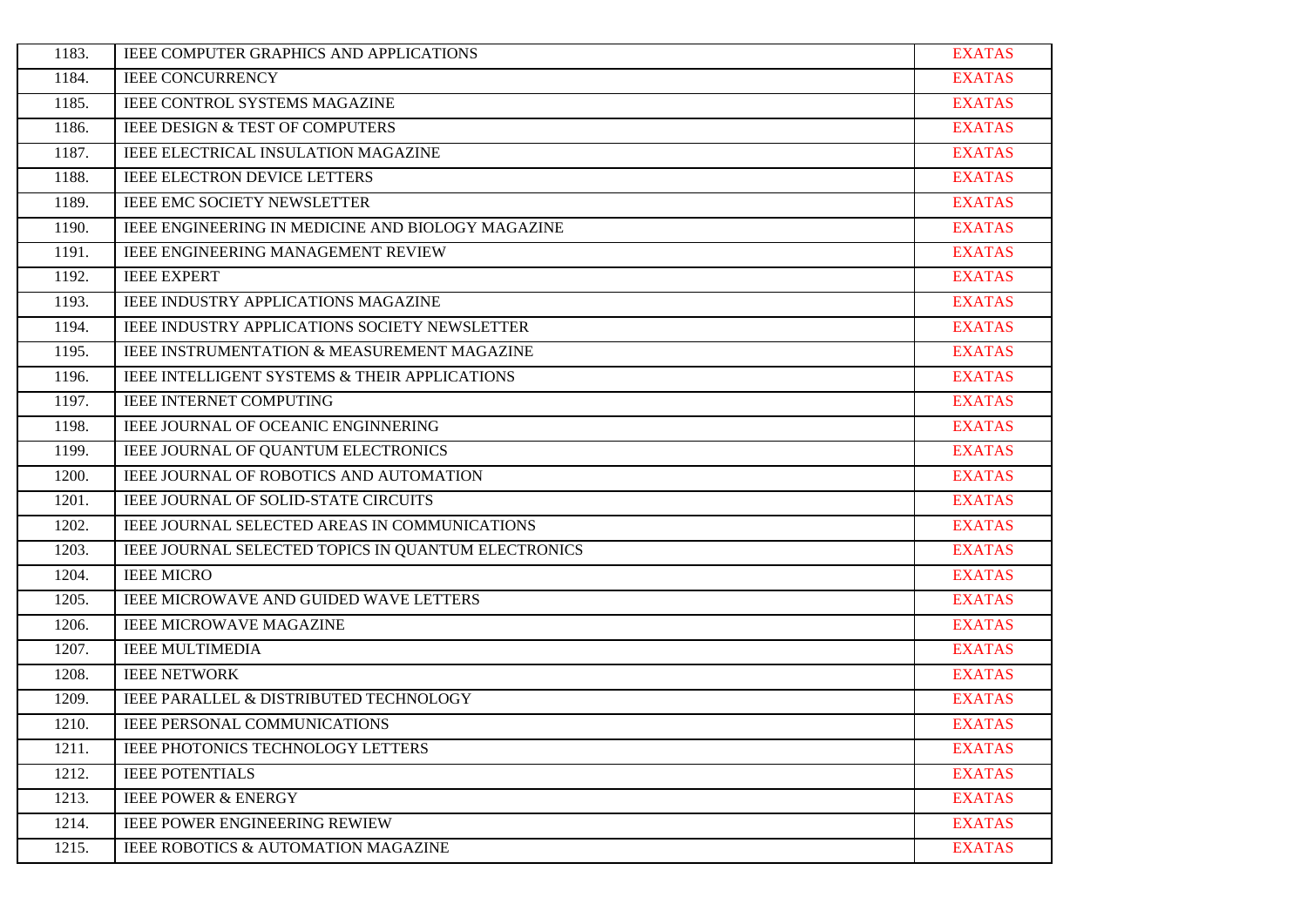| 1183. | IEEE COMPUTER GRAPHICS AND APPLICATIONS                | <b>EXATAS</b> |
|-------|--------------------------------------------------------|---------------|
| 1184. | <b>IEEE CONCURRENCY</b>                                | <b>EXATAS</b> |
| 1185. | <b>IEEE CONTROL SYSTEMS MAGAZINE</b>                   | <b>EXATAS</b> |
| 1186. | IEEE DESIGN & TEST OF COMPUTERS                        | <b>EXATAS</b> |
| 1187. | IEEE ELECTRICAL INSULATION MAGAZINE                    | <b>EXATAS</b> |
| 1188. | <b>IEEE ELECTRON DEVICE LETTERS</b>                    | <b>EXATAS</b> |
| 1189. | <b>IEEE EMC SOCIETY NEWSLETTER</b>                     | <b>EXATAS</b> |
| 1190. | IEEE ENGINEERING IN MEDICINE AND BIOLOGY MAGAZINE      | <b>EXATAS</b> |
| 1191. | IEEE ENGINEERING MANAGEMENT REVIEW                     | <b>EXATAS</b> |
| 1192. | <b>IEEE EXPERT</b>                                     | <b>EXATAS</b> |
| 1193. | IEEE INDUSTRY APPLICATIONS MAGAZINE                    | <b>EXATAS</b> |
| 1194. | IEEE INDUSTRY APPLICATIONS SOCIETY NEWSLETTER          | <b>EXATAS</b> |
| 1195. | <b>IEEE INSTRUMENTATION &amp; MEASUREMENT MAGAZINE</b> | <b>EXATAS</b> |
| 1196. | IEEE INTELLIGENT SYSTEMS & THEIR APPLICATIONS          | <b>EXATAS</b> |
| 1197. | <b>IEEE INTERNET COMPUTING</b>                         | <b>EXATAS</b> |
| 1198. | IEEE JOURNAL OF OCEANIC ENGINNERING                    | <b>EXATAS</b> |
| 1199. | IEEE JOURNAL OF QUANTUM ELECTRONICS                    | <b>EXATAS</b> |
| 1200. | IEEE JOURNAL OF ROBOTICS AND AUTOMATION                | <b>EXATAS</b> |
| 1201. | IEEE JOURNAL OF SOLID-STATE CIRCUITS                   | <b>EXATAS</b> |
| 1202. | IEEE JOURNAL SELECTED AREAS IN COMMUNICATIONS          | <b>EXATAS</b> |
| 1203. | IEEE JOURNAL SELECTED TOPICS IN QUANTUM ELECTRONICS    | <b>EXATAS</b> |
| 1204. | <b>IEEE MICRO</b>                                      | <b>EXATAS</b> |
| 1205. | IEEE MICROWAVE AND GUIDED WAVE LETTERS                 | <b>EXATAS</b> |
| 1206. | <b>IEEE MICROWAVE MAGAZINE</b>                         | <b>EXATAS</b> |
| 1207. | <b>IEEE MULTIMEDIA</b>                                 | <b>EXATAS</b> |
| 1208. | <b>IEEE NETWORK</b>                                    | <b>EXATAS</b> |
| 1209. | IEEE PARALLEL & DISTRIBUTED TECHNOLOGY                 | <b>EXATAS</b> |
| 1210. | IEEE PERSONAL COMMUNICATIONS                           | <b>EXATAS</b> |
| 1211. | IEEE PHOTONICS TECHNOLOGY LETTERS                      | <b>EXATAS</b> |
| 1212. | <b>IEEE POTENTIALS</b>                                 | <b>EXATAS</b> |
| 1213. | <b>IEEE POWER &amp; ENERGY</b>                         | <b>EXATAS</b> |
| 1214. | IEEE POWER ENGINEERING REWIEW                          | <b>EXATAS</b> |
| 1215. | IEEE ROBOTICS & AUTOMATION MAGAZINE                    | <b>EXATAS</b> |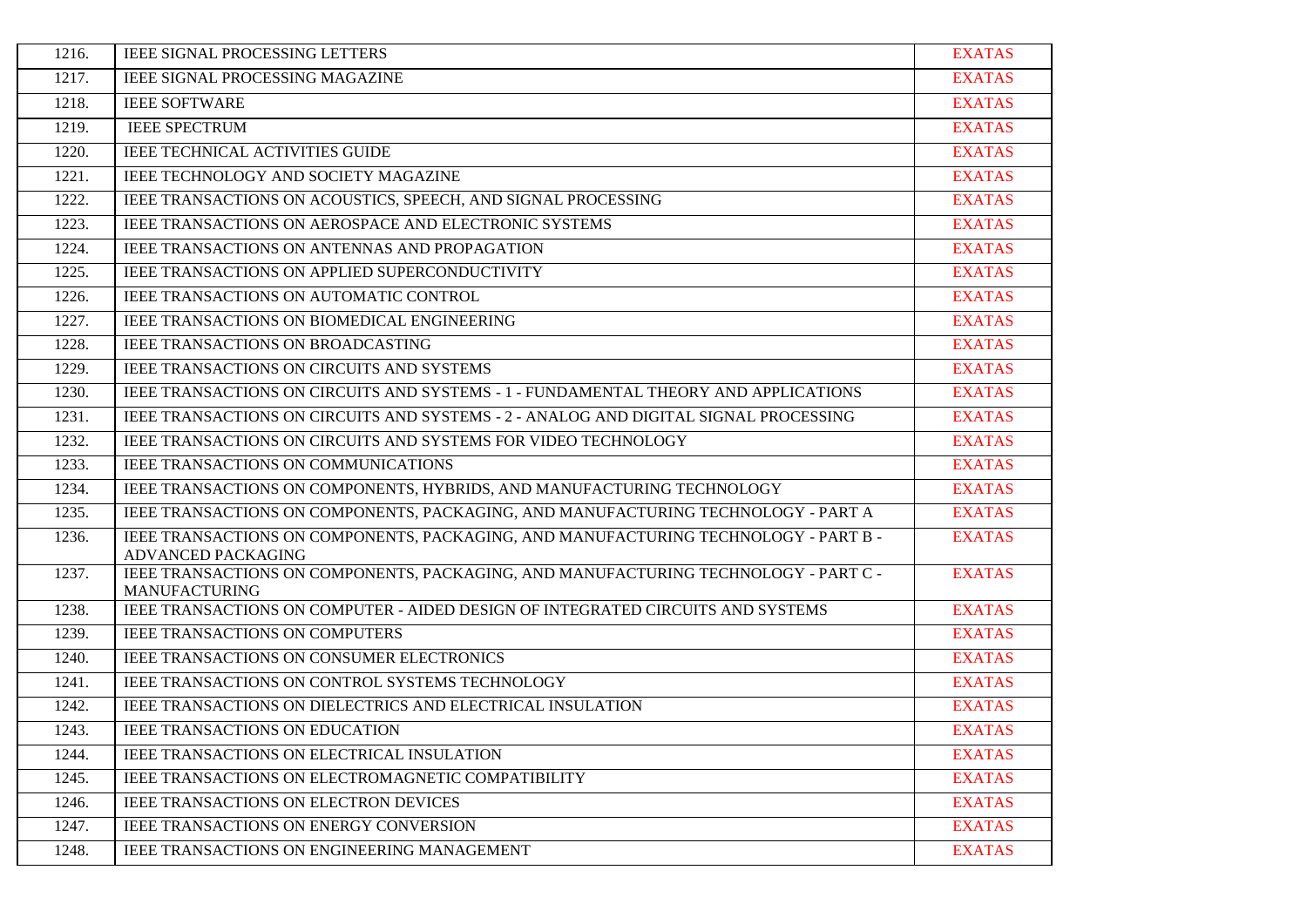| 1216. | <b>IEEE SIGNAL PROCESSING LETTERS</b>                                                                       | <b>EXATAS</b> |
|-------|-------------------------------------------------------------------------------------------------------------|---------------|
| 1217. | IEEE SIGNAL PROCESSING MAGAZINE                                                                             | <b>EXATAS</b> |
| 1218. | <b>IEEE SOFTWARE</b>                                                                                        | <b>EXATAS</b> |
| 1219. | <b>IEEE SPECTRUM</b>                                                                                        | <b>EXATAS</b> |
| 1220. | <b>IEEE TECHNICAL ACTIVITIES GUIDE</b>                                                                      | <b>EXATAS</b> |
| 1221. | IEEE TECHNOLOGY AND SOCIETY MAGAZINE                                                                        | <b>EXATAS</b> |
| 1222. | IEEE TRANSACTIONS ON ACOUSTICS, SPEECH, AND SIGNAL PROCESSING                                               | <b>EXATAS</b> |
| 1223. | IEEE TRANSACTIONS ON AEROSPACE AND ELECTRONIC SYSTEMS                                                       | <b>EXATAS</b> |
| 1224. | IEEE TRANSACTIONS ON ANTENNAS AND PROPAGATION                                                               | <b>EXATAS</b> |
| 1225. | IEEE TRANSACTIONS ON APPLIED SUPERCONDUCTIVITY                                                              | <b>EXATAS</b> |
| 1226. | IEEE TRANSACTIONS ON AUTOMATIC CONTROL                                                                      | <b>EXATAS</b> |
| 1227. | IEEE TRANSACTIONS ON BIOMEDICAL ENGINEERING                                                                 | <b>EXATAS</b> |
| 1228. | IEEE TRANSACTIONS ON BROADCASTING                                                                           | <b>EXATAS</b> |
| 1229. | <b>IEEE TRANSACTIONS ON CIRCUITS AND SYSTEMS</b>                                                            | <b>EXATAS</b> |
| 1230. | IEEE TRANSACTIONS ON CIRCUITS AND SYSTEMS - 1 - FUNDAMENTAL THEORY AND APPLICATIONS                         | <b>EXATAS</b> |
| 1231. | IEEE TRANSACTIONS ON CIRCUITS AND SYSTEMS - 2 - ANALOG AND DIGITAL SIGNAL PROCESSING                        | <b>EXATAS</b> |
| 1232. | IEEE TRANSACTIONS ON CIRCUITS AND SYSTEMS FOR VIDEO TECHNOLOGY                                              | <b>EXATAS</b> |
| 1233. | IEEE TRANSACTIONS ON COMMUNICATIONS                                                                         | <b>EXATAS</b> |
| 1234. | IEEE TRANSACTIONS ON COMPONENTS, HYBRIDS, AND MANUFACTURING TECHNOLOGY                                      | <b>EXATAS</b> |
| 1235. | IEEE TRANSACTIONS ON COMPONENTS, PACKAGING, AND MANUFACTURING TECHNOLOGY - PART A                           | <b>EXATAS</b> |
| 1236. | IEEE TRANSACTIONS ON COMPONENTS, PACKAGING, AND MANUFACTURING TECHNOLOGY - PART B -<br>ADVANCED PACKAGING   | <b>EXATAS</b> |
| 1237. | IEEE TRANSACTIONS ON COMPONENTS, PACKAGING, AND MANUFACTURING TECHNOLOGY - PART C -<br><b>MANUFACTURING</b> | <b>EXATAS</b> |
| 1238. | IEEE TRANSACTIONS ON COMPUTER - AIDED DESIGN OF INTEGRATED CIRCUITS AND SYSTEMS                             | <b>EXATAS</b> |
| 1239. | <b>IEEE TRANSACTIONS ON COMPUTERS</b>                                                                       | <b>EXATAS</b> |
| 1240. | IEEE TRANSACTIONS ON CONSUMER ELECTRONICS                                                                   | <b>EXATAS</b> |
| 1241. | IEEE TRANSACTIONS ON CONTROL SYSTEMS TECHNOLOGY                                                             | <b>EXATAS</b> |
| 1242. | IEEE TRANSACTIONS ON DIELECTRICS AND ELECTRICAL INSULATION                                                  | <b>EXATAS</b> |
| 1243. | <b>IEEE TRANSACTIONS ON EDUCATION</b>                                                                       | <b>EXATAS</b> |
| 1244. | IEEE TRANSACTIONS ON ELECTRICAL INSULATION                                                                  | <b>EXATAS</b> |
| 1245. | IEEE TRANSACTIONS ON ELECTROMAGNETIC COMPATIBILITY                                                          | <b>EXATAS</b> |
| 1246. | IEEE TRANSACTIONS ON ELECTRON DEVICES                                                                       | <b>EXATAS</b> |
| 1247. | IEEE TRANSACTIONS ON ENERGY CONVERSION                                                                      | <b>EXATAS</b> |
| 1248. | IEEE TRANSACTIONS ON ENGINEERING MANAGEMENT                                                                 | <b>EXATAS</b> |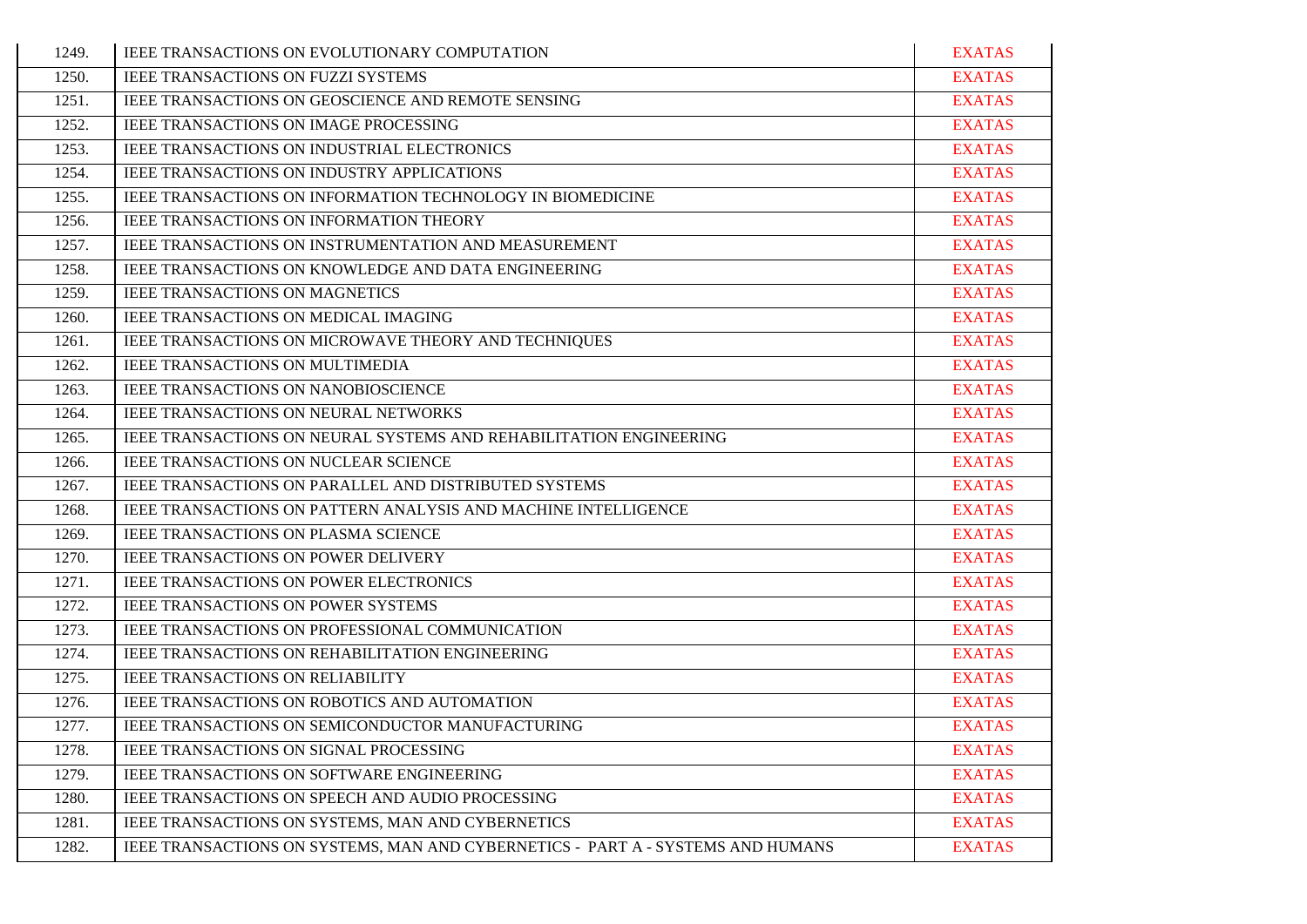| 1249. | <b>IEEE TRANSACTIONS ON EVOLUTIONARY COMPUTATION</b>                            | <b>EXATAS</b> |
|-------|---------------------------------------------------------------------------------|---------------|
| 1250. | IEEE TRANSACTIONS ON FUZZI SYSTEMS                                              | <b>EXATAS</b> |
| 1251. | IEEE TRANSACTIONS ON GEOSCIENCE AND REMOTE SENSING                              | <b>EXATAS</b> |
| 1252. | <b>IEEE TRANSACTIONS ON IMAGE PROCESSING</b>                                    | <b>EXATAS</b> |
| 1253. | IEEE TRANSACTIONS ON INDUSTRIAL ELECTRONICS                                     | <b>EXATAS</b> |
| 1254. | IEEE TRANSACTIONS ON INDUSTRY APPLICATIONS                                      | <b>EXATAS</b> |
| 1255. | IEEE TRANSACTIONS ON INFORMATION TECHNOLOGY IN BIOMEDICINE                      | <b>EXATAS</b> |
| 1256. | IEEE TRANSACTIONS ON INFORMATION THEORY                                         | <b>EXATAS</b> |
| 1257. | IEEE TRANSACTIONS ON INSTRUMENTATION AND MEASUREMENT                            | <b>EXATAS</b> |
| 1258. | IEEE TRANSACTIONS ON KNOWLEDGE AND DATA ENGINEERING                             | <b>EXATAS</b> |
| 1259. | <b>IEEE TRANSACTIONS ON MAGNETICS</b>                                           | <b>EXATAS</b> |
| 1260. | IEEE TRANSACTIONS ON MEDICAL IMAGING                                            | <b>EXATAS</b> |
| 1261. | IEEE TRANSACTIONS ON MICROWAVE THEORY AND TECHNIQUES                            | <b>EXATAS</b> |
| 1262. | IEEE TRANSACTIONS ON MULTIMEDIA                                                 | <b>EXATAS</b> |
| 1263. | IEEE TRANSACTIONS ON NANOBIOSCIENCE                                             | <b>EXATAS</b> |
| 1264. | IEEE TRANSACTIONS ON NEURAL NETWORKS                                            | <b>EXATAS</b> |
| 1265. | IEEE TRANSACTIONS ON NEURAL SYSTEMS AND REHABILITATION ENGINEERING              | <b>EXATAS</b> |
| 1266. | IEEE TRANSACTIONS ON NUCLEAR SCIENCE                                            | <b>EXATAS</b> |
| 1267. | IEEE TRANSACTIONS ON PARALLEL AND DISTRIBUTED SYSTEMS                           | <b>EXATAS</b> |
| 1268. | IEEE TRANSACTIONS ON PATTERN ANALYSIS AND MACHINE INTELLIGENCE                  | <b>EXATAS</b> |
| 1269. | IEEE TRANSACTIONS ON PLASMA SCIENCE                                             | <b>EXATAS</b> |
| 1270. | <b>IEEE TRANSACTIONS ON POWER DELIVERY</b>                                      | <b>EXATAS</b> |
| 1271. | IEEE TRANSACTIONS ON POWER ELECTRONICS                                          | <b>EXATAS</b> |
| 1272. | IEEE TRANSACTIONS ON POWER SYSTEMS                                              | <b>EXATAS</b> |
| 1273. | IEEE TRANSACTIONS ON PROFESSIONAL COMMUNICATION                                 | <b>EXATAS</b> |
| 1274. | IEEE TRANSACTIONS ON REHABILITATION ENGINEERING                                 | <b>EXATAS</b> |
| 1275. | IEEE TRANSACTIONS ON RELIABILITY                                                | <b>EXATAS</b> |
| 1276. | IEEE TRANSACTIONS ON ROBOTICS AND AUTOMATION                                    | <b>EXATAS</b> |
| 1277. | IEEE TRANSACTIONS ON SEMICONDUCTOR MANUFACTURING                                | <b>EXATAS</b> |
| 1278. | IEEE TRANSACTIONS ON SIGNAL PROCESSING                                          | <b>EXATAS</b> |
| 1279. | <b>IEEE TRANSACTIONS ON SOFTWARE ENGINEERING</b>                                | <b>EXATAS</b> |
| 1280. | IEEE TRANSACTIONS ON SPEECH AND AUDIO PROCESSING                                | <b>EXATAS</b> |
| 1281. | IEEE TRANSACTIONS ON SYSTEMS, MAN AND CYBERNETICS                               | <b>EXATAS</b> |
| 1282. | IEEE TRANSACTIONS ON SYSTEMS, MAN AND CYBERNETICS - PART A - SYSTEMS AND HUMANS | <b>EXATAS</b> |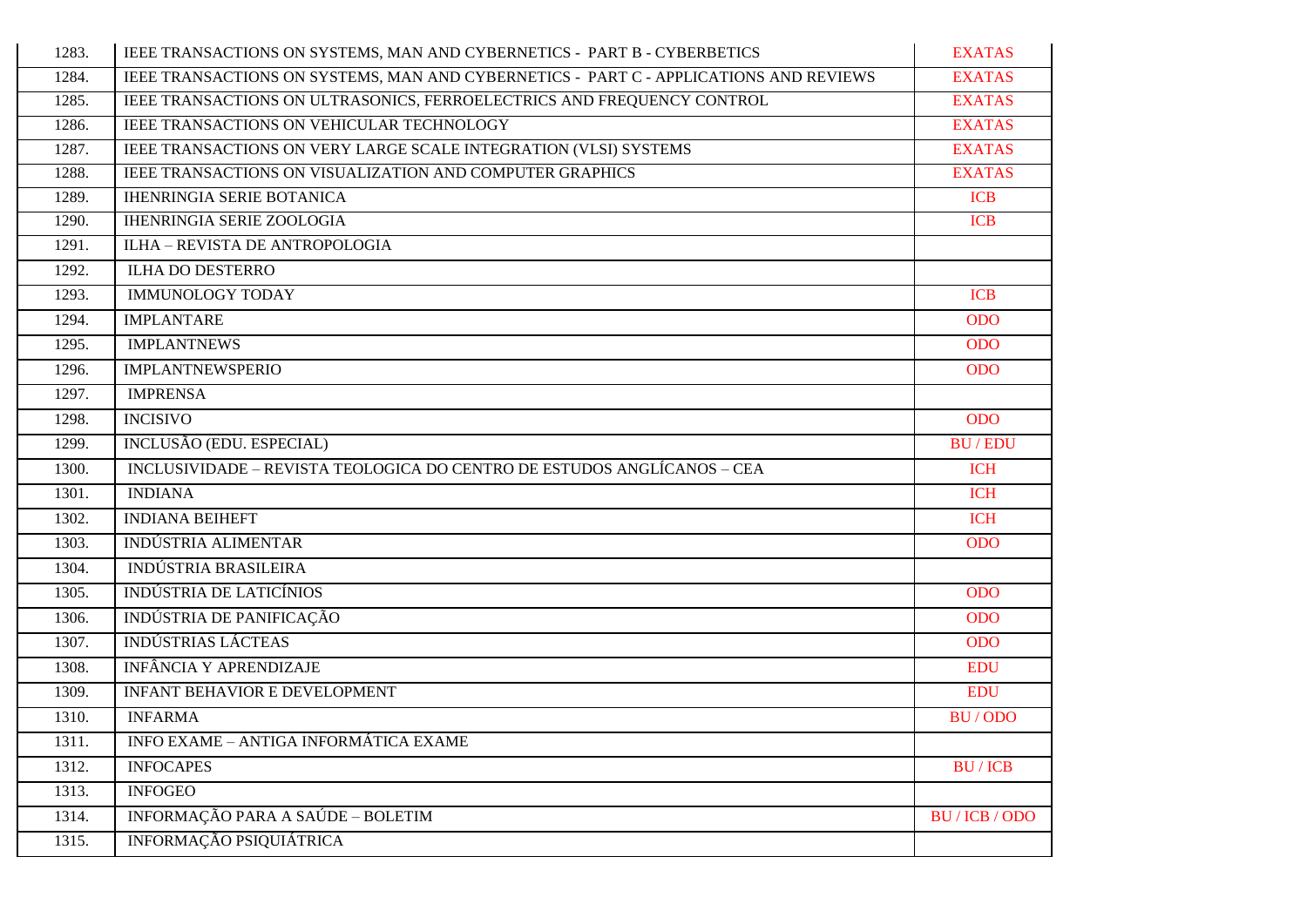| 1283. | IEEE TRANSACTIONS ON SYSTEMS, MAN AND CYBERNETICS - PART B - CYBERBETICS              | <b>EXATAS</b>  |
|-------|---------------------------------------------------------------------------------------|----------------|
| 1284. | IEEE TRANSACTIONS ON SYSTEMS, MAN AND CYBERNETICS - PART C - APPLICATIONS AND REVIEWS | <b>EXATAS</b>  |
| 1285. | IEEE TRANSACTIONS ON ULTRASONICS, FERROELECTRICS AND FREQUENCY CONTROL                | <b>EXATAS</b>  |
| 1286. | <b>IEEE TRANSACTIONS ON VEHICULAR TECHNOLOGY</b>                                      | <b>EXATAS</b>  |
| 1287. | IEEE TRANSACTIONS ON VERY LARGE SCALE INTEGRATION (VLSI) SYSTEMS                      | <b>EXATAS</b>  |
| 1288. | IEEE TRANSACTIONS ON VISUALIZATION AND COMPUTER GRAPHICS                              | <b>EXATAS</b>  |
| 1289. | <b>IHENRINGIA SERIE BOTANICA</b>                                                      | <b>ICB</b>     |
| 1290. | <b>IHENRINGIA SERIE ZOOLOGIA</b>                                                      | <b>ICB</b>     |
| 1291. | ILHA - REVISTA DE ANTROPOLOGIA                                                        |                |
| 1292. | <b>ILHA DO DESTERRO</b>                                                               |                |
| 1293. | <b>IMMUNOLOGY TODAY</b>                                                               | <b>ICB</b>     |
| 1294. | <b>IMPLANTARE</b>                                                                     | <b>ODO</b>     |
| 1295. | <b>IMPLANTNEWS</b>                                                                    | <b>ODO</b>     |
| 1296. | <b>IMPLANTNEWSPERIO</b>                                                               | <b>ODO</b>     |
| 1297. | <b>IMPRENSA</b>                                                                       |                |
| 1298. | <b>INCISIVO</b>                                                                       | <b>ODO</b>     |
| 1299. | INCLUSÃO (EDU. ESPECIAL)                                                              | <b>BU/EDU</b>  |
| 1300. | INCLUSIVIDADE – REVISTA TEOLOGICA DO CENTRO DE ESTUDOS ANGLÍCANOS – CEA               | <b>ICH</b>     |
| 1301. | <b>INDIANA</b>                                                                        | <b>ICH</b>     |
| 1302. | <b>INDIANA BEIHEFT</b>                                                                | <b>ICH</b>     |
| 1303. | <b>INDÚSTRIA ALIMENTAR</b>                                                            | <b>ODO</b>     |
| 1304. | <b>INDÚSTRIA BRASILEIRA</b>                                                           |                |
| 1305. | <b>INDÚSTRIA DE LATICÍNIOS</b>                                                        | <b>ODO</b>     |
| 1306. | INDÚSTRIA DE PANIFICAÇÃO                                                              | <b>ODO</b>     |
| 1307. | <b>INDÚSTRIAS LÁCTEAS</b>                                                             | <b>ODO</b>     |
| 1308. | <b>INFÂNCIA Y APRENDIZAJE</b>                                                         | <b>EDU</b>     |
| 1309. | <b>INFANT BEHAVIOR E DEVELOPMENT</b>                                                  | <b>EDU</b>     |
| 1310. | <b>INFARMA</b>                                                                        | <b>BU/ODO</b>  |
| 1311. | INFO EXAME - ANTIGA INFORMÁTICA EXAME                                                 |                |
| 1312. | <b>INFOCAPES</b>                                                                      | <b>BU/ICB</b>  |
| 1313. | <b>INFOGEO</b>                                                                        |                |
| 1314. | INFORMAÇÃO PARA A SAÚDE - BOLETIM                                                     | BU / ICB / ODO |
| 1315. | INFORMAÇÃO PSIQUIÁTRICA                                                               |                |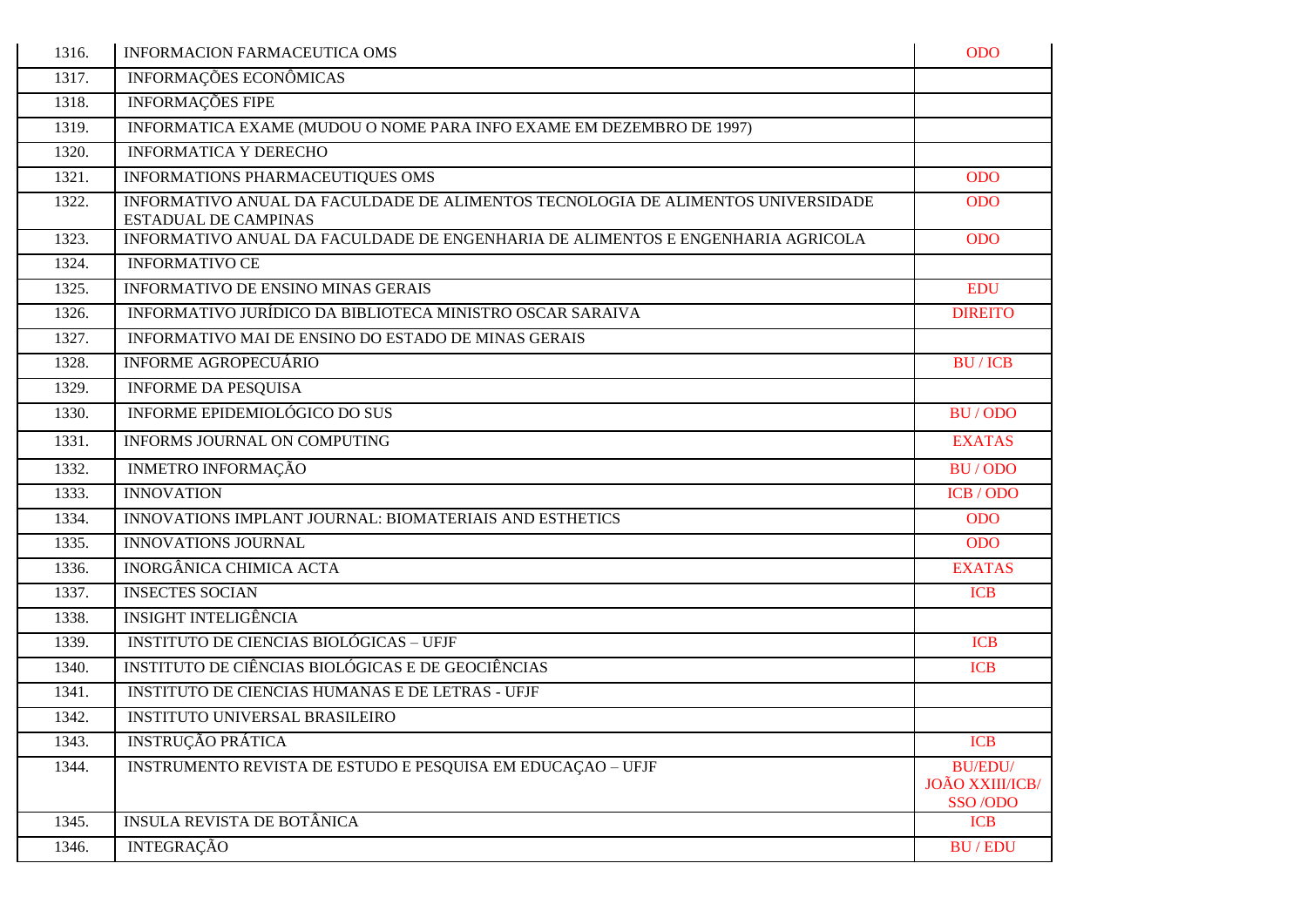| 1316. | <b>INFORMACION FARMACEUTICA OMS</b>                                                                             | <b>ODO</b>                                   |
|-------|-----------------------------------------------------------------------------------------------------------------|----------------------------------------------|
| 1317. | INFORMAÇÕES ECONÔMICAS                                                                                          |                                              |
| 1318. | <b>INFORMAÇÕES FIPE</b>                                                                                         |                                              |
| 1319. | INFORMATICA EXAME (MUDOU O NOME PARA INFO EXAME EM DEZEMBRO DE 1997)                                            |                                              |
| 1320. | <b>INFORMATICA Y DERECHO</b>                                                                                    |                                              |
| 1321. | INFORMATIONS PHARMACEUTIQUES OMS                                                                                | <b>ODO</b>                                   |
| 1322. | INFORMATIVO ANUAL DA FACULDADE DE ALIMENTOS TECNOLOGIA DE ALIMENTOS UNIVERSIDADE<br><b>ESTADUAL DE CAMPINAS</b> | <b>ODO</b>                                   |
| 1323. | INFORMATIVO ANUAL DA FACULDADE DE ENGENHARIA DE ALIMENTOS E ENGENHARIA AGRICOLA                                 | <b>ODO</b>                                   |
| 1324. | <b>INFORMATIVO CE</b>                                                                                           |                                              |
| 1325. | <b>INFORMATIVO DE ENSINO MINAS GERAIS</b>                                                                       | <b>EDU</b>                                   |
| 1326. | INFORMATIVO JURÍDICO DA BIBLIOTECA MINISTRO OSCAR SARAIVA                                                       | <b>DIREITO</b>                               |
| 1327. | INFORMATIVO MAI DE ENSINO DO ESTADO DE MINAS GERAIS                                                             |                                              |
| 1328. | INFORME AGROPECUÁRIO                                                                                            | <b>BU/ICB</b>                                |
| 1329. | <b>INFORME DA PESQUISA</b>                                                                                      |                                              |
| 1330. | INFORME EPIDEMIOLÓGICO DO SUS                                                                                   | BU/ODO                                       |
| 1331. | INFORMS JOURNAL ON COMPUTING                                                                                    | <b>EXATAS</b>                                |
| 1332. | <b>INMETRO INFORMAÇÃO</b>                                                                                       | BU/ODO                                       |
| 1333. | <b>INNOVATION</b>                                                                                               | ICB/ODO                                      |
| 1334. | INNOVATIONS IMPLANT JOURNAL: BIOMATERIAIS AND ESTHETICS                                                         | <b>ODO</b>                                   |
| 1335. | <b>INNOVATIONS JOURNAL</b>                                                                                      | <b>ODO</b>                                   |
| 1336. | <b>INORGÂNICA CHIMICA ACTA</b>                                                                                  | <b>EXATAS</b>                                |
| 1337. | <b>INSECTES SOCIAN</b>                                                                                          | <b>ICB</b>                                   |
| 1338. | <b>INSIGHT INTELIGÊNCIA</b>                                                                                     |                                              |
| 1339. | <b>INSTITUTO DE CIENCIAS BIOLÓGICAS - UFJF</b>                                                                  | <b>ICB</b>                                   |
| 1340. | INSTITUTO DE CIÊNCIAS BIOLÓGICAS E DE GEOCIÊNCIAS                                                               | <b>ICB</b>                                   |
| 1341. | INSTITUTO DE CIENCIAS HUMANAS E DE LETRAS - UFJF                                                                |                                              |
| 1342. | <b>INSTITUTO UNIVERSAL BRASILEIRO</b>                                                                           |                                              |
| 1343. | <b>INSTRUÇÃO PRÁTICA</b>                                                                                        | <b>ICB</b>                                   |
| 1344. | INSTRUMENTO REVISTA DE ESTUDO E PESQUISA EM EDUCAÇÃO - UFJF                                                     | <b>BU/EDU/</b><br>JOÃO XXIII/ICB/<br>SSO/ODO |
| 1345. | <b>INSULA REVISTA DE BOTÂNICA</b>                                                                               | <b>ICB</b>                                   |
| 1346. | <b>INTEGRAÇÃO</b>                                                                                               | <b>BU/EDU</b>                                |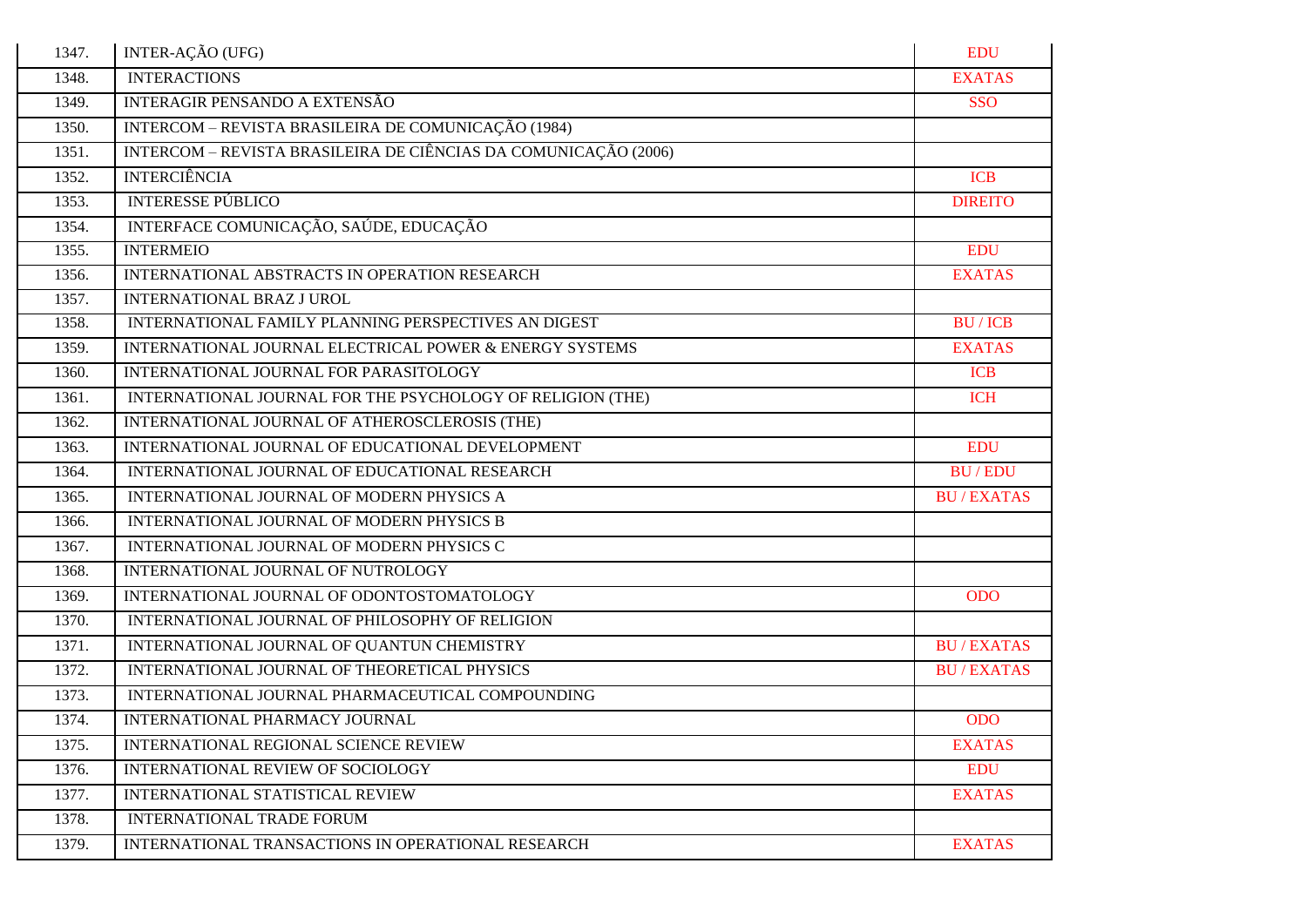| 1347. | INTER-AÇÃO (UFG)                                                | <b>EDU</b>       |
|-------|-----------------------------------------------------------------|------------------|
| 1348. | <b>INTERACTIONS</b>                                             | <b>EXATAS</b>    |
| 1349. | <b>INTERAGIR PENSANDO A EXTENSÃO</b>                            | <b>SSO</b>       |
| 1350. | INTERCOM – REVISTA BRASILEIRA DE COMUNICAÇÃO (1984)             |                  |
| 1351. | INTERCOM - REVISTA BRASILEIRA DE CIÊNCIAS DA COMUNICAÇÃO (2006) |                  |
| 1352. | <b>INTERCIÊNCIA</b>                                             | <b>ICB</b>       |
| 1353. | <b>INTERESSE PÚBLICO</b>                                        | <b>DIREITO</b>   |
| 1354. | INTERFACE COMUNICAÇÃO, SAÚDE, EDUCAÇÃO                          |                  |
| 1355. | <b>INTERMEIO</b>                                                | <b>EDU</b>       |
| 1356. | INTERNATIONAL ABSTRACTS IN OPERATION RESEARCH                   | <b>EXATAS</b>    |
| 1357. | <b>INTERNATIONAL BRAZ J UROL</b>                                |                  |
| 1358. | INTERNATIONAL FAMILY PLANNING PERSPECTIVES AN DIGEST            | <b>BU/ICB</b>    |
| 1359. | INTERNATIONAL JOURNAL ELECTRICAL POWER & ENERGY SYSTEMS         | <b>EXATAS</b>    |
| 1360. | INTERNATIONAL JOURNAL FOR PARASITOLOGY                          | <b>ICB</b>       |
| 1361. | INTERNATIONAL JOURNAL FOR THE PSYCHOLOGY OF RELIGION (THE)      | <b>ICH</b>       |
| 1362. | INTERNATIONAL JOURNAL OF ATHEROSCLEROSIS (THE)                  |                  |
| 1363. | INTERNATIONAL JOURNAL OF EDUCATIONAL DEVELOPMENT                | <b>EDU</b>       |
| 1364. | INTERNATIONAL JOURNAL OF EDUCATIONAL RESEARCH                   | <b>BU/EDU</b>    |
| 1365. | INTERNATIONAL JOURNAL OF MODERN PHYSICS A                       | <b>BU/EXATAS</b> |
| 1366. | INTERNATIONAL JOURNAL OF MODERN PHYSICS B                       |                  |
| 1367. | INTERNATIONAL JOURNAL OF MODERN PHYSICS C                       |                  |
| 1368. | INTERNATIONAL JOURNAL OF NUTROLOGY                              |                  |
| 1369. | INTERNATIONAL JOURNAL OF ODONTOSTOMATOLOGY                      | <b>ODO</b>       |
| 1370. | INTERNATIONAL JOURNAL OF PHILOSOPHY OF RELIGION                 |                  |
| 1371. | INTERNATIONAL JOURNAL OF QUANTUN CHEMISTRY                      | <b>BU/EXATAS</b> |
| 1372. | INTERNATIONAL JOURNAL OF THEORETICAL PHYSICS                    | <b>BU/EXATAS</b> |
| 1373. | INTERNATIONAL JOURNAL PHARMACEUTICAL COMPOUNDING                |                  |
| 1374. | INTERNATIONAL PHARMACY JOURNAL                                  | <b>ODO</b>       |
| 1375. | INTERNATIONAL REGIONAL SCIENCE REVIEW                           | <b>EXATAS</b>    |
| 1376. | INTERNATIONAL REVIEW OF SOCIOLOGY                               | <b>EDU</b>       |
| 1377. | INTERNATIONAL STATISTICAL REVIEW                                | <b>EXATAS</b>    |
| 1378. | <b>INTERNATIONAL TRADE FORUM</b>                                |                  |
| 1379. | INTERNATIONAL TRANSACTIONS IN OPERATIONAL RESEARCH              | <b>EXATAS</b>    |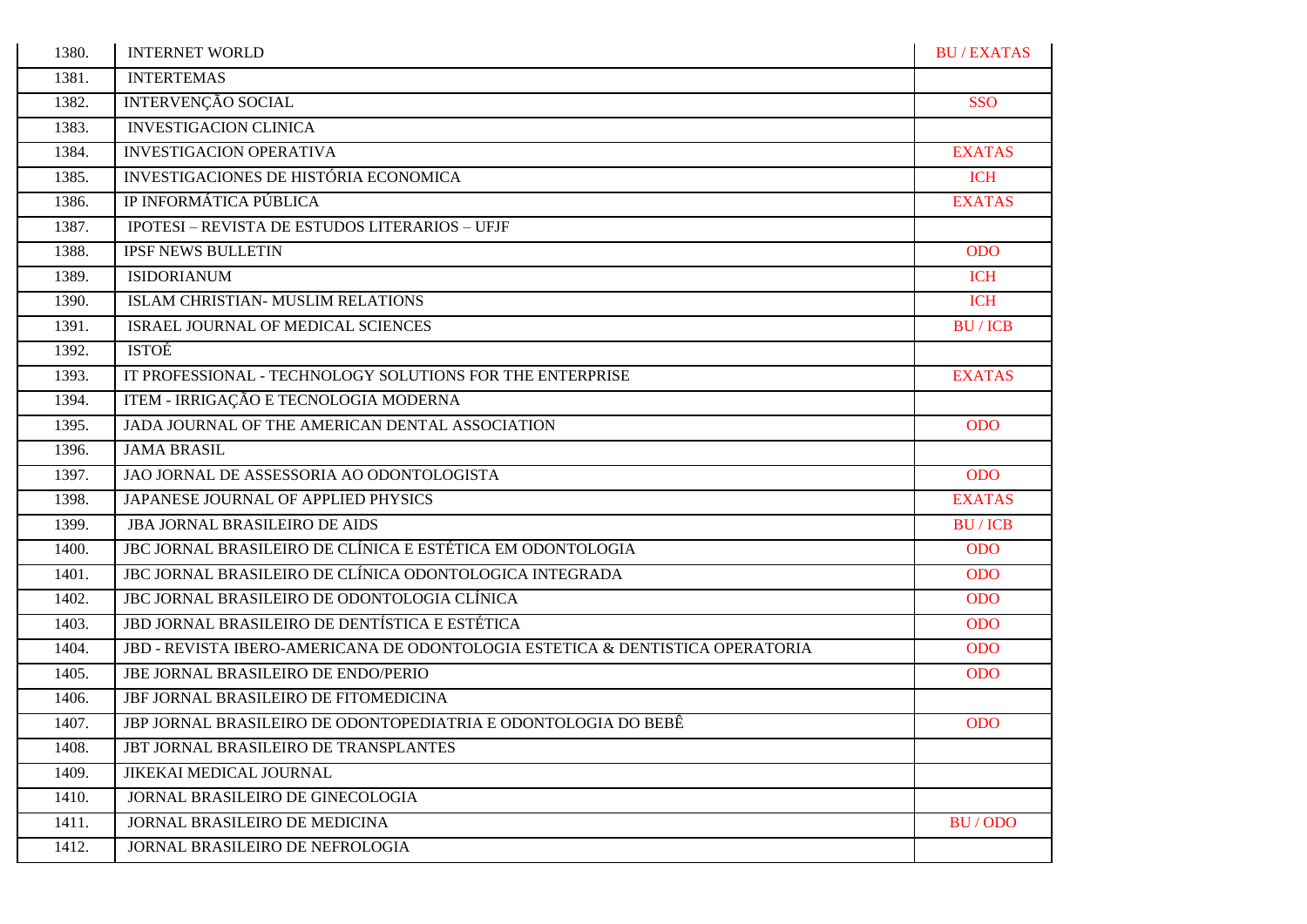| 1380. | <b>INTERNET WORLD</b>                                                         | <b>BU/EXATAS</b> |
|-------|-------------------------------------------------------------------------------|------------------|
| 1381. | <b>INTERTEMAS</b>                                                             |                  |
| 1382. | <b>INTERVENÇÃO SOCIAL</b>                                                     | <b>SSO</b>       |
| 1383. | <b>INVESTIGACION CLINICA</b>                                                  |                  |
| 1384. | <b>INVESTIGACION OPERATIVA</b>                                                | <b>EXATAS</b>    |
| 1385. | INVESTIGACIONES DE HISTÓRIA ECONOMICA                                         | <b>ICH</b>       |
| 1386. | IP INFORMÁTICA PÚBLICA                                                        | <b>EXATAS</b>    |
| 1387. | <b>IPOTESI - REVISTA DE ESTUDOS LITERARIOS - UFJF</b>                         |                  |
| 1388. | <b>IPSF NEWS BULLETIN</b>                                                     | <b>ODO</b>       |
| 1389. | <b>ISIDORIANUM</b>                                                            | <b>ICH</b>       |
| 1390. | <b>ISLAM CHRISTIAN- MUSLIM RELATIONS</b>                                      | <b>ICH</b>       |
| 1391. | ISRAEL JOURNAL OF MEDICAL SCIENCES                                            | <b>BU/ICB</b>    |
| 1392. | <b>ISTOE</b>                                                                  |                  |
| 1393. | IT PROFESSIONAL - TECHNOLOGY SOLUTIONS FOR THE ENTERPRISE                     | <b>EXATAS</b>    |
| 1394. | ITEM - IRRIGAÇÃO E TECNOLOGIA MODERNA                                         |                  |
| 1395. | JADA JOURNAL OF THE AMERICAN DENTAL ASSOCIATION                               | <b>ODO</b>       |
| 1396. | <b>JAMA BRASIL</b>                                                            |                  |
| 1397. | JAO JORNAL DE ASSESSORIA AO ODONTOLOGISTA                                     | <b>ODO</b>       |
| 1398. | JAPANESE JOURNAL OF APPLIED PHYSICS                                           | <b>EXATAS</b>    |
| 1399. | <b>JBA JORNAL BRASILEIRO DE AIDS</b>                                          | <b>BU/ICB</b>    |
| 1400. | JBC JORNAL BRASILEIRO DE CLÍNICA E ESTÉTICA EM ODONTOLOGIA                    | <b>ODO</b>       |
| 1401. | JBC JORNAL BRASILEIRO DE CLÍNICA ODONTOLOGICA INTEGRADA                       | <b>ODO</b>       |
| 1402. | JBC JORNAL BRASILEIRO DE ODONTOLOGIA CLÍNICA                                  | <b>ODO</b>       |
| 1403. | JBD JORNAL BRASILEIRO DE DENTÍSTICA E ESTÉTICA                                | <b>ODO</b>       |
| 1404. | JBD - REVISTA IBERO-AMERICANA DE ODONTOLOGIA ESTETICA & DENTISTICA OPERATORIA | <b>ODO</b>       |
| 1405. | JBE JORNAL BRASILEIRO DE ENDO/PERIO                                           | <b>ODO</b>       |
| 1406. | JBF JORNAL BRASILEIRO DE FITOMEDICINA                                         |                  |
| 1407. | JBP JORNAL BRASILEIRO DE ODONTOPEDIATRIA E ODONTOLOGIA DO BEBÊ                | <b>ODO</b>       |
| 1408. | JBT JORNAL BRASILEIRO DE TRANSPLANTES                                         |                  |
| 1409. | JIKEKAI MEDICAL JOURNAL                                                       |                  |
| 1410. | JORNAL BRASILEIRO DE GINECOLOGIA                                              |                  |
| 1411. | JORNAL BRASILEIRO DE MEDICINA                                                 | BU/ODO           |
| 1412. | JORNAL BRASILEIRO DE NEFROLOGIA                                               |                  |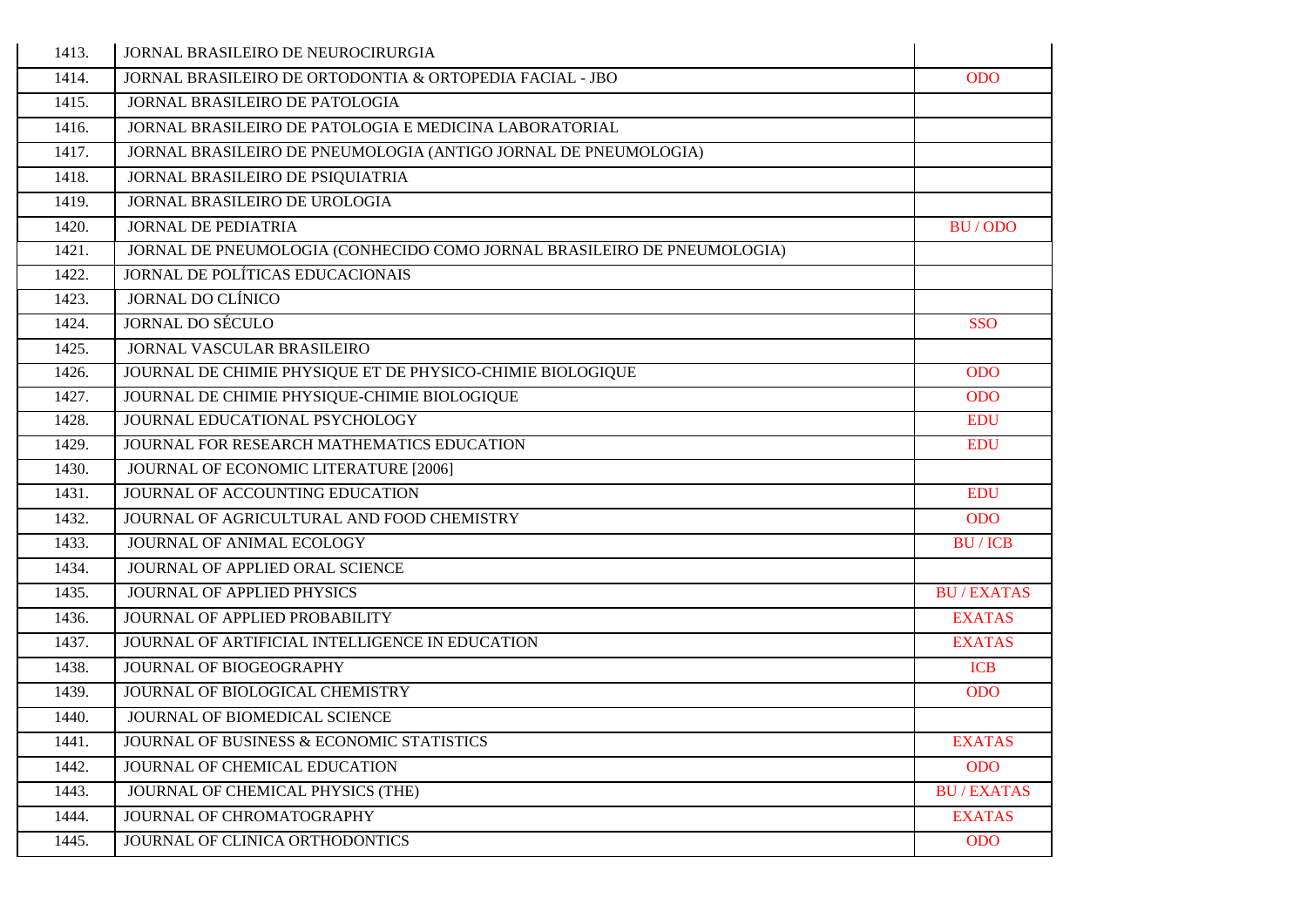| 1413. | JORNAL BRASILEIRO DE NEUROCIRURGIA                                      |                  |
|-------|-------------------------------------------------------------------------|------------------|
| 1414. | JORNAL BRASILEIRO DE ORTODONTIA & ORTOPEDIA FACIAL - JBO                | <b>ODO</b>       |
| 1415. | JORNAL BRASILEIRO DE PATOLOGIA                                          |                  |
| 1416. | JORNAL BRASILEIRO DE PATOLOGIA E MEDICINA LABORATORIAL                  |                  |
| 1417. | JORNAL BRASILEIRO DE PNEUMOLOGIA (ANTIGO JORNAL DE PNEUMOLOGIA)         |                  |
| 1418. | JORNAL BRASILEIRO DE PSIQUIATRIA                                        |                  |
| 1419. | JORNAL BRASILEIRO DE UROLOGIA                                           |                  |
| 1420. | <b>JORNAL DE PEDIATRIA</b>                                              | BU/ODO           |
| 1421. | JORNAL DE PNEUMOLOGIA (CONHECIDO COMO JORNAL BRASILEIRO DE PNEUMOLOGIA) |                  |
| 1422. | JORNAL DE POLÍTICAS EDUCACIONAIS                                        |                  |
| 1423. | <b>JORNAL DO CLÍNICO</b>                                                |                  |
| 1424. | <b>JORNAL DO SÉCULO</b>                                                 | <b>SSO</b>       |
| 1425. | JORNAL VASCULAR BRASILEIRO                                              |                  |
| 1426. | JOURNAL DE CHIMIE PHYSIQUE ET DE PHYSICO-CHIMIE BIOLOGIQUE              | <b>ODO</b>       |
| 1427. | JOURNAL DE CHIMIE PHYSIQUE-CHIMIE BIOLOGIQUE                            | <b>ODO</b>       |
| 1428. | JOURNAL EDUCATIONAL PSYCHOLOGY                                          | <b>EDU</b>       |
| 1429. | JOURNAL FOR RESEARCH MATHEMATICS EDUCATION                              | <b>EDU</b>       |
| 1430. | JOURNAL OF ECONOMIC LITERATURE [2006]                                   |                  |
| 1431. | JOURNAL OF ACCOUNTING EDUCATION                                         | <b>EDU</b>       |
| 1432. | JOURNAL OF AGRICULTURAL AND FOOD CHEMISTRY                              | <b>ODO</b>       |
| 1433. | JOURNAL OF ANIMAL ECOLOGY                                               | <b>BU/ICB</b>    |
| 1434. | JOURNAL OF APPLIED ORAL SCIENCE                                         |                  |
| 1435. | JOURNAL OF APPLIED PHYSICS                                              | <b>BU/EXATAS</b> |
| 1436. | JOURNAL OF APPLIED PROBABILITY                                          | <b>EXATAS</b>    |
| 1437. | JOURNAL OF ARTIFICIAL INTELLIGENCE IN EDUCATION                         | <b>EXATAS</b>    |
| 1438. | JOURNAL OF BIOGEOGRAPHY                                                 | <b>ICB</b>       |
| 1439. | JOURNAL OF BIOLOGICAL CHEMISTRY                                         | <b>ODO</b>       |
| 1440. | JOURNAL OF BIOMEDICAL SCIENCE                                           |                  |
| 1441. | JOURNAL OF BUSINESS & ECONOMIC STATISTICS                               | <b>EXATAS</b>    |
| 1442. | JOURNAL OF CHEMICAL EDUCATION                                           | <b>ODO</b>       |
| 1443. | JOURNAL OF CHEMICAL PHYSICS (THE)                                       | <b>BU/EXATAS</b> |
| 1444. | JOURNAL OF CHROMATOGRAPHY                                               | <b>EXATAS</b>    |
| 1445. | JOURNAL OF CLINICA ORTHODONTICS                                         | <b>ODO</b>       |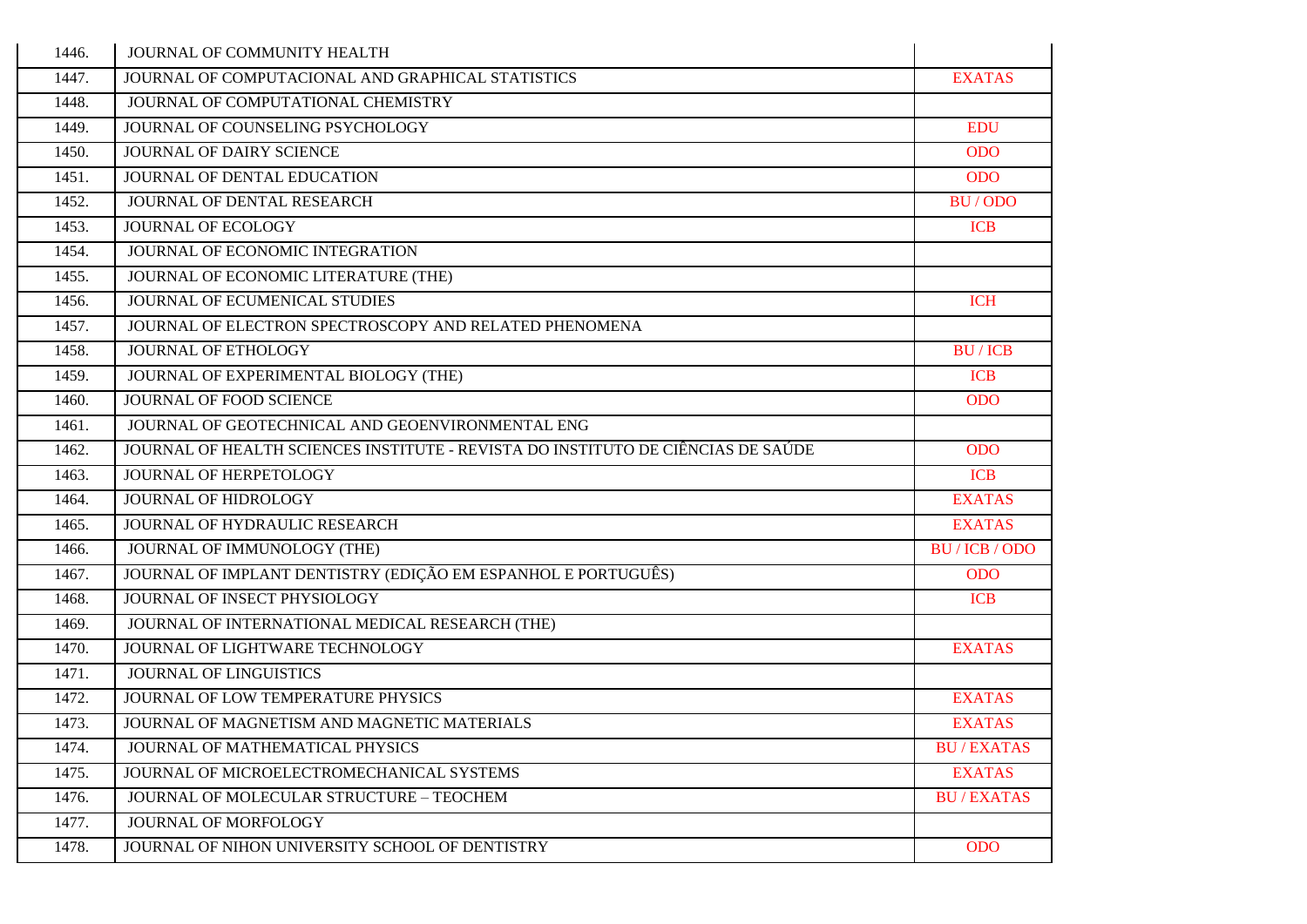| 1446. | JOURNAL OF COMMUNITY HEALTH                                                      |                  |
|-------|----------------------------------------------------------------------------------|------------------|
| 1447. | JOURNAL OF COMPUTACIONAL AND GRAPHICAL STATISTICS                                | <b>EXATAS</b>    |
| 1448. | JOURNAL OF COMPUTATIONAL CHEMISTRY                                               |                  |
| 1449. | JOURNAL OF COUNSELING PSYCHOLOGY                                                 | <b>EDU</b>       |
| 1450. | <b>JOURNAL OF DAIRY SCIENCE</b>                                                  | <b>ODO</b>       |
| 1451. | JOURNAL OF DENTAL EDUCATION                                                      | <b>ODO</b>       |
| 1452. | JOURNAL OF DENTAL RESEARCH                                                       | BU/ODO           |
| 1453. | <b>JOURNAL OF ECOLOGY</b>                                                        | <b>ICB</b>       |
| 1454. | JOURNAL OF ECONOMIC INTEGRATION                                                  |                  |
| 1455. | JOURNAL OF ECONOMIC LITERATURE (THE)                                             |                  |
| 1456. | JOURNAL OF ECUMENICAL STUDIES                                                    | <b>ICH</b>       |
| 1457. | JOURNAL OF ELECTRON SPECTROSCOPY AND RELATED PHENOMENA                           |                  |
| 1458. | JOURNAL OF ETHOLOGY                                                              | <b>BU/ICB</b>    |
| 1459. | JOURNAL OF EXPERIMENTAL BIOLOGY (THE)                                            | <b>ICB</b>       |
| 1460. | <b>JOURNAL OF FOOD SCIENCE</b>                                                   | <b>ODO</b>       |
| 1461. | JOURNAL OF GEOTECHNICAL AND GEOENVIRONMENTAL ENG                                 |                  |
| 1462. | JOURNAL OF HEALTH SCIENCES INSTITUTE - REVISTA DO INSTITUTO DE CIÊNCIAS DE SAÚDE | <b>ODO</b>       |
| 1463. | JOURNAL OF HERPETOLOGY                                                           | <b>ICB</b>       |
| 1464. | <b>JOURNAL OF HIDROLOGY</b>                                                      | <b>EXATAS</b>    |
| 1465. | JOURNAL OF HYDRAULIC RESEARCH                                                    | <b>EXATAS</b>    |
| 1466. | JOURNAL OF IMMUNOLOGY (THE)                                                      | BU/ICB/ODO       |
| 1467. | JOURNAL OF IMPLANT DENTISTRY (EDIÇÃO EM ESPANHOL E PORTUGUÊS)                    | <b>ODO</b>       |
| 1468. | JOURNAL OF INSECT PHYSIOLOGY                                                     | <b>ICB</b>       |
| 1469. | JOURNAL OF INTERNATIONAL MEDICAL RESEARCH (THE)                                  |                  |
| 1470. | JOURNAL OF LIGHTWARE TECHNOLOGY                                                  | <b>EXATAS</b>    |
| 1471. | <b>JOURNAL OF LINGUISTICS</b>                                                    |                  |
| 1472. | JOURNAL OF LOW TEMPERATURE PHYSICS                                               | <b>EXATAS</b>    |
| 1473. | JOURNAL OF MAGNETISM AND MAGNETIC MATERIALS                                      | <b>EXATAS</b>    |
| 1474. | JOURNAL OF MATHEMATICAL PHYSICS                                                  | <b>BU/EXATAS</b> |
| 1475. | JOURNAL OF MICROELECTROMECHANICAL SYSTEMS                                        | <b>EXATAS</b>    |
| 1476. | JOURNAL OF MOLECULAR STRUCTURE - TEOCHEM                                         | <b>BU/EXATAS</b> |
| 1477. | JOURNAL OF MORFOLOGY                                                             |                  |
| 1478. | JOURNAL OF NIHON UNIVERSITY SCHOOL OF DENTISTRY                                  | <b>ODO</b>       |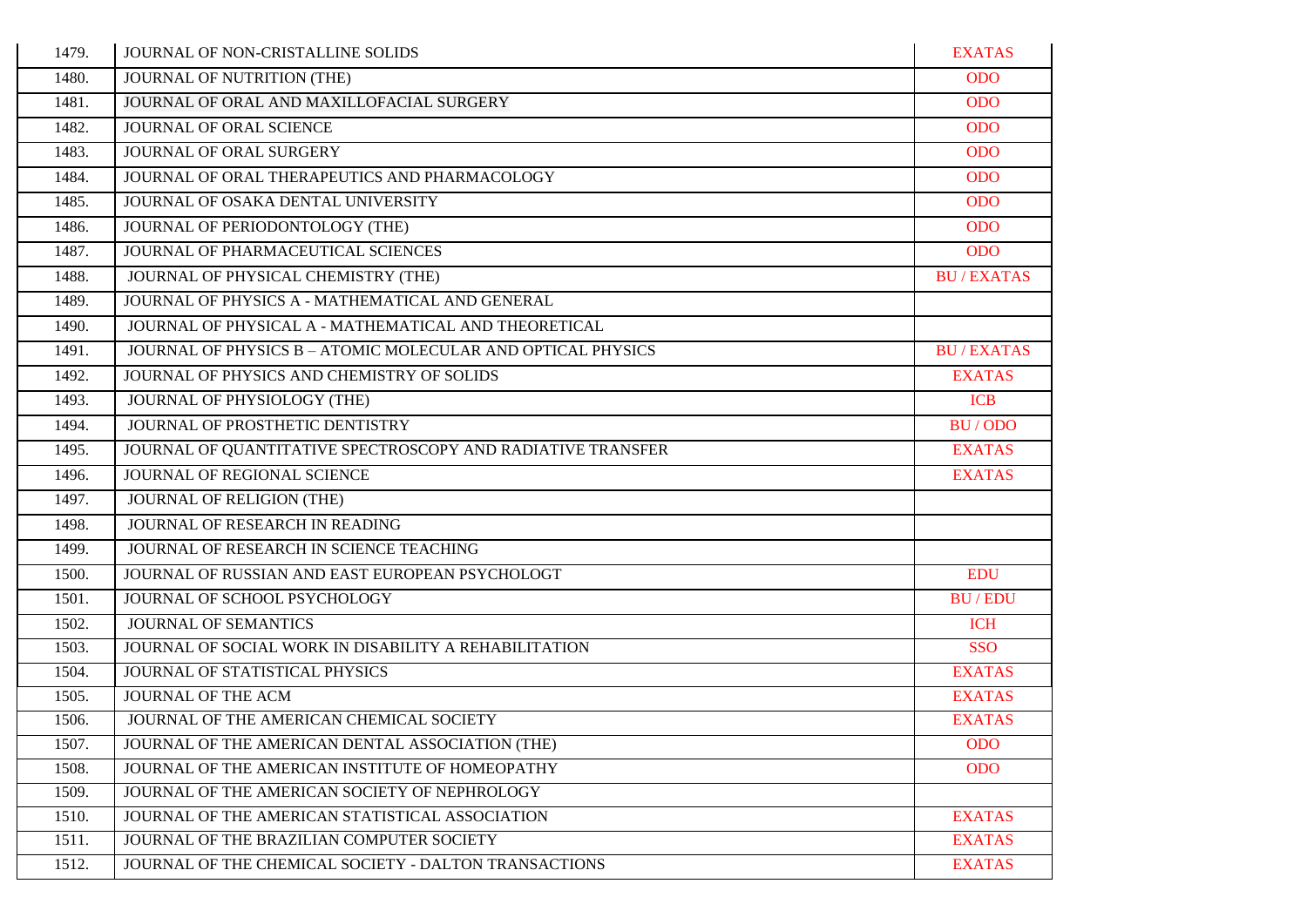| 1479. | JOURNAL OF NON-CRISTALLINE SOLIDS                           | <b>EXATAS</b>    |
|-------|-------------------------------------------------------------|------------------|
| 1480. | JOURNAL OF NUTRITION (THE)                                  | <b>ODO</b>       |
| 1481. | JOURNAL OF ORAL AND MAXILLOFACIAL SURGERY                   | <b>ODO</b>       |
| 1482. | JOURNAL OF ORAL SCIENCE                                     | <b>ODO</b>       |
| 1483. | JOURNAL OF ORAL SURGERY                                     | <b>ODO</b>       |
| 1484. | JOURNAL OF ORAL THERAPEUTICS AND PHARMACOLOGY               | <b>ODO</b>       |
| 1485. | JOURNAL OF OSAKA DENTAL UNIVERSITY                          | <b>ODO</b>       |
| 1486. | JOURNAL OF PERIODONTOLOGY (THE)                             | <b>ODO</b>       |
| 1487. | JOURNAL OF PHARMACEUTICAL SCIENCES                          | <b>ODO</b>       |
| 1488. | JOURNAL OF PHYSICAL CHEMISTRY (THE)                         | <b>BU/EXATAS</b> |
| 1489. | JOURNAL OF PHYSICS A - MATHEMATICAL AND GENERAL             |                  |
| 1490. | JOURNAL OF PHYSICAL A - MATHEMATICAL AND THEORETICAL        |                  |
| 1491. | JOURNAL OF PHYSICS B - ATOMIC MOLECULAR AND OPTICAL PHYSICS | <b>BU/EXATAS</b> |
| 1492. | JOURNAL OF PHYSICS AND CHEMISTRY OF SOLIDS                  | <b>EXATAS</b>    |
| 1493. | JOURNAL OF PHYSIOLOGY (THE)                                 | <b>ICB</b>       |
| 1494. | JOURNAL OF PROSTHETIC DENTISTRY                             | BU/ODO           |
| 1495. | JOURNAL OF QUANTITATIVE SPECTROSCOPY AND RADIATIVE TRANSFER | <b>EXATAS</b>    |
| 1496. | JOURNAL OF REGIONAL SCIENCE                                 | <b>EXATAS</b>    |
| 1497. | JOURNAL OF RELIGION (THE)                                   |                  |
| 1498. | JOURNAL OF RESEARCH IN READING                              |                  |
| 1499. | JOURNAL OF RESEARCH IN SCIENCE TEACHING                     |                  |
| 1500. | JOURNAL OF RUSSIAN AND EAST EUROPEAN PSYCHOLOGT             | <b>EDU</b>       |
| 1501. | JOURNAL OF SCHOOL PSYCHOLOGY                                | <b>BU/EDU</b>    |
| 1502. | <b>JOURNAL OF SEMANTICS</b>                                 | <b>ICH</b>       |
| 1503. | JOURNAL OF SOCIAL WORK IN DISABILITY A REHABILITATION       | <b>SSO</b>       |
| 1504. | JOURNAL OF STATISTICAL PHYSICS                              | <b>EXATAS</b>    |
| 1505. | JOURNAL OF THE ACM                                          | <b>EXATAS</b>    |
| 1506. | JOURNAL OF THE AMERICAN CHEMICAL SOCIETY                    | <b>EXATAS</b>    |
| 1507. | JOURNAL OF THE AMERICAN DENTAL ASSOCIATION (THE)            | <b>ODO</b>       |
| 1508. | JOURNAL OF THE AMERICAN INSTITUTE OF HOMEOPATHY             | <b>ODO</b>       |
| 1509. | JOURNAL OF THE AMERICAN SOCIETY OF NEPHROLOGY               |                  |
| 1510. | JOURNAL OF THE AMERICAN STATISTICAL ASSOCIATION             | <b>EXATAS</b>    |
| 1511. | JOURNAL OF THE BRAZILIAN COMPUTER SOCIETY                   | <b>EXATAS</b>    |
| 1512. | JOURNAL OF THE CHEMICAL SOCIETY - DALTON TRANSACTIONS       | <b>EXATAS</b>    |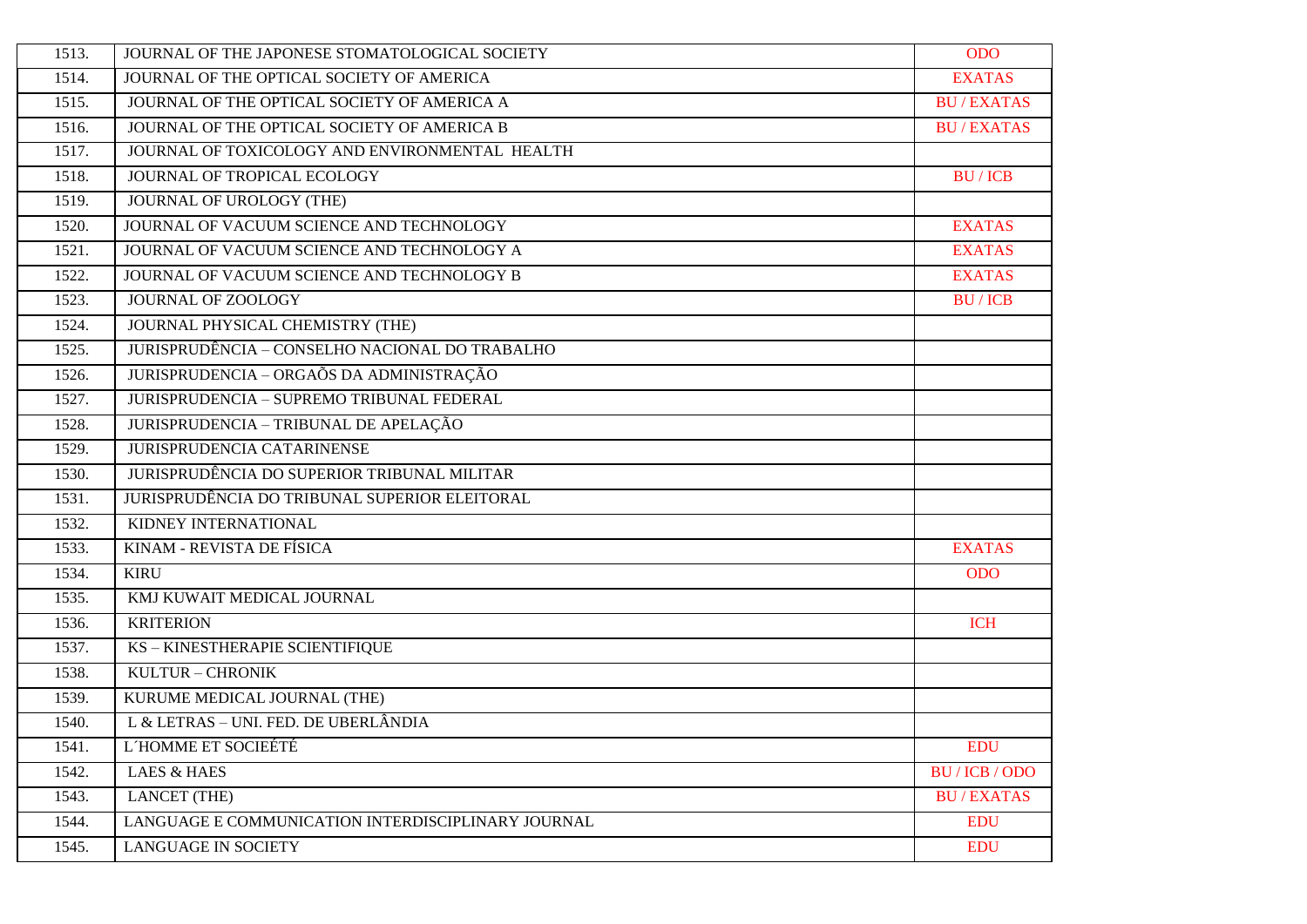| 1513. | JOURNAL OF THE JAPONESE STOMATOLOGICAL SOCIETY     | <b>ODO</b>       |
|-------|----------------------------------------------------|------------------|
| 1514. | JOURNAL OF THE OPTICAL SOCIETY OF AMERICA          | <b>EXATAS</b>    |
| 1515. | JOURNAL OF THE OPTICAL SOCIETY OF AMERICA A        | <b>BU/EXATAS</b> |
| 1516. | JOURNAL OF THE OPTICAL SOCIETY OF AMERICA B        | <b>BU/EXATAS</b> |
| 1517. | JOURNAL OF TOXICOLOGY AND ENVIRONMENTAL HEALTH     |                  |
| 1518. | JOURNAL OF TROPICAL ECOLOGY                        | <b>BU/ICB</b>    |
| 1519. | <b>JOURNAL OF UROLOGY (THE)</b>                    |                  |
| 1520. | JOURNAL OF VACUUM SCIENCE AND TECHNOLOGY           | <b>EXATAS</b>    |
| 1521. | JOURNAL OF VACUUM SCIENCE AND TECHNOLOGY A         | <b>EXATAS</b>    |
| 1522. | JOURNAL OF VACUUM SCIENCE AND TECHNOLOGY B         | <b>EXATAS</b>    |
| 1523. | JOURNAL OF ZOOLOGY                                 | <b>BU/ICB</b>    |
| 1524. | JOURNAL PHYSICAL CHEMISTRY (THE)                   |                  |
| 1525. | JURISPRUDÊNCIA - CONSELHO NACIONAL DO TRABALHO     |                  |
| 1526. | JURISPRUDENCIA - ORGAÕS DA ADMINISTRAÇÃO           |                  |
| 1527. | <b>JURISPRUDENCIA - SUPREMO TRIBUNAL FEDERAL</b>   |                  |
| 1528. | JURISPRUDENCIA - TRIBUNAL DE APELAÇÃO              |                  |
| 1529. | JURISPRUDENCIA CATARINENSE                         |                  |
| 1530. | JURISPRUDÊNCIA DO SUPERIOR TRIBUNAL MILITAR        |                  |
| 1531. | JURISPRUDÊNCIA DO TRIBUNAL SUPERIOR ELEITORAL      |                  |
| 1532. | KIDNEY INTERNATIONAL                               |                  |
| 1533. | KINAM - REVISTA DE FÍSICA                          | <b>EXATAS</b>    |
| 1534. | <b>KIRU</b>                                        | <b>ODO</b>       |
| 1535. | KMJ KUWAIT MEDICAL JOURNAL                         |                  |
| 1536. | <b>KRITERION</b>                                   | <b>ICH</b>       |
| 1537. | KS - KINESTHERAPIE SCIENTIFIQUE                    |                  |
| 1538. | KULTUR - CHRONIK                                   |                  |
| 1539. | KURUME MEDICAL JOURNAL (THE)                       |                  |
| 1540. | L & LETRAS - UNI. FED. DE UBERLÂNDIA               |                  |
| 1541. | L'HOMME ET SOCIEÉTÉ                                | <b>EDU</b>       |
| 1542. | <b>LAES &amp; HAES</b>                             | BU / ICB / ODO   |
| 1543. | <b>LANCET</b> (THE)                                | <b>BU/EXATAS</b> |
| 1544. | LANGUAGE E COMMUNICATION INTERDISCIPLINARY JOURNAL | <b>EDU</b>       |
| 1545. | <b>LANGUAGE IN SOCIETY</b>                         | <b>EDU</b>       |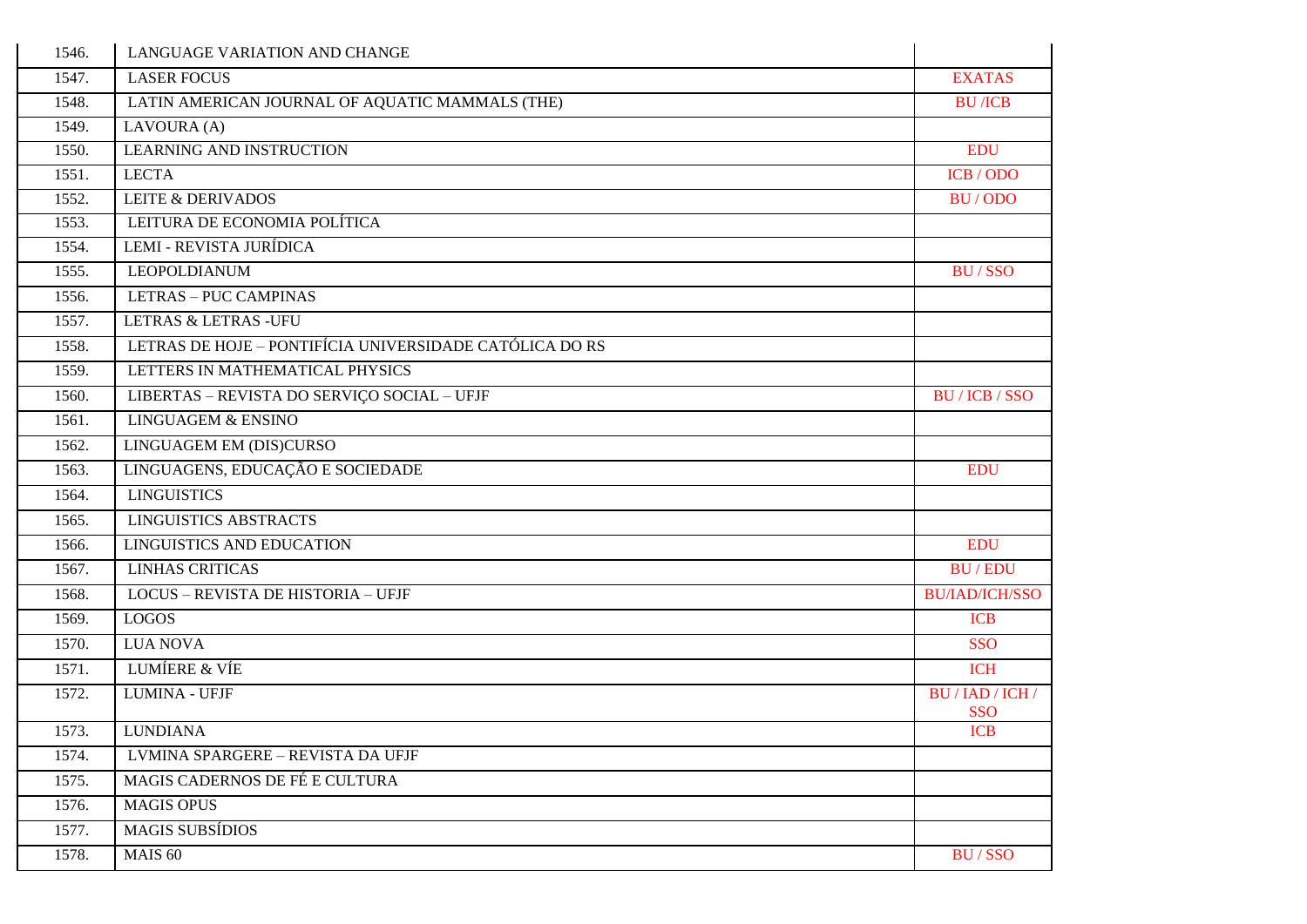| 1546. | LANGUAGE VARIATION AND CHANGE                           |                                |
|-------|---------------------------------------------------------|--------------------------------|
| 1547. | <b>LASER FOCUS</b>                                      | <b>EXATAS</b>                  |
| 1548. | LATIN AMERICAN JOURNAL OF AQUATIC MAMMALS (THE)         | <b>BU</b> /ICB                 |
| 1549. | LAVOURA (A)                                             |                                |
| 1550. | <b>LEARNING AND INSTRUCTION</b>                         | <b>EDU</b>                     |
| 1551. | <b>LECTA</b>                                            | ICB / ODO                      |
| 1552. | <b>LEITE &amp; DERIVADOS</b>                            | BU/ODO                         |
| 1553. | LEITURA DE ECONOMIA POLÍTICA                            |                                |
| 1554. | LEMI - REVISTA JURÍDICA                                 |                                |
| 1555. | <b>LEOPOLDIANUM</b>                                     | <b>BU/SSO</b>                  |
| 1556. | <b>LETRAS - PUC CAMPINAS</b>                            |                                |
| 1557. | <b>LETRAS &amp; LETRAS -UFU</b>                         |                                |
| 1558. | LETRAS DE HOJE - PONTIFÍCIA UNIVERSIDADE CATÓLICA DO RS |                                |
| 1559. | LETTERS IN MATHEMATICAL PHYSICS                         |                                |
| 1560. | LIBERTAS - REVISTA DO SERVIÇO SOCIAL - UFJF             | BU / ICB / SSO                 |
| 1561. | <b>LINGUAGEM &amp; ENSINO</b>                           |                                |
| 1562. | LINGUAGEM EM (DIS)CURSO                                 |                                |
| 1563. | LINGUAGENS, EDUCAÇÃO E SOCIEDADE                        | <b>EDU</b>                     |
| 1564. | <b>LINGUISTICS</b>                                      |                                |
| 1565. | <b>LINGUISTICS ABSTRACTS</b>                            |                                |
| 1566. | <b>LINGUISTICS AND EDUCATION</b>                        | <b>EDU</b>                     |
| 1567. | <b>LINHAS CRITICAS</b>                                  | <b>BU/EDU</b>                  |
| 1568. | LOCUS - REVISTA DE HISTORIA - UFJF                      | <b>BU/IAD/ICH/SSO</b>          |
| 1569. | <b>LOGOS</b>                                            | <b>ICB</b>                     |
| 1570. | <b>LUA NOVA</b>                                         | <b>SSO</b>                     |
| 1571. | <b>LUMÍERE &amp; VÍE</b>                                | <b>ICH</b>                     |
| 1572. | <b>LUMINA - UFJF</b>                                    | BU / IAD / ICH /<br><b>SSO</b> |
| 1573. | <b>LUNDIANA</b>                                         | <b>ICB</b>                     |
| 1574. | LVMINA SPARGERE - REVISTA DA UFJF                       |                                |
| 1575. | MAGIS CADERNOS DE FÉ E CULTURA                          |                                |
| 1576. | <b>MAGIS OPUS</b>                                       |                                |
| 1577. | <b>MAGIS SUBSÍDIOS</b>                                  |                                |
| 1578. | MAIS 60                                                 | <b>BU/SSO</b>                  |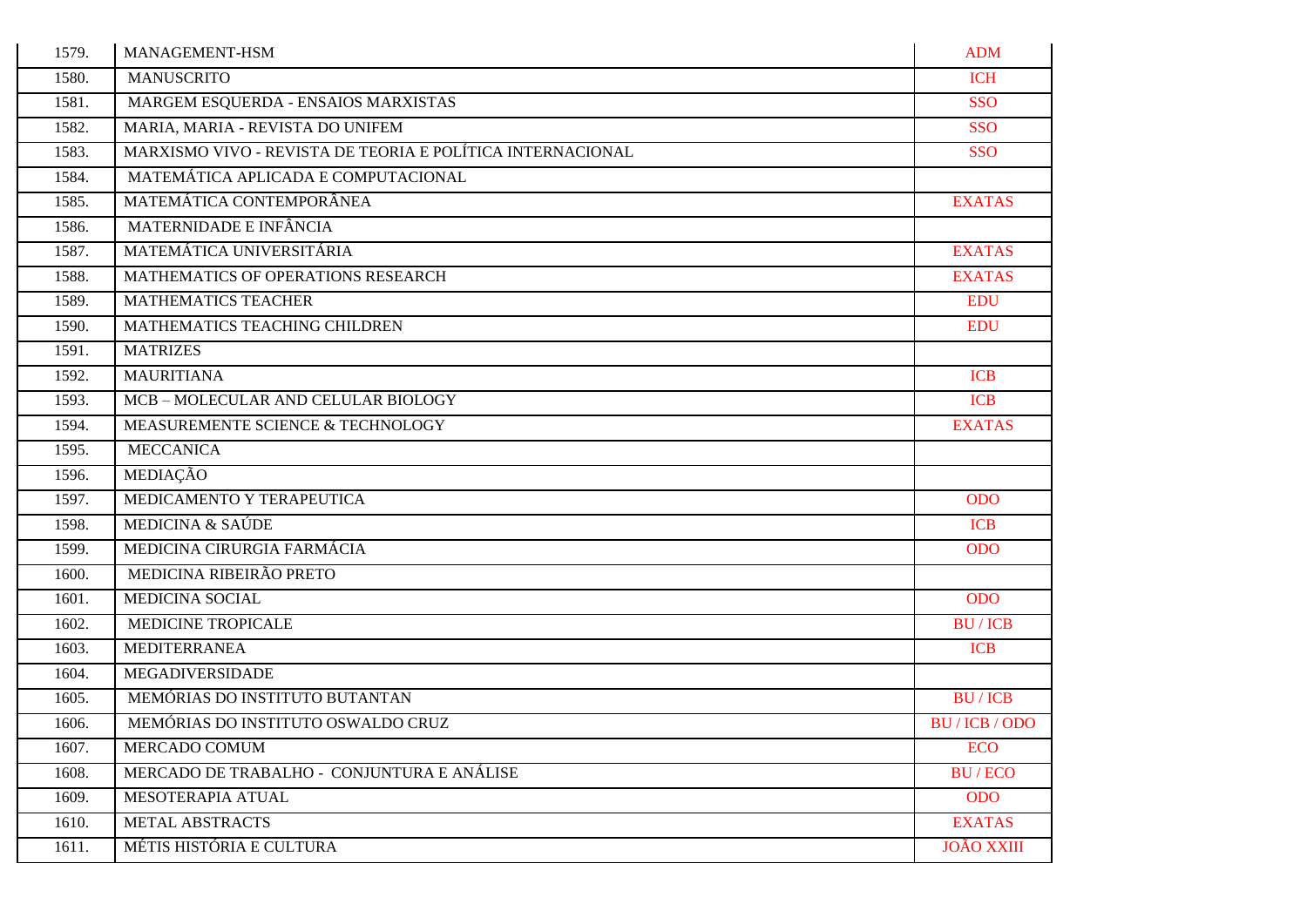| 1579. | MANAGEMENT-HSM                                             | <b>ADM</b>        |
|-------|------------------------------------------------------------|-------------------|
| 1580. | <b>MANUSCRITO</b>                                          | <b>ICH</b>        |
| 1581. | MARGEM ESQUERDA - ENSAIOS MARXISTAS                        | <b>SSO</b>        |
| 1582. | MARIA, MARIA - REVISTA DO UNIFEM                           | <b>SSO</b>        |
| 1583. | MARXISMO VIVO - REVISTA DE TEORIA E POLÍTICA INTERNACIONAL | <b>SSO</b>        |
| 1584. | MATEMÁTICA APLICADA E COMPUTACIONAL                        |                   |
| 1585. | MATEMÁTICA CONTEMPORÂNEA                                   | <b>EXATAS</b>     |
| 1586. | MATERNIDADE E INFÂNCIA                                     |                   |
| 1587. | MATEMÁTICA UNIVERSITÁRIA                                   | <b>EXATAS</b>     |
| 1588. | MATHEMATICS OF OPERATIONS RESEARCH                         | <b>EXATAS</b>     |
| 1589. | <b>MATHEMATICS TEACHER</b>                                 | <b>EDU</b>        |
| 1590. | MATHEMATICS TEACHING CHILDREN                              | <b>EDU</b>        |
| 1591. | <b>MATRIZES</b>                                            |                   |
| 1592. | <b>MAURITIANA</b>                                          | <b>ICB</b>        |
| 1593. | MCB-MOLECULAR AND CELULAR BIOLOGY                          | <b>ICB</b>        |
| 1594. | MEASUREMENTE SCIENCE & TECHNOLOGY                          | <b>EXATAS</b>     |
| 1595. | <b>MECCANICA</b>                                           |                   |
| 1596. | MEDIAÇÃO                                                   |                   |
| 1597. | MEDICAMENTO Y TERAPEUTICA                                  | <b>ODO</b>        |
| 1598. | MEDICINA & SAÚDE                                           | <b>ICB</b>        |
| 1599. | MEDICINA CIRURGIA FARMÁCIA                                 | <b>ODO</b>        |
| 1600. | MEDICINA RIBEIRÃO PRETO                                    |                   |
| 1601. | <b>MEDICINA SOCIAL</b>                                     | <b>ODO</b>        |
| 1602. | MEDICINE TROPICALE                                         | <b>BU/ICB</b>     |
| 1603. | <b>MEDITERRANEA</b>                                        | <b>ICB</b>        |
| 1604. | <b>MEGADIVERSIDADE</b>                                     |                   |
| 1605. | MEMÓRIAS DO INSTITUTO BUTANTAN                             | <b>BU/ICB</b>     |
| 1606. | MEMÓRIAS DO INSTITUTO OSWALDO CRUZ                         | BU / ICB / ODO    |
| 1607. | MERCADO COMUM                                              | <b>ECO</b>        |
| 1608. | MERCADO DE TRABALHO - CONJUNTURA E ANÁLISE                 | <b>BU/ECO</b>     |
| 1609. | MESOTERAPIA ATUAL                                          | <b>ODO</b>        |
| 1610. | <b>METAL ABSTRACTS</b>                                     | <b>EXATAS</b>     |
| 1611. | MÉTIS HISTÓRIA E CULTURA                                   | <b>JOÃO XXIII</b> |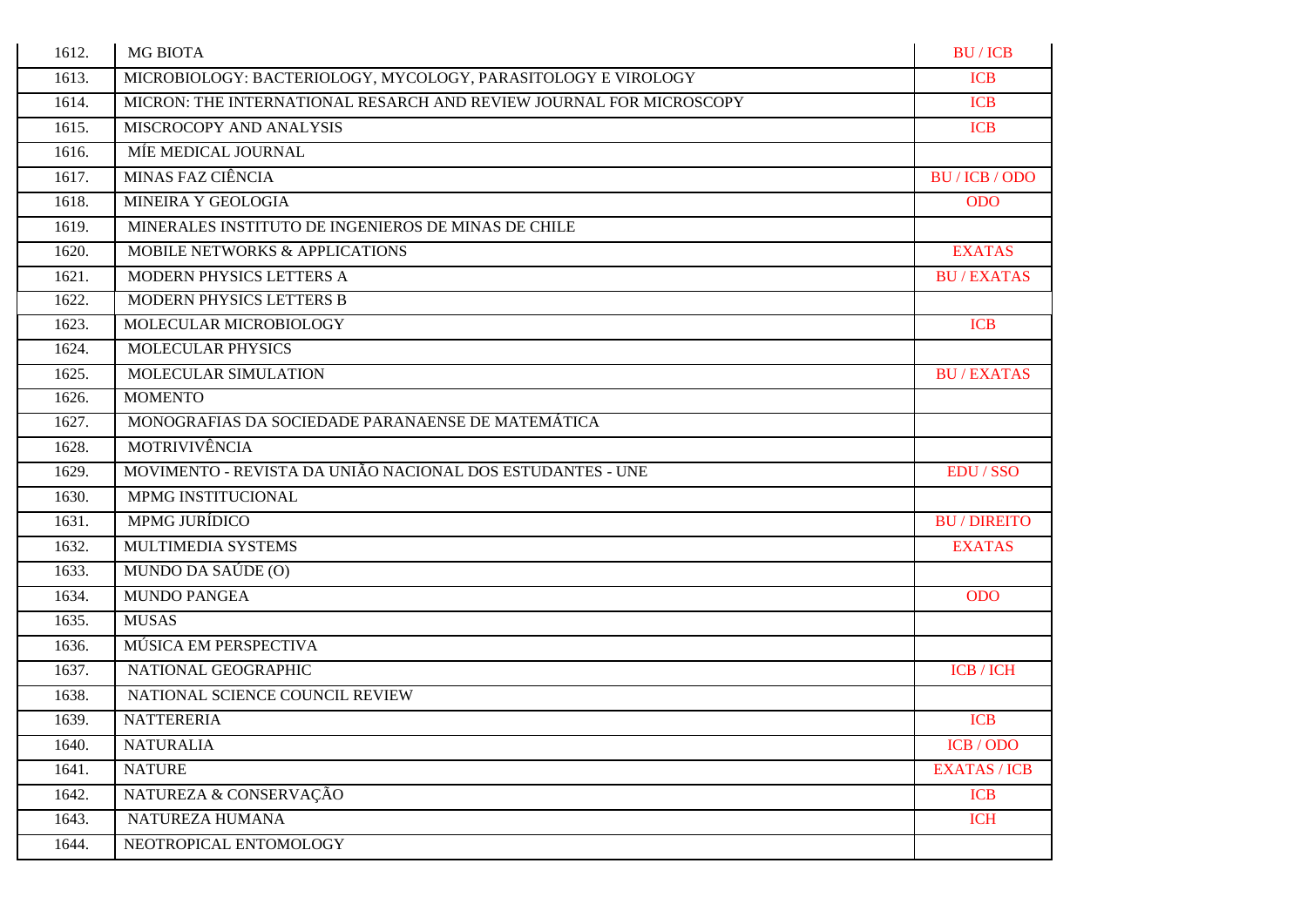| 1612. | <b>MG BIOTA</b>                                                     | <b>BU/ICB</b>       |
|-------|---------------------------------------------------------------------|---------------------|
| 1613. | MICROBIOLOGY: BACTERIOLOGY, MYCOLOGY, PARASITOLOGY E VIROLOGY       | <b>ICB</b>          |
| 1614. | MICRON: THE INTERNATIONAL RESARCH AND REVIEW JOURNAL FOR MICROSCOPY | <b>ICB</b>          |
| 1615. | MISCROCOPY AND ANALYSIS                                             | <b>ICB</b>          |
| 1616. | MÍE MEDICAL JOURNAL                                                 |                     |
| 1617. | MINAS FAZ CIÊNCIA                                                   | BU / ICB / ODO      |
| 1618. | MINEIRA Y GEOLOGIA                                                  | <b>ODO</b>          |
| 1619. | MINERALES INSTITUTO DE INGENIEROS DE MINAS DE CHILE                 |                     |
| 1620. | MOBILE NETWORKS & APPLICATIONS                                      | <b>EXATAS</b>       |
| 1621. | MODERN PHYSICS LETTERS A                                            | <b>BU/EXATAS</b>    |
| 1622. | MODERN PHYSICS LETTERS B                                            |                     |
| 1623. | MOLECULAR MICROBIOLOGY                                              | <b>ICB</b>          |
| 1624. | MOLECULAR PHYSICS                                                   |                     |
| 1625. | MOLECULAR SIMULATION                                                | <b>BU/EXATAS</b>    |
| 1626. | <b>MOMENTO</b>                                                      |                     |
| 1627. | MONOGRAFIAS DA SOCIEDADE PARANAENSE DE MATEMÁTICA                   |                     |
| 1628. | MOTRIVIVÊNCIA                                                       |                     |
| 1629. | MOVIMENTO - REVISTA DA UNIÃO NACIONAL DOS ESTUDANTES - UNE          | EDU / SSO           |
| 1630. | MPMG INSTITUCIONAL                                                  |                     |
| 1631. | <b>MPMG JURÍDICO</b>                                                | <b>BU/DIREITO</b>   |
| 1632. | MULTIMEDIA SYSTEMS                                                  | <b>EXATAS</b>       |
| 1633. | MUNDO DA SAÚDE (O)                                                  |                     |
| 1634. | <b>MUNDO PANGEA</b>                                                 | <b>ODO</b>          |
| 1635. | <b>MUSAS</b>                                                        |                     |
| 1636. | MÚSICA EM PERSPECTIVA                                               |                     |
| 1637. | NATIONAL GEOGRAPHIC                                                 | $ICB / ICH$         |
| 1638. | NATIONAL SCIENCE COUNCIL REVIEW                                     |                     |
| 1639. | <b>NATTERERIA</b>                                                   | <b>ICB</b>          |
| 1640. | <b>NATURALIA</b>                                                    | ICB / ODO           |
| 1641. | <b>NATURE</b>                                                       | <b>EXATAS / ICB</b> |
| 1642. | NATUREZA & CONSERVAÇÃO                                              | <b>ICB</b>          |
| 1643. | NATUREZA HUMANA                                                     | <b>ICH</b>          |
| 1644. | NEOTROPICAL ENTOMOLOGY                                              |                     |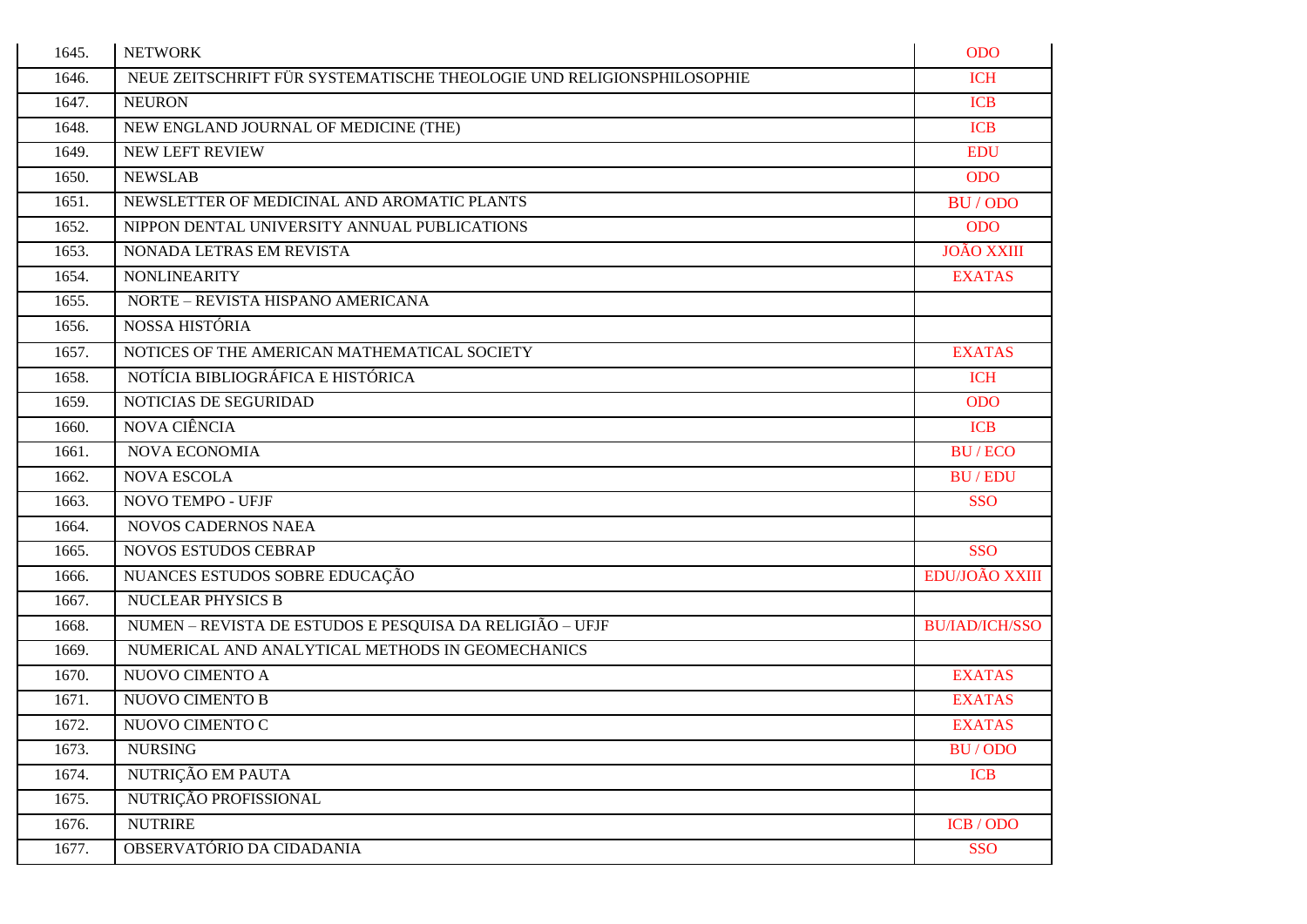| 1645. | <b>NETWORK</b>                                                        | <b>ODO</b>            |
|-------|-----------------------------------------------------------------------|-----------------------|
| 1646. | NEUE ZEITSCHRIFT FÜR SYSTEMATISCHE THEOLOGIE UND RELIGIONSPHILOSOPHIE | <b>ICH</b>            |
| 1647. | <b>NEURON</b>                                                         | <b>ICB</b>            |
| 1648. | NEW ENGLAND JOURNAL OF MEDICINE (THE)                                 | <b>ICB</b>            |
| 1649. | <b>NEW LEFT REVIEW</b>                                                | <b>EDU</b>            |
| 1650. | <b>NEWSLAB</b>                                                        | <b>ODO</b>            |
| 1651. | NEWSLETTER OF MEDICINAL AND AROMATIC PLANTS                           | BU / ODO              |
| 1652. | NIPPON DENTAL UNIVERSITY ANNUAL PUBLICATIONS                          | <b>ODO</b>            |
| 1653. | NONADA LETRAS EM REVISTA                                              | <b>JOÃO XXIII</b>     |
| 1654. | <b>NONLINEARITY</b>                                                   | <b>EXATAS</b>         |
| 1655. | NORTE - REVISTA HISPANO AMERICANA                                     |                       |
| 1656. | NOSSA HISTÓRIA                                                        |                       |
| 1657. | NOTICES OF THE AMERICAN MATHEMATICAL SOCIETY                          | <b>EXATAS</b>         |
| 1658. | NOTÍCIA BIBLIOGRÁFICA E HISTÓRICA                                     | <b>ICH</b>            |
| 1659. | NOTICIAS DE SEGURIDAD                                                 | <b>ODO</b>            |
| 1660. | NOVA CIÊNCIA                                                          | <b>ICB</b>            |
| 1661. | <b>NOVA ECONOMIA</b>                                                  | <b>BU/ECO</b>         |
| 1662. | <b>NOVA ESCOLA</b>                                                    | <b>BU/EDU</b>         |
| 1663. | NOVO TEMPO - UFJF                                                     | <b>SSO</b>            |
| 1664. | <b>NOVOS CADERNOS NAEA</b>                                            |                       |
| 1665. | <b>NOVOS ESTUDOS CEBRAP</b>                                           | <b>SSO</b>            |
| 1666. | NUANCES ESTUDOS SOBRE EDUCAÇÃO                                        | EDU/JOÃO XXIII        |
| 1667. | <b>NUCLEAR PHYSICS B</b>                                              |                       |
| 1668. | NUMEN – REVISTA DE ESTUDOS E PESQUISA DA RELIGIÃO – UFJF              | <b>BU/IAD/ICH/SSO</b> |
| 1669. | NUMERICAL AND ANALYTICAL METHODS IN GEOMECHANICS                      |                       |
| 1670. | NUOVO CIMENTO A                                                       | <b>EXATAS</b>         |
| 1671. | NUOVO CIMENTO B                                                       | <b>EXATAS</b>         |
| 1672. | NUOVO CIMENTO C                                                       | <b>EXATAS</b>         |
| 1673. | <b>NURSING</b>                                                        | BU/ODO                |
| 1674. | NUTRIÇÃO EM PAUTA                                                     | <b>ICB</b>            |
| 1675. | NUTRIÇÃO PROFISSIONAL                                                 |                       |
| 1676. | <b>NUTRIRE</b>                                                        | ICB / ODO             |
| 1677. | OBSERVATÓRIO DA CIDADANIA                                             | <b>SSO</b>            |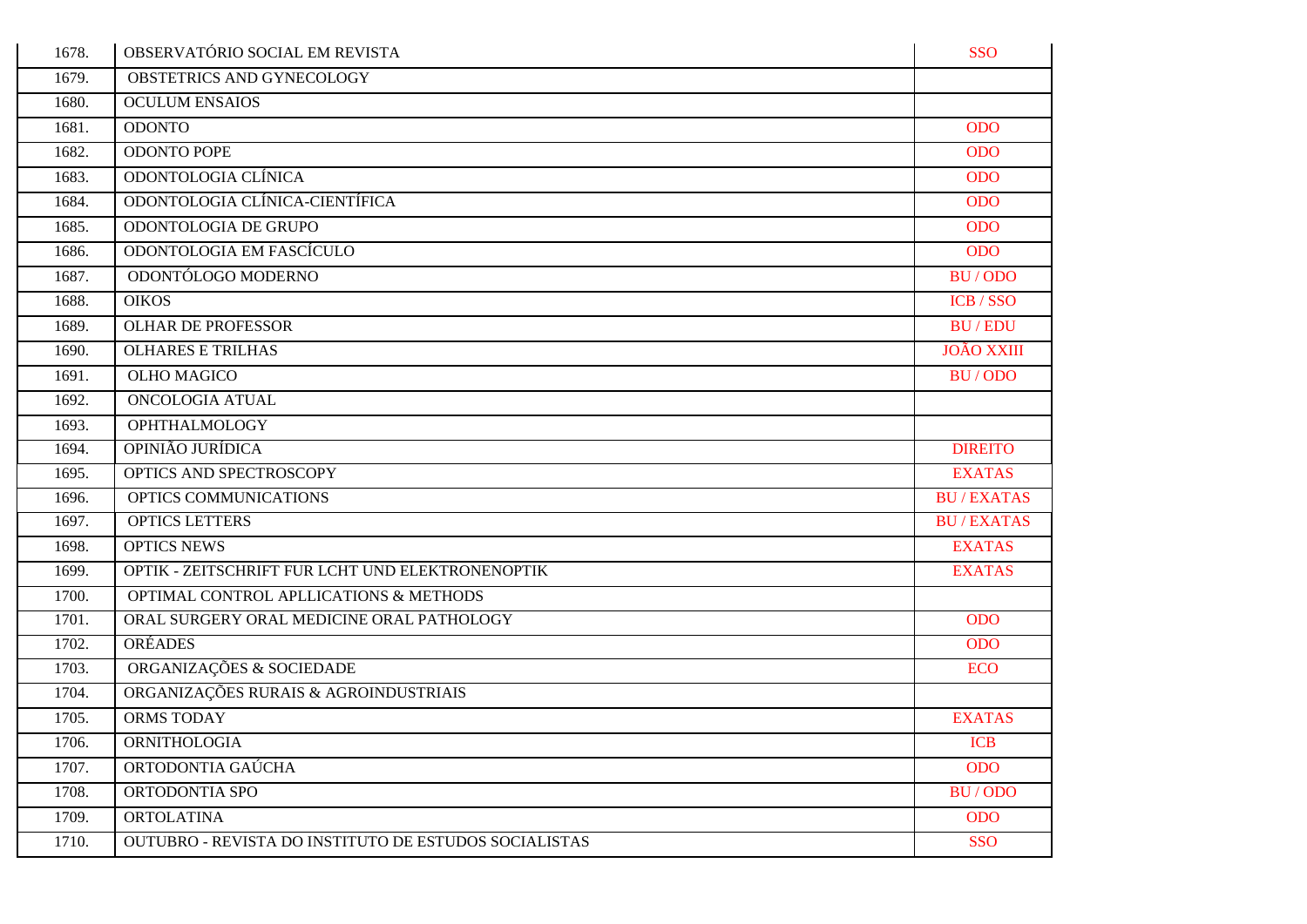| 1678. | OBSERVATÓRIO SOCIAL EM REVISTA                        | <b>SSO</b>        |
|-------|-------------------------------------------------------|-------------------|
| 1679. | OBSTETRICS AND GYNECOLOGY                             |                   |
| 1680. | <b>OCULUM ENSAIOS</b>                                 |                   |
| 1681. | <b>ODONTO</b>                                         | <b>ODO</b>        |
| 1682. | <b>ODONTO POPE</b>                                    | <b>ODO</b>        |
| 1683. | ODONTOLOGIA CLÍNICA                                   | <b>ODO</b>        |
| 1684. | ODONTOLOGIA CLÍNICA-CIENTÍFICA                        | <b>ODO</b>        |
| 1685. | ODONTOLOGIA DE GRUPO                                  | <b>ODO</b>        |
| 1686. | ODONTOLOGIA EM FASCÍCULO                              | <b>ODO</b>        |
| 1687. | ODONTÓLOGO MODERNO                                    | BU/ODO            |
| 1688. | <b>OIKOS</b>                                          | ICB / SSO         |
| 1689. | <b>OLHAR DE PROFESSOR</b>                             | <b>BU/EDU</b>     |
| 1690. | <b>OLHARES E TRILHAS</b>                              | <b>JOÃO XXIII</b> |
| 1691. | <b>OLHO MAGICO</b>                                    | BU/ODO            |
| 1692. | <b>ONCOLOGIA ATUAL</b>                                |                   |
| 1693. | <b>OPHTHALMOLOGY</b>                                  |                   |
| 1694. | OPINIÃO JURÍDICA                                      | <b>DIREITO</b>    |
| 1695. | OPTICS AND SPECTROSCOPY                               | <b>EXATAS</b>     |
| 1696. | OPTICS COMMUNICATIONS                                 | <b>BU/EXATAS</b>  |
| 1697. | <b>OPTICS LETTERS</b>                                 | <b>BU/EXATAS</b>  |
| 1698. | <b>OPTICS NEWS</b>                                    | <b>EXATAS</b>     |
| 1699. | OPTIK - ZEITSCHRIFT FUR LCHT UND ELEKTRONENOPTIK      | <b>EXATAS</b>     |
| 1700. | OPTIMAL CONTROL APLLICATIONS & METHODS                |                   |
| 1701. | ORAL SURGERY ORAL MEDICINE ORAL PATHOLOGY             | <b>ODO</b>        |
| 1702. | <b>ORÉADES</b>                                        | <b>ODO</b>        |
| 1703. | ORGANIZAÇÕES & SOCIEDADE                              | <b>ECO</b>        |
| 1704. | ORGANIZAÇÕES RURAIS & AGROINDUSTRIAIS                 |                   |
| 1705. | <b>ORMS TODAY</b>                                     | <b>EXATAS</b>     |
| 1706. | <b>ORNITHOLOGIA</b>                                   | <b>ICB</b>        |
| 1707. | ORTODONTIA GAÚCHA                                     | <b>ODO</b>        |
| 1708. | ORTODONTIA SPO                                        | BU/ODO            |
| 1709. | <b>ORTOLATINA</b>                                     | <b>ODO</b>        |
| 1710. | OUTUBRO - REVISTA DO INSTITUTO DE ESTUDOS SOCIALISTAS | <b>SSO</b>        |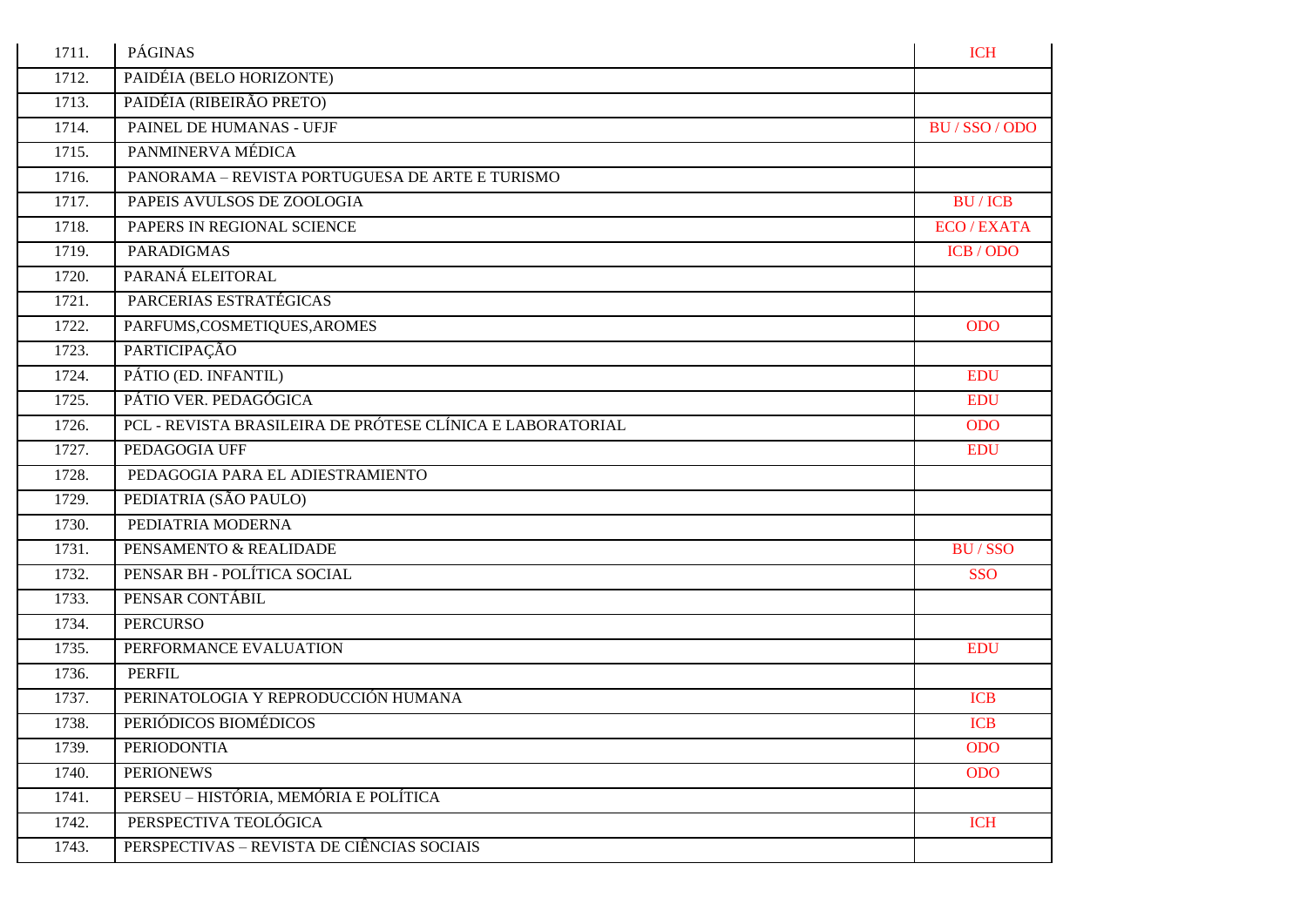| 1711. | PÁGINAS                                                    | <b>ICH</b>                |
|-------|------------------------------------------------------------|---------------------------|
| 1712. | PAIDÉIA (BELO HORIZONTE)                                   |                           |
| 1713. | PAIDÉIA (RIBEIRÃO PRETO)                                   |                           |
| 1714. | PAINEL DE HUMANAS - UFJF                                   | BU / SSO / ODO            |
| 1715. | PANMINERVA MÉDICA                                          |                           |
| 1716. | PANORAMA - REVISTA PORTUGUESA DE ARTE E TURISMO            |                           |
| 1717. | PAPEIS AVULSOS DE ZOOLOGIA                                 | <b>BU/ICB</b>             |
| 1718. | PAPERS IN REGIONAL SCIENCE                                 | <b>ECO</b> / <b>EXATA</b> |
| 1719. | <b>PARADIGMAS</b>                                          | ICB / ODO                 |
| 1720. | PARANÁ ELEITORAL                                           |                           |
| 1721. | PARCERIAS ESTRATÉGICAS                                     |                           |
| 1722. | PARFUMS, COSMETIQUES, AROMES                               | <b>ODO</b>                |
| 1723. | PARTICIPAÇÃO                                               |                           |
| 1724. | PÁTIO (ED. INFANTIL)                                       | <b>EDU</b>                |
| 1725. | PÁTIO VER. PEDAGÓGICA                                      | <b>EDU</b>                |
| 1726. | PCL - REVISTA BRASILEIRA DE PRÓTESE CLÍNICA E LABORATORIAL | <b>ODO</b>                |
| 1727. | PEDAGOGIA UFF                                              | <b>EDU</b>                |
| 1728. | PEDAGOGIA PARA EL ADIESTRAMIENTO                           |                           |
| 1729. | PEDIATRIA (SÃO PAULO)                                      |                           |
| 1730. | PEDIATRIA MODERNA                                          |                           |
| 1731. | PENSAMENTO & REALIDADE                                     | BU/SSO                    |
| 1732. | PENSAR BH - POLÍTICA SOCIAL                                | <b>SSO</b>                |
| 1733. | PENSAR CONTÁBIL                                            |                           |
| 1734. | <b>PERCURSO</b>                                            |                           |
| 1735. | PERFORMANCE EVALUATION                                     | <b>EDU</b>                |
| 1736. | <b>PERFIL</b>                                              |                           |
| 1737. | PERINATOLOGIA Y REPRODUCCIÓN HUMANA                        | <b>ICB</b>                |
| 1738. | PERIÓDICOS BIOMÉDICOS                                      | <b>ICB</b>                |
| 1739. | <b>PERIODONTIA</b>                                         | <b>ODO</b>                |
| 1740. | <b>PERIONEWS</b>                                           | <b>ODO</b>                |
| 1741. | PERSEU - HISTÓRIA, MEMÓRIA E POLÍTICA                      |                           |
| 1742. | PERSPECTIVA TEOLÓGICA                                      | <b>ICH</b>                |
| 1743. | PERSPECTIVAS - REVISTA DE CIÊNCIAS SOCIAIS                 |                           |
|       |                                                            |                           |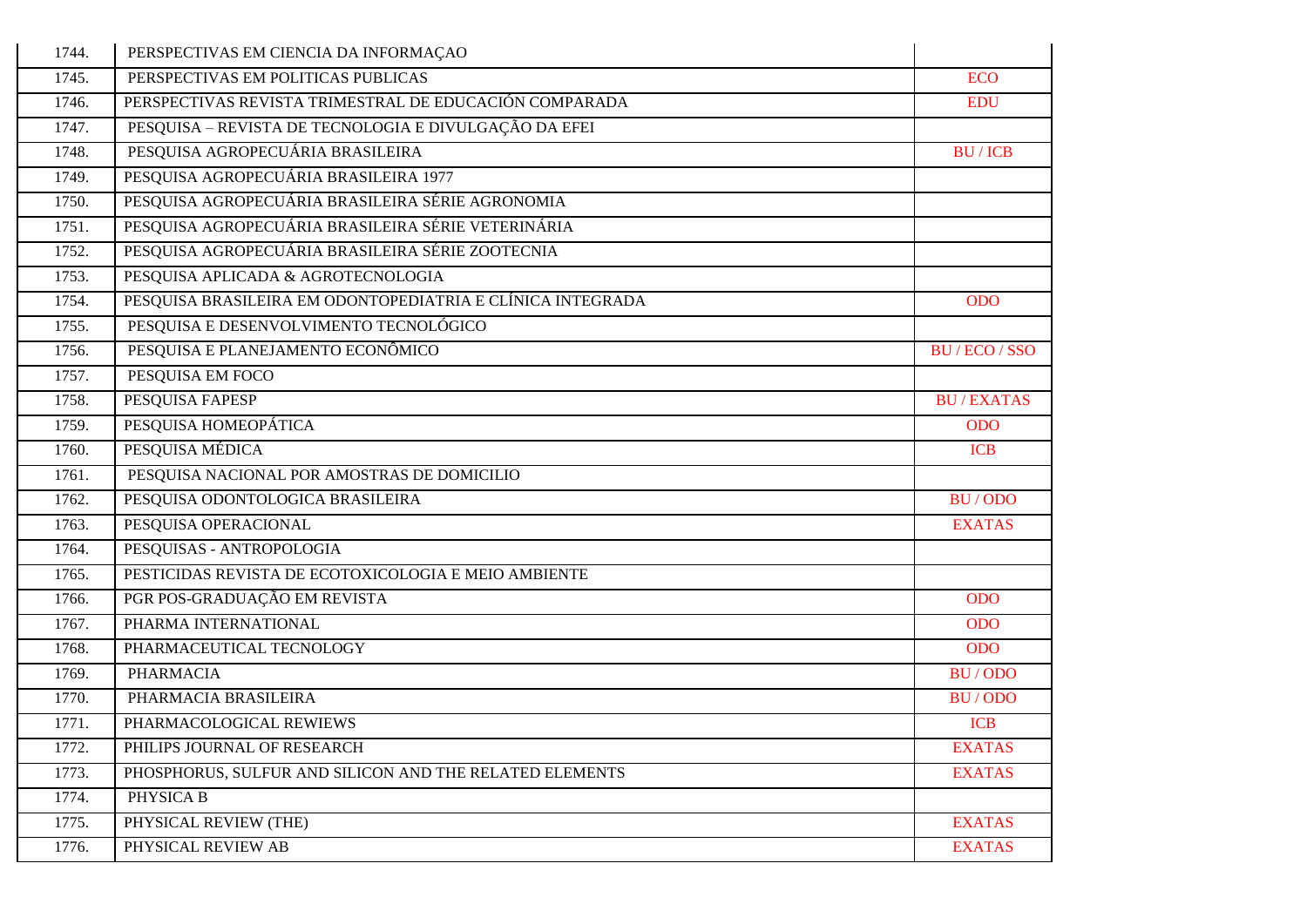| 1744. | PERSPECTIVAS EM CIENCIA DA INFORMAÇÃO                      |                  |
|-------|------------------------------------------------------------|------------------|
| 1745. | PERSPECTIVAS EM POLITICAS PUBLICAS                         | <b>ECO</b>       |
| 1746. | PERSPECTIVAS REVISTA TRIMESTRAL DE EDUCACIÓN COMPARADA     | <b>EDU</b>       |
| 1747. | PESQUISA – REVISTA DE TECNOLOGIA E DIVULGAÇÃO DA EFEI      |                  |
| 1748. | PESQUISA AGROPECUÁRIA BRASILEIRA                           | <b>BU/ICB</b>    |
| 1749. | PESQUISA AGROPECUÁRIA BRASILEIRA 1977                      |                  |
| 1750. | PESQUISA AGROPECUÁRIA BRASILEIRA SÉRIE AGRONOMIA           |                  |
| 1751. | PESQUISA AGROPECUÁRIA BRASILEIRA SÉRIE VETERINÁRIA         |                  |
| 1752. | PESQUISA AGROPECUÁRIA BRASILEIRA SÉRIE ZOOTECNIA           |                  |
| 1753. | PESQUISA APLICADA & AGROTECNOLOGIA                         |                  |
| 1754. | PESQUISA BRASILEIRA EM ODONTOPEDIATRIA E CLÍNICA INTEGRADA | <b>ODO</b>       |
| 1755. | PESQUISA E DESENVOLVIMENTO TECNOLÓGICO                     |                  |
| 1756. | PESQUISA E PLANEJAMENTO ECONÔMICO                          | BU / ECO / SSO   |
| 1757. | PESQUISA EM FOCO                                           |                  |
| 1758. | <b>PESQUISA FAPESP</b>                                     | <b>BU/EXATAS</b> |
| 1759. | PESQUISA HOMEOPÁTICA                                       | <b>ODO</b>       |
| 1760. | PESQUISA MÉDICA                                            | <b>ICB</b>       |
| 1761. | PESQUISA NACIONAL POR AMOSTRAS DE DOMICILIO                |                  |
| 1762. | PESQUISA ODONTOLOGICA BRASILEIRA                           | <b>BU/ODO</b>    |
| 1763. | PESQUISA OPERACIONAL                                       | <b>EXATAS</b>    |
| 1764. | PESQUISAS - ANTROPOLOGIA                                   |                  |
| 1765. | PESTICIDAS REVISTA DE ECOTOXICOLOGIA E MEIO AMBIENTE       |                  |
| 1766. | PGR POS-GRADUAÇÃO EM REVISTA                               | <b>ODO</b>       |
| 1767. | PHARMA INTERNATIONAL                                       | <b>ODO</b>       |
| 1768. | PHARMACEUTICAL TECNOLOGY                                   | <b>ODO</b>       |
| 1769. | <b>PHARMACIA</b>                                           | BU/ODO           |
| 1770. | PHARMACIA BRASILEIRA                                       | BU/ODO           |
| 1771. | PHARMACOLOGICAL REWIEWS                                    | <b>ICB</b>       |
| 1772. | PHILIPS JOURNAL OF RESEARCH                                | <b>EXATAS</b>    |
| 1773. | PHOSPHORUS, SULFUR AND SILICON AND THE RELATED ELEMENTS    | <b>EXATAS</b>    |
| 1774. | PHYSICA B                                                  |                  |
| 1775. | PHYSICAL REVIEW (THE)                                      | <b>EXATAS</b>    |
| 1776. | PHYSICAL REVIEW AB                                         | <b>EXATAS</b>    |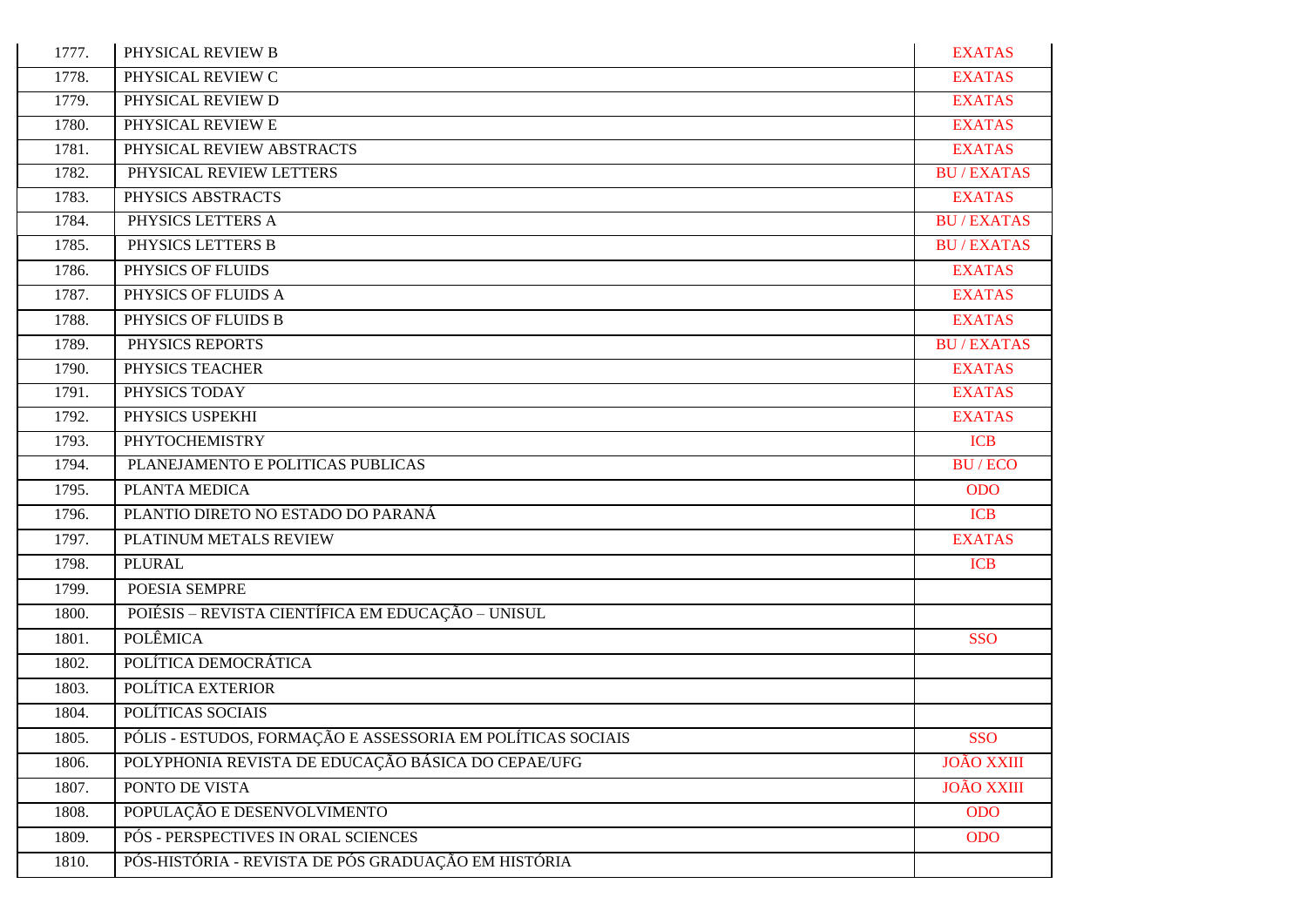| 1777. | PHYSICAL REVIEW B                                           | <b>EXATAS</b>     |
|-------|-------------------------------------------------------------|-------------------|
| 1778. | PHYSICAL REVIEW C                                           | <b>EXATAS</b>     |
| 1779. | PHYSICAL REVIEW D                                           | <b>EXATAS</b>     |
| 1780. | PHYSICAL REVIEW E                                           | <b>EXATAS</b>     |
| 1781. | PHYSICAL REVIEW ABSTRACTS                                   | <b>EXATAS</b>     |
| 1782. | PHYSICAL REVIEW LETTERS                                     | <b>BU/EXATAS</b>  |
| 1783. | PHYSICS ABSTRACTS                                           | <b>EXATAS</b>     |
| 1784. | PHYSICS LETTERS A                                           | <b>BU/EXATAS</b>  |
| 1785. | PHYSICS LETTERS B                                           | <b>BU/EXATAS</b>  |
| 1786. | PHYSICS OF FLUIDS                                           | <b>EXATAS</b>     |
| 1787. | PHYSICS OF FLUIDS A                                         | <b>EXATAS</b>     |
| 1788. | PHYSICS OF FLUIDS B                                         | <b>EXATAS</b>     |
| 1789. | PHYSICS REPORTS                                             | <b>BU/EXATAS</b>  |
| 1790. | PHYSICS TEACHER                                             | <b>EXATAS</b>     |
| 1791. | PHYSICS TODAY                                               | <b>EXATAS</b>     |
| 1792. | PHYSICS USPEKHI                                             | <b>EXATAS</b>     |
| 1793. | <b>PHYTOCHEMISTRY</b>                                       | <b>ICB</b>        |
| 1794. | PLANEJAMENTO E POLITICAS PUBLICAS                           | <b>BU/ECO</b>     |
| 1795. | PLANTA MEDICA                                               | <b>ODO</b>        |
| 1796. | PLANTIO DIRETO NO ESTADO DO PARANÁ                          | <b>ICB</b>        |
| 1797. | PLATINUM METALS REVIEW                                      | <b>EXATAS</b>     |
| 1798. | PLURAL                                                      | <b>ICB</b>        |
| 1799. | POESIA SEMPRE                                               |                   |
| 1800. | POIÉSIS - REVISTA CIENTÍFICA EM EDUCAÇÃO - UNISUL           |                   |
| 1801. | <b>POLÊMICA</b>                                             | <b>SSO</b>        |
| 1802. | POLÍTICA DEMOCRÁTICA                                        |                   |
| 1803. | POLÍTICA EXTERIOR                                           |                   |
| 1804. | POLÍTICAS SOCIAIS                                           |                   |
| 1805. | PÓLIS - ESTUDOS, FORMAÇÃO E ASSESSORIA EM POLÍTICAS SOCIAIS | SSO               |
| 1806. | POLYPHONIA REVISTA DE EDUCAÇÃO BÁSICA DO CEPAE/UFG          | <b>JOÃO XXIII</b> |
| 1807. | PONTO DE VISTA                                              | <b>JOÃO XXIII</b> |
| 1808. | POPULAÇÃO E DESENVOLVIMENTO                                 | <b>ODO</b>        |
| 1809. | PÓS - PERSPECTIVES IN ORAL SCIENCES                         | <b>ODO</b>        |
| 1810. | PÓS-HISTÓRIA - REVISTA DE PÓS GRADUAÇÃO EM HISTÓRIA         |                   |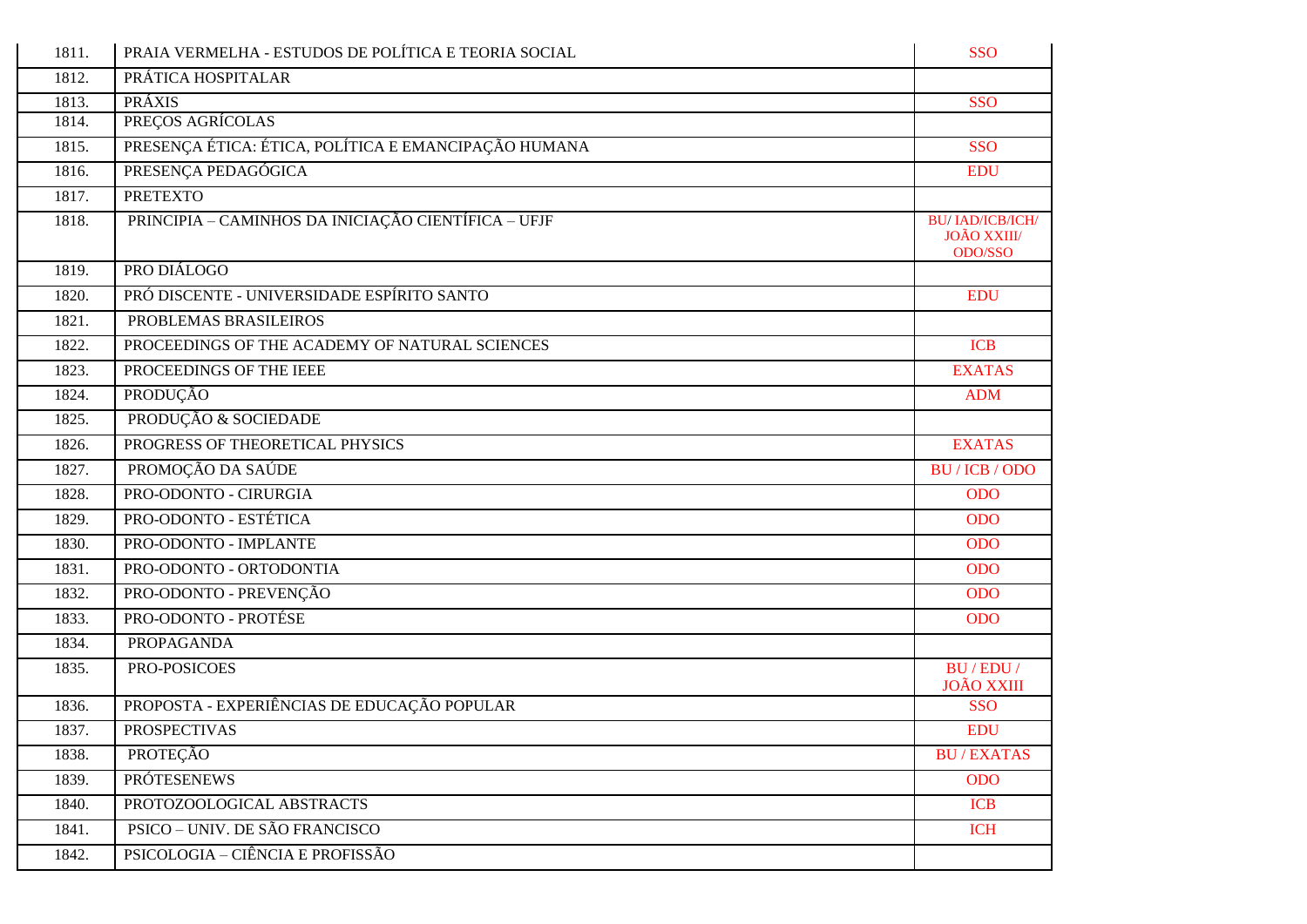| 1811. | PRAIA VERMELHA - ESTUDOS DE POLÍTICA E TEORIA SOCIAL | <b>SSO</b>                                               |
|-------|------------------------------------------------------|----------------------------------------------------------|
| 1812. | PRÁTICA HOSPITALAR                                   |                                                          |
| 1813. | <b>PRÁXIS</b>                                        | <b>SSO</b>                                               |
| 1814. | PREÇOS AGRÍCOLAS                                     |                                                          |
| 1815. | PRESENÇA ÉTICA: ÉTICA, POLÍTICA E EMANCIPAÇÃO HUMANA | <b>SSO</b>                                               |
| 1816. | PRESENÇA PEDAGÓGICA                                  | <b>EDU</b>                                               |
| 1817. | <b>PRETEXTO</b>                                      |                                                          |
| 1818. | PRINCIPIA - CAMINHOS DA INICIAÇÃO CIENTÍFICA - UFJF  | <b>BU/IAD/ICB/ICH/</b><br><b>JOÃO XXIII</b> /<br>ODO/SSO |
| 1819. | PRO DIÁLOGO                                          |                                                          |
| 1820. | PRÓ DISCENTE - UNIVERSIDADE ESPÍRITO SANTO           | <b>EDU</b>                                               |
| 1821. | PROBLEMAS BRASILEIROS                                |                                                          |
| 1822. | PROCEEDINGS OF THE ACADEMY OF NATURAL SCIENCES       | <b>ICB</b>                                               |
| 1823. | PROCEEDINGS OF THE IEEE                              | <b>EXATAS</b>                                            |
| 1824. | PRODUÇÃO                                             | <b>ADM</b>                                               |
| 1825. | PRODUÇÃO & SOCIEDADE                                 |                                                          |
| 1826. | PROGRESS OF THEORETICAL PHYSICS                      | <b>EXATAS</b>                                            |
| 1827. | PROMOÇÃO DA SAÚDE                                    | BU / ICB / ODO                                           |
| 1828. | PRO-ODONTO - CIRURGIA                                | <b>ODO</b>                                               |
| 1829. | PRO-ODONTO - ESTÉTICA                                | <b>ODO</b>                                               |
| 1830. | PRO-ODONTO - IMPLANTE                                | <b>ODO</b>                                               |
| 1831. | PRO-ODONTO - ORTODONTIA                              | <b>ODO</b>                                               |
| 1832. | PRO-ODONTO - PREVENÇÃO                               | <b>ODO</b>                                               |
| 1833. | PRO-ODONTO - PROTÉSE                                 | <b>ODO</b>                                               |
| 1834. | <b>PROPAGANDA</b>                                    |                                                          |
| 1835. | PRO-POSICOES                                         | BU/EDU/<br><b>JOÃO XXIII</b>                             |
| 1836. | PROPOSTA - EXPERIÊNCIAS DE EDUCAÇÃO POPULAR          | <b>SSO</b>                                               |
| 1837. | <b>PROSPECTIVAS</b>                                  | <b>EDU</b>                                               |
| 1838. | PROTEÇÃO                                             | <b>BU/EXATAS</b>                                         |
| 1839. | <b>PRÓTESENEWS</b>                                   | <b>ODO</b>                                               |
| 1840. | PROTOZOOLOGICAL ABSTRACTS                            | <b>ICB</b>                                               |
| 1841. | PSICO - UNIV. DE SÃO FRANCISCO                       | <b>ICH</b>                                               |
| 1842. | PSICOLOGIA – CIÊNCIA E PROFISSÃO                     |                                                          |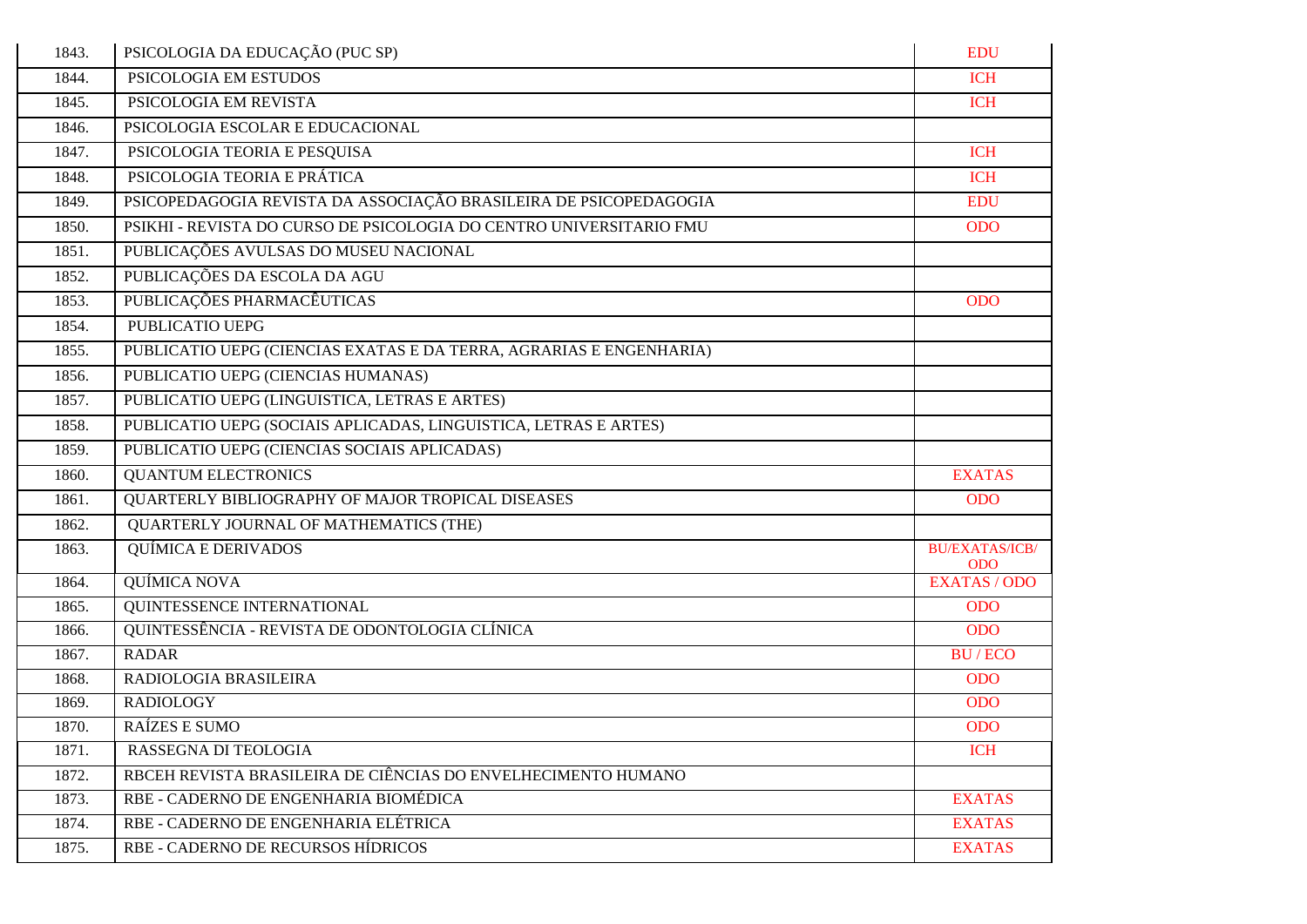| 1843. | PSICOLOGIA DA EDUCAÇÃO (PUC SP)                                     | <b>EDU</b>                          |
|-------|---------------------------------------------------------------------|-------------------------------------|
| 1844. | PSICOLOGIA EM ESTUDOS                                               | <b>ICH</b>                          |
| 1845. | PSICOLOGIA EM REVISTA                                               | <b>ICH</b>                          |
| 1846. | PSICOLOGIA ESCOLAR E EDUCACIONAL                                    |                                     |
| 1847. | PSICOLOGIA TEORIA E PESQUISA                                        | <b>ICH</b>                          |
| 1848. | PSICOLOGIA TEORIA E PRÁTICA                                         | <b>ICH</b>                          |
| 1849. | PSICOPEDAGOGIA REVISTA DA ASSOCIAÇÃO BRASILEIRA DE PSICOPEDAGOGIA   | <b>EDU</b>                          |
| 1850. | PSIKHI - REVISTA DO CURSO DE PSICOLOGIA DO CENTRO UNIVERSITARIO FMU | <b>ODO</b>                          |
| 1851. | PUBLICAÇÕES AVULSAS DO MUSEU NACIONAL                               |                                     |
| 1852. | PUBLICAÇÕES DA ESCOLA DA AGU                                        |                                     |
| 1853. | PUBLICAÇÕES PHARMACÊUTICAS                                          | <b>ODO</b>                          |
| 1854. | PUBLICATIO UEPG                                                     |                                     |
| 1855. | PUBLICATIO UEPG (CIENCIAS EXATAS E DA TERRA, AGRARIAS E ENGENHARIA) |                                     |
| 1856. | PUBLICATIO UEPG (CIENCIAS HUMANAS)                                  |                                     |
| 1857. | PUBLICATIO UEPG (LINGUISTICA, LETRAS E ARTES)                       |                                     |
| 1858. | PUBLICATIO UEPG (SOCIAIS APLICADAS, LINGUISTICA, LETRAS E ARTES)    |                                     |
| 1859. | PUBLICATIO UEPG (CIENCIAS SOCIAIS APLICADAS)                        |                                     |
| 1860. | <b>QUANTUM ELECTRONICS</b>                                          | <b>EXATAS</b>                       |
| 1861. | QUARTERLY BIBLIOGRAPHY OF MAJOR TROPICAL DISEASES                   | <b>ODO</b>                          |
| 1862. | QUARTERLY JOURNAL OF MATHEMATICS (THE)                              |                                     |
| 1863. | <b>QUÍMICA E DERIVADOS</b>                                          | <b>BU/EXATAS/ICB/</b><br><b>ODO</b> |
| 1864. | QUÍMICA NOVA                                                        | <b>EXATAS / ODO</b>                 |
| 1865. | QUINTESSENCE INTERNATIONAL                                          | <b>ODO</b>                          |
| 1866. | QUINTESSÊNCIA - REVISTA DE ODONTOLOGIA CLÍNICA                      | <b>ODO</b>                          |
| 1867. | <b>RADAR</b>                                                        | <b>BU/ECO</b>                       |
| 1868. | RADIOLOGIA BRASILEIRA                                               | <b>ODO</b>                          |
| 1869. | <b>RADIOLOGY</b>                                                    | <b>ODO</b>                          |
| 1870. | RAÍZES E SUMO                                                       | <b>ODO</b>                          |
| 1871. | RASSEGNA DI TEOLOGIA                                                | <b>ICH</b>                          |
| 1872. | RBCEH REVISTA BRASILEIRA DE CIÊNCIAS DO ENVELHECIMENTO HUMANO       |                                     |
| 1873. | RBE - CADERNO DE ENGENHARIA BIOMÉDICA                               | <b>EXATAS</b>                       |
| 1874. | RBE - CADERNO DE ENGENHARIA ELÉTRICA                                | <b>EXATAS</b>                       |
| 1875. | RBE - CADERNO DE RECURSOS HÍDRICOS                                  | <b>EXATAS</b>                       |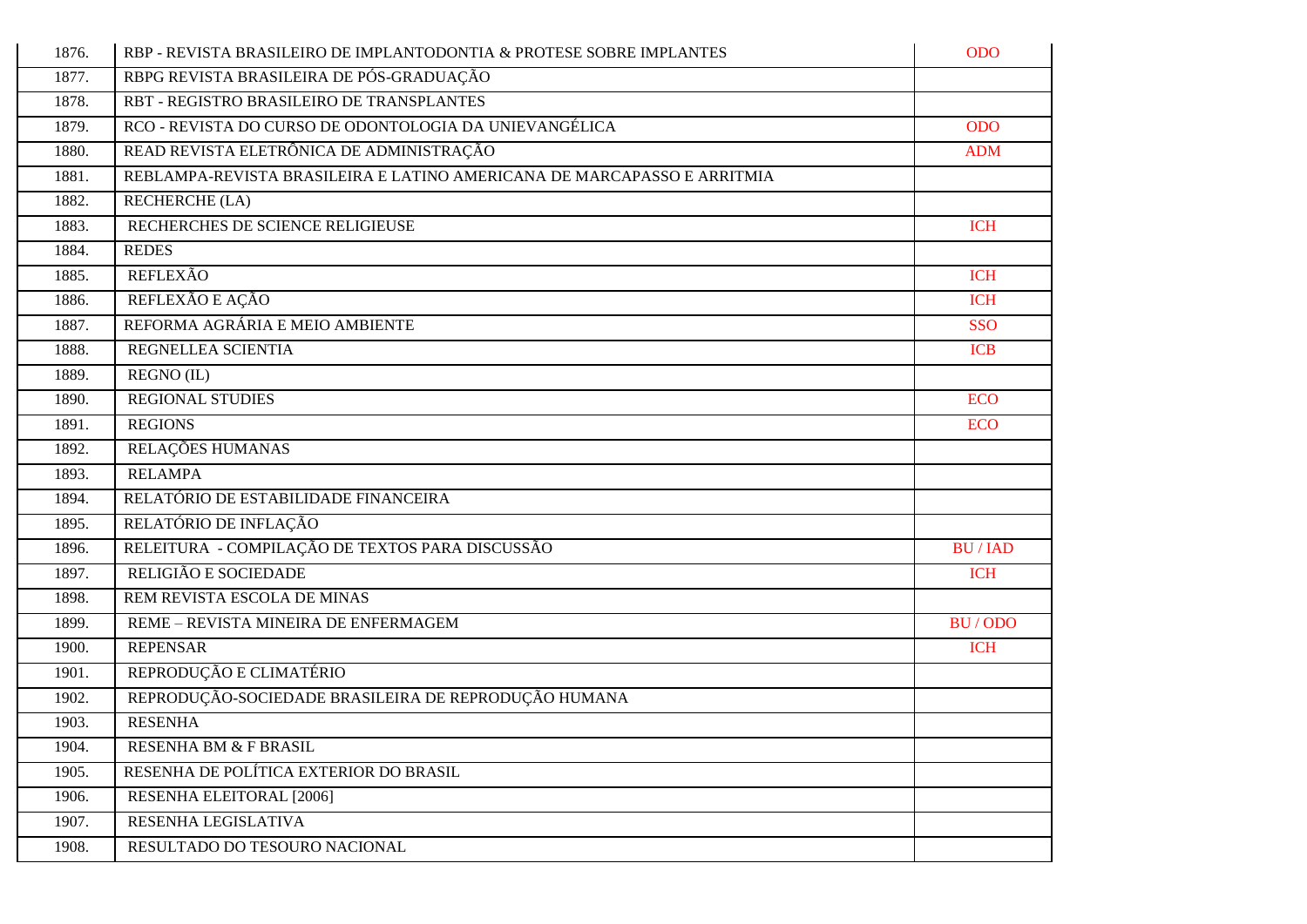| 1876. | RBP - REVISTA BRASILEIRO DE IMPLANTODONTIA & PROTESE SOBRE IMPLANTES    | <b>ODO</b>    |
|-------|-------------------------------------------------------------------------|---------------|
| 1877. | RBPG REVISTA BRASILEIRA DE PÓS-GRADUAÇÃO                                |               |
| 1878. | RBT - REGISTRO BRASILEIRO DE TRANSPLANTES                               |               |
| 1879. | RCO - REVISTA DO CURSO DE ODONTOLOGIA DA UNIEVANGÉLICA                  | <b>ODO</b>    |
| 1880. | READ REVISTA ELETRÔNICA DE ADMINISTRAÇÃO                                | <b>ADM</b>    |
| 1881. | REBLAMPA-REVISTA BRASILEIRA E LATINO AMERICANA DE MARCAPASSO E ARRITMIA |               |
| 1882. | <b>RECHERCHE (LA)</b>                                                   |               |
| 1883. | RECHERCHES DE SCIENCE RELIGIEUSE                                        | <b>ICH</b>    |
| 1884. | <b>REDES</b>                                                            |               |
| 1885. | <b>REFLEXÃO</b>                                                         | <b>ICH</b>    |
| 1886. | REFLEXÃO E AÇÃO                                                         | <b>ICH</b>    |
| 1887. | REFORMA AGRÁRIA E MEIO AMBIENTE                                         | <b>SSO</b>    |
| 1888. | REGNELLEA SCIENTIA                                                      | <b>ICB</b>    |
| 1889. | REGNO (IL)                                                              |               |
| 1890. | <b>REGIONAL STUDIES</b>                                                 | <b>ECO</b>    |
| 1891. | <b>REGIONS</b>                                                          | <b>ECO</b>    |
| 1892. | RELAÇÕES HUMANAS                                                        |               |
| 1893. | <b>RELAMPA</b>                                                          |               |
| 1894. | RELATÓRIO DE ESTABILIDADE FINANCEIRA                                    |               |
| 1895. | RELATÓRIO DE INFLAÇÃO                                                   |               |
| 1896. | RELEITURA - COMPILAÇÃO DE TEXTOS PARA DISCUSSÃO                         | <b>BU/IAD</b> |
| 1897. | RELIGIÃO E SOCIEDADE                                                    | <b>ICH</b>    |
| 1898. | REM REVISTA ESCOLA DE MINAS                                             |               |
| 1899. | REME - REVISTA MINEIRA DE ENFERMAGEM                                    | BU/ODO        |
| 1900. | <b>REPENSAR</b>                                                         | <b>ICH</b>    |
| 1901. | REPRODUÇÃO E CLIMATÉRIO                                                 |               |
| 1902. | REPRODUÇÃO-SOCIEDADE BRASILEIRA DE REPRODUÇÃO HUMANA                    |               |
| 1903. | <b>RESENHA</b>                                                          |               |
| 1904. | RESENHA BM & F BRASIL                                                   |               |
| 1905. | RESENHA DE POLÍTICA EXTERIOR DO BRASIL                                  |               |
| 1906. | RESENHA ELEITORAL [2006]                                                |               |
| 1907. | RESENHA LEGISLATIVA                                                     |               |
| 1908. | RESULTADO DO TESOURO NACIONAL                                           |               |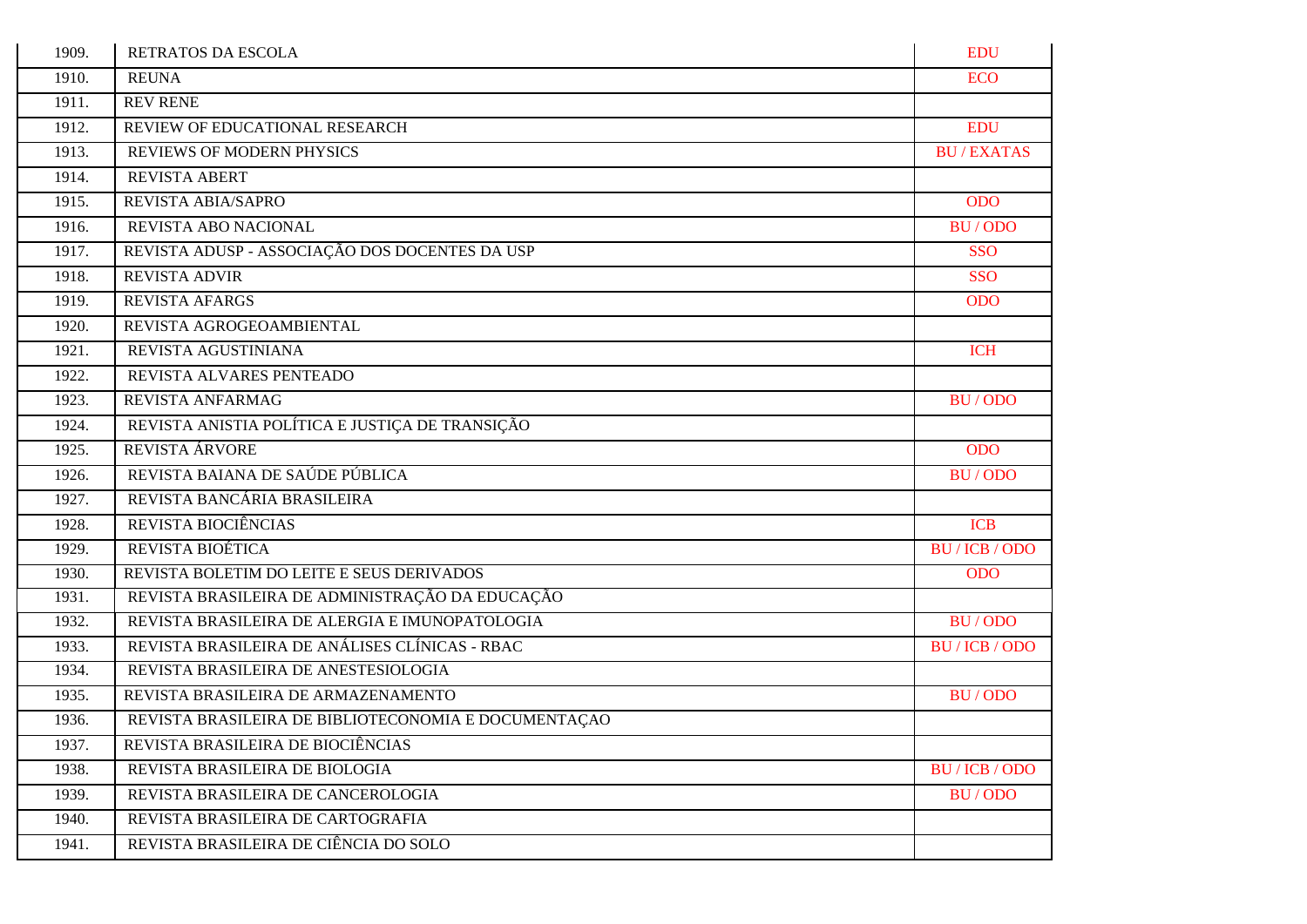| 1909. | RETRATOS DA ESCOLA                                   | <b>EDU</b>       |
|-------|------------------------------------------------------|------------------|
| 1910. | <b>REUNA</b>                                         | <b>ECO</b>       |
| 1911. | <b>REV RENE</b>                                      |                  |
| 1912. | REVIEW OF EDUCATIONAL RESEARCH                       | <b>EDU</b>       |
| 1913. | <b>REVIEWS OF MODERN PHYSICS</b>                     | <b>BU/EXATAS</b> |
| 1914. | <b>REVISTA ABERT</b>                                 |                  |
| 1915. | REVISTA ABIA/SAPRO                                   | <b>ODO</b>       |
| 1916. | REVISTA ABO NACIONAL                                 | BU/ODO           |
| 1917. | REVISTA ADUSP - ASSOCIAÇÃO DOS DOCENTES DA USP       | <b>SSO</b>       |
| 1918. | <b>REVISTA ADVIR</b>                                 | <b>SSO</b>       |
| 1919. | <b>REVISTA AFARGS</b>                                | <b>ODO</b>       |
| 1920. | REVISTA AGROGEOAMBIENTAL                             |                  |
| 1921. | REVISTA AGUSTINIANA                                  | <b>ICH</b>       |
| 1922. | REVISTA ALVARES PENTEADO                             |                  |
| 1923. | REVISTA ANFARMAG                                     | BU/ODO           |
| 1924. | REVISTA ANISTIA POLÍTICA E JUSTIÇA DE TRANSIÇÃO      |                  |
| 1925. | REVISTA ÁRVORE                                       | <b>ODO</b>       |
| 1926. | REVISTA BAIANA DE SAÚDE PÚBLICA                      | BU/ODO           |
| 1927. | REVISTA BANCÁRIA BRASILEIRA                          |                  |
| 1928. | REVISTA BIOCIÊNCIAS                                  | <b>ICB</b>       |
| 1929. | REVISTA BIOÉTICA                                     | BU/ICB/ODO       |
| 1930. | REVISTA BOLETIM DO LEITE E SEUS DERIVADOS            | <b>ODO</b>       |
| 1931. | REVISTA BRASILEIRA DE ADMINISTRAÇÃO DA EDUCAÇÃO      |                  |
| 1932. | REVISTA BRASILEIRA DE ALERGIA E IMUNOPATOLOGIA       | BU/ODO           |
| 1933. | REVISTA BRASILEIRA DE ANÁLISES CLÍNICAS - RBAC       | BU / ICB / ODO   |
| 1934. | REVISTA BRASILEIRA DE ANESTESIOLOGIA                 |                  |
| 1935. | REVISTA BRASILEIRA DE ARMAZENAMENTO                  | <b>BU/ODO</b>    |
| 1936. | REVISTA BRASILEIRA DE BIBLIOTECONOMIA E DOCUMENTAÇÃO |                  |
| 1937. | REVISTA BRASILEIRA DE BIOCIÊNCIAS                    |                  |
| 1938. | REVISTA BRASILEIRA DE BIOLOGIA                       | BU / ICB / ODO   |
| 1939. | REVISTA BRASILEIRA DE CANCEROLOGIA                   | BU/ODO           |
| 1940. | REVISTA BRASILEIRA DE CARTOGRAFIA                    |                  |
| 1941. | REVISTA BRASILEIRA DE CIÊNCIA DO SOLO                |                  |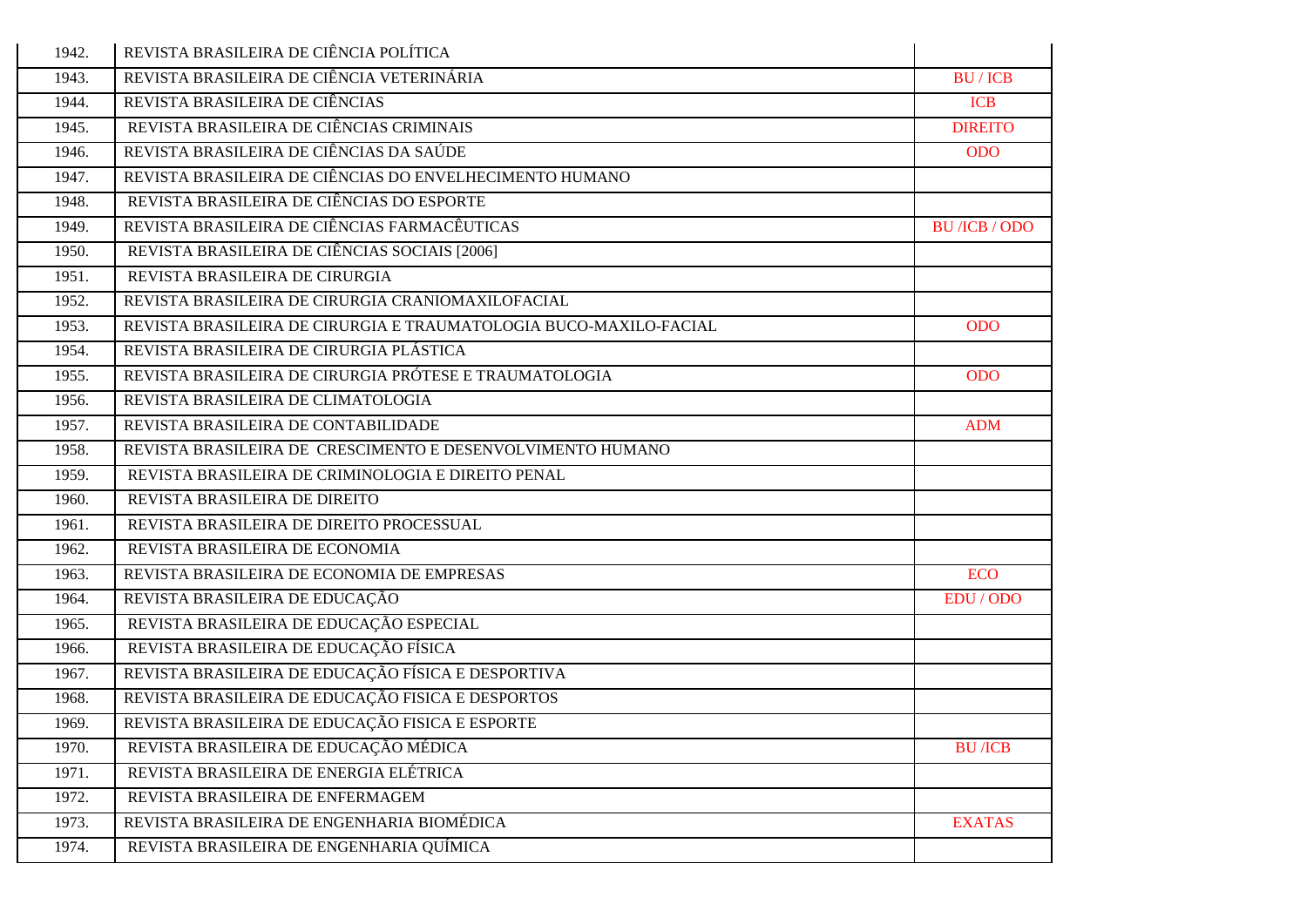| 1942. | REVISTA BRASILEIRA DE CIÊNCIA POLÍTICA                            |                                     |
|-------|-------------------------------------------------------------------|-------------------------------------|
| 1943. | REVISTA BRASILEIRA DE CIÊNCIA VETERINÁRIA                         | <b>BU/ICB</b>                       |
| 1944. | REVISTA BRASILEIRA DE CIÊNCIAS                                    | <b>ICB</b>                          |
| 1945. | REVISTA BRASILEIRA DE CIÊNCIAS CRIMINAIS                          | <b>DIREITO</b>                      |
| 1946. | REVISTA BRASILEIRA DE CIÊNCIAS DA SAÚDE                           | <b>ODO</b>                          |
| 1947. | REVISTA BRASILEIRA DE CIÊNCIAS DO ENVELHECIMENTO HUMANO           |                                     |
| 1948. | REVISTA BRASILEIRA DE CIÊNCIAS DO ESPORTE                         |                                     |
| 1949. | REVISTA BRASILEIRA DE CIÊNCIAS FARMACÊUTICAS                      | <b>BU</b> / <b>ICB</b> / <b>ODO</b> |
| 1950. | REVISTA BRASILEIRA DE CIÊNCIAS SOCIAIS [2006]                     |                                     |
| 1951. | REVISTA BRASILEIRA DE CIRURGIA                                    |                                     |
| 1952. | REVISTA BRASILEIRA DE CIRURGIA CRANIOMAXILOFACIAL                 |                                     |
| 1953. | REVISTA BRASILEIRA DE CIRURGIA E TRAUMATOLOGIA BUCO-MAXILO-FACIAL | <b>ODO</b>                          |
| 1954. | REVISTA BRASILEIRA DE CIRURGIA PLÁSTICA                           |                                     |
| 1955. | REVISTA BRASILEIRA DE CIRURGIA PRÓTESE E TRAUMATOLOGIA            | <b>ODO</b>                          |
| 1956. | REVISTA BRASILEIRA DE CLIMATOLOGIA                                |                                     |
| 1957. | REVISTA BRASILEIRA DE CONTABILIDADE                               | <b>ADM</b>                          |
| 1958. | REVISTA BRASILEIRA DE CRESCIMENTO E DESENVOLVIMENTO HUMANO        |                                     |
| 1959. | REVISTA BRASILEIRA DE CRIMINOLOGIA E DIREITO PENAL                |                                     |
| 1960. | REVISTA BRASILEIRA DE DIREITO                                     |                                     |
| 1961. | REVISTA BRASILEIRA DE DIREITO PROCESSUAL                          |                                     |
| 1962. | REVISTA BRASILEIRA DE ECONOMIA                                    |                                     |
| 1963. | REVISTA BRASILEIRA DE ECONOMIA DE EMPRESAS                        | <b>ECO</b>                          |
| 1964. | REVISTA BRASILEIRA DE EDUCAÇÃO                                    | EDU / ODO                           |
| 1965. | REVISTA BRASILEIRA DE EDUCAÇÃO ESPECIAL                           |                                     |
| 1966. | REVISTA BRASILEIRA DE EDUCAÇÃO FÍSICA                             |                                     |
| 1967. | REVISTA BRASILEIRA DE EDUCAÇÃO FÍSICA E DESPORTIVA                |                                     |
| 1968. | REVISTA BRASILEIRA DE EDUCAÇÃO FISICA E DESPORTOS                 |                                     |
| 1969. | REVISTA BRASILEIRA DE EDUCAÇÃO FISICA E ESPORTE                   |                                     |
| 1970. | REVISTA BRASILEIRA DE EDUCAÇÃO MÉDICA                             | <b>BU</b> /ICB                      |
| 1971. | REVISTA BRASILEIRA DE ENERGIA ELÉTRICA                            |                                     |
| 1972. | REVISTA BRASILEIRA DE ENFERMAGEM                                  |                                     |
| 1973. | REVISTA BRASILEIRA DE ENGENHARIA BIOMÉDICA                        | <b>EXATAS</b>                       |
| 1974. | REVISTA BRASILEIRA DE ENGENHARIA QUÍMICA                          |                                     |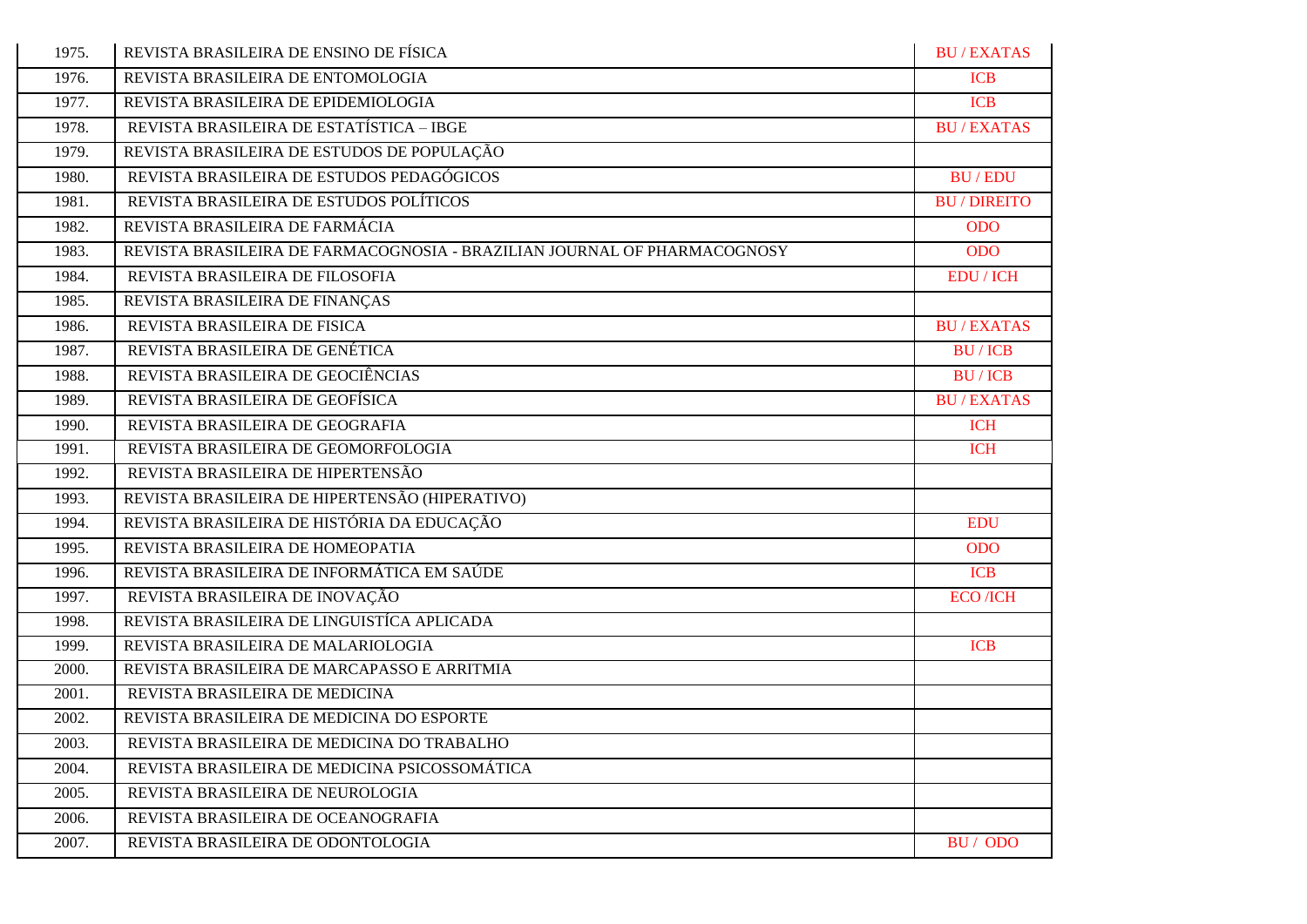| 1975. | REVISTA BRASILEIRA DE ENSINO DE FÍSICA                                   | <b>BU/EXATAS</b>        |
|-------|--------------------------------------------------------------------------|-------------------------|
| 1976. | REVISTA BRASILEIRA DE ENTOMOLOGIA                                        | <b>ICB</b>              |
| 1977. | REVISTA BRASILEIRA DE EPIDEMIOLOGIA                                      | <b>ICB</b>              |
| 1978. | REVISTA BRASILEIRA DE ESTATÍSTICA - IBGE                                 | <b>BU/EXATAS</b>        |
| 1979. | REVISTA BRASILEIRA DE ESTUDOS DE POPULAÇÃO                               |                         |
| 1980. | REVISTA BRASILEIRA DE ESTUDOS PEDAGÓGICOS                                | <b>BU/EDU</b>           |
| 1981. | REVISTA BRASILEIRA DE ESTUDOS POLÍTICOS                                  | <b>BU/DIREITO</b>       |
| 1982. | REVISTA BRASILEIRA DE FARMÁCIA                                           | <b>ODO</b>              |
| 1983. | REVISTA BRASILEIRA DE FARMACOGNOSIA - BRAZILIAN JOURNAL OF PHARMACOGNOSY | <b>ODO</b>              |
| 1984. | REVISTA BRASILEIRA DE FILOSOFIA                                          | <b>EDU</b> / ICH        |
| 1985. | REVISTA BRASILEIRA DE FINANÇAS                                           |                         |
| 1986. | REVISTA BRASILEIRA DE FISICA                                             | <b>BU/EXATAS</b>        |
| 1987. | REVISTA BRASILEIRA DE GENÉTICA                                           | <b>BU/ICB</b>           |
| 1988. | REVISTA BRASILEIRA DE GEOCIÊNCIAS                                        | <b>BU/ICB</b>           |
| 1989. | REVISTA BRASILEIRA DE GEOFÍSICA                                          | <b>BU/EXATAS</b>        |
| 1990. | REVISTA BRASILEIRA DE GEOGRAFIA                                          | <b>ICH</b>              |
| 1991. | REVISTA BRASILEIRA DE GEOMORFOLOGIA                                      | <b>ICH</b>              |
| 1992. | REVISTA BRASILEIRA DE HIPERTENSÃO                                        |                         |
| 1993. | REVISTA BRASILEIRA DE HIPERTENSÃO (HIPERATIVO)                           |                         |
| 1994. | REVISTA BRASILEIRA DE HISTÓRIA DA EDUCAÇÃO                               | <b>EDU</b>              |
| 1995. | REVISTA BRASILEIRA DE HOMEOPATIA                                         | <b>ODO</b>              |
| 1996. | REVISTA BRASILEIRA DE INFORMÁTICA EM SAÚDE                               | <b>ICB</b>              |
| 1997. | REVISTA BRASILEIRA DE INOVAÇÃO                                           | <b>ECO</b> / <b>ICH</b> |
| 1998. | REVISTA BRASILEIRA DE LINGUISTÍCA APLICADA                               |                         |
| 1999. | REVISTA BRASILEIRA DE MALARIOLOGIA                                       | <b>ICB</b>              |
| 2000. | REVISTA BRASILEIRA DE MARCAPASSO E ARRITMIA                              |                         |
| 2001. | REVISTA BRASILEIRA DE MEDICINA                                           |                         |
| 2002. | REVISTA BRASILEIRA DE MEDICINA DO ESPORTE                                |                         |
| 2003. | REVISTA BRASILEIRA DE MEDICINA DO TRABALHO                               |                         |
| 2004. | REVISTA BRASILEIRA DE MEDICINA PSICOSSOMÁTICA                            |                         |
| 2005. | REVISTA BRASILEIRA DE NEUROLOGIA                                         |                         |
| 2006. | REVISTA BRASILEIRA DE OCEANOGRAFIA                                       |                         |
| 2007. | REVISTA BRASILEIRA DE ODONTOLOGIA                                        | BU/ODO                  |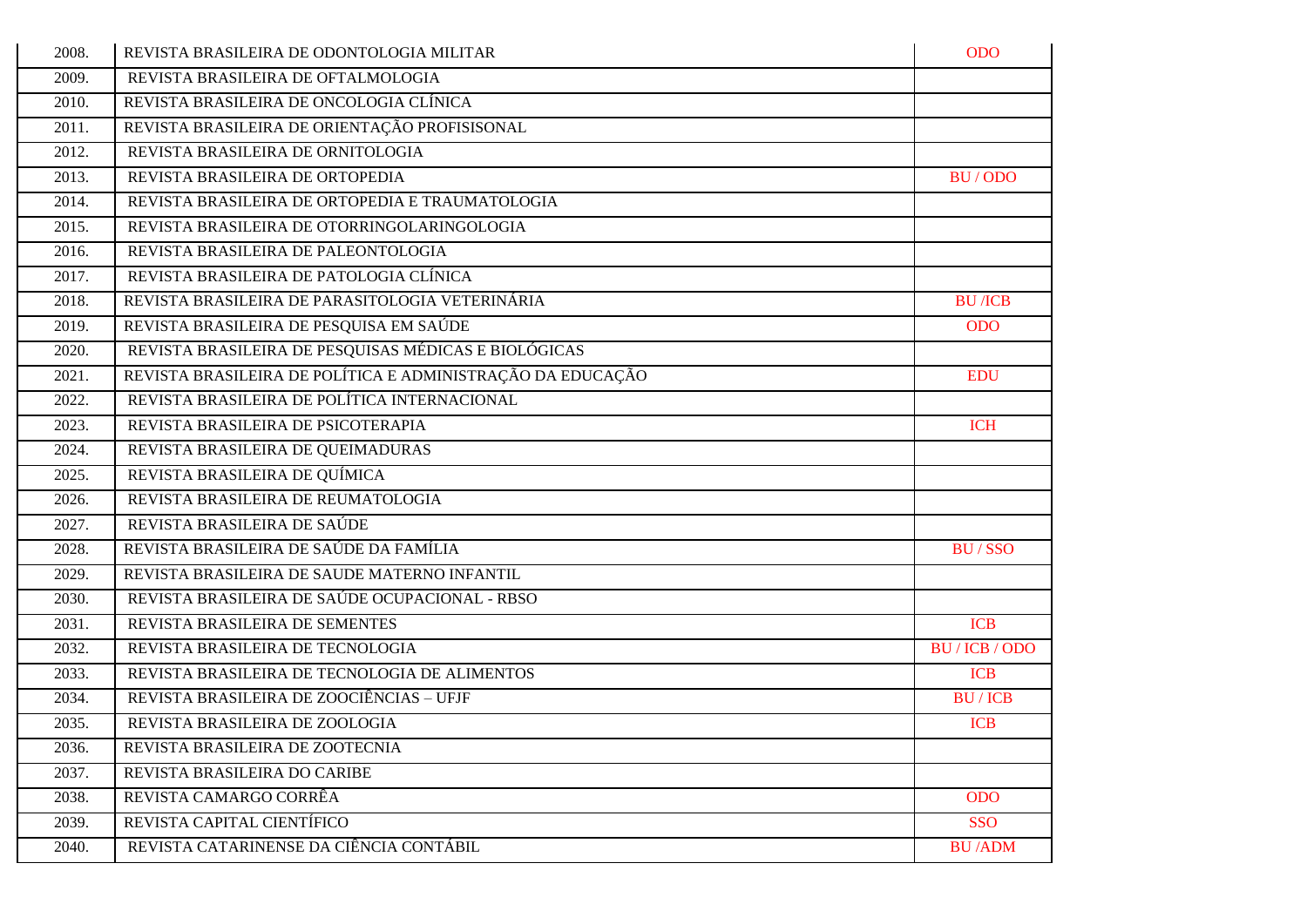| 2008. | REVISTA BRASILEIRA DE ODONTOLOGIA MILITAR                  | <b>ODO</b>     |
|-------|------------------------------------------------------------|----------------|
| 2009. | REVISTA BRASILEIRA DE OFTALMOLOGIA                         |                |
| 2010. | REVISTA BRASILEIRA DE ONCOLOGIA CLÍNICA                    |                |
| 2011. | REVISTA BRASILEIRA DE ORIENTAÇÃO PROFISISONAL              |                |
| 2012. | REVISTA BRASILEIRA DE ORNITOLOGIA                          |                |
| 2013. | REVISTA BRASILEIRA DE ORTOPEDIA                            | BU/ODO         |
| 2014. | REVISTA BRASILEIRA DE ORTOPEDIA E TRAUMATOLOGIA            |                |
| 2015. | REVISTA BRASILEIRA DE OTORRINGOLARINGOLOGIA                |                |
| 2016. | REVISTA BRASILEIRA DE PALEONTOLOGIA                        |                |
| 2017. | REVISTA BRASILEIRA DE PATOLOGIA CLÍNICA                    |                |
| 2018. | REVISTA BRASILEIRA DE PARASITOLOGIA VETERINÁRIA            | <b>BU</b> /ICB |
| 2019. | REVISTA BRASILEIRA DE PESQUISA EM SAÚDE                    | <b>ODO</b>     |
| 2020. | REVISTA BRASILEIRA DE PESQUISAS MÉDICAS E BIOLÓGICAS       |                |
| 2021. | REVISTA BRASILEIRA DE POLÍTICA E ADMINISTRAÇÃO DA EDUCAÇÃO | <b>EDU</b>     |
| 2022. | REVISTA BRASILEIRA DE POLÍTICA INTERNACIONAL               |                |
| 2023. | REVISTA BRASILEIRA DE PSICOTERAPIA                         | <b>ICH</b>     |
| 2024. | REVISTA BRASILEIRA DE QUEIMADURAS                          |                |
| 2025. | REVISTA BRASILEIRA DE QUÍMICA                              |                |
| 2026. | REVISTA BRASILEIRA DE REUMATOLOGIA                         |                |
| 2027. | REVISTA BRASILEIRA DE SAÚDE                                |                |
| 2028. | REVISTA BRASILEIRA DE SAÚDE DA FAMÍLIA                     | <b>BU/SSO</b>  |
| 2029. | REVISTA BRASILEIRA DE SAUDE MATERNO INFANTIL               |                |
| 2030. | REVISTA BRASILEIRA DE SAÚDE OCUPACIONAL - RBSO             |                |
| 2031. | REVISTA BRASILEIRA DE SEMENTES                             | <b>ICB</b>     |
| 2032. | REVISTA BRASILEIRA DE TECNOLOGIA                           | BU / ICB / ODO |
| 2033. | REVISTA BRASILEIRA DE TECNOLOGIA DE ALIMENTOS              | <b>ICB</b>     |
| 2034. | REVISTA BRASILEIRA DE ZOOCIÊNCIAS - UFJF                   | <b>BU/ICB</b>  |
| 2035. | REVISTA BRASILEIRA DE ZOOLOGIA                             | <b>ICB</b>     |
| 2036. | REVISTA BRASILEIRA DE ZOOTECNIA                            |                |
| 2037. | REVISTA BRASILEIRA DO CARIBE                               |                |
| 2038. | REVISTA CAMARGO CORRÊA                                     | <b>ODO</b>     |
| 2039. | REVISTA CAPITAL CIENTÍFICO                                 | <b>SSO</b>     |
| 2040. | REVISTA CATARINENSE DA CIÊNCIA CONTÁBIL                    | <b>BU/ADM</b>  |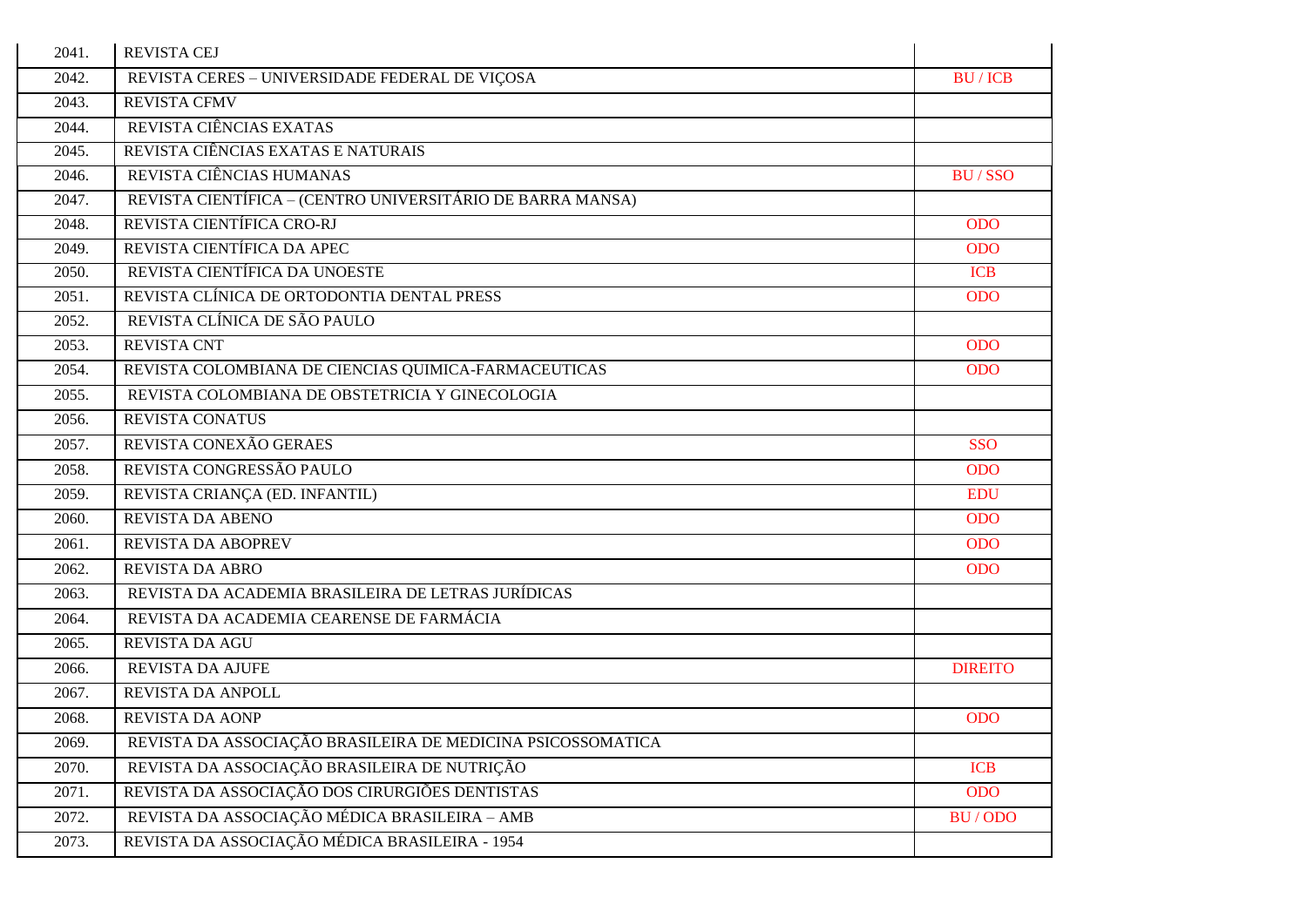| 2041. | <b>REVISTA CEJ</b>                                          |                |
|-------|-------------------------------------------------------------|----------------|
| 2042. | REVISTA CERES - UNIVERSIDADE FEDERAL DE VIÇOSA              | <b>BU/ICB</b>  |
| 2043. | <b>REVISTA CFMV</b>                                         |                |
| 2044. | REVISTA CIÊNCIAS EXATAS                                     |                |
| 2045. | REVISTA CIÊNCIAS EXATAS E NATURAIS                          |                |
| 2046. | REVISTA CIÊNCIAS HUMANAS                                    | <b>BU/SSO</b>  |
| 2047. | REVISTA CIENTÍFICA – (CENTRO UNIVERSITÁRIO DE BARRA MANSA)  |                |
| 2048. | REVISTA CIENTÍFICA CRO-RJ                                   | <b>ODO</b>     |
| 2049. | REVISTA CIENTÍFICA DA APEC                                  | <b>ODO</b>     |
| 2050. | REVISTA CIENTÍFICA DA UNOESTE                               | <b>ICB</b>     |
| 2051. | REVISTA CLÍNICA DE ORTODONTIA DENTAL PRESS                  | <b>ODO</b>     |
| 2052. | REVISTA CLÍNICA DE SÃO PAULO                                |                |
| 2053. | <b>REVISTA CNT</b>                                          | <b>ODO</b>     |
| 2054. | REVISTA COLOMBIANA DE CIENCIAS QUIMICA-FARMACEUTICAS        | <b>ODO</b>     |
| 2055. | REVISTA COLOMBIANA DE OBSTETRICIA Y GINECOLOGIA             |                |
| 2056. | REVISTA CONATUS                                             |                |
| 2057. | REVISTA CONEXÃO GERAES                                      | <b>SSO</b>     |
| 2058. | REVISTA CONGRESSÃO PAULO                                    | <b>ODO</b>     |
| 2059. | REVISTA CRIANÇA (ED. INFANTIL)                              | <b>EDU</b>     |
| 2060. | <b>REVISTA DA ABENO</b>                                     | <b>ODO</b>     |
| 2061. | <b>REVISTA DA ABOPREV</b>                                   | <b>ODO</b>     |
| 2062. | <b>REVISTA DA ABRO</b>                                      | <b>ODO</b>     |
| 2063. | REVISTA DA ACADEMIA BRASILEIRA DE LETRAS JURÍDICAS          |                |
| 2064. | REVISTA DA ACADEMIA CEARENSE DE FARMÁCIA                    |                |
| 2065. | REVISTA DA AGU                                              |                |
| 2066. | <b>REVISTA DA AJUFE</b>                                     | <b>DIREITO</b> |
| 2067. | REVISTA DA ANPOLL                                           |                |
| 2068. | <b>REVISTA DA AONP</b>                                      | <b>ODO</b>     |
| 2069. | REVISTA DA ASSOCIAÇÃO BRASILEIRA DE MEDICINA PSICOSSOMATICA |                |
| 2070. | REVISTA DA ASSOCIAÇÃO BRASILEIRA DE NUTRIÇÃO                | <b>ICB</b>     |
| 2071. | REVISTA DA ASSOCIAÇÃO DOS CIRURGIÕES DENTISTAS              | <b>ODO</b>     |
| 2072. | REVISTA DA ASSOCIAÇÃO MÉDICA BRASILEIRA - AMB               | BU/ODO         |
| 2073. | REVISTA DA ASSOCIAÇÃO MÉDICA BRASILEIRA - 1954              |                |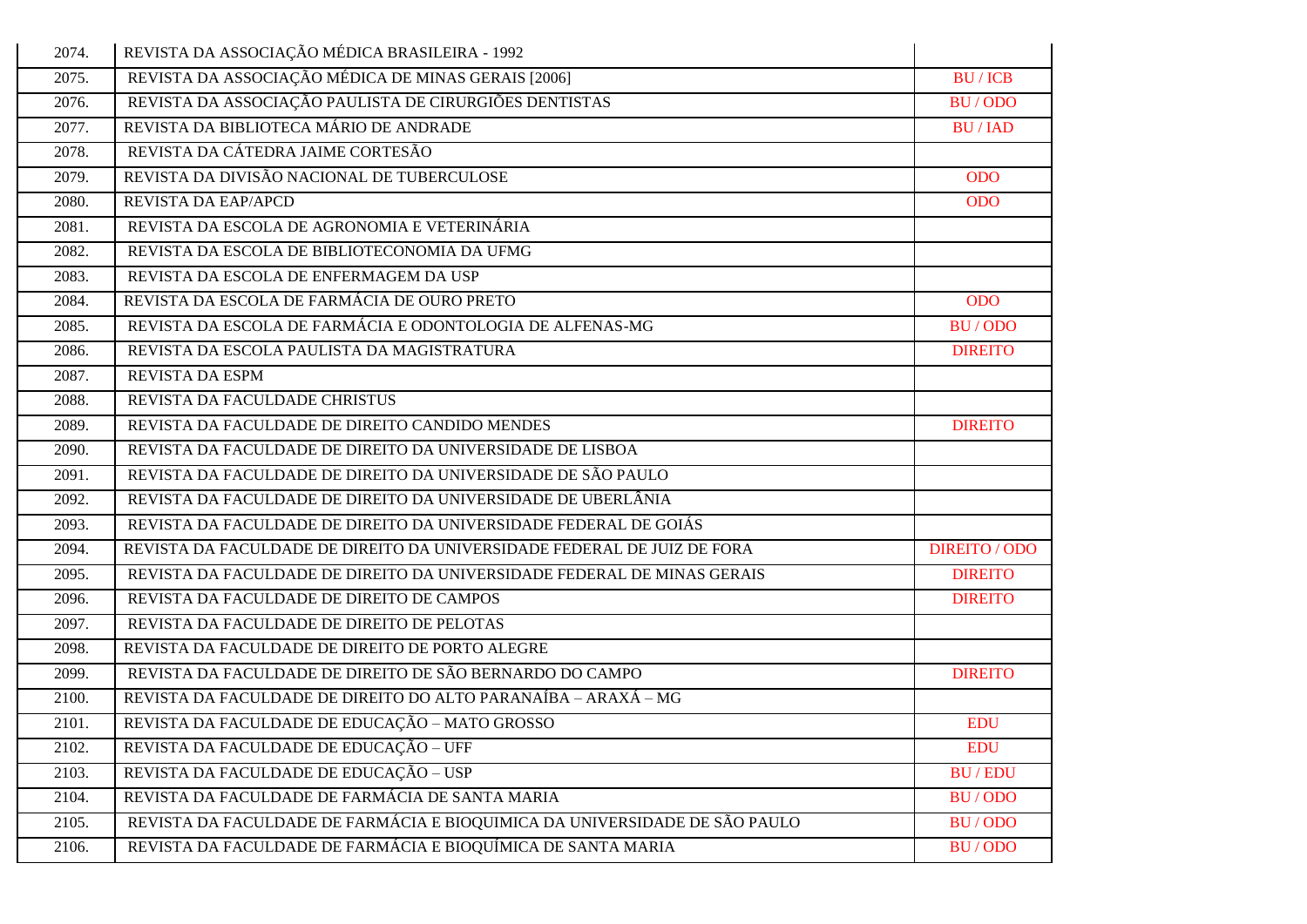| 2074. | REVISTA DA ASSOCIAÇÃO MÉDICA BRASILEIRA - 1992                             |                      |
|-------|----------------------------------------------------------------------------|----------------------|
| 2075. | REVISTA DA ASSOCIAÇÃO MÉDICA DE MINAS GERAIS [2006]                        | <b>BU/ICB</b>        |
| 2076. | REVISTA DA ASSOCIAÇÃO PAULISTA DE CIRURGIÕES DENTISTAS                     | <b>BU/ODO</b>        |
| 2077. | REVISTA DA BIBLIOTECA MÁRIO DE ANDRADE                                     | <b>BU/IAD</b>        |
| 2078. | REVISTA DA CÁTEDRA JAIME CORTESÃO                                          |                      |
| 2079. | REVISTA DA DIVISÃO NACIONAL DE TUBERCULOSE                                 | <b>ODO</b>           |
| 2080. | REVISTA DA EAP/APCD                                                        | <b>ODO</b>           |
| 2081. | REVISTA DA ESCOLA DE AGRONOMIA E VETERINÁRIA                               |                      |
| 2082. | REVISTA DA ESCOLA DE BIBLIOTECONOMIA DA UFMG                               |                      |
| 2083. | REVISTA DA ESCOLA DE ENFERMAGEM DA USP                                     |                      |
| 2084. | REVISTA DA ESCOLA DE FARMÁCIA DE OURO PRETO                                | <b>ODO</b>           |
| 2085. | REVISTA DA ESCOLA DE FARMÁCIA E ODONTOLOGIA DE ALFENAS-MG                  | BU/ODO               |
| 2086. | REVISTA DA ESCOLA PAULISTA DA MAGISTRATURA                                 | <b>DIREITO</b>       |
| 2087. | REVISTA DA ESPM                                                            |                      |
| 2088. | REVISTA DA FACULDADE CHRISTUS                                              |                      |
| 2089. | REVISTA DA FACULDADE DE DIREITO CANDIDO MENDES                             | <b>DIREITO</b>       |
| 2090. | REVISTA DA FACULDADE DE DIREITO DA UNIVERSIDADE DE LISBOA                  |                      |
| 2091. | REVISTA DA FACULDADE DE DIREITO DA UNIVERSIDADE DE SÃO PAULO               |                      |
| 2092. | REVISTA DA FACULDADE DE DIREITO DA UNIVERSIDADE DE UBERLÂNIA               |                      |
| 2093. | REVISTA DA FACULDADE DE DIREITO DA UNIVERSIDADE FEDERAL DE GOIÁS           |                      |
| 2094. | REVISTA DA FACULDADE DE DIREITO DA UNIVERSIDADE FEDERAL DE JUIZ DE FORA    | <b>DIREITO / ODO</b> |
| 2095. | REVISTA DA FACULDADE DE DIREITO DA UNIVERSIDADE FEDERAL DE MINAS GERAIS    | <b>DIREITO</b>       |
| 2096. | REVISTA DA FACULDADE DE DIREITO DE CAMPOS                                  | <b>DIREITO</b>       |
| 2097. | REVISTA DA FACULDADE DE DIREITO DE PELOTAS                                 |                      |
| 2098. | REVISTA DA FACULDADE DE DIREITO DE PORTO ALEGRE                            |                      |
| 2099. | REVISTA DA FACULDADE DE DIREITO DE SÃO BERNARDO DO CAMPO                   | <b>DIREITO</b>       |
| 2100. | REVISTA DA FACULDADE DE DIREITO DO ALTO PARANAÍBA - ARAXÁ - MG             |                      |
| 2101. | REVISTA DA FACULDADE DE EDUCAÇÃO - MATO GROSSO                             | <b>EDU</b>           |
| 2102. | REVISTA DA FACULDADE DE EDUCAÇÃO - UFF                                     | <b>EDU</b>           |
| 2103. | REVISTA DA FACULDADE DE EDUCAÇÃO - USP                                     | <b>BU/EDU</b>        |
| 2104. | REVISTA DA FACULDADE DE FARMÁCIA DE SANTA MARIA                            | BU/ODO               |
| 2105. | REVISTA DA FACULDADE DE FARMÁCIA E BIOQUIMICA DA UNIVERSIDADE DE SÃO PAULO | BU/ODO               |
| 2106. | REVISTA DA FACULDADE DE FARMÁCIA E BIOQUÍMICA DE SANTA MARIA               | BU/ODO               |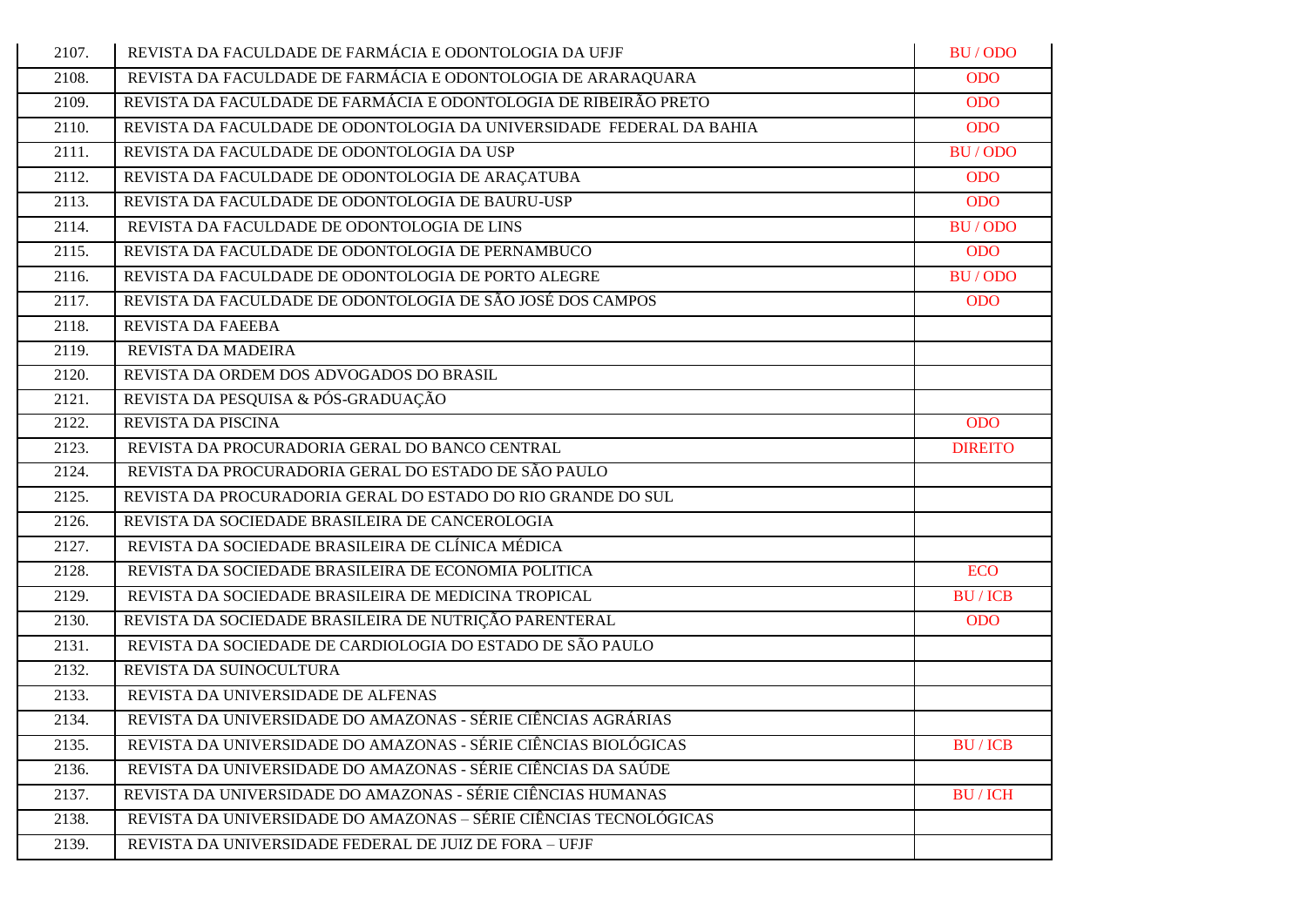| 2107. | REVISTA DA FACULDADE DE FARMÁCIA E ODONTOLOGIA DA UFJF               | BU/ODO         |
|-------|----------------------------------------------------------------------|----------------|
| 2108. | REVISTA DA FACULDADE DE FARMÁCIA E ODONTOLOGIA DE ARARAQUARA         | <b>ODO</b>     |
| 2109. | REVISTA DA FACULDADE DE FARMÁCIA E ODONTOLOGIA DE RIBEIRÃO PRETO     | <b>ODO</b>     |
| 2110. | REVISTA DA FACULDADE DE ODONTOLOGIA DA UNIVERSIDADE FEDERAL DA BAHIA | <b>ODO</b>     |
| 2111. | REVISTA DA FACULDADE DE ODONTOLOGIA DA USP                           | <b>BU/ODO</b>  |
| 2112. | REVISTA DA FACULDADE DE ODONTOLOGIA DE ARAÇATUBA                     | <b>ODO</b>     |
| 2113. | REVISTA DA FACULDADE DE ODONTOLOGIA DE BAURU-USP                     | <b>ODO</b>     |
| 2114. | REVISTA DA FACULDADE DE ODONTOLOGIA DE LINS                          | <b>BU/ODO</b>  |
| 2115. | REVISTA DA FACULDADE DE ODONTOLOGIA DE PERNAMBUCO                    | <b>ODO</b>     |
| 2116. | REVISTA DA FACULDADE DE ODONTOLOGIA DE PORTO ALEGRE                  | BU/ODO         |
| 2117. | REVISTA DA FACULDADE DE ODONTOLOGIA DE SÃO JOSÉ DOS CAMPOS           | <b>ODO</b>     |
| 2118. | REVISTA DA FAEEBA                                                    |                |
| 2119. | REVISTA DA MADEIRA                                                   |                |
| 2120. | REVISTA DA ORDEM DOS ADVOGADOS DO BRASIL                             |                |
| 2121. | REVISTA DA PESQUISA & PÓS-GRADUAÇÃO                                  |                |
| 2122. | REVISTA DA PISCINA                                                   | <b>ODO</b>     |
| 2123. | REVISTA DA PROCURADORIA GERAL DO BANCO CENTRAL                       | <b>DIREITO</b> |
| 2124. | REVISTA DA PROCURADORIA GERAL DO ESTADO DE SÃO PAULO                 |                |
| 2125. | REVISTA DA PROCURADORIA GERAL DO ESTADO DO RIO GRANDE DO SUL         |                |
| 2126. | REVISTA DA SOCIEDADE BRASILEIRA DE CANCEROLOGIA                      |                |
| 2127. | REVISTA DA SOCIEDADE BRASILEIRA DE CLÍNICA MÉDICA                    |                |
| 2128. | REVISTA DA SOCIEDADE BRASILEIRA DE ECONOMIA POLITICA                 | <b>ECO</b>     |
| 2129. | REVISTA DA SOCIEDADE BRASILEIRA DE MEDICINA TROPICAL                 | <b>BU/ICB</b>  |
| 2130. | REVISTA DA SOCIEDADE BRASILEIRA DE NUTRIÇÃO PARENTERAL               | <b>ODO</b>     |
| 2131. | REVISTA DA SOCIEDADE DE CARDIOLOGIA DO ESTADO DE SÃO PAULO           |                |
| 2132. | REVISTA DA SUINOCULTURA                                              |                |
| 2133. | REVISTA DA UNIVERSIDADE DE ALFENAS                                   |                |
| 2134. | REVISTA DA UNIVERSIDADE DO AMAZONAS - SÉRIE CIÊNCIAS AGRÁRIAS        |                |
| 2135. | REVISTA DA UNIVERSIDADE DO AMAZONAS - SÉRIE CIÊNCIAS BIOLÓGICAS      | <b>BU/ICB</b>  |
| 2136. | REVISTA DA UNIVERSIDADE DO AMAZONAS - SÉRIE CIÊNCIAS DA SAÚDE        |                |
| 2137. | REVISTA DA UNIVERSIDADE DO AMAZONAS - SÉRIE CIÊNCIAS HUMANAS         | <b>BU/ICH</b>  |
| 2138. | REVISTA DA UNIVERSIDADE DO AMAZONAS - SÉRIE CIÊNCIAS TECNOLÓGICAS    |                |
| 2139. | REVISTA DA UNIVERSIDADE FEDERAL DE JUIZ DE FORA - UFJF               |                |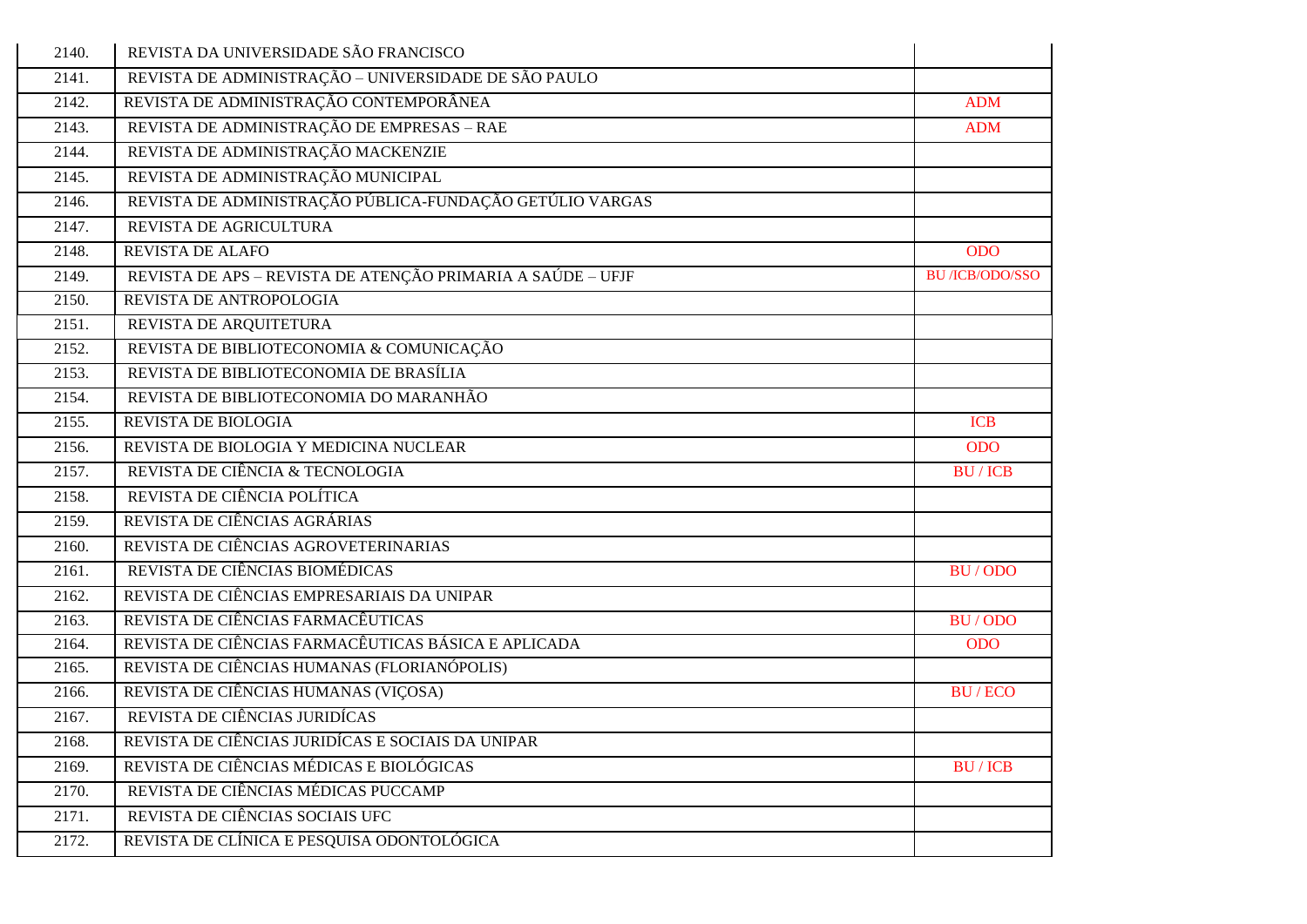| 2140. | REVISTA DA UNIVERSIDADE SÃO FRANCISCO                       |                       |
|-------|-------------------------------------------------------------|-----------------------|
| 2141. | REVISTA DE ADMINISTRAÇÃO - UNIVERSIDADE DE SÃO PAULO        |                       |
| 2142. | REVISTA DE ADMINISTRAÇÃO CONTEMPORÂNEA                      | <b>ADM</b>            |
| 2143. | REVISTA DE ADMINISTRAÇÃO DE EMPRESAS - RAE                  | <b>ADM</b>            |
| 2144. | REVISTA DE ADMINISTRAÇÃO MACKENZIE                          |                       |
| 2145. | REVISTA DE ADMINISTRAÇÃO MUNICIPAL                          |                       |
| 2146. | REVISTA DE ADMINISTRAÇÃO PÚBLICA-FUNDAÇÃO GETÚLIO VARGAS    |                       |
| 2147. | REVISTA DE AGRICULTURA                                      |                       |
| 2148. | REVISTA DE ALAFO                                            | <b>ODO</b>            |
| 2149. | REVISTA DE APS - REVISTA DE ATENÇÃO PRIMARIA A SAÚDE - UFJF | <b>BU/ICB/ODO/SSO</b> |
| 2150. | REVISTA DE ANTROPOLOGIA                                     |                       |
| 2151. | REVISTA DE ARQUITETURA                                      |                       |
| 2152. | REVISTA DE BIBLIOTECONOMIA & COMUNICAÇÃO                    |                       |
| 2153. | REVISTA DE BIBLIOTECONOMIA DE BRASÍLIA                      |                       |
| 2154. | REVISTA DE BIBLIOTECONOMIA DO MARANHÃO                      |                       |
| 2155. | REVISTA DE BIOLOGIA                                         | <b>ICB</b>            |
| 2156. | REVISTA DE BIOLOGIA Y MEDICINA NUCLEAR                      | <b>ODO</b>            |
| 2157. | REVISTA DE CIÊNCIA & TECNOLOGIA                             | <b>BU/ICB</b>         |
| 2158. | REVISTA DE CIÊNCIA POLÍTICA                                 |                       |
| 2159. | REVISTA DE CIÊNCIAS AGRÁRIAS                                |                       |
| 2160. | REVISTA DE CIÊNCIAS AGROVETERINARIAS                        |                       |
| 2161. | REVISTA DE CIÊNCIAS BIOMÉDICAS                              | BU/ODO                |
| 2162. | REVISTA DE CIÊNCIAS EMPRESARIAIS DA UNIPAR                  |                       |
| 2163. | REVISTA DE CIÊNCIAS FARMACÊUTICAS                           | BU/ODO                |
| 2164. | REVISTA DE CIÊNCIAS FARMACÊUTICAS BÁSICA E APLICADA         | <b>ODO</b>            |
| 2165. | REVISTA DE CIÊNCIAS HUMANAS (FLORIANÓPOLIS)                 |                       |
| 2166. | REVISTA DE CIÊNCIAS HUMANAS (VIÇOSA)                        | <b>BU/ECO</b>         |
| 2167. | REVISTA DE CIÊNCIAS JURIDÍCAS                               |                       |
| 2168. | REVISTA DE CIÊNCIAS JURIDICAS E SOCIAIS DA UNIPAR           |                       |
| 2169. | REVISTA DE CIÊNCIAS MÉDICAS E BIOLÓGICAS                    | <b>BU/ICB</b>         |
| 2170. | REVISTA DE CIÊNCIAS MÉDICAS PUCCAMP                         |                       |
| 2171. | REVISTA DE CIÊNCIAS SOCIAIS UFC                             |                       |
| 2172. | REVISTA DE CLÍNICA E PESQUISA ODONTOLÓGICA                  |                       |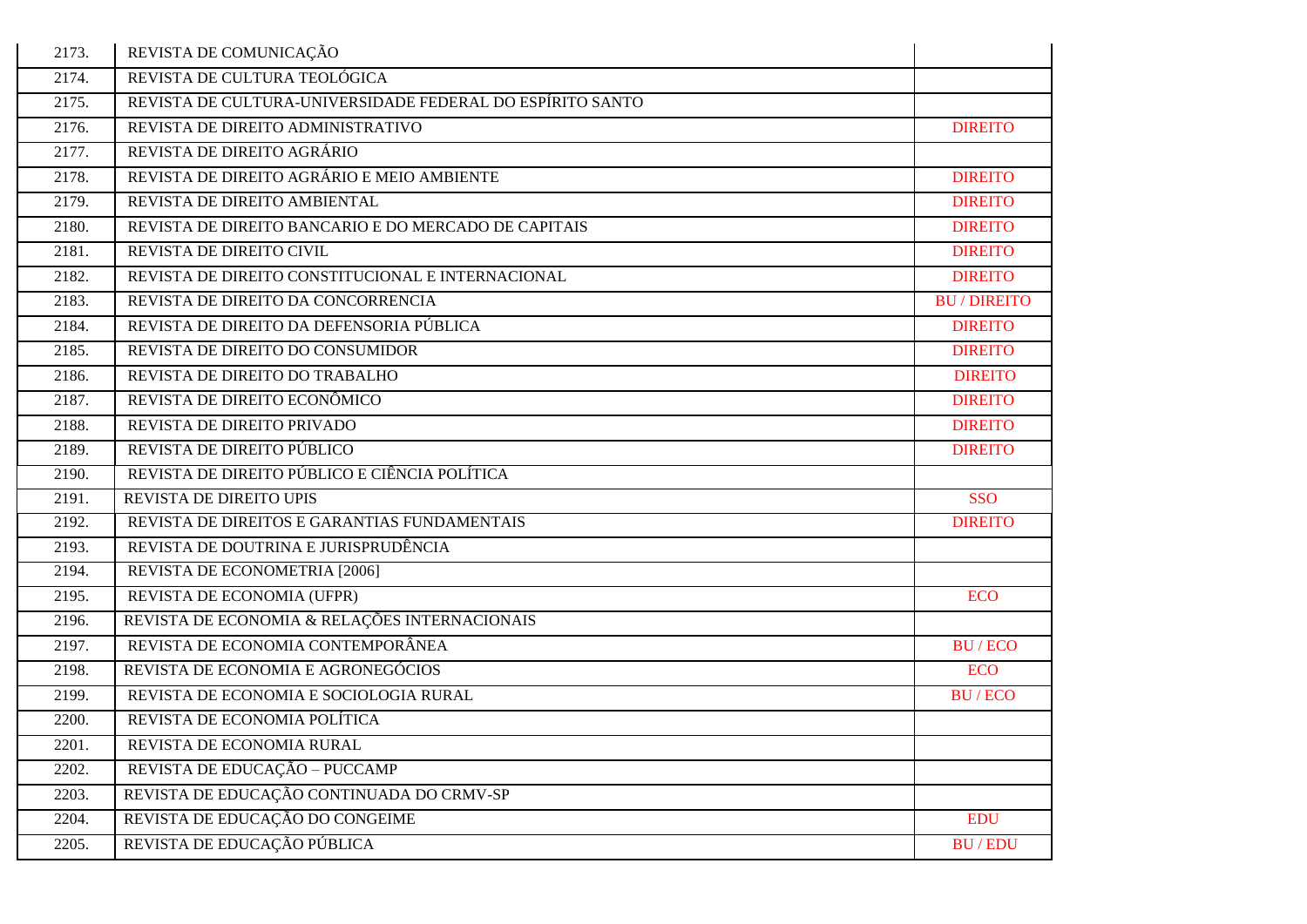| 2173. | REVISTA DE COMUNICAÇÃO                                    |                   |
|-------|-----------------------------------------------------------|-------------------|
| 2174. | REVISTA DE CULTURA TEOLÓGICA                              |                   |
| 2175. | REVISTA DE CULTURA-UNIVERSIDADE FEDERAL DO ESPÍRITO SANTO |                   |
| 2176. | REVISTA DE DIREITO ADMINISTRATIVO                         | <b>DIREITO</b>    |
| 2177. | REVISTA DE DIREITO AGRÁRIO                                |                   |
| 2178. | REVISTA DE DIREITO AGRÁRIO E MEIO AMBIENTE                | <b>DIREITO</b>    |
| 2179. | REVISTA DE DIREITO AMBIENTAL                              | <b>DIREITO</b>    |
| 2180. | REVISTA DE DIREITO BANCARIO E DO MERCADO DE CAPITAIS      | <b>DIREITO</b>    |
| 2181. | REVISTA DE DIREITO CIVIL                                  | <b>DIREITO</b>    |
| 2182. | REVISTA DE DIREITO CONSTITUCIONAL E INTERNACIONAL         | <b>DIREITO</b>    |
| 2183. | REVISTA DE DIREITO DA CONCORRENCIA                        | <b>BU/DIREITO</b> |
| 2184. | REVISTA DE DIREITO DA DEFENSORIA PÚBLICA                  | <b>DIREITO</b>    |
| 2185. | REVISTA DE DIREITO DO CONSUMIDOR                          | <b>DIREITO</b>    |
| 2186. | REVISTA DE DIREITO DO TRABALHO                            | <b>DIREITO</b>    |
| 2187. | REVISTA DE DIREITO ECONÔMICO                              | <b>DIREITO</b>    |
| 2188. | REVISTA DE DIREITO PRIVADO                                | <b>DIREITO</b>    |
| 2189. | REVISTA DE DIREITO PÚBLICO                                | <b>DIREITO</b>    |
| 2190. | REVISTA DE DIREITO PÚBLICO E CIÊNCIA POLÍTICA             |                   |
| 2191. | REVISTA DE DIREITO UPIS                                   | <b>SSO</b>        |
| 2192. | REVISTA DE DIREITOS E GARANTIAS FUNDAMENTAIS              | <b>DIREITO</b>    |
| 2193. | REVISTA DE DOUTRINA E JURISPRUDÊNCIA                      |                   |
| 2194. | REVISTA DE ECONOMETRIA [2006]                             |                   |
| 2195. | REVISTA DE ECONOMIA (UFPR)                                | <b>ECO</b>        |
| 2196. | REVISTA DE ECONOMIA & RELAÇÕES INTERNACIONAIS             |                   |
| 2197. | REVISTA DE ECONOMIA CONTEMPORÂNEA                         | <b>BU/ECO</b>     |
| 2198. | REVISTA DE ECONOMIA E AGRONEGÓCIOS                        | <b>ECO</b>        |
| 2199. | REVISTA DE ECONOMIA E SOCIOLOGIA RURAL                    | <b>BU/ECO</b>     |
| 2200. | REVISTA DE ECONOMIA POLÍTICA                              |                   |
| 2201. | REVISTA DE ECONOMIA RURAL                                 |                   |
| 2202. | REVISTA DE EDUCAÇÃO - PUCCAMP                             |                   |
| 2203. | REVISTA DE EDUCAÇÃO CONTINUADA DO CRMV-SP                 |                   |
| 2204. | REVISTA DE EDUCAÇÃO DO CONGEIME                           | <b>EDU</b>        |
| 2205. | REVISTA DE EDUCAÇÃO PÚBLICA                               | <b>BU/EDU</b>     |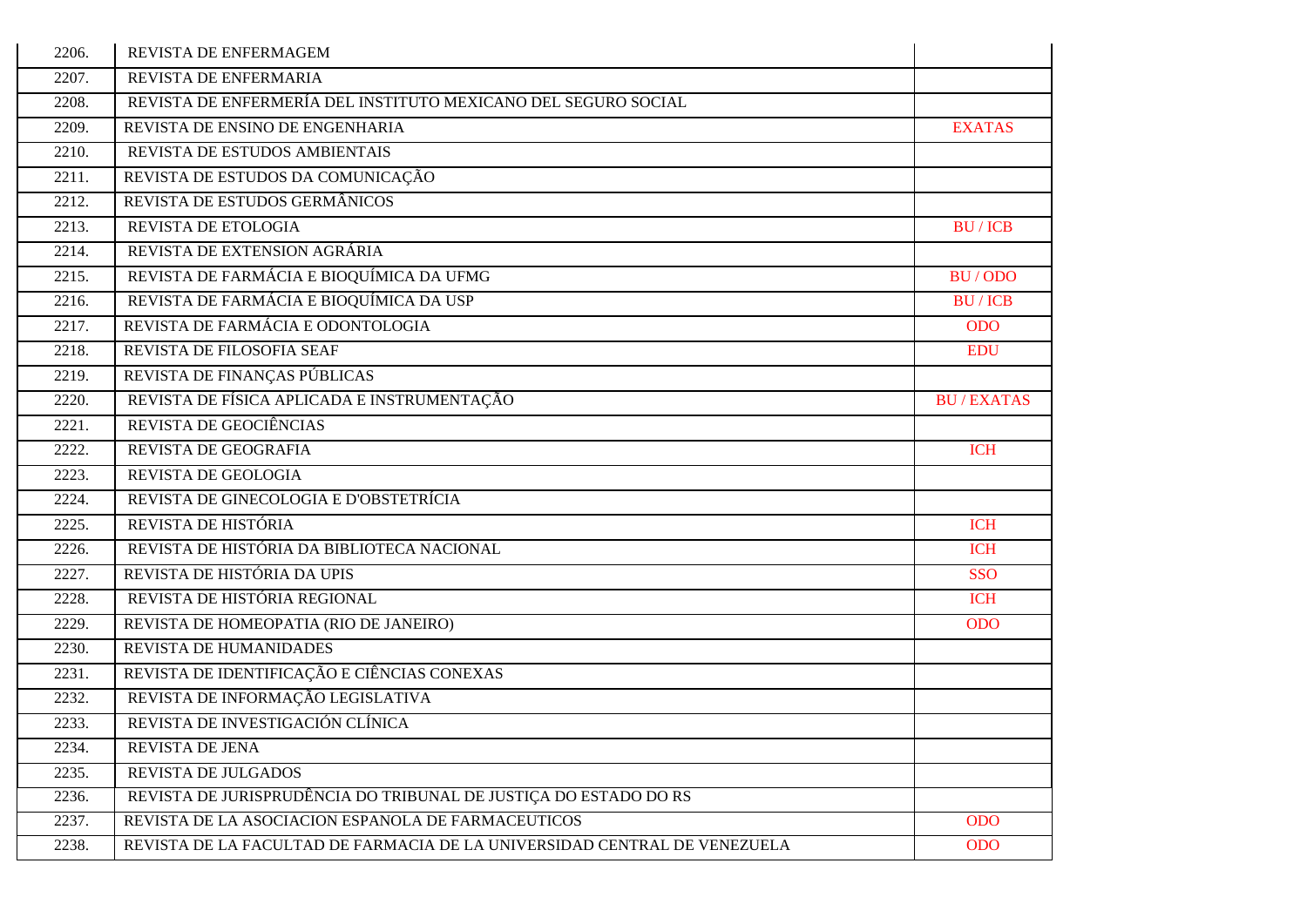| 2206.              | REVISTA DE ENFERMAGEM                                                     |                  |
|--------------------|---------------------------------------------------------------------------|------------------|
| 2207.              | REVISTA DE ENFERMARIA                                                     |                  |
| 2208.              | REVISTA DE ENFERMERÍA DEL INSTITUTO MEXICANO DEL SEGURO SOCIAL            |                  |
| 2209.              | REVISTA DE ENSINO DE ENGENHARIA                                           | <b>EXATAS</b>    |
| 2210.              | REVISTA DE ESTUDOS AMBIENTAIS                                             |                  |
| 2211.              | REVISTA DE ESTUDOS DA COMUNICAÇÃO                                         |                  |
| 2212.              | REVISTA DE ESTUDOS GERMÂNICOS                                             |                  |
| 2213.              | REVISTA DE ETOLOGIA                                                       | <b>BU/ICB</b>    |
| 2214.              | REVISTA DE EXTENSION AGRÁRIA                                              |                  |
| 2215.              | REVISTA DE FARMÁCIA E BIOQUÍMICA DA UFMG                                  | <b>BU/ODO</b>    |
| 2216.              | REVISTA DE FARMÁCIA E BIOQUÍMICA DA USP                                   | <b>BU/ICB</b>    |
| 2217.              | REVISTA DE FARMÁCIA E ODONTOLOGIA                                         | <b>ODO</b>       |
| 2218.              | REVISTA DE FILOSOFIA SEAF                                                 | <b>EDU</b>       |
| $\overline{22}19.$ | REVISTA DE FINANÇAS PÚBLICAS                                              |                  |
| 2220.              | REVISTA DE FÍSICA APLICADA E INSTRUMENTAÇÃO                               | <b>BU/EXATAS</b> |
| 2221.              | REVISTA DE GEOCIÊNCIAS                                                    |                  |
| 2222.              | REVISTA DE GEOGRAFIA                                                      | <b>ICH</b>       |
| 2223.              | <b>REVISTA DE GEOLOGIA</b>                                                |                  |
| 2224.              | REVISTA DE GINECOLOGIA E D'OBSTETRÍCIA                                    |                  |
| 2225.              | REVISTA DE HISTÓRIA                                                       | <b>ICH</b>       |
| 2226.              | REVISTA DE HISTÓRIA DA BIBLIOTECA NACIONAL                                | <b>ICH</b>       |
| 2227.              | REVISTA DE HISTÓRIA DA UPIS                                               | <b>SSO</b>       |
| 2228.              | REVISTA DE HISTÓRIA REGIONAL                                              | <b>ICH</b>       |
| 2229.              | REVISTA DE HOMEOPATIA (RIO DE JANEIRO)                                    | <b>ODO</b>       |
| 2230.              | REVISTA DE HUMANIDADES                                                    |                  |
| 2231.              | REVISTA DE IDENTIFICAÇÃO E CIÊNCIAS CONEXAS                               |                  |
| 2232.              | REVISTA DE INFORMAÇÃO LEGISLATIVA                                         |                  |
| 2233.              | REVISTA DE INVESTIGACIÓN CLÍNICA                                          |                  |
| 2234.              | REVISTA DE JENA                                                           |                  |
| 2235.              | REVISTA DE JULGADOS                                                       |                  |
| 2236.              | REVISTA DE JURISPRUDÊNCIA DO TRIBUNAL DE JUSTIÇA DO ESTADO DO RS          |                  |
| 2237.              | REVISTA DE LA ASOCIACION ESPANOLA DE FARMACEUTICOS                        | <b>ODO</b>       |
| 2238.              | REVISTA DE LA FACULTAD DE FARMACIA DE LA UNIVERSIDAD CENTRAL DE VENEZUELA | <b>ODO</b>       |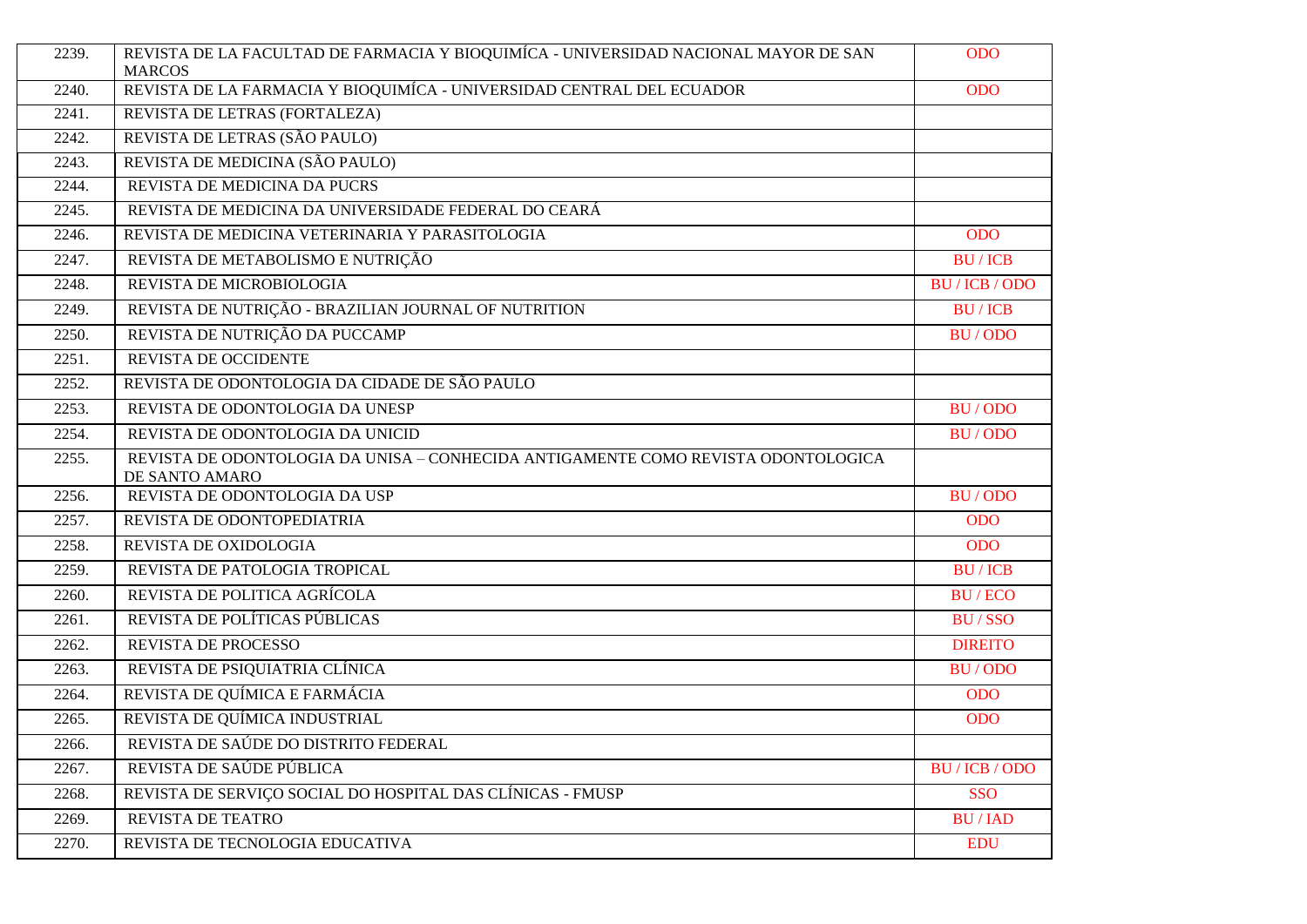| 2239. | REVISTA DE LA FACULTAD DE FARMACIA Y BIOQUIMÍCA - UNIVERSIDAD NACIONAL MAYOR DE SAN<br><b>MARCOS</b> | <b>ODO</b>     |
|-------|------------------------------------------------------------------------------------------------------|----------------|
| 2240. | REVISTA DE LA FARMACIA Y BIOQUIMÍCA - UNIVERSIDAD CENTRAL DEL ECUADOR                                | <b>ODO</b>     |
| 2241. | REVISTA DE LETRAS (FORTALEZA)                                                                        |                |
| 2242. | REVISTA DE LETRAS (SÃO PAULO)                                                                        |                |
| 2243. | REVISTA DE MEDICINA (SÃO PAULO)                                                                      |                |
| 2244. | REVISTA DE MEDICINA DA PUCRS                                                                         |                |
| 2245. | REVISTA DE MEDICINA DA UNIVERSIDADE FEDERAL DO CEARÁ                                                 |                |
| 2246. | REVISTA DE MEDICINA VETERINARIA Y PARASITOLOGIA                                                      | <b>ODO</b>     |
| 2247. | REVISTA DE METABOLISMO E NUTRIÇÃO                                                                    | <b>BU/ICB</b>  |
| 2248. | REVISTA DE MICROBIOLOGIA                                                                             | BU / ICB / ODO |
| 2249. | REVISTA DE NUTRIÇÃO - BRAZILIAN JOURNAL OF NUTRITION                                                 | <b>BU/ICB</b>  |
| 2250. | REVISTA DE NUTRIÇÃO DA PUCCAMP                                                                       | BU/ODO         |
| 2251. | REVISTA DE OCCIDENTE                                                                                 |                |
| 2252. | REVISTA DE ODONTOLOGIA DA CIDADE DE SÃO PAULO                                                        |                |
| 2253. | REVISTA DE ODONTOLOGIA DA UNESP                                                                      | <b>BU/ODO</b>  |
| 2254. | REVISTA DE ODONTOLOGIA DA UNICID                                                                     | BU/ODO         |
| 2255. | REVISTA DE ODONTOLOGIA DA UNISA - CONHECIDA ANTIGAMENTE COMO REVISTA ODONTOLOGICA<br>DE SANTO AMARO  |                |
| 2256. | REVISTA DE ODONTOLOGIA DA USP                                                                        | BU/ODO         |
| 2257. | REVISTA DE ODONTOPEDIATRIA                                                                           | <b>ODO</b>     |
| 2258. | REVISTA DE OXIDOLOGIA                                                                                | <b>ODO</b>     |
| 2259. | REVISTA DE PATOLOGIA TROPICAL                                                                        | <b>BU/ICB</b>  |
| 2260. | REVISTA DE POLITICA AGRÍCOLA                                                                         | <b>BU/ECO</b>  |
| 2261. | REVISTA DE POLÍTICAS PÚBLICAS                                                                        | <b>BU/SSO</b>  |
| 2262. | REVISTA DE PROCESSO                                                                                  | <b>DIREITO</b> |
| 2263. | REVISTA DE PSIQUIATRIA CLÍNICA                                                                       | BU/ODO         |
| 2264. | REVISTA DE QUÍMICA E FARMÁCIA                                                                        | <b>ODO</b>     |
| 2265. | REVISTA DE QUÍMICA INDUSTRIAL                                                                        | <b>ODO</b>     |
| 2266. | REVISTA DE SAÚDE DO DISTRITO FEDERAL                                                                 |                |
| 2267. | REVISTA DE SAÚDE PÚBLICA                                                                             | BU / ICB / ODO |
| 2268. | REVISTA DE SERVIÇO SOCIAL DO HOSPITAL DAS CLÍNICAS - FMUSP                                           | SSO            |
| 2269. | REVISTA DE TEATRO                                                                                    | <b>BU/IAD</b>  |
| 2270. | REVISTA DE TECNOLOGIA EDUCATIVA                                                                      | <b>EDU</b>     |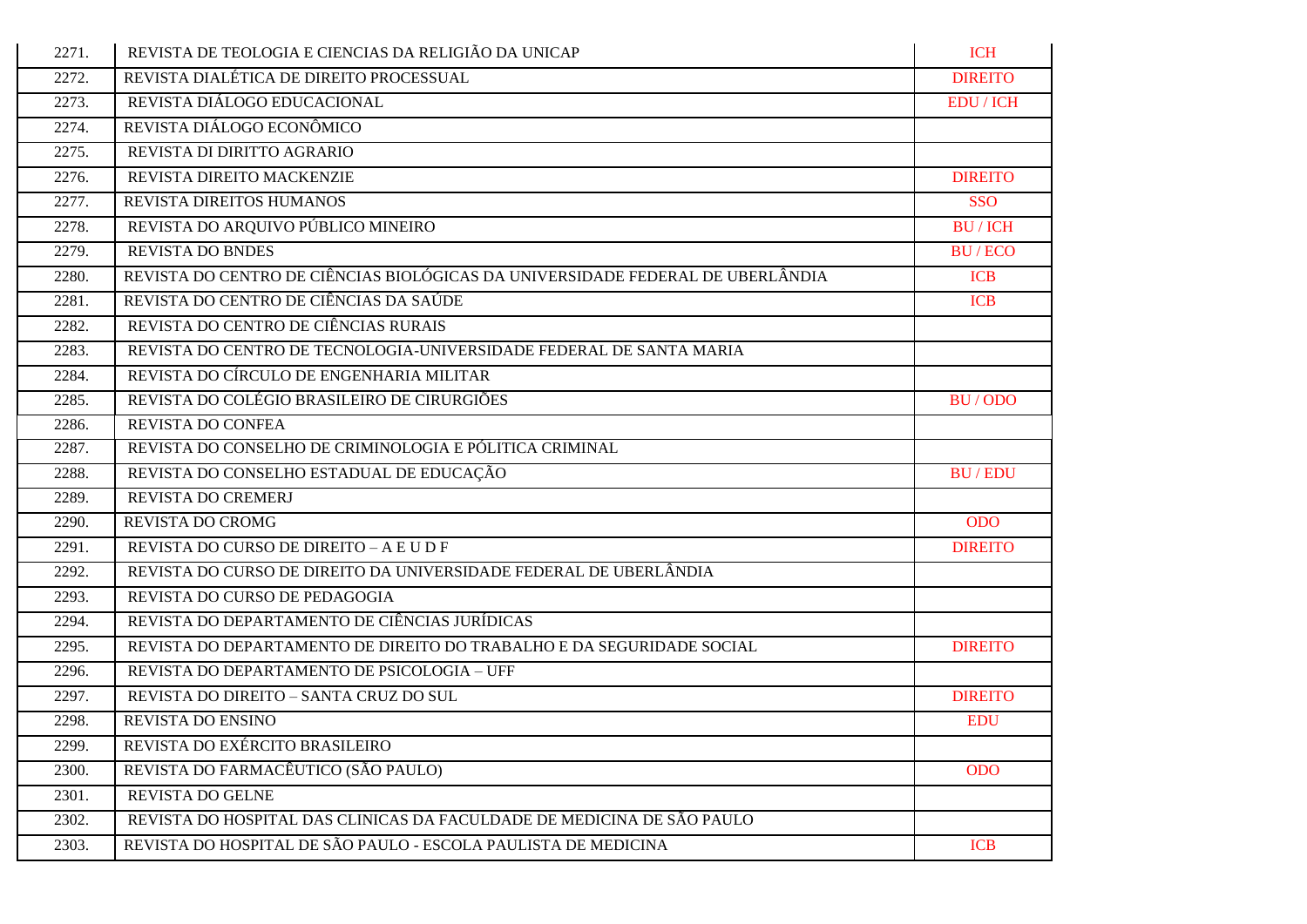| 2271. | REVISTA DE TEOLOGIA E CIENCIAS DA RELIGIÃO DA UNICAP                           | <b>ICH</b>       |
|-------|--------------------------------------------------------------------------------|------------------|
| 2272. | REVISTA DIALÉTICA DE DIREITO PROCESSUAL                                        | <b>DIREITO</b>   |
| 2273. | REVISTA DIÁLOGO EDUCACIONAL                                                    | <b>EDU</b> / ICH |
| 2274. | REVISTA DIÁLOGO ECONÔMICO                                                      |                  |
| 2275. | REVISTA DI DIRITTO AGRARIO                                                     |                  |
| 2276. | REVISTA DIREITO MACKENZIE                                                      | <b>DIREITO</b>   |
| 2277. | REVISTA DIREITOS HUMANOS                                                       | <b>SSO</b>       |
| 2278. | REVISTA DO ARQUIVO PÚBLICO MINEIRO                                             | <b>BU/ICH</b>    |
| 2279. | <b>REVISTA DO BNDES</b>                                                        | <b>BU/ECO</b>    |
| 2280. | REVISTA DO CENTRO DE CIÊNCIAS BIOLÓGICAS DA UNIVERSIDADE FEDERAL DE UBERLÂNDIA | <b>ICB</b>       |
| 2281. | REVISTA DO CENTRO DE CIÊNCIAS DA SAÚDE                                         | <b>ICB</b>       |
| 2282. | REVISTA DO CENTRO DE CIÊNCIAS RURAIS                                           |                  |
| 2283. | REVISTA DO CENTRO DE TECNOLOGIA-UNIVERSIDADE FEDERAL DE SANTA MARIA            |                  |
| 2284. | REVISTA DO CÍRCULO DE ENGENHARIA MILITAR                                       |                  |
| 2285. | REVISTA DO COLÉGIO BRASILEIRO DE CIRURGIÕES                                    | BU/ODO           |
| 2286. | REVISTA DO CONFEA                                                              |                  |
| 2287. | REVISTA DO CONSELHO DE CRIMINOLOGIA E PÓLITICA CRIMINAL                        |                  |
| 2288. | REVISTA DO CONSELHO ESTADUAL DE EDUCAÇÃO                                       | <b>BU/EDU</b>    |
| 2289. | REVISTA DO CREMERJ                                                             |                  |
| 2290. | REVISTA DO CROMG                                                               | <b>ODO</b>       |
| 2291. | REVISTA DO CURSO DE DIREITO – A E U D F                                        | <b>DIREITO</b>   |
| 2292. | REVISTA DO CURSO DE DIREITO DA UNIVERSIDADE FEDERAL DE UBERLÂNDIA              |                  |
| 2293. | REVISTA DO CURSO DE PEDAGOGIA                                                  |                  |
| 2294. | REVISTA DO DEPARTAMENTO DE CIÊNCIAS JURÍDICAS                                  |                  |
| 2295. | REVISTA DO DEPARTAMENTO DE DIREITO DO TRABALHO E DA SEGURIDADE SOCIAL          | <b>DIREITO</b>   |
| 2296. | REVISTA DO DEPARTAMENTO DE PSICOLOGIA - UFF                                    |                  |
| 2297. | REVISTA DO DIREITO - SANTA CRUZ DO SUL                                         | <b>DIREITO</b>   |
| 2298. | REVISTA DO ENSINO                                                              | <b>EDU</b>       |
| 2299. | REVISTA DO EXÉRCITO BRASILEIRO                                                 |                  |
| 2300. | REVISTA DO FARMACÊUTICO (SÃO PAULO)                                            | <b>ODO</b>       |
| 2301. | REVISTA DO GELNE                                                               |                  |
| 2302. | REVISTA DO HOSPITAL DAS CLINICAS DA FACULDADE DE MEDICINA DE SÃO PAULO         |                  |
| 2303. | REVISTA DO HOSPITAL DE SÃO PAULO - ESCOLA PAULISTA DE MEDICINA                 | <b>ICB</b>       |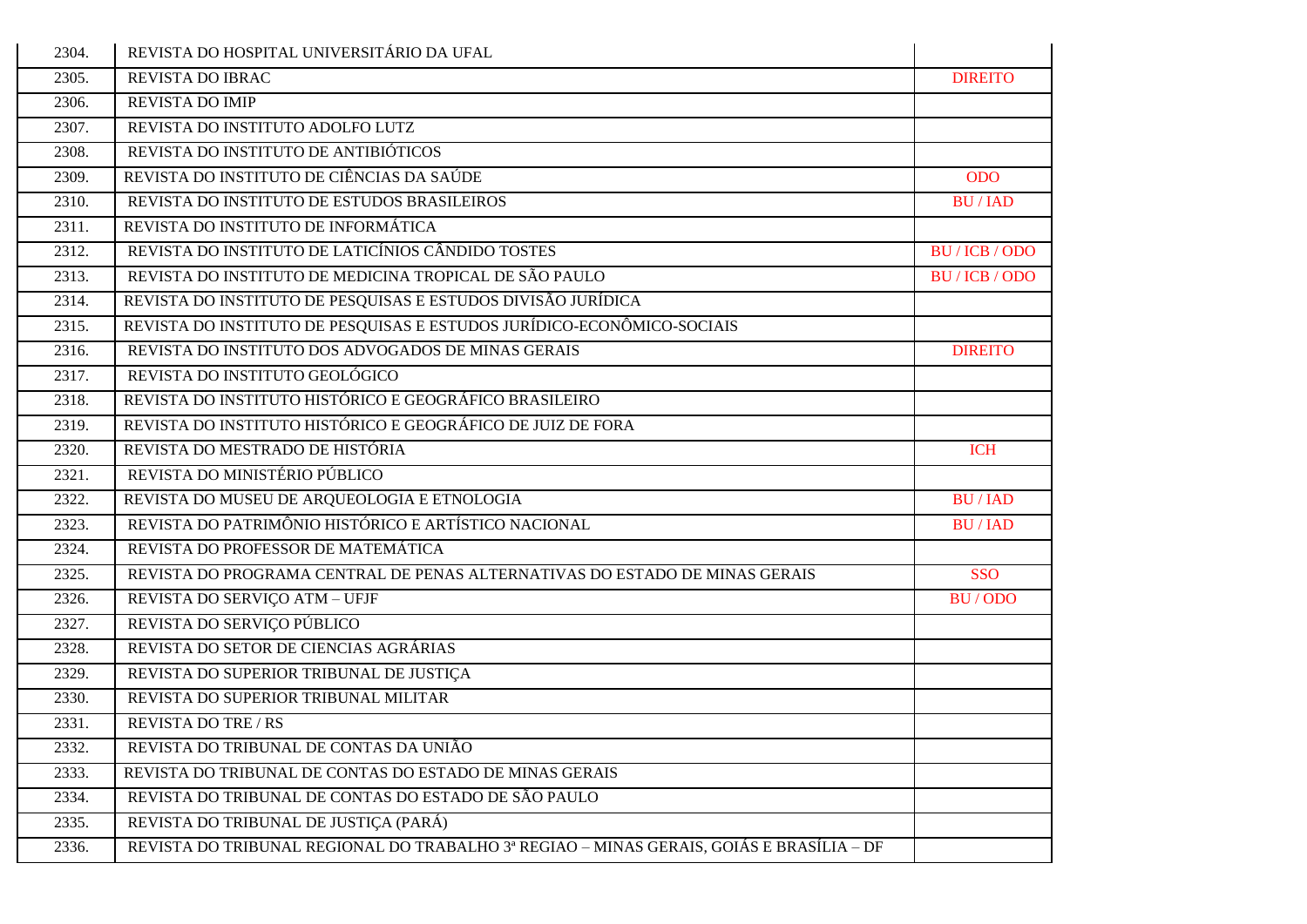| 2304.              | REVISTA DO HOSPITAL UNIVERSITÁRIO DA UFAL                                                |                |
|--------------------|------------------------------------------------------------------------------------------|----------------|
| 2305.              | <b>REVISTA DO IBRAC</b>                                                                  | <b>DIREITO</b> |
| 2306.              | REVISTA DO IMIP                                                                          |                |
| 2307.              | REVISTA DO INSTITUTO ADOLFO LUTZ                                                         |                |
| 2308.              | REVISTA DO INSTITUTO DE ANTIBIÓTICOS                                                     |                |
| 2309.              | REVISTA DO INSTITUTO DE CIÊNCIAS DA SAÚDE                                                | <b>ODO</b>     |
| 2310.              | REVISTA DO INSTITUTO DE ESTUDOS BRASILEIROS                                              | <b>BU/IAD</b>  |
| 2311.              | REVISTA DO INSTITUTO DE INFORMÁTICA                                                      |                |
| 2312.              | REVISTA DO INSTITUTO DE LATICÍNIOS CÂNDIDO TOSTES                                        | BU / ICB / ODO |
| 2313.              | REVISTA DO INSTITUTO DE MEDICINA TROPICAL DE SÃO PAULO                                   | BU / ICB / ODO |
| 2314.              | REVISTA DO INSTITUTO DE PESQUISAS E ESTUDOS DIVISÃO JURÍDICA                             |                |
| 2315.              | REVISTA DO INSTITUTO DE PESQUISAS E ESTUDOS JURÍDICO-ECONÔMICO-SOCIAIS                   |                |
| 2316.              | REVISTA DO INSTITUTO DOS ADVOGADOS DE MINAS GERAIS                                       | <b>DIREITO</b> |
| 2317.              | REVISTA DO INSTITUTO GEOLÓGICO                                                           |                |
| 2318.              | REVISTA DO INSTITUTO HISTÓRICO E GEOGRÁFICO BRASILEIRO                                   |                |
| 2319.              | REVISTA DO INSTITUTO HISTÓRICO E GEOGRÁFICO DE JUIZ DE FORA                              |                |
| 2320.              | REVISTA DO MESTRADO DE HISTÓRIA                                                          | <b>ICH</b>     |
| 2321.              | REVISTA DO MINISTÉRIO PÚBLICO                                                            |                |
| 2322.              | REVISTA DO MUSEU DE ARQUEOLOGIA E ETNOLOGIA                                              | <b>BU/IAD</b>  |
| 2323.              | REVISTA DO PATRIMÔNIO HISTÓRICO E ARTÍSTICO NACIONAL                                     | <b>BU/IAD</b>  |
| 2324.              | REVISTA DO PROFESSOR DE MATEMÁTICA                                                       |                |
| 2325.              | REVISTA DO PROGRAMA CENTRAL DE PENAS ALTERNATIVAS DO ESTADO DE MINAS GERAIS              | <b>SSO</b>     |
| 2326.              | REVISTA DO SERVIÇO ATM - UFJF                                                            | BU/ODO         |
| 2327.              | REVISTA DO SERVIÇO PÚBLICO                                                               |                |
| 2328.              | REVISTA DO SETOR DE CIENCIAS AGRÁRIAS                                                    |                |
| 2329.              | REVISTA DO SUPERIOR TRIBUNAL DE JUSTIÇA                                                  |                |
| 2330.              | REVISTA DO SUPERIOR TRIBUNAL MILITAR                                                     |                |
| 2331.              | <b>REVISTA DO TRE / RS</b>                                                               |                |
| $\overline{2}332.$ | REVISTA DO TRIBUNAL DE CONTAS DA UNIÃO                                                   |                |
| 2333.              | REVISTA DO TRIBUNAL DE CONTAS DO ESTADO DE MINAS GERAIS                                  |                |
| 2334.              | REVISTA DO TRIBUNAL DE CONTAS DO ESTADO DE SÃO PAULO                                     |                |
| 2335.              | REVISTA DO TRIBUNAL DE JUSTIÇA (PARÁ)                                                    |                |
| 2336.              | REVISTA DO TRIBUNAL REGIONAL DO TRABALHO 3ª REGIAO - MINAS GERAIS, GOIÁS E BRASÍLIA - DF |                |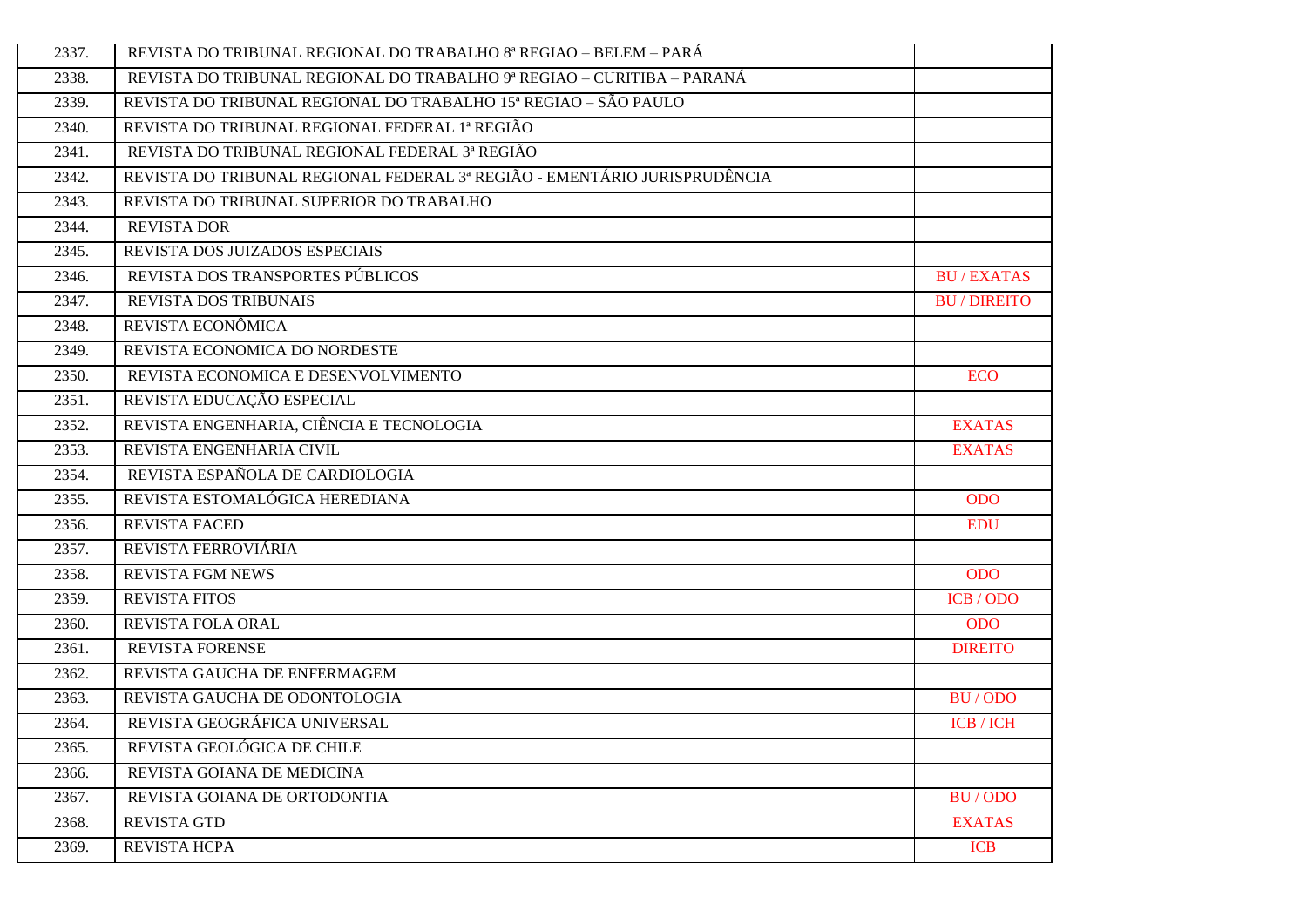| 2337. | REVISTA DO TRIBUNAL REGIONAL DO TRABALHO 8ª REGIAO - BELEM - PARÁ         |                   |
|-------|---------------------------------------------------------------------------|-------------------|
| 2338. | REVISTA DO TRIBUNAL REGIONAL DO TRABALHO 9ª REGIAO – CURITIBA – PARANÁ    |                   |
| 2339. | REVISTA DO TRIBUNAL REGIONAL DO TRABALHO 15ª REGIAO - SÃO PAULO           |                   |
| 2340. | REVISTA DO TRIBUNAL REGIONAL FEDERAL 1ª REGIÃO                            |                   |
| 2341. | REVISTA DO TRIBUNAL REGIONAL FEDERAL 3ª REGIÃO                            |                   |
| 2342. | REVISTA DO TRIBUNAL REGIONAL FEDERAL 3ª REGIÃO - EMENTÁRIO JURISPRUDÊNCIA |                   |
| 2343. | REVISTA DO TRIBUNAL SUPERIOR DO TRABALHO                                  |                   |
| 2344. | <b>REVISTA DOR</b>                                                        |                   |
| 2345. | REVISTA DOS JUIZADOS ESPECIAIS                                            |                   |
| 2346. | REVISTA DOS TRANSPORTES PÚBLICOS                                          | <b>BU/EXATAS</b>  |
| 2347. | <b>REVISTA DOS TRIBUNAIS</b>                                              | <b>BU/DIREITO</b> |
| 2348. | REVISTA ECONÔMICA                                                         |                   |
| 2349. | REVISTA ECONOMICA DO NORDESTE                                             |                   |
| 2350. | REVISTA ECONOMICA E DESENVOLVIMENTO                                       | <b>ECO</b>        |
| 2351. | REVISTA EDUCAÇÃO ESPECIAL                                                 |                   |
| 2352. | REVISTA ENGENHARIA, CIÊNCIA E TECNOLOGIA                                  | <b>EXATAS</b>     |
| 2353. | REVISTA ENGENHARIA CIVIL                                                  | <b>EXATAS</b>     |
| 2354. | REVISTA ESPAÑOLA DE CARDIOLOGIA                                           |                   |
| 2355. | REVISTA ESTOMALÓGICA HEREDIANA                                            | <b>ODO</b>        |
| 2356. | <b>REVISTA FACED</b>                                                      | <b>EDU</b>        |
| 2357. | REVISTA FERROVIÁRIA                                                       |                   |
| 2358. | <b>REVISTA FGM NEWS</b>                                                   | <b>ODO</b>        |
| 2359. | <b>REVISTA FITOS</b>                                                      | ICB / ODO         |
| 2360. | REVISTA FOLA ORAL                                                         | <b>ODO</b>        |
| 2361. | REVISTA FORENSE                                                           | <b>DIREITO</b>    |
| 2362. | REVISTA GAUCHA DE ENFERMAGEM                                              |                   |
| 2363. | REVISTA GAUCHA DE ODONTOLOGIA                                             | BU/ODO            |
| 2364. | REVISTA GEOGRÁFICA UNIVERSAL                                              | <b>ICB</b> / ICH  |
| 2365. | REVISTA GEOLÓGICA DE CHILE                                                |                   |
| 2366. | REVISTA GOIANA DE MEDICINA                                                |                   |
| 2367. | REVISTA GOIANA DE ORTODONTIA                                              | BU/ODO            |
| 2368. | <b>REVISTA GTD</b>                                                        | <b>EXATAS</b>     |
| 2369. | REVISTA HCPA                                                              | <b>ICB</b>        |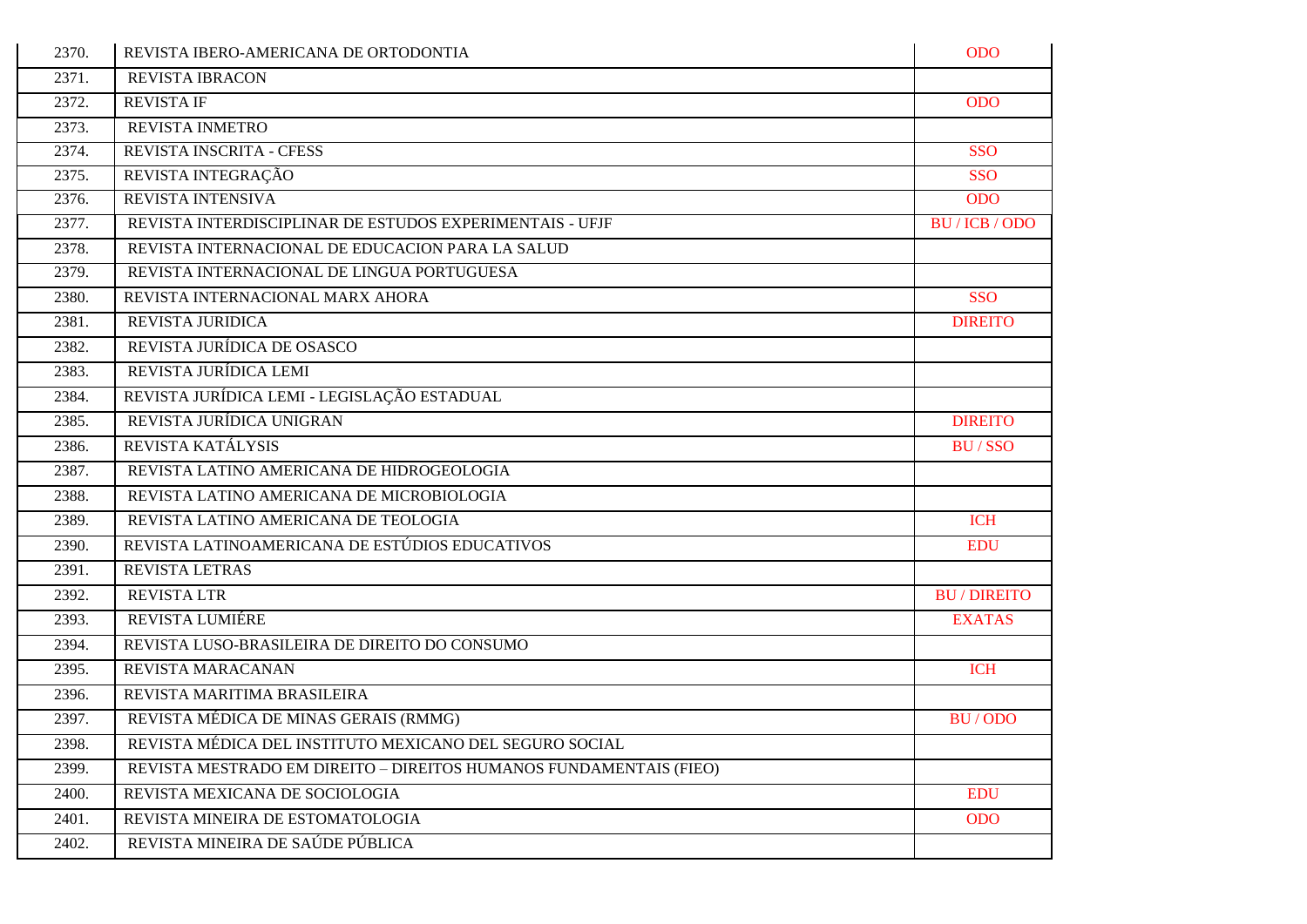| 2370. | REVISTA IBERO-AMERICANA DE ORTODONTIA                              | <b>ODO</b>        |
|-------|--------------------------------------------------------------------|-------------------|
| 2371. | <b>REVISTA IBRACON</b>                                             |                   |
| 2372. | <b>REVISTA IF</b>                                                  | <b>ODO</b>        |
| 2373. | REVISTA INMETRO                                                    |                   |
| 2374. | REVISTA INSCRITA - CFESS                                           | <b>SSO</b>        |
| 2375. | REVISTA INTEGRAÇÃO                                                 | <b>SSO</b>        |
| 2376. | REVISTA INTENSIVA                                                  | <b>ODO</b>        |
| 2377. | REVISTA INTERDISCIPLINAR DE ESTUDOS EXPERIMENTAIS - UFJF           | BU / ICB / ODO    |
| 2378. | REVISTA INTERNACIONAL DE EDUCACION PARA LA SALUD                   |                   |
| 2379. | REVISTA INTERNACIONAL DE LINGUA PORTUGUESA                         |                   |
| 2380. | REVISTA INTERNACIONAL MARX AHORA                                   | <b>SSO</b>        |
| 2381. | REVISTA JURIDICA                                                   | <b>DIREITO</b>    |
| 2382. | REVISTA JURÍDICA DE OSASCO                                         |                   |
| 2383. | REVISTA JURÍDICA LEMI                                              |                   |
| 2384. | REVISTA JURÍDICA LEMI - LEGISLAÇÃO ESTADUAL                        |                   |
| 2385. | REVISTA JURÍDICA UNIGRAN                                           | <b>DIREITO</b>    |
| 2386. | REVISTA KATÁLYSIS                                                  | <b>BU/SSO</b>     |
| 2387. | REVISTA LATINO AMERICANA DE HIDROGEOLOGIA                          |                   |
| 2388. | REVISTA LATINO AMERICANA DE MICROBIOLOGIA                          |                   |
| 2389. | REVISTA LATINO AMERICANA DE TEOLOGIA                               | <b>ICH</b>        |
| 2390. | REVISTA LATINOAMERICANA DE ESTÚDIOS EDUCATIVOS                     | <b>EDU</b>        |
| 2391. | REVISTA LETRAS                                                     |                   |
| 2392. | <b>REVISTA LTR</b>                                                 | <b>BU/DIREITO</b> |
| 2393. | <b>REVISTA LUMIÉRE</b>                                             | <b>EXATAS</b>     |
| 2394. | REVISTA LUSO-BRASILEIRA DE DIREITO DO CONSUMO                      |                   |
| 2395. | REVISTA MARACANAN                                                  | <b>ICH</b>        |
| 2396. | REVISTA MARITIMA BRASILEIRA                                        |                   |
| 2397. | REVISTA MÉDICA DE MINAS GERAIS (RMMG)                              | BU/ODO            |
| 2398. | REVISTA MÉDICA DEL INSTITUTO MEXICANO DEL SEGURO SOCIAL            |                   |
| 2399. | REVISTA MESTRADO EM DIREITO - DIREITOS HUMANOS FUNDAMENTAIS (FIEO) |                   |
| 2400. | REVISTA MEXICANA DE SOCIOLOGIA                                     | <b>EDU</b>        |
| 2401. | REVISTA MINEIRA DE ESTOMATOLOGIA                                   | <b>ODO</b>        |
| 2402. | REVISTA MINEIRA DE SAÚDE PÚBLICA                                   |                   |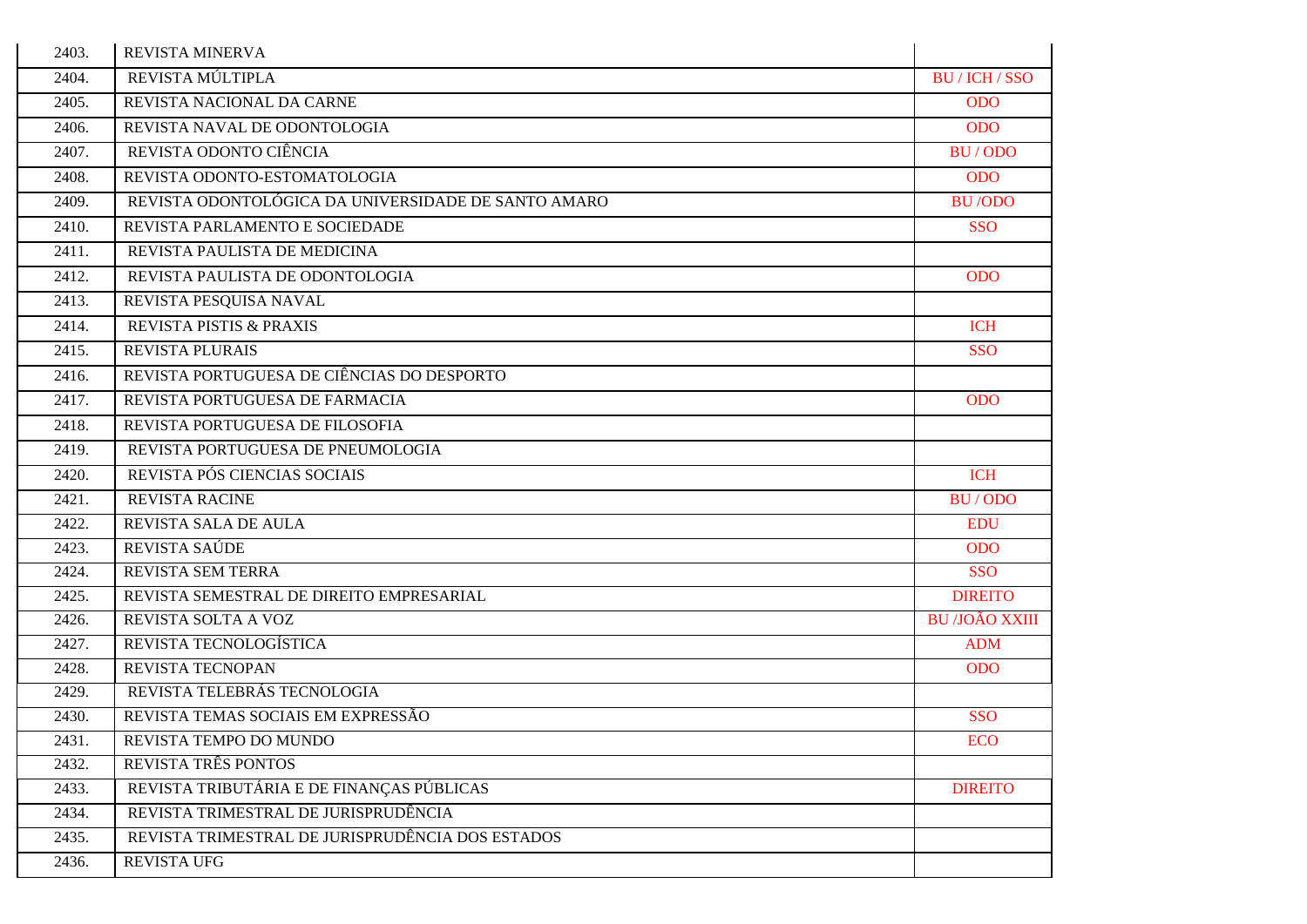| 2403. | REVISTA MINERVA                                     |                       |
|-------|-----------------------------------------------------|-----------------------|
| 2404. | REVISTA MÚLTIPLA                                    | BU / ICH / SSO        |
| 2405. | REVISTA NACIONAL DA CARNE                           | <b>ODO</b>            |
| 2406. | REVISTA NAVAL DE ODONTOLOGIA                        | <b>ODO</b>            |
| 2407. | REVISTA ODONTO CIÊNCIA                              | BU/ODO                |
| 2408. | REVISTA ODONTO-ESTOMATOLOGIA                        | <b>ODO</b>            |
| 2409. | REVISTA ODONTOLÓGICA DA UNIVERSIDADE DE SANTO AMARO | <b>BU/ODO</b>         |
| 2410. | REVISTA PARLAMENTO E SOCIEDADE                      | <b>SSO</b>            |
| 2411. | REVISTA PAULISTA DE MEDICINA                        |                       |
| 2412. | REVISTA PAULISTA DE ODONTOLOGIA                     | <b>ODO</b>            |
| 2413. | REVISTA PESQUISA NAVAL                              |                       |
| 2414. | REVISTA PISTIS & PRAXIS                             | <b>ICH</b>            |
| 2415. | <b>REVISTA PLURAIS</b>                              | <b>SSO</b>            |
| 2416. | REVISTA PORTUGUESA DE CIÊNCIAS DO DESPORTO          |                       |
| 2417. | REVISTA PORTUGUESA DE FARMACIA                      | <b>ODO</b>            |
| 2418. | REVISTA PORTUGUESA DE FILOSOFIA                     |                       |
| 2419. | REVISTA PORTUGUESA DE PNEUMOLOGIA                   |                       |
| 2420. | REVISTA PÓS CIENCIAS SOCIAIS                        | <b>ICH</b>            |
| 2421. | <b>REVISTA RACINE</b>                               | BU/ODO                |
| 2422. | REVISTA SALA DE AULA                                | <b>EDU</b>            |
| 2423. | REVISTA SAÚDE                                       | <b>ODO</b>            |
| 2424. | REVISTA SEM TERRA                                   | <b>SSO</b>            |
| 2425. | REVISTA SEMESTRAL DE DIREITO EMPRESARIAL            | <b>DIREITO</b>        |
| 2426. | REVISTA SOLTA A VOZ                                 | <b>BU /JOÃO XXIII</b> |
| 2427. | REVISTA TECNOLOGÍSTICA                              | <b>ADM</b>            |
| 2428. | REVISTA TECNOPAN                                    | <b>ODO</b>            |
| 2429. | REVISTA TELEBRÁS TECNOLOGIA                         |                       |
| 2430. | REVISTA TEMAS SOCIAIS EM EXPRESSÃO                  | <b>SSO</b>            |
| 2431. | REVISTA TEMPO DO MUNDO                              | <b>ECO</b>            |
| 2432. | REVISTA TRÊS PONTOS                                 |                       |
| 2433. | REVISTA TRIBUTÁRIA E DE FINANÇAS PÚBLICAS           | <b>DIREITO</b>        |
| 2434. | REVISTA TRIMESTRAL DE JURISPRUDÊNCIA                |                       |
| 2435. | REVISTA TRIMESTRAL DE JURISPRUDÊNCIA DOS ESTADOS    |                       |
| 2436. | <b>REVISTA UFG</b>                                  |                       |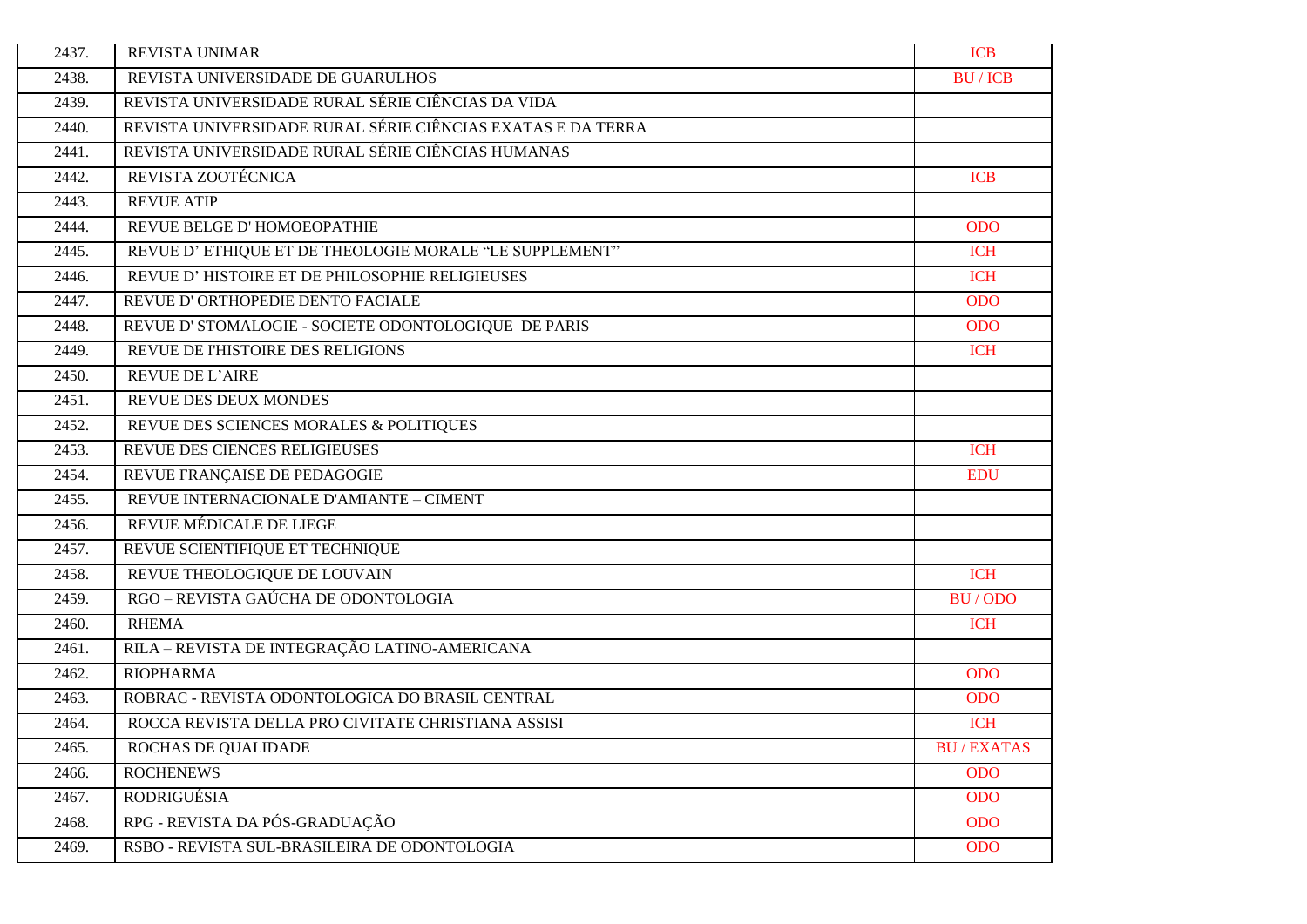| 2437. | <b>REVISTA UNIMAR</b>                                       | <b>ICB</b>       |
|-------|-------------------------------------------------------------|------------------|
| 2438. | REVISTA UNIVERSIDADE DE GUARULHOS                           | <b>BU/ICB</b>    |
| 2439. | REVISTA UNIVERSIDADE RURAL SÉRIE CIÊNCIAS DA VIDA           |                  |
| 2440. | REVISTA UNIVERSIDADE RURAL SÉRIE CIÊNCIAS EXATAS E DA TERRA |                  |
| 2441. | REVISTA UNIVERSIDADE RURAL SÉRIE CIÊNCIAS HUMANAS           |                  |
| 2442. | REVISTA ZOOTÉCNICA                                          | <b>ICB</b>       |
| 2443. | <b>REVUE ATIP</b>                                           |                  |
| 2444. | REVUE BELGE D'HOMOEOPATHIE                                  | <b>ODO</b>       |
| 2445. | REVUE D'ETHIQUE ET DE THEOLOGIE MORALE "LE SUPPLEMENT"      | <b>ICH</b>       |
| 2446. | REVUE D'HISTOIRE ET DE PHILOSOPHIE RELIGIEUSES              | <b>ICH</b>       |
| 2447. | REVUE D'ORTHOPEDIE DENTO FACIALE                            | <b>ODO</b>       |
| 2448. | REVUE D' STOMALOGIE - SOCIETE ODONTOLOGIQUE DE PARIS        | <b>ODO</b>       |
| 2449. | REVUE DE l'HISTOIRE DES RELIGIONS                           | <b>ICH</b>       |
| 2450. | <b>REVUE DE L'AIRE</b>                                      |                  |
| 2451. | <b>REVUE DES DEUX MONDES</b>                                |                  |
| 2452. | REVUE DES SCIENCES MORALES & POLITIQUES                     |                  |
| 2453. | REVUE DES CIENCES RELIGIEUSES                               | <b>ICH</b>       |
| 2454. | REVUE FRANÇAISE DE PEDAGOGIE                                | <b>EDU</b>       |
| 2455. | REVUE INTERNACIONALE D'AMIANTE - CIMENT                     |                  |
| 2456. | REVUE MÉDICALE DE LIEGE                                     |                  |
| 2457. | REVUE SCIENTIFIQUE ET TECHNIQUE                             |                  |
| 2458. | REVUE THEOLOGIQUE DE LOUVAIN                                | <b>ICH</b>       |
| 2459. | RGO - REVISTA GAÚCHA DE ODONTOLOGIA                         | BU/ODO           |
| 2460. | <b>RHEMA</b>                                                | <b>ICH</b>       |
| 2461. | RILA - REVISTA DE INTEGRAÇÃO LATINO-AMERICANA               |                  |
| 2462. | <b>RIOPHARMA</b>                                            | <b>ODO</b>       |
| 2463. | ROBRAC - REVISTA ODONTOLOGICA DO BRASIL CENTRAL             | <b>ODO</b>       |
| 2464. | ROCCA REVISTA DELLA PRO CIVITATE CHRISTIANA ASSISI          | <b>ICH</b>       |
| 2465. | ROCHAS DE QUALIDADE                                         | <b>BU/EXATAS</b> |
| 2466. | <b>ROCHENEWS</b>                                            | <b>ODO</b>       |
| 2467. | <b>RODRIGUÉSIA</b>                                          | <b>ODO</b>       |
| 2468. | RPG - REVISTA DA PÓS-GRADUAÇÃO                              | <b>ODO</b>       |
| 2469. | RSBO - REVISTA SUL-BRASILEIRA DE ODONTOLOGIA                | <b>ODO</b>       |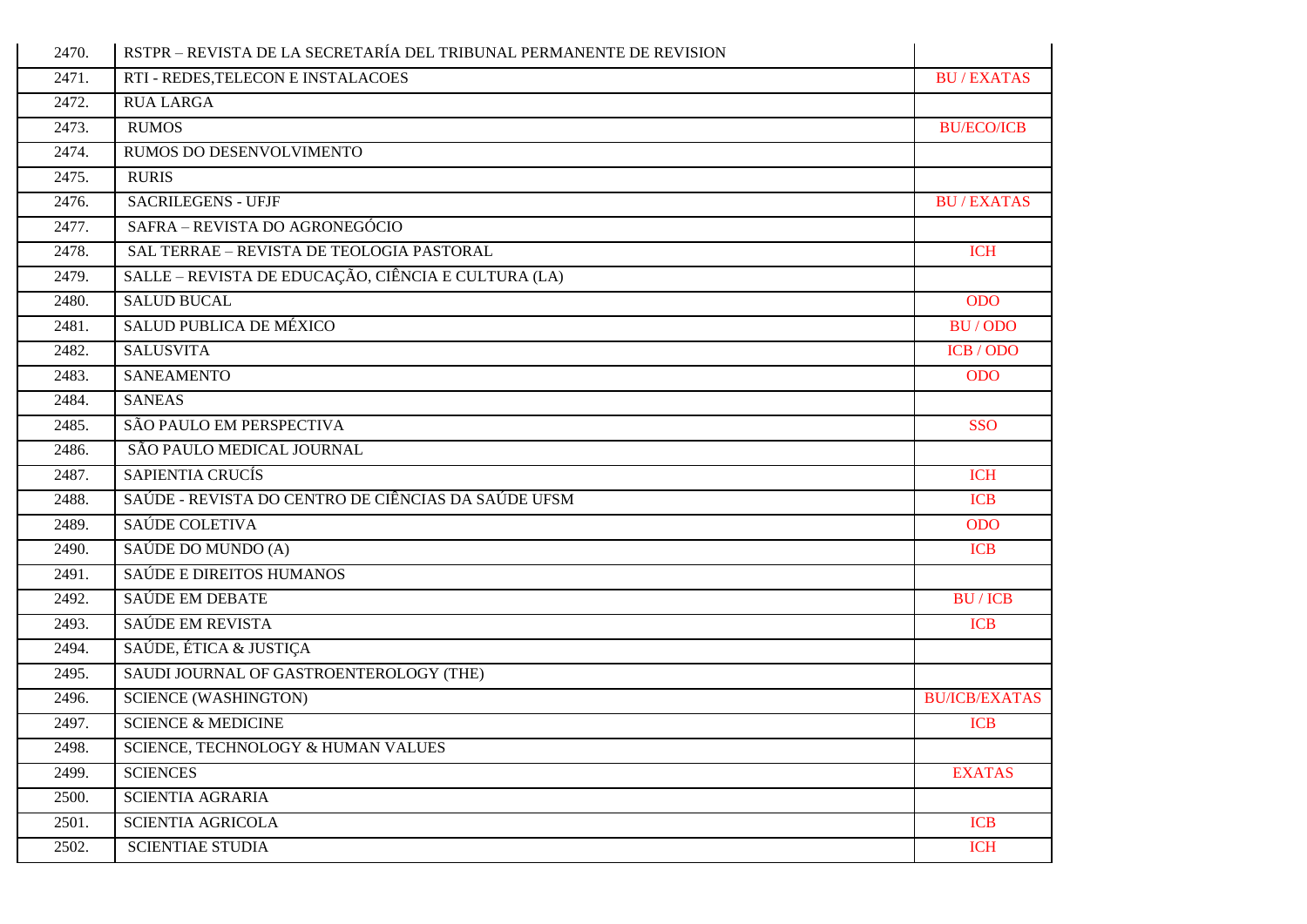| 2470. | RSTPR - REVISTA DE LA SECRETARÍA DEL TRIBUNAL PERMANENTE DE REVISION |                      |
|-------|----------------------------------------------------------------------|----------------------|
| 2471. | RTI - REDES, TELECON E INSTALACOES                                   | <b>BU/EXATAS</b>     |
| 2472. | <b>RUA LARGA</b>                                                     |                      |
| 2473. | <b>RUMOS</b>                                                         | <b>BU/ECO/ICB</b>    |
| 2474. | RUMOS DO DESENVOLVIMENTO                                             |                      |
| 2475. | <b>RURIS</b>                                                         |                      |
| 2476. | <b>SACRILEGENS - UFJF</b>                                            | <b>BU/EXATAS</b>     |
| 2477. | SAFRA - REVISTA DO AGRONEGÓCIO                                       |                      |
| 2478. | SAL TERRAE - REVISTA DE TEOLOGIA PASTORAL                            | <b>ICH</b>           |
| 2479. | SALLE – REVISTA DE EDUCAÇÃO, CIÊNCIA E CULTURA (LA)                  |                      |
| 2480. | <b>SALUD BUCAL</b>                                                   | <b>ODO</b>           |
| 2481. | SALUD PUBLICA DE MÉXICO                                              | BU/ODO               |
| 2482. | <b>SALUSVITA</b>                                                     | ICB / ODO            |
| 2483. | <b>SANEAMENTO</b>                                                    | <b>ODO</b>           |
| 2484. | <b>SANEAS</b>                                                        |                      |
| 2485. | SÃO PAULO EM PERSPECTIVA                                             | <b>SSO</b>           |
| 2486. | SÃO PAULO MEDICAL JOURNAL                                            |                      |
| 2487. | <b>SAPIENTIA CRUCÍS</b>                                              | <b>ICH</b>           |
| 2488. | SAÚDE - REVISTA DO CENTRO DE CIÊNCIAS DA SAÚDE UFSM                  | <b>ICB</b>           |
| 2489. | SAÚDE COLETIVA                                                       | <b>ODO</b>           |
| 2490. | SAÚDE DO MUNDO (A)                                                   | <b>ICB</b>           |
| 2491. | SAÚDE E DIREITOS HUMANOS                                             |                      |
| 2492. | SAÚDE EM DEBATE                                                      | <b>BU/ICB</b>        |
| 2493. | SAÚDE EM REVISTA                                                     | <b>ICB</b>           |
| 2494. | SAÚDE, ÉTICA & JUSTIÇA                                               |                      |
| 2495. | SAUDI JOURNAL OF GASTROENTEROLOGY (THE)                              |                      |
| 2496. | <b>SCIENCE (WASHINGTON)</b>                                          | <b>BU/ICB/EXATAS</b> |
| 2497. | <b>SCIENCE &amp; MEDICINE</b>                                        | <b>ICB</b>           |
| 2498. | SCIENCE, TECHNOLOGY & HUMAN VALUES                                   |                      |
| 2499. | <b>SCIENCES</b>                                                      | <b>EXATAS</b>        |
| 2500. | SCIENTIA AGRARIA                                                     |                      |
| 2501. | <b>SCIENTIA AGRICOLA</b>                                             | <b>ICB</b>           |
| 2502. | <b>SCIENTIAE STUDIA</b>                                              | <b>ICH</b>           |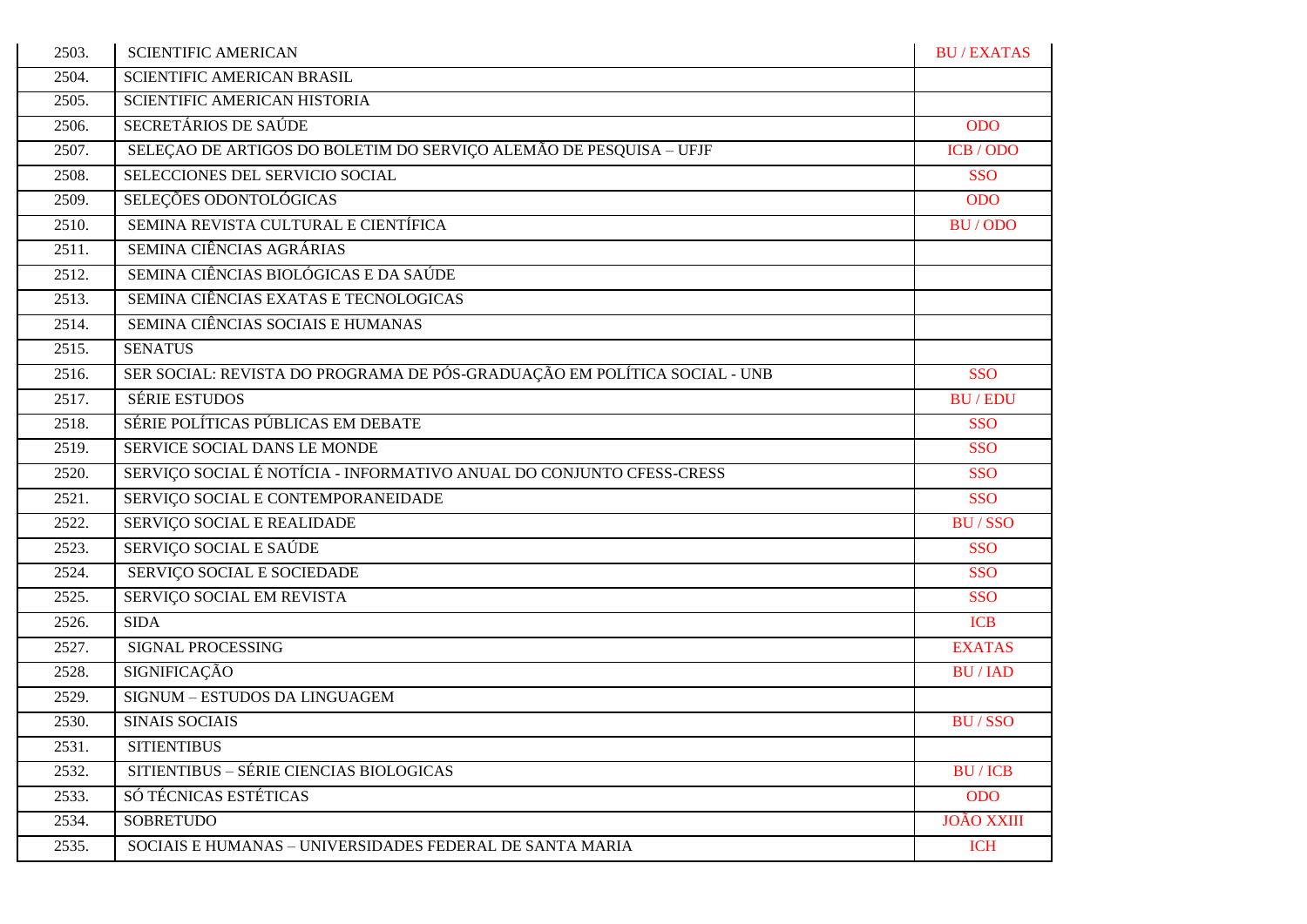| 2503. | <b>SCIENTIFIC AMERICAN</b>                                                | <b>BU/EXATAS</b>  |
|-------|---------------------------------------------------------------------------|-------------------|
| 2504. | SCIENTIFIC AMERICAN BRASIL                                                |                   |
| 2505. | SCIENTIFIC AMERICAN HISTORIA                                              |                   |
| 2506. | SECRETÁRIOS DE SAÚDE                                                      | <b>ODO</b>        |
| 2507. | SELEÇÃO DE ARTIGOS DO BOLETIM DO SERVIÇO ALEMÃO DE PESQUISA - UFJF        | ICB / ODO         |
| 2508. | SELECCIONES DEL SERVICIO SOCIAL                                           | <b>SSO</b>        |
| 2509. | SELEÇÕES ODONTOLÓGICAS                                                    | <b>ODO</b>        |
| 2510. | SEMINA REVISTA CULTURAL E CIENTÍFICA                                      | BU/ODO            |
| 2511. | SEMINA CIÊNCIAS AGRÁRIAS                                                  |                   |
| 2512. | SEMINA CIÊNCIAS BIOLÓGICAS E DA SAÚDE                                     |                   |
| 2513. | SEMINA CIÊNCIAS EXATAS E TECNOLOGICAS                                     |                   |
| 2514. | SEMINA CIÊNCIAS SOCIAIS E HUMANAS                                         |                   |
| 2515. | <b>SENATUS</b>                                                            |                   |
| 2516. | SER SOCIAL: REVISTA DO PROGRAMA DE PÓS-GRADUAÇÃO EM POLÍTICA SOCIAL - UNB | <b>SSO</b>        |
| 2517. | <b>SÉRIE ESTUDOS</b>                                                      | <b>BU/EDU</b>     |
| 2518. | SÉRIE POLÍTICAS PÚBLICAS EM DEBATE                                        | <b>SSO</b>        |
| 2519. | SERVICE SOCIAL DANS LE MONDE                                              | <b>SSO</b>        |
| 2520. | SERVIÇO SOCIAL É NOTÍCIA - INFORMATIVO ANUAL DO CONJUNTO CFESS-CRESS      | <b>SSO</b>        |
| 2521. | SERVIÇO SOCIAL E CONTEMPORANEIDADE                                        | <b>SSO</b>        |
| 2522. | SERVIÇO SOCIAL E REALIDADE                                                | <b>BU/SSO</b>     |
| 2523. | SERVIÇO SOCIAL E SAÚDE                                                    | <b>SSO</b>        |
| 2524. | SERVIÇO SOCIAL E SOCIEDADE                                                | <b>SSO</b>        |
| 2525. | SERVIÇO SOCIAL EM REVISTA                                                 | <b>SSO</b>        |
| 2526. | <b>SIDA</b>                                                               | <b>ICB</b>        |
| 2527. | <b>SIGNAL PROCESSING</b>                                                  | <b>EXATAS</b>     |
| 2528. | <b>SIGNIFICAÇÃO</b>                                                       | <b>BU/IAD</b>     |
| 2529. | SIGNUM - ESTUDOS DA LINGUAGEM                                             |                   |
| 2530. | <b>SINAIS SOCIAIS</b>                                                     | <b>BU/SSO</b>     |
| 2531. | <b>SITIENTIBUS</b>                                                        |                   |
| 2532. | SITIENTIBUS - SÉRIE CIENCIAS BIOLOGICAS                                   | <b>BU/ICB</b>     |
| 2533. | SÓ TÉCNICAS ESTÉTICAS                                                     | <b>ODO</b>        |
| 2534. | <b>SOBRETUDO</b>                                                          | <b>JOÃO XXIII</b> |
| 2535. | SOCIAIS E HUMANAS - UNIVERSIDADES FEDERAL DE SANTA MARIA                  | <b>ICH</b>        |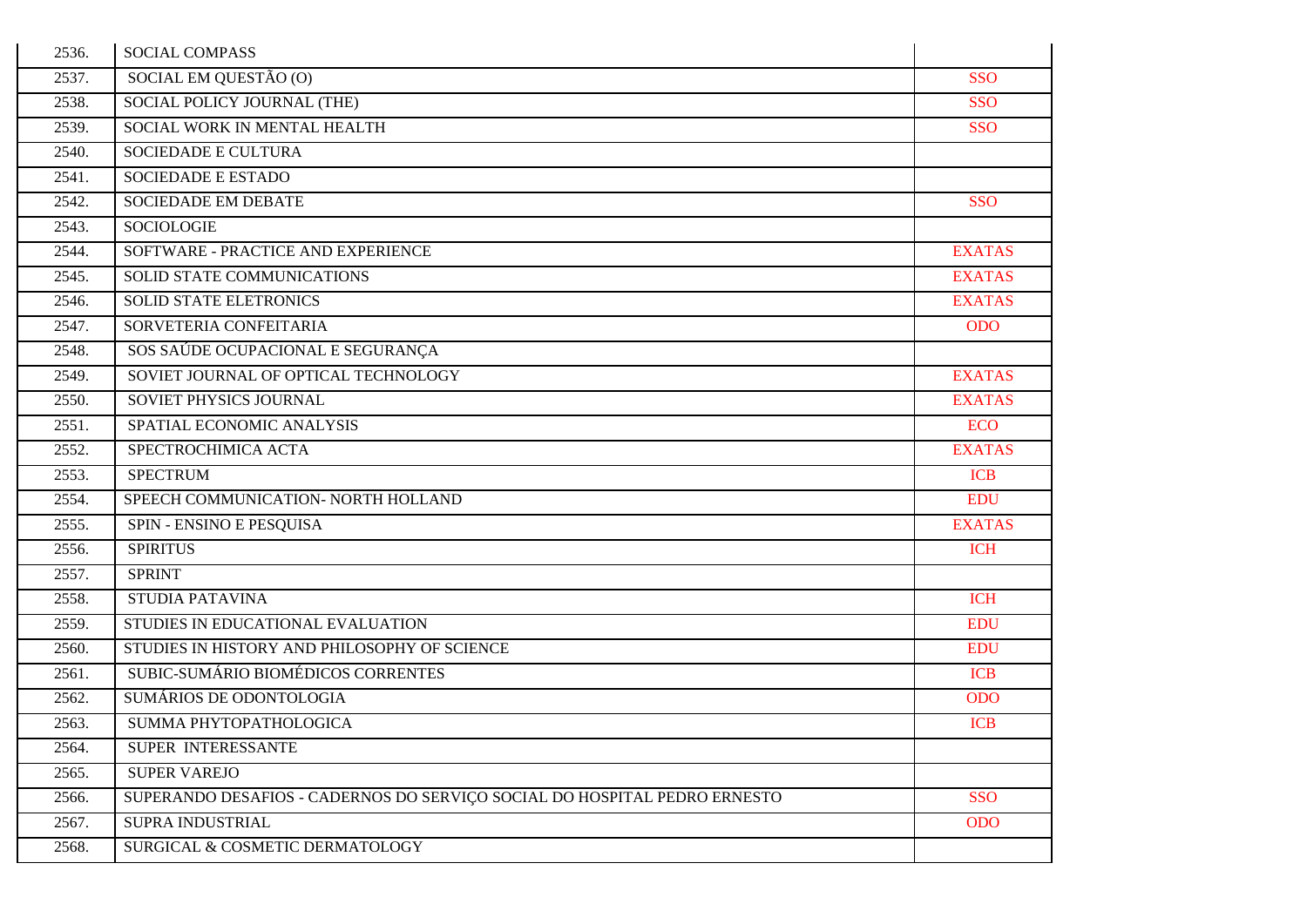| 2536. | <b>SOCIAL COMPASS</b>                                                     |               |
|-------|---------------------------------------------------------------------------|---------------|
| 2537. | SOCIAL EM QUESTÃO (O)                                                     | <b>SSO</b>    |
| 2538. | SOCIAL POLICY JOURNAL (THE)                                               | <b>SSO</b>    |
| 2539. | SOCIAL WORK IN MENTAL HEALTH                                              | <b>SSO</b>    |
| 2540. | <b>SOCIEDADE E CULTURA</b>                                                |               |
| 2541. | SOCIEDADE E ESTADO                                                        |               |
| 2542. | <b>SOCIEDADE EM DEBATE</b>                                                | <b>SSO</b>    |
| 2543. | SOCIOLOGIE                                                                |               |
| 2544. | SOFTWARE - PRACTICE AND EXPERIENCE                                        | <b>EXATAS</b> |
| 2545. | SOLID STATE COMMUNICATIONS                                                | <b>EXATAS</b> |
| 2546. | <b>SOLID STATE ELETRONICS</b>                                             | <b>EXATAS</b> |
| 2547. | SORVETERIA CONFEITARIA                                                    | <b>ODO</b>    |
| 2548. | SOS SAÚDE OCUPACIONAL E SEGURANÇA                                         |               |
| 2549. | SOVIET JOURNAL OF OPTICAL TECHNOLOGY                                      | <b>EXATAS</b> |
| 2550. | SOVIET PHYSICS JOURNAL                                                    | <b>EXATAS</b> |
| 2551. | SPATIAL ECONOMIC ANALYSIS                                                 | <b>ECO</b>    |
| 2552. | SPECTROCHIMICA ACTA                                                       | <b>EXATAS</b> |
| 2553. | <b>SPECTRUM</b>                                                           | <b>ICB</b>    |
| 2554. | SPEECH COMMUNICATION- NORTH HOLLAND                                       | <b>EDU</b>    |
| 2555. | SPIN - ENSINO E PESQUISA                                                  | <b>EXATAS</b> |
| 2556. | <b>SPIRITUS</b>                                                           | <b>ICH</b>    |
| 2557. | <b>SPRINT</b>                                                             |               |
| 2558. | <b>STUDIA PATAVINA</b>                                                    | <b>ICH</b>    |
| 2559. | STUDIES IN EDUCATIONAL EVALUATION                                         | <b>EDU</b>    |
| 2560. | STUDIES IN HISTORY AND PHILOSOPHY OF SCIENCE                              | <b>EDU</b>    |
| 2561. | SUBIC-SUMÁRIO BIOMÉDICOS CORRENTES                                        | <b>ICB</b>    |
| 2562. | SUMÁRIOS DE ODONTOLOGIA                                                   | <b>ODO</b>    |
| 2563. | SUMMA PHYTOPATHOLOGICA                                                    | <b>ICB</b>    |
| 2564. | SUPER INTERESSANTE                                                        |               |
| 2565. | <b>SUPER VAREJO</b>                                                       |               |
| 2566. | SUPERANDO DESAFIOS - CADERNOS DO SERVIÇO SOCIAL DO HOSPITAL PEDRO ERNESTO | <b>SSO</b>    |
| 2567. | SUPRA INDUSTRIAL                                                          | <b>ODO</b>    |
| 2568. | SURGICAL & COSMETIC DERMATOLOGY                                           |               |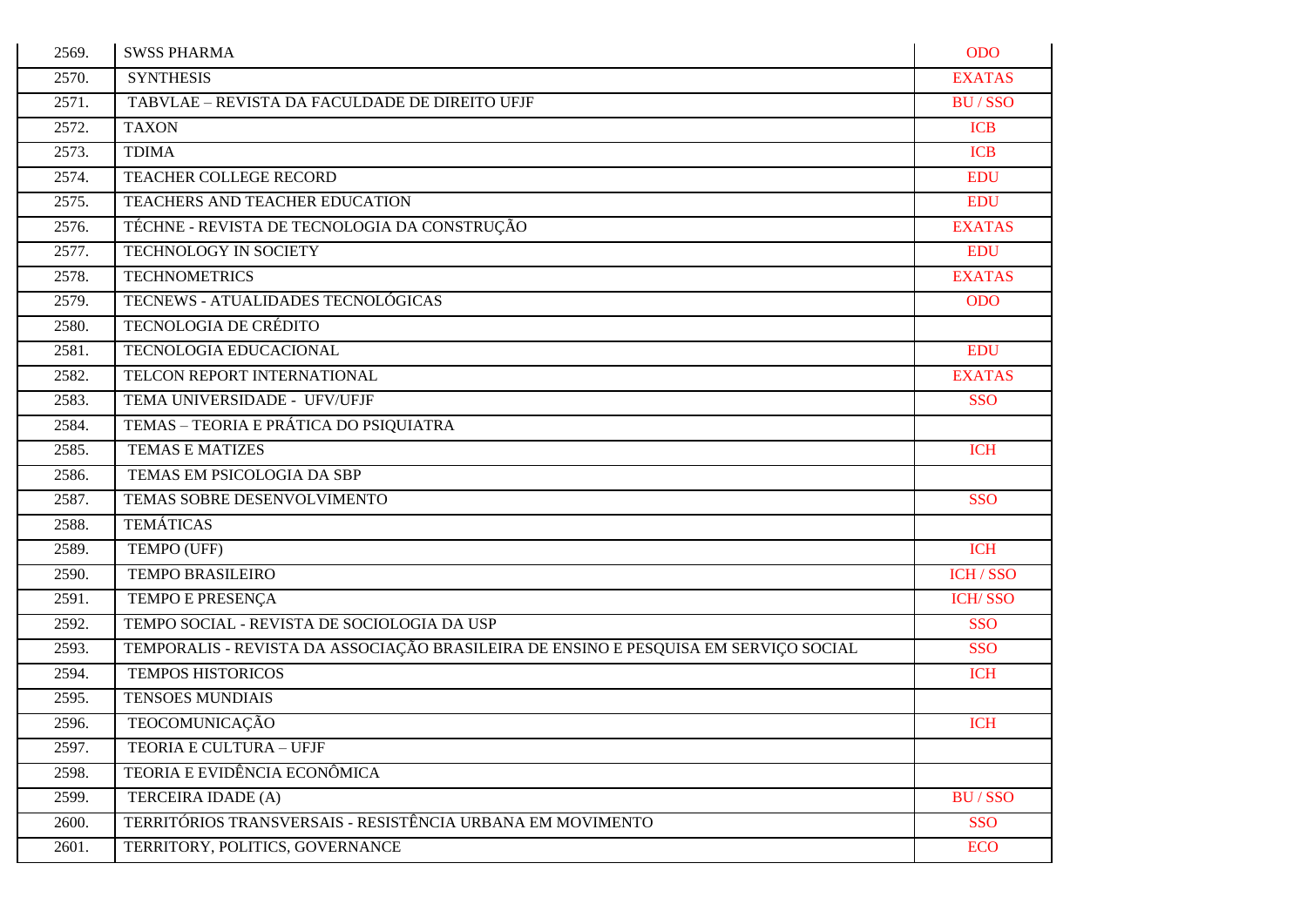| 2569. | <b>SWSS PHARMA</b>                                                                   | <b>ODO</b>     |
|-------|--------------------------------------------------------------------------------------|----------------|
| 2570. | <b>SYNTHESIS</b>                                                                     | <b>EXATAS</b>  |
| 2571. | TABVLAE - REVISTA DA FACULDADE DE DIREITO UFJF                                       | <b>BU/SSO</b>  |
| 2572. | <b>TAXON</b>                                                                         | <b>ICB</b>     |
| 2573. | <b>TDIMA</b>                                                                         | <b>ICB</b>     |
| 2574. | TEACHER COLLEGE RECORD                                                               | <b>EDU</b>     |
| 2575. | TEACHERS AND TEACHER EDUCATION                                                       | <b>EDU</b>     |
| 2576. | TÉCHNE - REVISTA DE TECNOLOGIA DA CONSTRUÇÃO                                         | <b>EXATAS</b>  |
| 2577. | TECHNOLOGY IN SOCIETY                                                                | <b>EDU</b>     |
| 2578. | <b>TECHNOMETRICS</b>                                                                 | <b>EXATAS</b>  |
| 2579. | TECNEWS - ATUALIDADES TECNOLÓGICAS                                                   | <b>ODO</b>     |
| 2580. | <b>TECNOLOGIA DE CRÉDITO</b>                                                         |                |
| 2581. | TECNOLOGIA EDUCACIONAL                                                               | <b>EDU</b>     |
| 2582. | TELCON REPORT INTERNATIONAL                                                          | <b>EXATAS</b>  |
| 2583. | TEMA UNIVERSIDADE - UFV/UFJF                                                         | <b>SSO</b>     |
| 2584. | TEMAS - TEORIA E PRÁTICA DO PSIQUIATRA                                               |                |
| 2585. | <b>TEMAS E MATIZES</b>                                                               | <b>ICH</b>     |
| 2586. | TEMAS EM PSICOLOGIA DA SBP                                                           |                |
| 2587. | TEMAS SOBRE DESENVOLVIMENTO                                                          | <b>SSO</b>     |
| 2588. | <b>TEMÁTICAS</b>                                                                     |                |
| 2589. | TEMPO (UFF)                                                                          | <b>ICH</b>     |
| 2590. | <b>TEMPO BRASILEIRO</b>                                                              | <b>ICH/SSO</b> |
| 2591. | TEMPO E PRESENÇA                                                                     | <b>ICH/SSO</b> |
| 2592. | TEMPO SOCIAL - REVISTA DE SOCIOLOGIA DA USP                                          | <b>SSO</b>     |
| 2593. | TEMPORALIS - REVISTA DA ASSOCIAÇÃO BRASILEIRA DE ENSINO E PESQUISA EM SERVIÇO SOCIAL | <b>SSO</b>     |
| 2594. | <b>TEMPOS HISTORICOS</b>                                                             | <b>ICH</b>     |
| 2595. | <b>TENSOES MUNDIAIS</b>                                                              |                |
| 2596. | TEOCOMUNICAÇÃO                                                                       | <b>ICH</b>     |
| 2597. | TEORIA E CULTURA - UFJF                                                              |                |
| 2598. | TEORIA E EVIDÊNCIA ECONÔMICA                                                         |                |
| 2599. | TERCEIRA IDADE (A)                                                                   | <b>BU/SSO</b>  |
| 2600. | TERRITÓRIOS TRANSVERSAIS - RESISTÊNCIA URBANA EM MOVIMENTO                           | <b>SSO</b>     |
| 2601. | TERRITORY, POLITICS, GOVERNANCE                                                      | <b>ECO</b>     |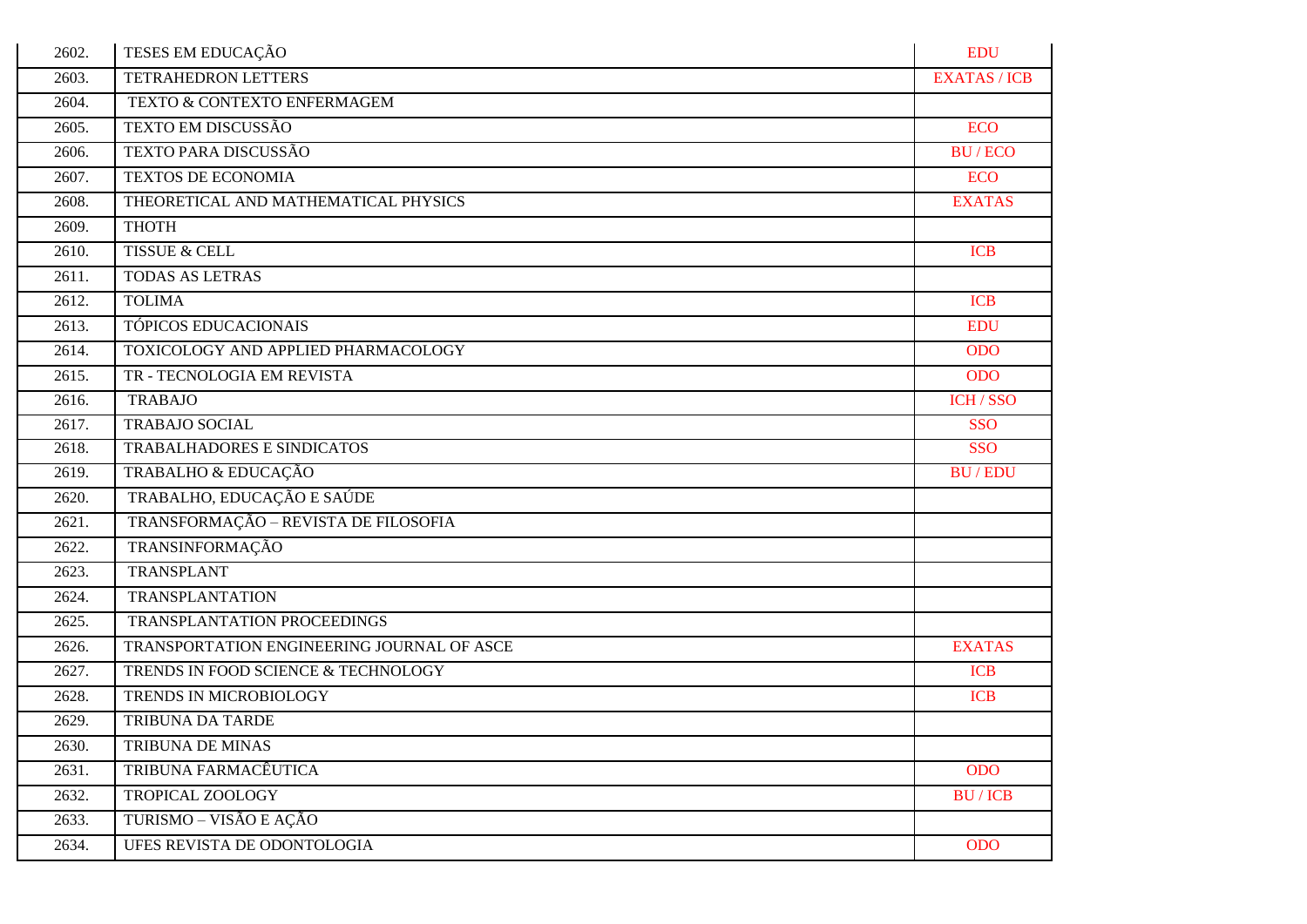| 2602. | TESES EM EDUCAÇÃO                          | <b>EDU</b>          |
|-------|--------------------------------------------|---------------------|
| 2603. | <b>TETRAHEDRON LETTERS</b>                 | <b>EXATAS / ICB</b> |
| 2604. | TEXTO & CONTEXTO ENFERMAGEM                |                     |
| 2605. | TEXTO EM DISCUSSÃO                         | <b>ECO</b>          |
| 2606. | TEXTO PARA DISCUSSÃO                       | <b>BU/ECO</b>       |
| 2607. | <b>TEXTOS DE ECONOMIA</b>                  | <b>ECO</b>          |
| 2608. | THEORETICAL AND MATHEMATICAL PHYSICS       | <b>EXATAS</b>       |
| 2609. | ТНОТН                                      |                     |
| 2610. | <b>TISSUE &amp; CELL</b>                   | <b>ICB</b>          |
| 2611. | TODAS AS LETRAS                            |                     |
| 2612. | <b>TOLIMA</b>                              | <b>ICB</b>          |
| 2613. | TÓPICOS EDUCACIONAIS                       | <b>EDU</b>          |
| 2614. | TOXICOLOGY AND APPLIED PHARMACOLOGY        | <b>ODO</b>          |
| 2615. | TR - TECNOLOGIA EM REVISTA                 | <b>ODO</b>          |
| 2616. | <b>TRABAJO</b>                             | ICH/SSO             |
| 2617. | <b>TRABAJO SOCIAL</b>                      | <b>SSO</b>          |
| 2618. | TRABALHADORES E SINDICATOS                 | <b>SSO</b>          |
| 2619. | TRABALHO & EDUCAÇÃO                        | <b>BU/EDU</b>       |
| 2620. | TRABALHO, EDUCAÇÃO E SAÚDE                 |                     |
| 2621. | TRANSFORMAÇÃO - REVISTA DE FILOSOFIA       |                     |
| 2622. | TRANSINFORMAÇÃO                            |                     |
| 2623. | TRANSPLANT                                 |                     |
| 2624. | <b>TRANSPLANTATION</b>                     |                     |
| 2625. | TRANSPLANTATION PROCEEDINGS                |                     |
| 2626. | TRANSPORTATION ENGINEERING JOURNAL OF ASCE | <b>EXATAS</b>       |
| 2627. | TRENDS IN FOOD SCIENCE & TECHNOLOGY        | <b>ICB</b>          |
| 2628. | TRENDS IN MICROBIOLOGY                     | <b>ICB</b>          |
| 2629. | <b>TRIBUNA DA TARDE</b>                    |                     |
| 2630. | TRIBUNA DE MINAS                           |                     |
| 2631. | TRIBUNA FARMACÊUTICA                       | <b>ODO</b>          |
| 2632. | TROPICAL ZOOLOGY                           | <b>BU/ICB</b>       |
| 2633. | TURISMO – VISÃO E AÇÃO                     |                     |
| 2634. | UFES REVISTA DE ODONTOLOGIA                | <b>ODO</b>          |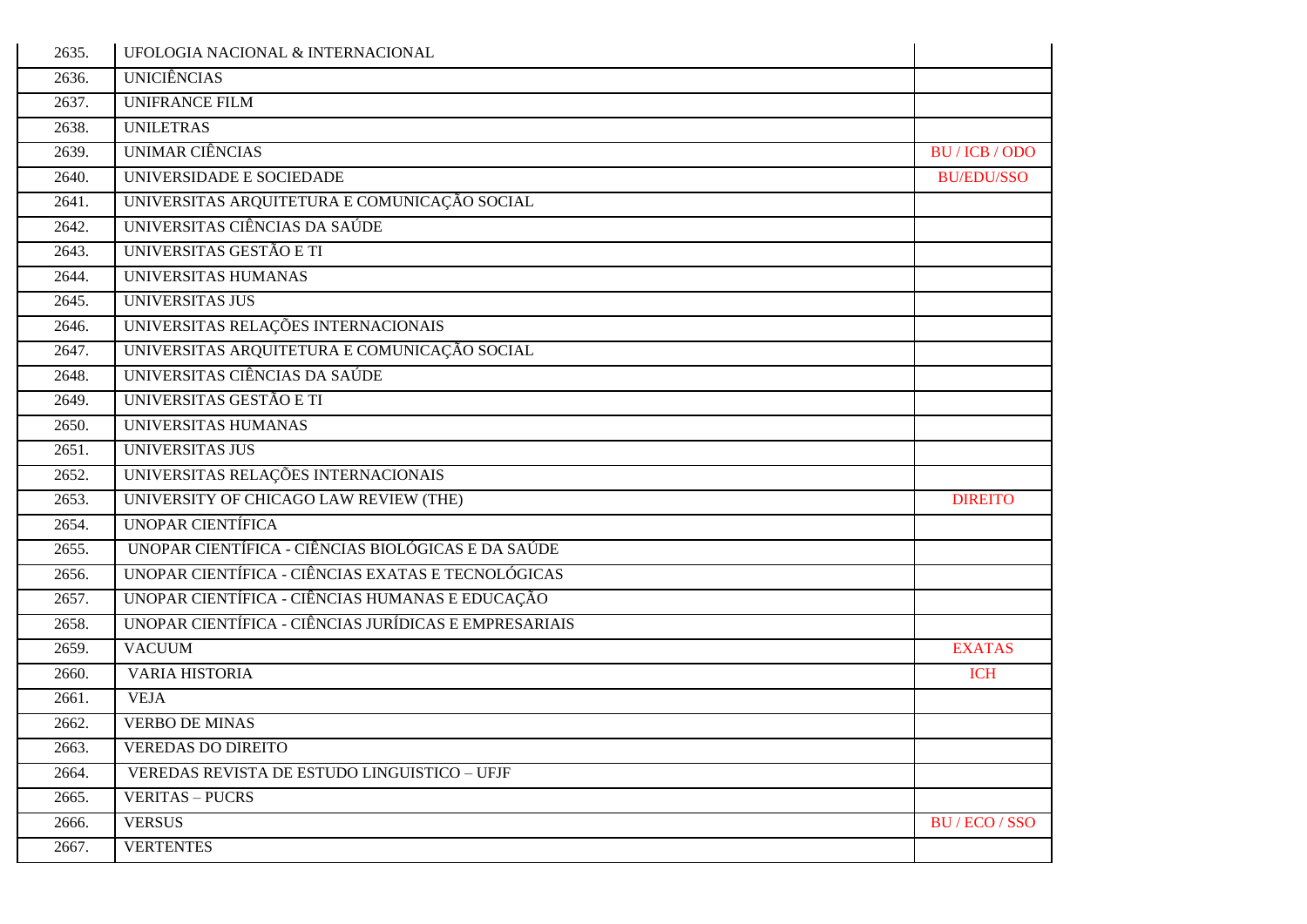| 2635. | UFOLOGIA NACIONAL & INTERNACIONAL                     |                   |
|-------|-------------------------------------------------------|-------------------|
| 2636. | <b>UNICIÊNCIAS</b>                                    |                   |
| 2637. | <b>UNIFRANCE FILM</b>                                 |                   |
| 2638. | <b>UNILETRAS</b>                                      |                   |
| 2639. | <b>UNIMAR CIÊNCIAS</b>                                | BU / ICB / ODO    |
| 2640. | UNIVERSIDADE E SOCIEDADE                              | <b>BU/EDU/SSO</b> |
| 2641. | UNIVERSITAS ARQUITETURA E COMUNICAÇÃO SOCIAL          |                   |
| 2642. | UNIVERSITAS CIÊNCIAS DA SAÚDE                         |                   |
| 2643. | UNIVERSITAS GESTÃO E TI                               |                   |
| 2644. | UNIVERSITAS HUMANAS                                   |                   |
| 2645. | <b>UNIVERSITAS JUS</b>                                |                   |
| 2646. | UNIVERSITAS RELAÇÕES INTERNACIONAIS                   |                   |
| 2647. | UNIVERSITAS ARQUITETURA E COMUNICAÇÃO SOCIAL          |                   |
| 2648. | UNIVERSITAS CIÊNCIAS DA SAÚDE                         |                   |
| 2649. | UNIVERSITAS GESTÃO E TI                               |                   |
| 2650. | UNIVERSITAS HUMANAS                                   |                   |
| 2651. | <b>UNIVERSITAS JUS</b>                                |                   |
| 2652. | UNIVERSITAS RELAÇÕES INTERNACIONAIS                   |                   |
| 2653. | UNIVERSITY OF CHICAGO LAW REVIEW (THE)                | <b>DIREITO</b>    |
| 2654. | <b>UNOPAR CIENTÍFICA</b>                              |                   |
| 2655. | UNOPAR CIENTÍFICA - CIÊNCIAS BIOLÓGICAS E DA SAÚDE    |                   |
| 2656. | UNOPAR CIENTÍFICA - CIÊNCIAS EXATAS E TECNOLÓGICAS    |                   |
| 2657. | UNOPAR CIENTÍFICA - CIÊNCIAS HUMANAS E EDUCAÇÃO       |                   |
| 2658. | UNOPAR CIENTÍFICA - CIÊNCIAS JURÍDICAS E EMPRESARIAIS |                   |
| 2659. | <b>VACUUM</b>                                         | <b>EXATAS</b>     |
| 2660. | VARIA HISTORIA                                        | <b>ICH</b>        |
| 2661. | <b>VEJA</b>                                           |                   |
| 2662. | <b>VERBO DE MINAS</b>                                 |                   |
| 2663. | <b>VEREDAS DO DIREITO</b>                             |                   |
| 2664. | VEREDAS REVISTA DE ESTUDO LINGUISTICO - UFJF          |                   |
| 2665. | <b>VERITAS - PUCRS</b>                                |                   |
| 2666. | <b>VERSUS</b>                                         | BU / ECO / SSO    |
| 2667. | <b>VERTENTES</b>                                      |                   |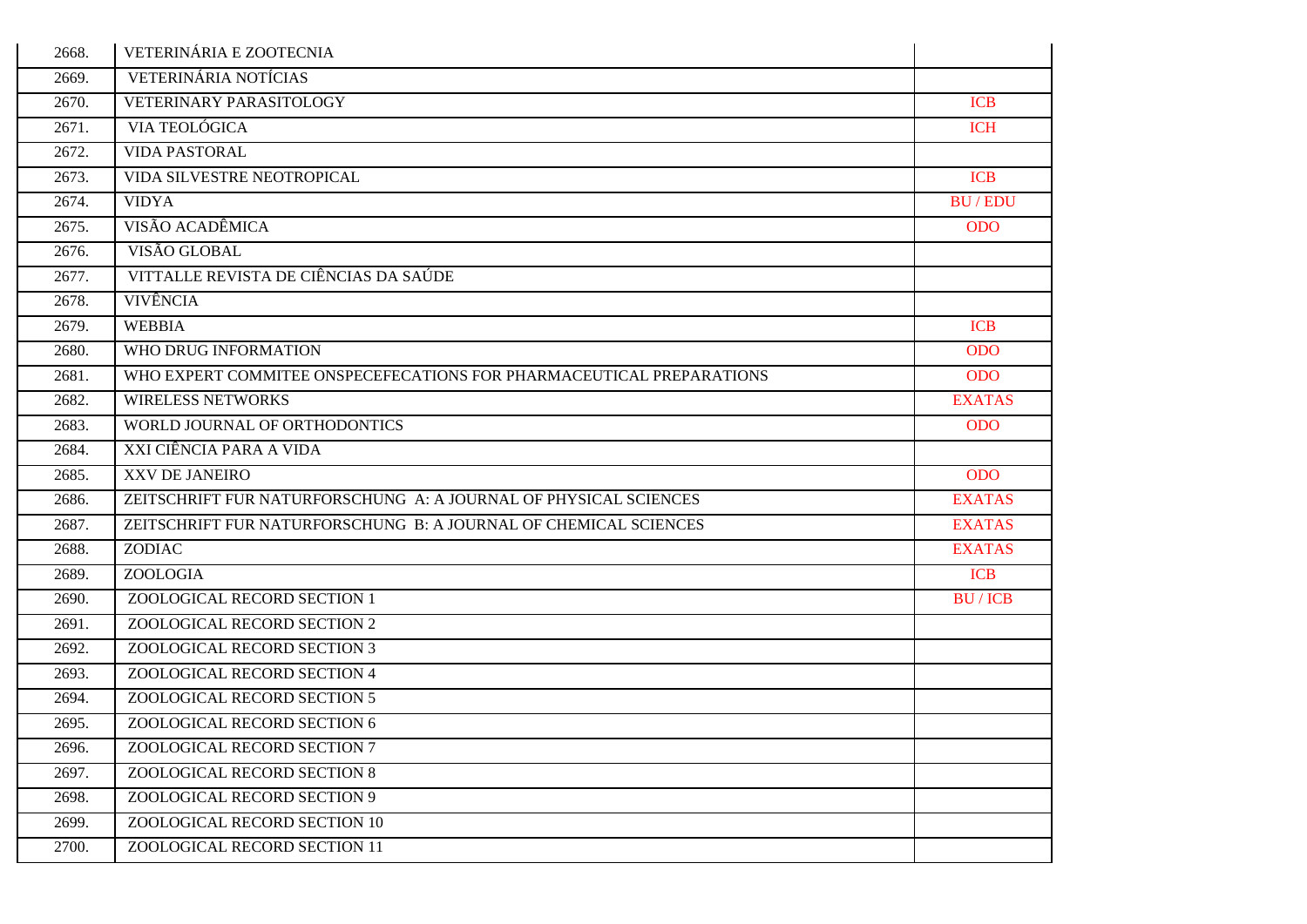| 2668. | VETERINÁRIA E ZOOTECNIA                                              |               |
|-------|----------------------------------------------------------------------|---------------|
| 2669. | VETERINÁRIA NOTÍCIAS                                                 |               |
| 2670. | VETERINARY PARASITOLOGY                                              | <b>ICB</b>    |
| 2671. | VIA TEOLÓGICA                                                        | <b>ICH</b>    |
| 2672. | <b>VIDA PASTORAL</b>                                                 |               |
| 2673. | VIDA SILVESTRE NEOTROPICAL                                           | <b>ICB</b>    |
| 2674. | <b>VIDYA</b>                                                         | <b>BU/EDU</b> |
| 2675. | VISÃO ACADÊMICA                                                      | <b>ODO</b>    |
| 2676. | VISÃO GLOBAL                                                         |               |
| 2677. | VITTALLE REVISTA DE CIÊNCIAS DA SAÚDE                                |               |
| 2678. | <b>VIVÊNCIA</b>                                                      |               |
| 2679. | <b>WEBBIA</b>                                                        | <b>ICB</b>    |
| 2680. | WHO DRUG INFORMATION                                                 | <b>ODO</b>    |
| 2681. | WHO EXPERT COMMITEE ONSPECEFECATIONS FOR PHARMACEUTICAL PREPARATIONS | <b>ODO</b>    |
| 2682. | <b>WIRELESS NETWORKS</b>                                             | <b>EXATAS</b> |
| 2683. | WORLD JOURNAL OF ORTHODONTICS                                        | <b>ODO</b>    |
| 2684. | XXI CIÊNCIA PARA A VIDA                                              |               |
| 2685. | XXV DE JANEIRO                                                       | <b>ODO</b>    |
| 2686. | ZEITSCHRIFT FUR NATURFORSCHUNG A: A JOURNAL OF PHYSICAL SCIENCES     | <b>EXATAS</b> |
| 2687. | ZEITSCHRIFT FUR NATURFORSCHUNG B: A JOURNAL OF CHEMICAL SCIENCES     | <b>EXATAS</b> |
| 2688. | ZODIAC                                                               | <b>EXATAS</b> |
| 2689. | ZOOLOGIA                                                             | <b>ICB</b>    |
| 2690. | ZOOLOGICAL RECORD SECTION 1                                          | <b>BU/ICB</b> |
| 2691. | ZOOLOGICAL RECORD SECTION 2                                          |               |
| 2692. | ZOOLOGICAL RECORD SECTION 3                                          |               |
| 2693. | ZOOLOGICAL RECORD SECTION 4                                          |               |
| 2694. | ZOOLOGICAL RECORD SECTION 5                                          |               |
| 2695. | ZOOLOGICAL RECORD SECTION 6                                          |               |
| 2696. | ZOOLOGICAL RECORD SECTION 7                                          |               |
| 2697. | ZOOLOGICAL RECORD SECTION 8                                          |               |
| 2698. | ZOOLOGICAL RECORD SECTION 9                                          |               |
| 2699. | ZOOLOGICAL RECORD SECTION 10                                         |               |
| 2700. | ZOOLOGICAL RECORD SECTION 11                                         |               |